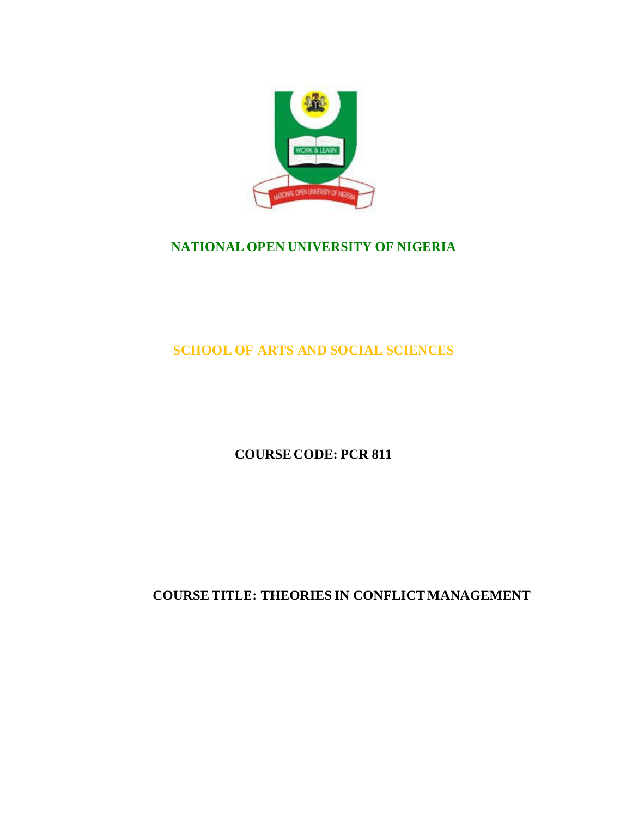

# **NATIONAL OPEN UNIVERSITY OF NIGERIA**

# **SCHOOL OF ARTS AND SOCIAL SCIENCES**

# **COURSE CODE: PCR 811**

# **COURSE TITLE: THEORIES IN CONFLICT MANAGEMENT**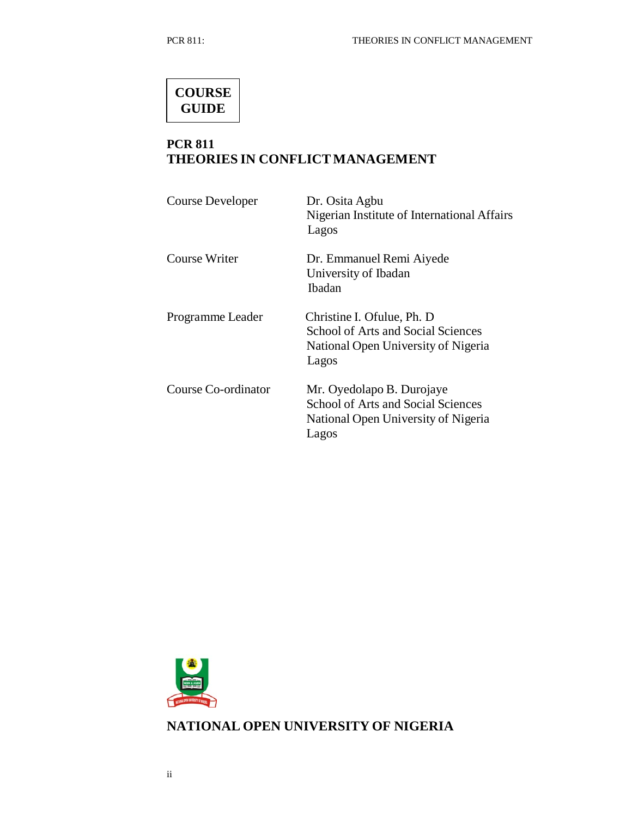# **COURSE GUIDE**

# **PCR 811 THEORIES IN CONFLICT MANAGEMENT**

| <b>Course Developer</b> | Dr. Osita Agbu<br>Nigerian Institute of International Affairs<br>Lagos                                                   |
|-------------------------|--------------------------------------------------------------------------------------------------------------------------|
| Course Writer           | Dr. Emmanuel Remi Aiyede<br>University of Ibadan<br><b>Ibadan</b>                                                        |
| Programme Leader        | Christine I. Ofulue, Ph. D.<br><b>School of Arts and Social Sciences</b><br>National Open University of Nigeria<br>Lagos |
| Course Co-ordinator     | Mr. Oyedolapo B. Durojaye<br><b>School of Arts and Social Sciences</b><br>National Open University of Nigeria<br>Lagos   |



# **NATIONAL OPEN UNIVERSITY OF NIGERIA**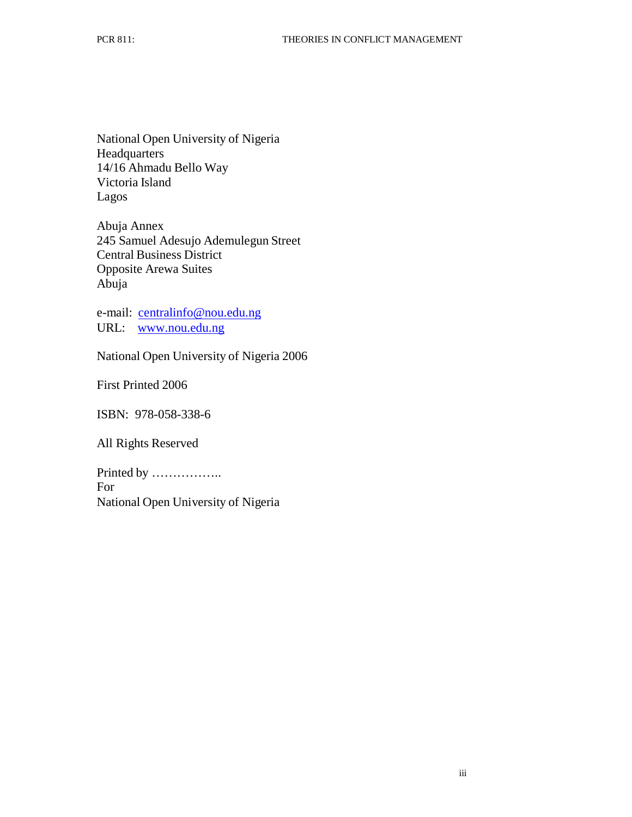National Open University of Nigeria **Headquarters** 14/16 Ahmadu Bello Way Victoria Island Lagos

Abuja Annex 245 Samuel Adesujo Ademulegun Street Central Business District Opposite Arewa Suites Abuja

e-mail: centralinfo@nou.edu.ng URL: www.nou.edu.ng

National Open University of Nigeria 2006

First Printed 2006

ISBN: 978-058-338-6

All Rights Reserved

Printed by …………….. For National Open University of Nigeria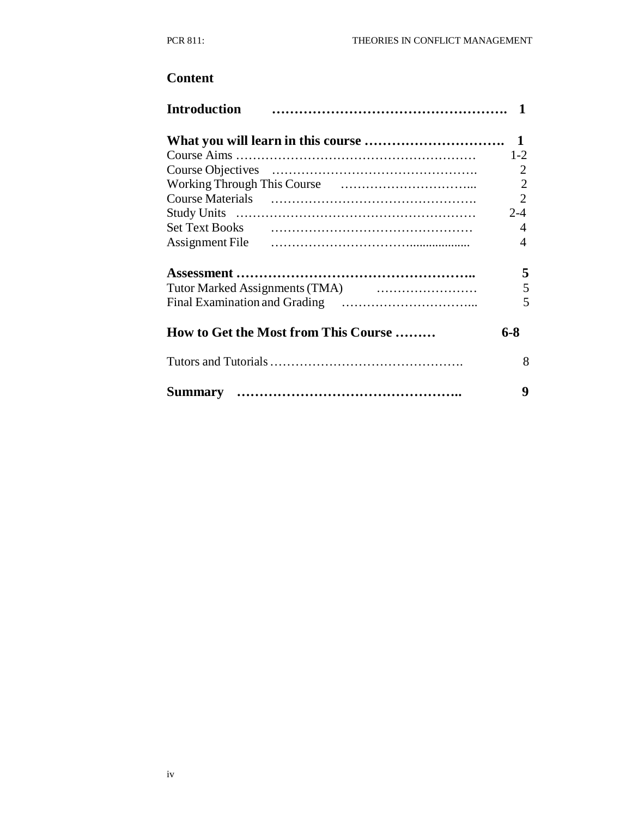# **Content**

| <b>Introduction</b>                  |                |
|--------------------------------------|----------------|
|                                      |                |
|                                      | $1 - 2$        |
|                                      | 2              |
|                                      | $\overline{2}$ |
|                                      | $\overline{2}$ |
|                                      | $2 - 4$        |
|                                      | 4              |
|                                      | 4              |
|                                      | 5              |
|                                      | 5              |
|                                      | 5              |
| How to Get the Most from This Course | $6-8$          |
|                                      | 8              |
|                                      | 9              |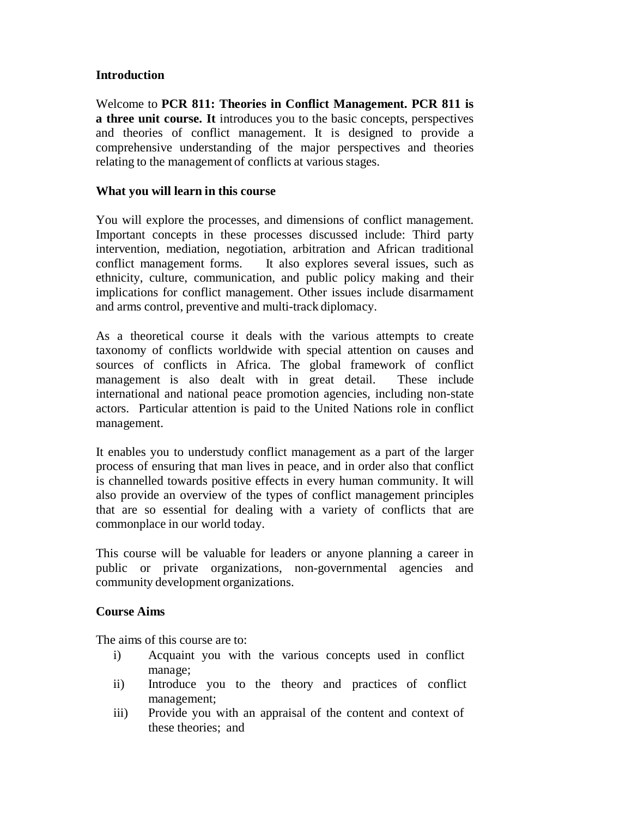#### **Introduction**

Welcome to **PCR 811: Theories in Conflict Management. PCR 811 is a three unit course. It** introduces you to the basic concepts, perspectives and theories of conflict management. It is designed to provide a comprehensive understanding of the major perspectives and theories relating to the management of conflicts at various stages.

#### **What you will learn in this course**

You will explore the processes, and dimensions of conflict management. Important concepts in these processes discussed include: Third party intervention, mediation, negotiation, arbitration and African traditional conflict management forms. It also explores several issues, such as ethnicity, culture, communication, and public policy making and their implications for conflict management. Other issues include disarmament and arms control, preventive and multi-track diplomacy.

As a theoretical course it deals with the various attempts to create taxonomy of conflicts worldwide with special attention on causes and sources of conflicts in Africa. The global framework of conflict management is also dealt with in great detail. These include international and national peace promotion agencies, including non-state actors. Particular attention is paid to the United Nations role in conflict management.

It enables you to understudy conflict management as a part of the larger process of ensuring that man lives in peace, and in order also that conflict is channelled towards positive effects in every human community. It will also provide an overview of the types of conflict management principles that are so essential for dealing with a variety of conflicts that are commonplace in our world today.

This course will be valuable for leaders or anyone planning a career in public or private organizations, non-governmental agencies and community development organizations.

#### **Course Aims**

The aims of this course are to:

- i) Acquaint you with the various concepts used in conflict manage;
- ii) Introduce you to the theory and practices of conflict management;
- iii) Provide you with an appraisal of the content and context of these theories; and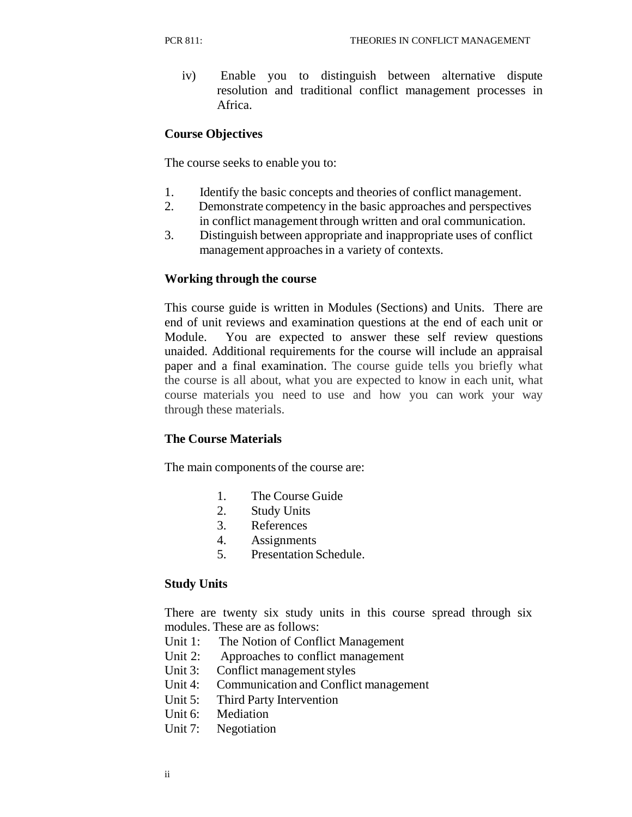iv) Enable you to distinguish between alternative dispute resolution and traditional conflict management processes in Africa.

#### **Course Objectives**

The course seeks to enable you to:

- 1. Identify the basic concepts and theories of conflict management.
- 2. Demonstrate competency in the basic approaches and perspectives in conflict management through written and oral communication.
- 3. Distinguish between appropriate and inappropriate uses of conflict management approaches in a variety of contexts.

#### **Working through the course**

This course guide is written in Modules (Sections) and Units. There are end of unit reviews and examination questions at the end of each unit or Module. You are expected to answer these self review questions unaided. Additional requirements for the course will include an appraisal paper and a final examination. The course guide tells you briefly what the course is all about, what you are expected to know in each unit, what course materials you need to use and how you can work your way through these materials.

#### **The Course Materials**

The main components of the course are:

- 1. The Course Guide
- 2. Study Units
- 3. References
- 4. Assignments
- 5. Presentation Schedule.

#### **Study Units**

There are twenty six study units in this course spread through six modules. These are as follows:

- Unit 1: The Notion of Conflict Management
- Unit 2: Approaches to conflict management
- Unit 3: Conflict management styles
- Unit 4: Communication and Conflict management
- Unit 5: Third Party Intervention
- Unit 6: Mediation
- Unit 7: Negotiation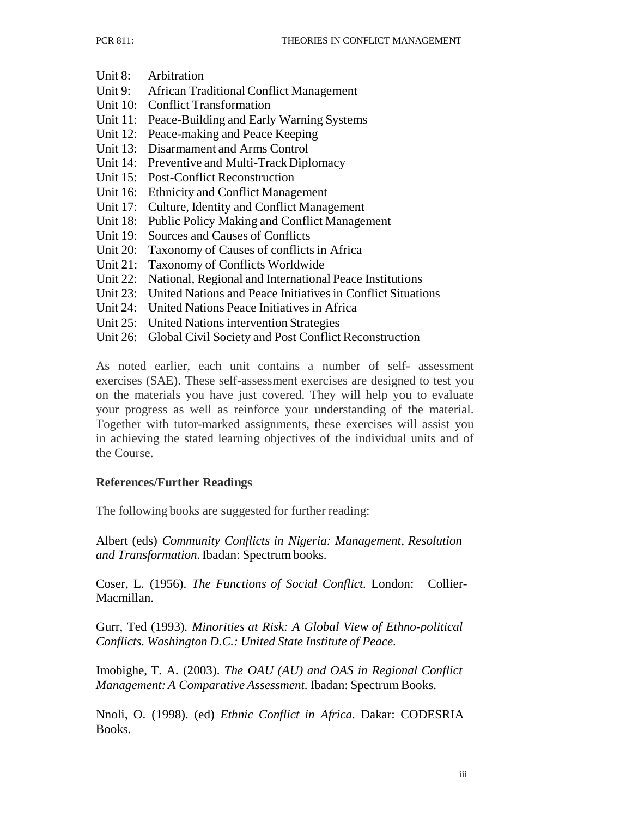- Unit 8: Arbitration
- Unit 9: African Traditional Conflict Management
- Unit 10: Conflict Transformation
- Unit 11: Peace-Building and Early Warning Systems
- Unit 12: Peace-making and Peace Keeping
- Unit 13: Disarmament and Arms Control
- Unit 14: Preventive and Multi-Track Diplomacy
- Unit 15: Post-Conflict Reconstruction
- Unit 16: Ethnicity and Conflict Management
- Unit 17: Culture, Identity and Conflict Management
- Unit 18: Public Policy Making and Conflict Management
- Unit 19: Sources and Causes of Conflicts
- Unit 20: Taxonomy of Causes of conflicts in Africa
- Unit 21: Taxonomy of Conflicts Worldwide
- Unit 22: National, Regional and International Peace Institutions
- Unit 23: United Nations and Peace Initiatives in Conflict Situations
- Unit 24: United Nations Peace Initiatives in Africa
- Unit 25: United Nations intervention Strategies
- Unit 26: Global Civil Society and Post Conflict Reconstruction

As noted earlier, each unit contains a number of self- assessment exercises (SAE). These self-assessment exercises are designed to test you on the materials you have just covered. They will help you to evaluate your progress as well as reinforce your understanding of the material. Together with tutor-marked assignments, these exercises will assist you in achieving the stated learning objectives of the individual units and of the Course.

#### **References/Further Readings**

The following books are suggested for further reading:

Albert (eds) *Community Conflicts in Nigeria: Management, Resolution and Transformation*. Ibadan: Spectrum books.

Coser, L. (1956). *The Functions of Social Conflict.* London: Collier-Macmillan.

Gurr, Ted (1993)*. Minorities at Risk: A Global View of Ethno-political Conflicts. Washington D.C.: United State Institute of Peace.*

Imobighe, T. A. (2003). *The OAU (AU) and OAS in Regional Conflict Management: A Comparative Assessment.* Ibadan: Spectrum Books.

Nnoli, O. (1998). (ed) *Ethnic Conflict in Africa*. Dakar: CODESRIA Books.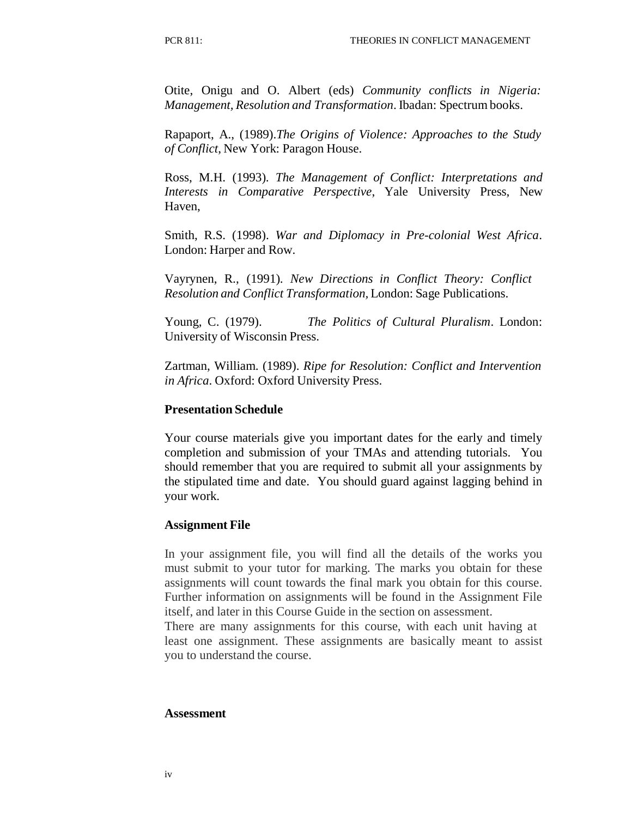Otite, Onigu and O. Albert (eds) *Community conflicts in Nigeria: Management, Resolution and Transformation*. Ibadan: Spectrum books.

Rapaport, A., (1989).*The Origins of Violence: Approaches to the Study of Conflict*, New York: Paragon House.

Ross, M.H. (1993). *The Management of Conflict: Interpretations and Interests in Comparative Perspective*, Yale University Press, New Haven,

Smith, R.S. (1998). *War and Diplomacy in Pre-colonial West Africa*. London: Harper and Row.

Vayrynen, R., (1991). *New Directions in Conflict Theory: Conflict Resolution and Conflict Transformation,* London: Sage Publications.

Young, C. (1979). *The Politics of Cultural Pluralism*. London: University of Wisconsin Press.

Zartman, William. (1989). *Ripe for Resolution: Conflict and Intervention in Africa*. Oxford: Oxford University Press.

#### **Presentation Schedule**

Your course materials give you important dates for the early and timely completion and submission of your TMAs and attending tutorials. You should remember that you are required to submit all your assignments by the stipulated time and date. You should guard against lagging behind in your work.

#### **Assignment File**

In your assignment file, you will find all the details of the works you must submit to your tutor for marking. The marks you obtain for these assignments will count towards the final mark you obtain for this course. Further information on assignments will be found in the Assignment File itself, and later in this Course Guide in the section on assessment.

There are many assignments for this course, with each unit having at least one assignment. These assignments are basically meant to assist you to understand the course.

#### **Assessment**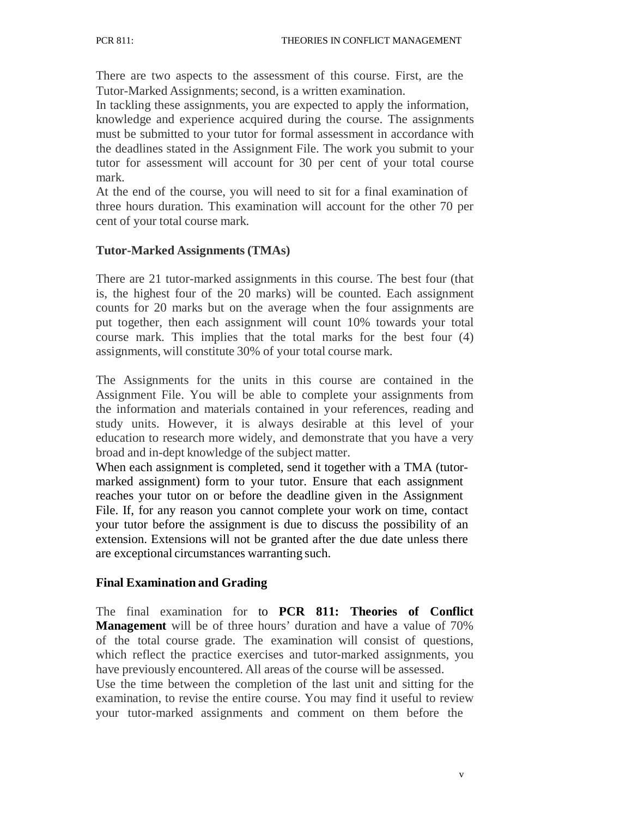There are two aspects to the assessment of this course. First, are the Tutor-Marked Assignments; second, is a written examination.

In tackling these assignments, you are expected to apply the information, knowledge and experience acquired during the course. The assignments must be submitted to your tutor for formal assessment in accordance with the deadlines stated in the Assignment File. The work you submit to your tutor for assessment will account for 30 per cent of your total course mark.

At the end of the course, you will need to sit for a final examination of three hours duration. This examination will account for the other 70 per cent of your total course mark.

#### **Tutor-Marked Assignments (TMAs)**

There are 21 tutor-marked assignments in this course. The best four (that is, the highest four of the 20 marks) will be counted. Each assignment counts for 20 marks but on the average when the four assignments are put together, then each assignment will count 10% towards your total course mark. This implies that the total marks for the best four (4) assignments, will constitute 30% of your total course mark.

The Assignments for the units in this course are contained in the Assignment File. You will be able to complete your assignments from the information and materials contained in your references, reading and study units. However, it is always desirable at this level of your education to research more widely, and demonstrate that you have a very broad and in-dept knowledge of the subject matter.

When each assignment is completed, send it together with a TMA (tutormarked assignment) form to your tutor. Ensure that each assignment reaches your tutor on or before the deadline given in the Assignment File. If, for any reason you cannot complete your work on time, contact your tutor before the assignment is due to discuss the possibility of an extension. Extensions will not be granted after the due date unless there are exceptional circumstances warranting such.

#### **Final Examination and Grading**

The final examination for to **PCR 811: Theories of Conflict Management** will be of three hours' duration and have a value of 70% of the total course grade. The examination will consist of questions, which reflect the practice exercises and tutor-marked assignments, you have previously encountered. All areas of the course will be assessed. Use the time between the completion of the last unit and sitting for the

examination, to revise the entire course. You may find it useful to review your tutor-marked assignments and comment on them before the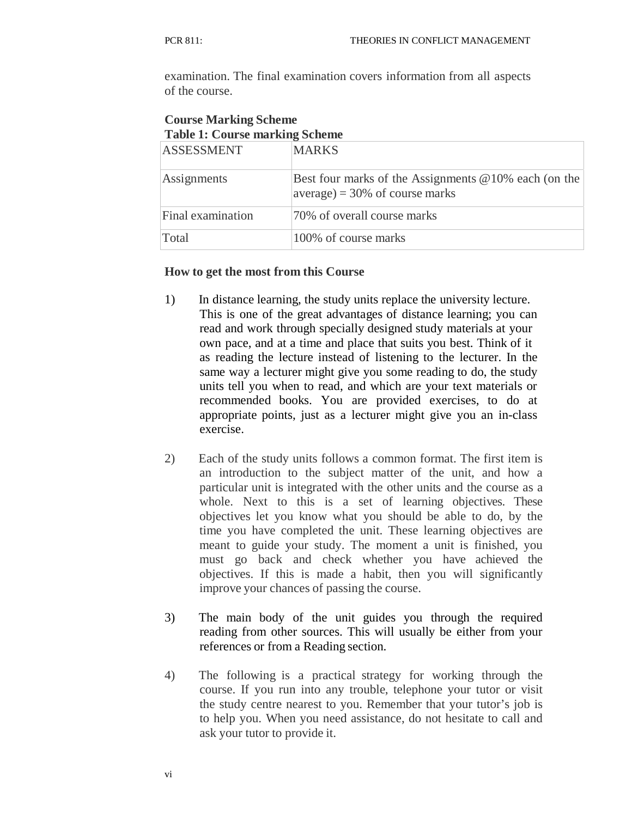examination. The final examination covers information from all aspects of the course.

| <b>ASSESSMENT</b> | <b>MARKS</b>                                                                              |
|-------------------|-------------------------------------------------------------------------------------------|
| Assignments       | Best four marks of the Assignments @10% each (on the<br>$average) = 30\%$ of course marks |
| Final examination | 70% of overall course marks                                                               |
| Total             | 100% of course marks                                                                      |

#### **Course Marking Scheme Table 1: Course marking Scheme**

#### **How to get the most from this Course**

- 1) In distance learning, the study units replace the university lecture. This is one of the great advantages of distance learning; you can read and work through specially designed study materials at your own pace, and at a time and place that suits you best. Think of it as reading the lecture instead of listening to the lecturer. In the same way a lecturer might give you some reading to do, the study units tell you when to read, and which are your text materials or recommended books. You are provided exercises, to do at appropriate points, just as a lecturer might give you an in-class exercise.
- 2) Each of the study units follows a common format. The first item is an introduction to the subject matter of the unit, and how a particular unit is integrated with the other units and the course as a whole. Next to this is a set of learning objectives. These objectives let you know what you should be able to do, by the time you have completed the unit. These learning objectives are meant to guide your study. The moment a unit is finished, you must go back and check whether you have achieved the objectives. If this is made a habit, then you will significantly improve your chances of passing the course.
- 3) The main body of the unit guides you through the required reading from other sources. This will usually be either from your references or from a Reading section.
- 4) The following is a practical strategy for working through the course. If you run into any trouble, telephone your tutor or visit the study centre nearest to you. Remember that your tutor's job is to help you. When you need assistance, do not hesitate to call and ask your tutor to provide it.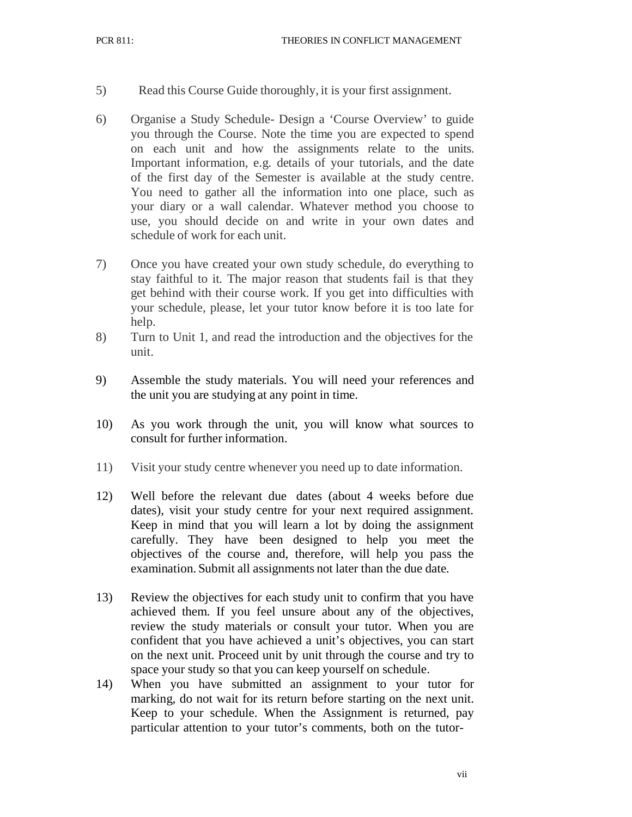- 5) Read this Course Guide thoroughly, it is your first assignment.
- 6) Organise a Study Schedule- Design a 'Course Overview' to guide you through the Course. Note the time you are expected to spend on each unit and how the assignments relate to the units. Important information, e.g. details of your tutorials, and the date of the first day of the Semester is available at the study centre. You need to gather all the information into one place, such as your diary or a wall calendar. Whatever method you choose to use, you should decide on and write in your own dates and schedule of work for each unit.
- 7) Once you have created your own study schedule, do everything to stay faithful to it. The major reason that students fail is that they get behind with their course work. If you get into difficulties with your schedule, please, let your tutor know before it is too late for help.
- 8) Turn to Unit 1, and read the introduction and the objectives for the unit.
- 9) Assemble the study materials. You will need your references and the unit you are studying at any point in time.
- 10) As you work through the unit, you will know what sources to consult for further information.
- 11) Visit your study centre whenever you need up to date information.
- 12) Well before the relevant due dates (about 4 weeks before due dates), visit your study centre for your next required assignment. Keep in mind that you will learn a lot by doing the assignment carefully. They have been designed to help you meet the objectives of the course and, therefore, will help you pass the examination. Submit all assignments not later than the due date.
- 13) Review the objectives for each study unit to confirm that you have achieved them. If you feel unsure about any of the objectives, review the study materials or consult your tutor. When you are confident that you have achieved a unit's objectives, you can start on the next unit. Proceed unit by unit through the course and try to space your study so that you can keep yourself on schedule.
- 14) When you have submitted an assignment to your tutor for marking, do not wait for its return before starting on the next unit. Keep to your schedule. When the Assignment is returned, pay particular attention to your tutor's comments, both on the tutor-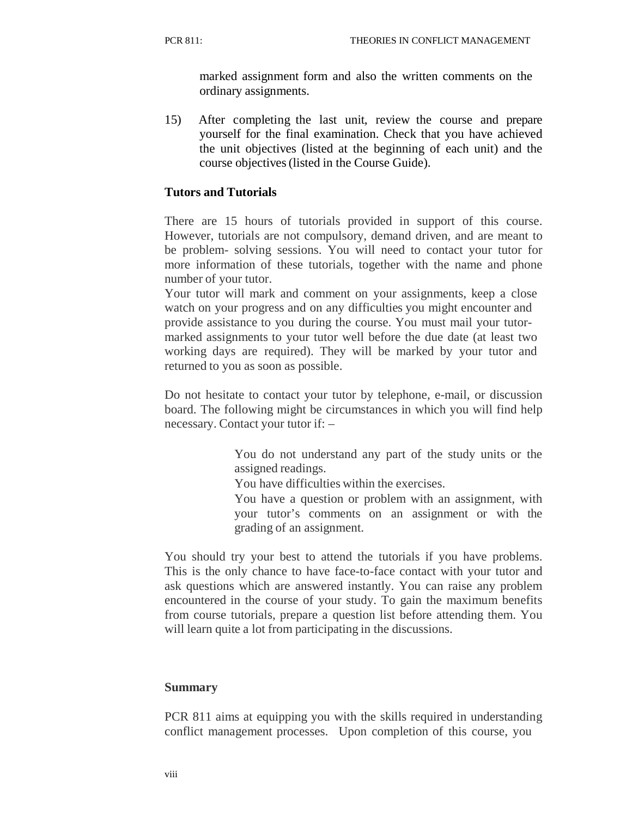marked assignment form and also the written comments on the ordinary assignments.

15) After completing the last unit, review the course and prepare yourself for the final examination. Check that you have achieved the unit objectives (listed at the beginning of each unit) and the course objectives (listed in the Course Guide).

#### **Tutors and Tutorials**

There are 15 hours of tutorials provided in support of this course. However, tutorials are not compulsory, demand driven, and are meant to be problem- solving sessions. You will need to contact your tutor for more information of these tutorials, together with the name and phone number of your tutor.

Your tutor will mark and comment on your assignments, keep a close watch on your progress and on any difficulties you might encounter and provide assistance to you during the course. You must mail your tutormarked assignments to your tutor well before the due date (at least two working days are required). They will be marked by your tutor and returned to you as soon as possible.

Do not hesitate to contact your tutor by telephone, e-mail, or discussion board. The following might be circumstances in which you will find help necessary. Contact your tutor if: –

> You do not understand any part of the study units or the assigned readings.

You have difficulties within the exercises.

You have a question or problem with an assignment, with your tutor's comments on an assignment or with the grading of an assignment.

You should try your best to attend the tutorials if you have problems. This is the only chance to have face-to-face contact with your tutor and ask questions which are answered instantly. You can raise any problem encountered in the course of your study. To gain the maximum benefits from course tutorials, prepare a question list before attending them. You will learn quite a lot from participating in the discussions.

#### **Summary**

PCR 811 aims at equipping you with the skills required in understanding conflict management processes. Upon completion of this course, you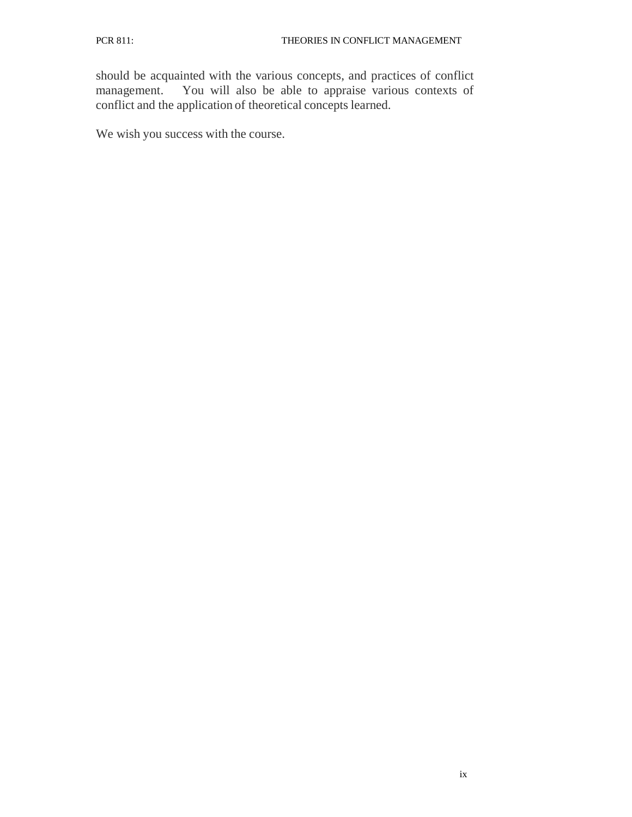should be acquainted with the various concepts, and practices of conflict management. You will also be able to appraise various contexts of You will also be able to appraise various contexts of conflict and the application of theoretical concepts learned.

We wish you success with the course.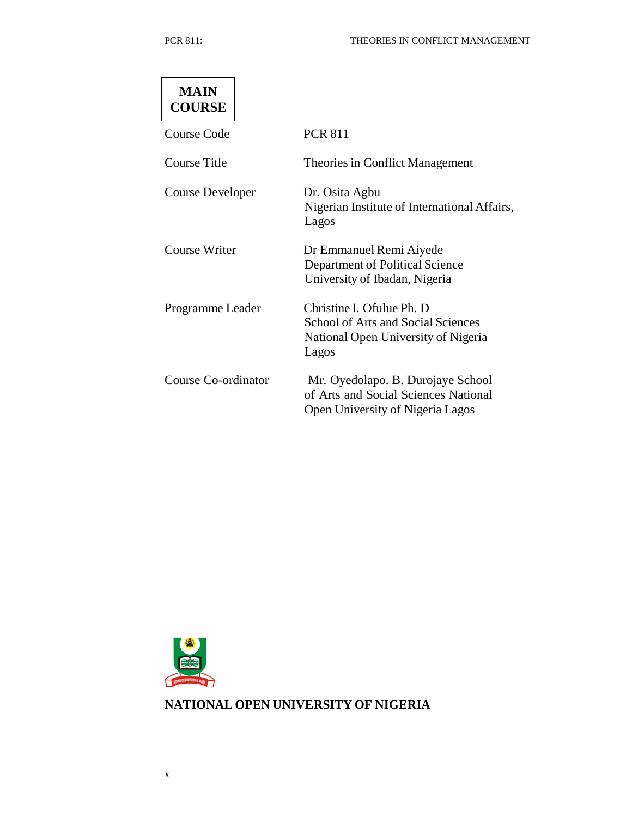| MAIN          |  |
|---------------|--|
| <b>COURSE</b> |  |

| Course Code         | <b>PCR 811</b>                                                                                                  |
|---------------------|-----------------------------------------------------------------------------------------------------------------|
| Course Title        | <b>Theories in Conflict Management</b>                                                                          |
| Course Developer    | Dr. Osita Agbu<br>Nigerian Institute of International Affairs,<br>Lagos                                         |
| Course Writer       | Dr Emmanuel Remi Aiyede<br>Department of Political Science<br>University of Ibadan, Nigeria                     |
| Programme Leader    | Christine I. Ofulue Ph. D<br>School of Arts and Social Sciences<br>National Open University of Nigeria<br>Lagos |
| Course Co-ordinator | Mr. Oyedolapo. B. Durojaye School<br>of Arts and Social Sciences National<br>Open University of Nigeria Lagos   |



**NATIONAL OPEN UNIVERSITY OF NIGERIA**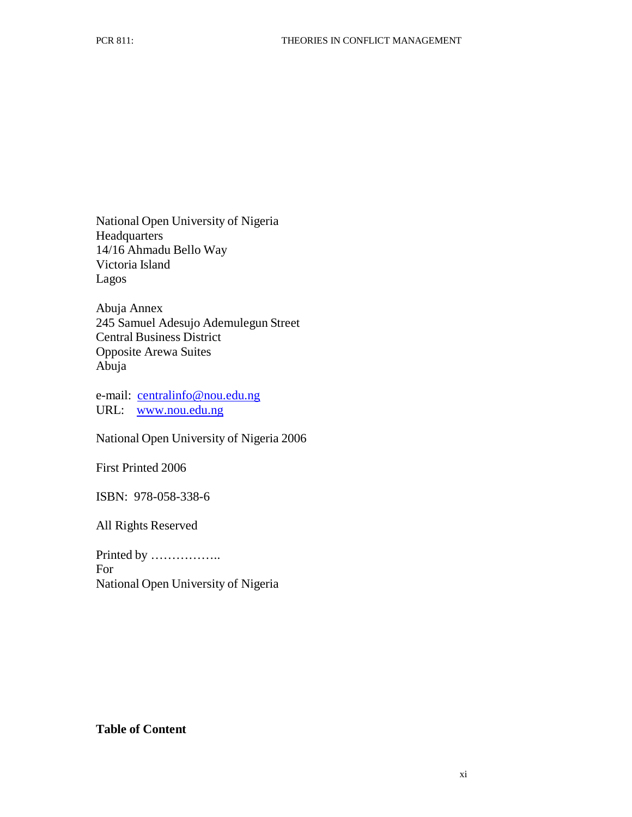National Open University of Nigeria Headquarters 14/16 Ahmadu Bello Way Victoria Island Lagos

Abuja Annex 245 Samuel Adesujo Ademulegun Street Central Business District Opposite Arewa Suites Abuja

e-mail: centralinfo@nou.edu.ng URL: www.nou.edu.ng

National Open University of Nigeria 2006

First Printed 2006

ISBN: 978-058-338-6

All Rights Reserved

Printed by …………….. For National Open University of Nigeria

#### **Table of Content**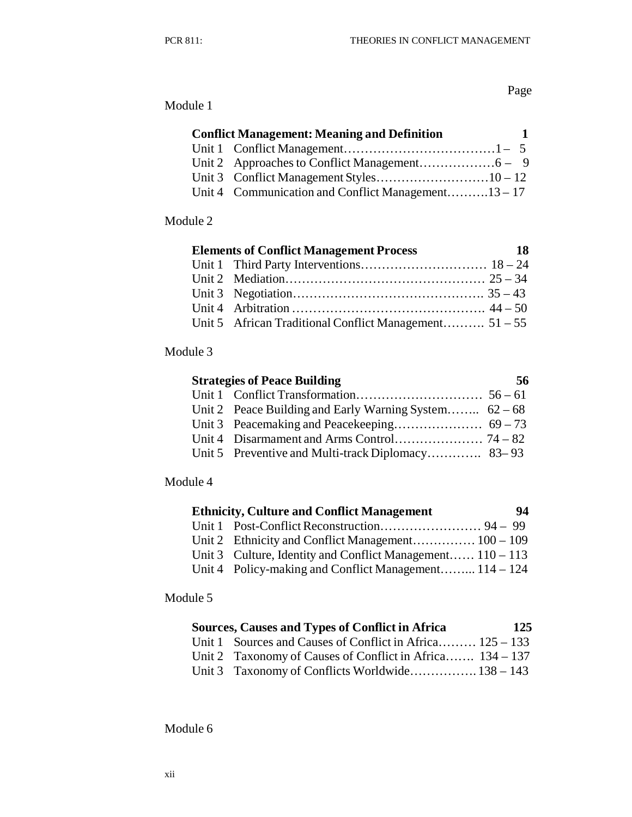Module 1

| <b>Conflict Management: Meaning and Definition</b>  | $\mathbf 1$ |
|-----------------------------------------------------|-------------|
|                                                     |             |
|                                                     |             |
|                                                     |             |
| Unit 4 Communication and Conflict Management13 – 17 |             |

#### Module 2

| <b>Elements of Conflict Management Process</b>           | $\sim$ 18 |
|----------------------------------------------------------|-----------|
|                                                          |           |
|                                                          |           |
|                                                          |           |
|                                                          |           |
| Unit 5 African Traditional Conflict Management $51 - 55$ |           |

#### Module 3

#### **Strategies of Peace Building 56** Unit 1 Conflict Transformation………………………… 56 – 61 Unit 2 Peace Building and Early Warning System........  $62 - 68$ Unit 3 Peacemaking and Peacekeeping………………… 69 – 73 Unit 4 Disarmament and Arms Control………………… 74 – 82 Unit 5 Preventive and Multi-track Diplomacy…………. 83–93

#### Module 4

| <b>Ethnicity, Culture and Conflict Management</b>            | 94 |
|--------------------------------------------------------------|----|
|                                                              |    |
|                                                              |    |
| Unit 3 Culture, Identity and Conflict Management $110 - 113$ |    |
| Unit 4 Policy-making and Conflict Management $114 - 124$     |    |

#### Module 5

| Sources, Causes and Types of Conflict in Africa             | 125 |
|-------------------------------------------------------------|-----|
| Unit 1 Sources and Causes of Conflict in Africa $125 - 133$ |     |
| Unit 2 Taxonomy of Causes of Conflict in Africa $134 - 137$ |     |
|                                                             |     |

Module 6

Page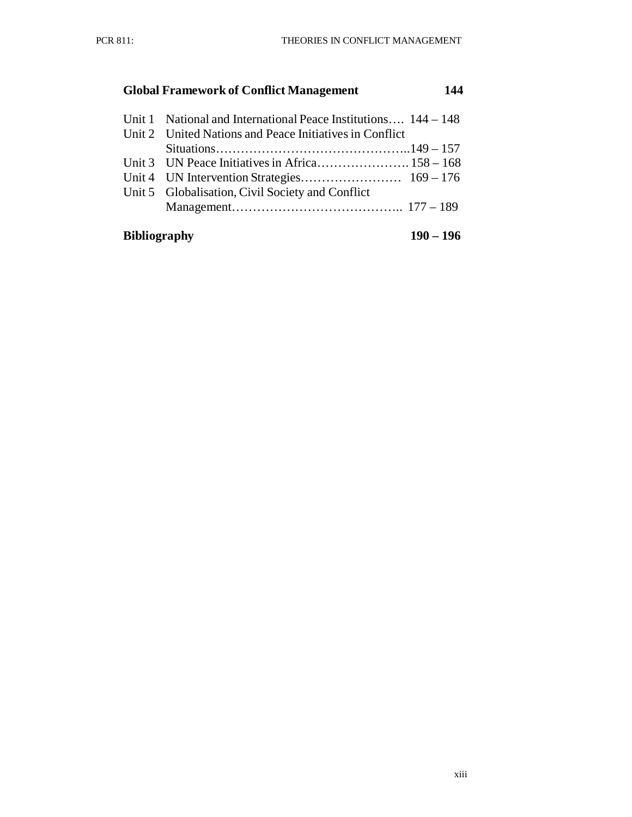# **Global Framework of Conflict Management 144**

| Unit 1 National and International Peace Institutions $144 - 148$ |  |
|------------------------------------------------------------------|--|
| Unit 2 United Nations and Peace Initiatives in Conflict          |  |
|                                                                  |  |
|                                                                  |  |
|                                                                  |  |
| Unit 5 Globalisation, Civil Society and Conflict                 |  |
|                                                                  |  |
|                                                                  |  |

# **Bibliography** 190 – 196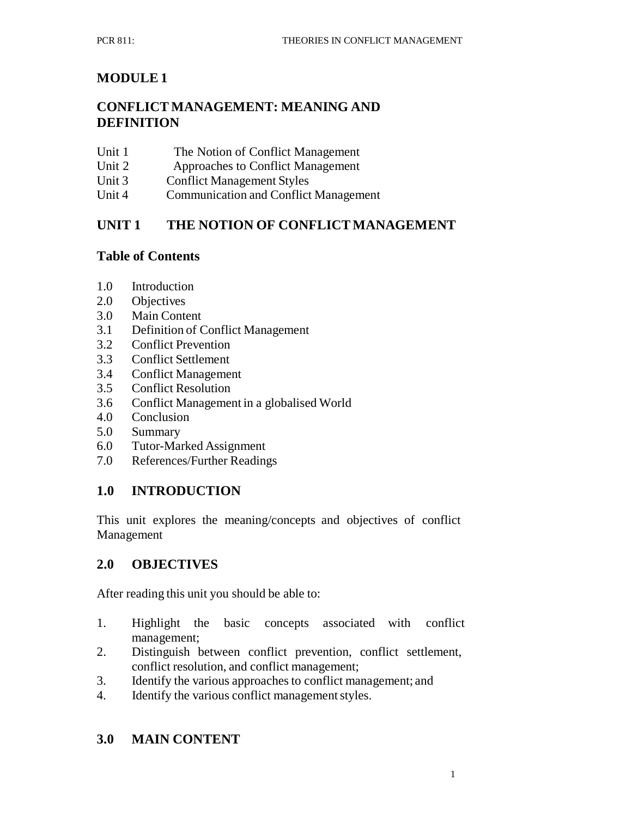# **MODULE 1**

# **CONFLICT MANAGEMENT: MEANING AND DEFINITION**

- Unit 1 The Notion of Conflict Management
- Unit 2 Approaches to Conflict Management
- Unit 3 Conflict Management Styles
- Unit 4 Communication and Conflict Management

# **UNIT 1 THE NOTION OF CONFLICT MANAGEMENT**

### **Table of Contents**

- 1.0 Introduction
- 2.0 Objectives
- 3.0 Main Content
- 3.1 Definition of Conflict Management
- 3.2 Conflict Prevention
- 3.3 Conflict Settlement
- 3.4 Conflict Management
- 3.5 Conflict Resolution
- 3.6 Conflict Management in a globalised World
- 4.0 Conclusion
- 5.0 Summary
- 6.0 Tutor-Marked Assignment
- 7.0 References/Further Readings

# **1.0 INTRODUCTION**

This unit explores the meaning/concepts and objectives of conflict Management

# **2.0 OBJECTIVES**

After reading this unit you should be able to:

- 1. Highlight the basic concepts associated with conflict management;
- 2. Distinguish between conflict prevention, conflict settlement, conflict resolution, and conflict management;
- 3. Identify the various approaches to conflict management; and
- 4. Identify the various conflict management styles.

# **3.0 MAIN CONTENT**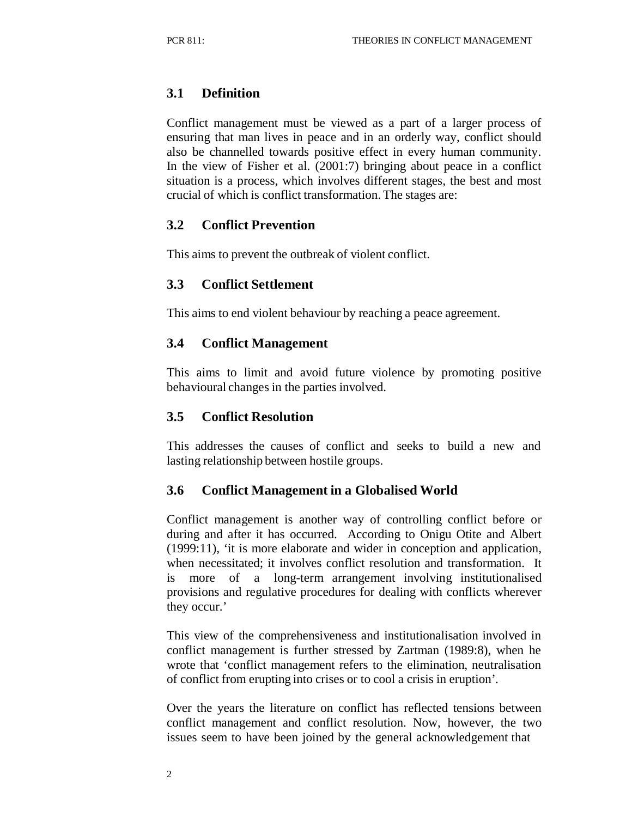# **3.1 Definition**

Conflict management must be viewed as a part of a larger process of ensuring that man lives in peace and in an orderly way, conflict should also be channelled towards positive effect in every human community. In the view of Fisher et al. (2001:7) bringing about peace in a conflict situation is a process, which involves different stages, the best and most crucial of which is conflict transformation. The stages are:

# **3.2 Conflict Prevention**

This aims to prevent the outbreak of violent conflict.

# **3.3 Conflict Settlement**

This aims to end violent behaviour by reaching a peace agreement.

### **3.4 Conflict Management**

This aims to limit and avoid future violence by promoting positive behavioural changes in the parties involved.

# **3.5 Conflict Resolution**

This addresses the causes of conflict and seeks to build a new and lasting relationship between hostile groups.

# **3.6 Conflict Management in a Globalised World**

Conflict management is another way of controlling conflict before or during and after it has occurred. According to Onigu Otite and Albert (1999:11), 'it is more elaborate and wider in conception and application, when necessitated; it involves conflict resolution and transformation. It is more of a long-term arrangement involving institutionalised provisions and regulative procedures for dealing with conflicts wherever they occur.'

This view of the comprehensiveness and institutionalisation involved in conflict management is further stressed by Zartman (1989:8), when he wrote that 'conflict management refers to the elimination, neutralisation of conflict from erupting into crises or to cool a crisis in eruption'.

Over the years the literature on conflict has reflected tensions between conflict management and conflict resolution. Now, however, the two issues seem to have been joined by the general acknowledgement that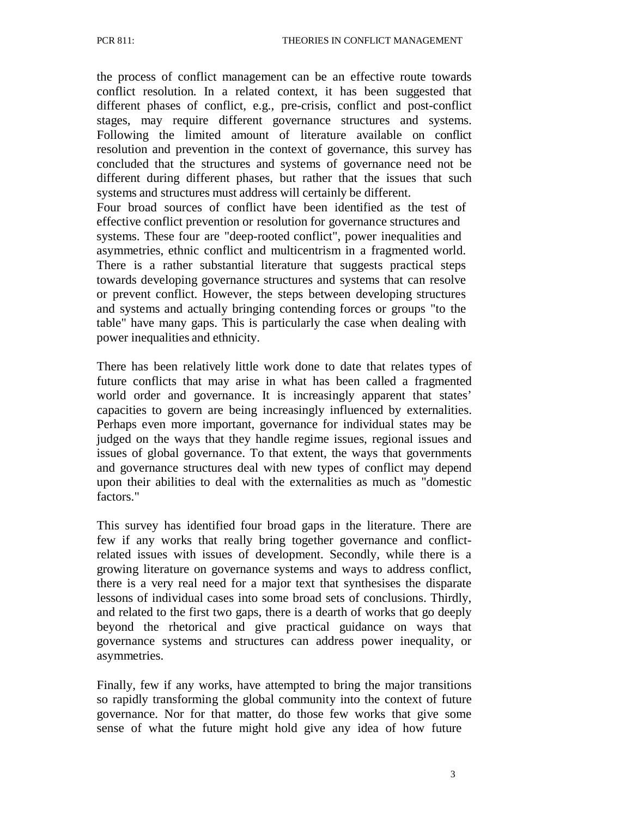the process of conflict management can be an effective route towards conflict resolution. In a related context, it has been suggested that different phases of conflict, e.g., pre-crisis, conflict and post-conflict stages, may require different governance structures and systems. Following the limited amount of literature available on conflict resolution and prevention in the context of governance, this survey has concluded that the structures and systems of governance need not be different during different phases, but rather that the issues that such systems and structures must address will certainly be different.

Four broad sources of conflict have been identified as the test of effective conflict prevention or resolution for governance structures and systems. These four are "deep-rooted conflict", power inequalities and asymmetries, ethnic conflict and multicentrism in a fragmented world. There is a rather substantial literature that suggests practical steps towards developing governance structures and systems that can resolve or prevent conflict. However, the steps between developing structures and systems and actually bringing contending forces or groups "to the table" have many gaps. This is particularly the case when dealing with power inequalities and ethnicity.

There has been relatively little work done to date that relates types of future conflicts that may arise in what has been called a fragmented world order and governance. It is increasingly apparent that states' capacities to govern are being increasingly influenced by externalities. Perhaps even more important, governance for individual states may be judged on the ways that they handle regime issues, regional issues and issues of global governance. To that extent, the ways that governments and governance structures deal with new types of conflict may depend upon their abilities to deal with the externalities as much as "domestic factors."

This survey has identified four broad gaps in the literature. There are few if any works that really bring together governance and conflictrelated issues with issues of development. Secondly, while there is a growing literature on governance systems and ways to address conflict, there is a very real need for a major text that synthesises the disparate lessons of individual cases into some broad sets of conclusions. Thirdly, and related to the first two gaps, there is a dearth of works that go deeply beyond the rhetorical and give practical guidance on ways that governance systems and structures can address power inequality, or asymmetries.

Finally, few if any works, have attempted to bring the major transitions so rapidly transforming the global community into the context of future governance. Nor for that matter, do those few works that give some sense of what the future might hold give any idea of how future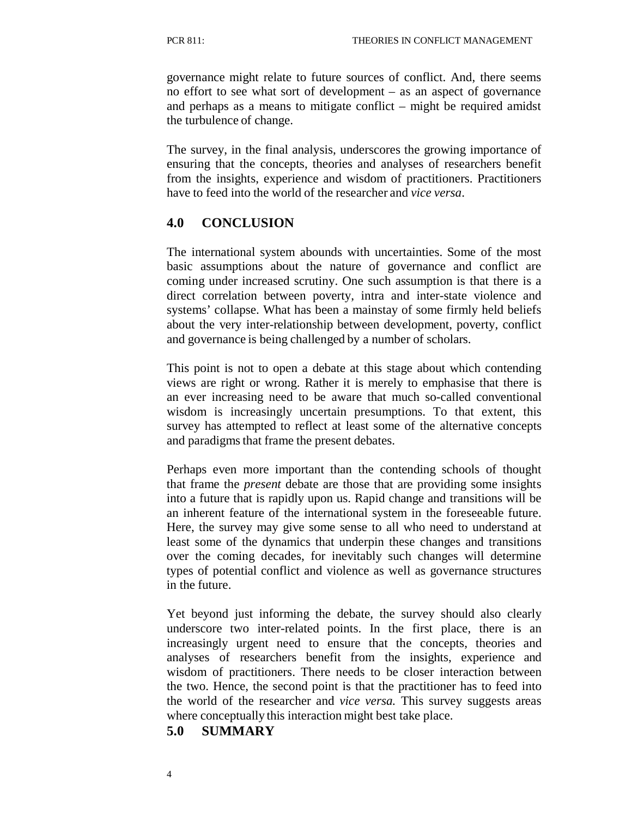governance might relate to future sources of conflict. And, there seems no effort to see what sort of development – as an aspect of governance and perhaps as a means to mitigate conflict – might be required amidst the turbulence of change.

The survey, in the final analysis, underscores the growing importance of ensuring that the concepts, theories and analyses of researchers benefit from the insights, experience and wisdom of practitioners. Practitioners have to feed into the world of the researcher and *vice versa*.

### **4.0 CONCLUSION**

The international system abounds with uncertainties. Some of the most basic assumptions about the nature of governance and conflict are coming under increased scrutiny. One such assumption is that there is a direct correlation between poverty, intra and inter-state violence and systems' collapse. What has been a mainstay of some firmly held beliefs about the very inter-relationship between development, poverty, conflict and governance is being challenged by a number of scholars.

This point is not to open a debate at this stage about which contending views are right or wrong. Rather it is merely to emphasise that there is an ever increasing need to be aware that much so-called conventional wisdom is increasingly uncertain presumptions. To that extent, this survey has attempted to reflect at least some of the alternative concepts and paradigms that frame the present debates.

Perhaps even more important than the contending schools of thought that frame the *present* debate are those that are providing some insights into a future that is rapidly upon us. Rapid change and transitions will be an inherent feature of the international system in the foreseeable future. Here, the survey may give some sense to all who need to understand at least some of the dynamics that underpin these changes and transitions over the coming decades, for inevitably such changes will determine types of potential conflict and violence as well as governance structures in the future.

Yet beyond just informing the debate, the survey should also clearly underscore two inter-related points. In the first place, there is an increasingly urgent need to ensure that the concepts, theories and analyses of researchers benefit from the insights, experience and wisdom of practitioners. There needs to be closer interaction between the two. Hence, the second point is that the practitioner has to feed into the world of the researcher and *vice versa.* This survey suggests areas where conceptually this interaction might best take place.

#### **5.0 SUMMARY**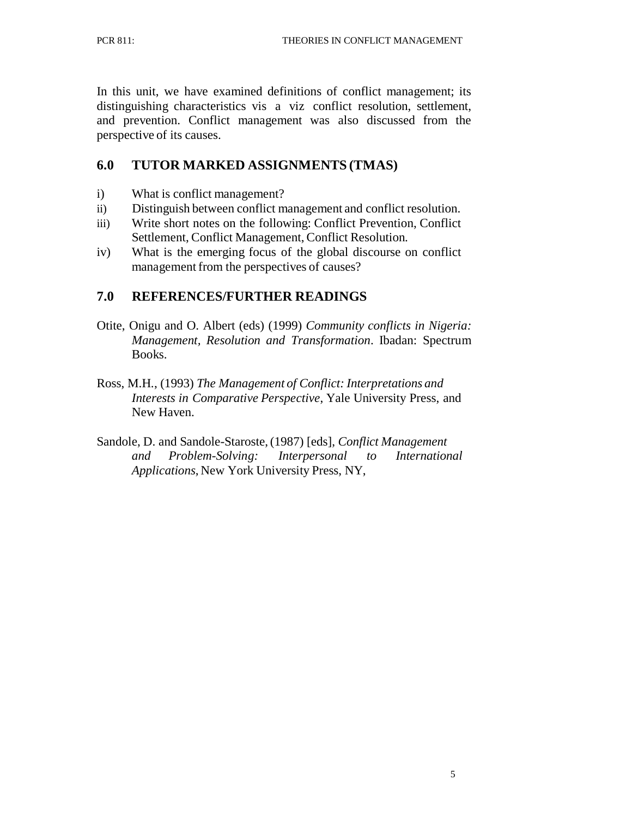In this unit, we have examined definitions of conflict management; its distinguishing characteristics vis a viz conflict resolution, settlement, and prevention. Conflict management was also discussed from the perspective of its causes.

# **6.0 TUTOR MARKED ASSIGNMENTS (TMAS)**

- i) What is conflict management?
- ii) Distinguish between conflict management and conflict resolution.
- iii) Write short notes on the following: Conflict Prevention, Conflict Settlement, Conflict Management, Conflict Resolution.
- iv) What is the emerging focus of the global discourse on conflict management from the perspectives of causes?

### **7.0 REFERENCES/FURTHER READINGS**

- Otite, Onigu and O. Albert (eds) (1999) *Community conflicts in Nigeria: Management, Resolution and Transformation*. Ibadan: Spectrum Books.
- Ross, M.H., (1993) *The Management of Conflict: Interpretations and Interests in Comparative Perspective*, Yale University Press, and New Haven.
- Sandole, D. and Sandole-Staroste, (1987) [eds], *Conflict Management and Problem-Solving: Interpersonal to International Applications*, New York University Press, NY,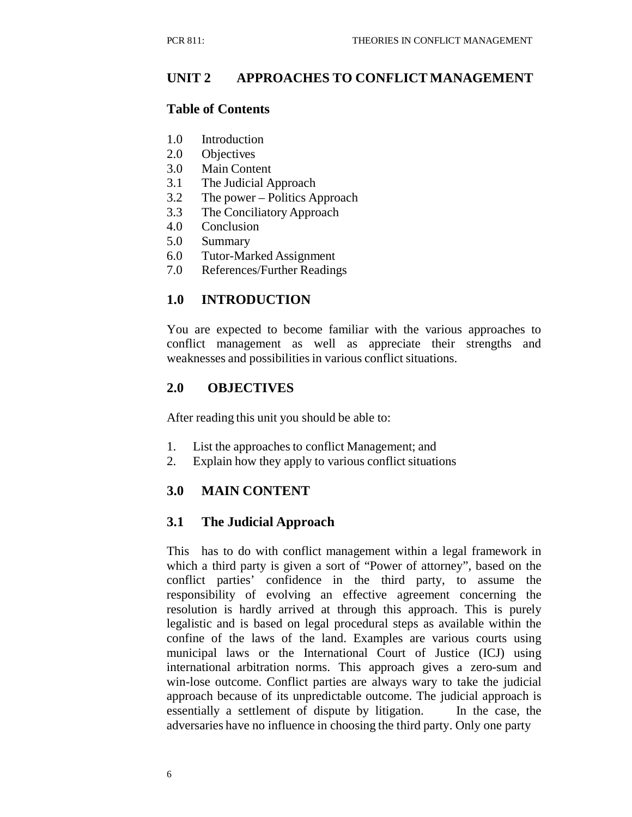# **UNIT 2 APPROACHES TO CONFLICT MANAGEMENT**

#### **Table of Contents**

- 1.0 Introduction
- 2.0 Objectives
- 3.0 Main Content
- 3.1 The Judicial Approach
- 3.2 The power Politics Approach
- 3.3 The Conciliatory Approach
- 4.0 Conclusion
- 5.0 Summary
- 6.0 Tutor-Marked Assignment
- 7.0 References/Further Readings

#### **1.0 INTRODUCTION**

You are expected to become familiar with the various approaches to conflict management as well as appreciate their strengths and weaknesses and possibilities in various conflict situations.

#### **2.0 OBJECTIVES**

After reading this unit you should be able to:

- 1. List the approaches to conflict Management; and
- 2. Explain how they apply to various conflict situations

#### **3.0 MAIN CONTENT**

#### **3.1 The Judicial Approach**

This has to do with conflict management within a legal framework in which a third party is given a sort of "Power of attorney", based on the conflict parties' confidence in the third party, to assume the responsibility of evolving an effective agreement concerning the resolution is hardly arrived at through this approach. This is purely legalistic and is based on legal procedural steps as available within the confine of the laws of the land. Examples are various courts using municipal laws or the International Court of Justice (ICJ) using international arbitration norms. This approach gives a zero-sum and win-lose outcome. Conflict parties are always wary to take the judicial approach because of its unpredictable outcome. The judicial approach is essentially a settlement of dispute by litigation. In the case, the adversaries have no influence in choosing the third party. Only one party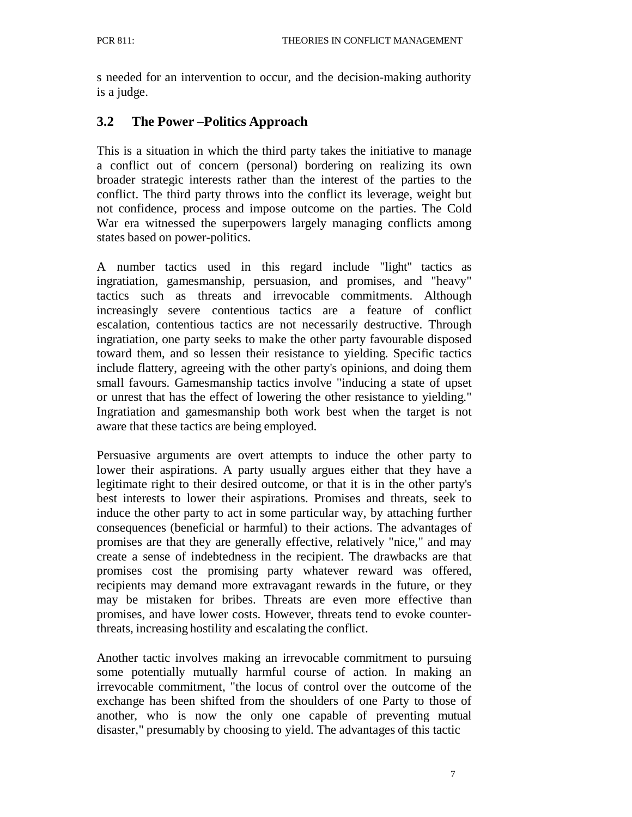s needed for an intervention to occur, and the decision-making authority is a judge.

# **3.2 The Power –Politics Approach**

This is a situation in which the third party takes the initiative to manage a conflict out of concern (personal) bordering on realizing its own broader strategic interests rather than the interest of the parties to the conflict. The third party throws into the conflict its leverage, weight but not confidence, process and impose outcome on the parties. The Cold War era witnessed the superpowers largely managing conflicts among states based on power-politics.

A number tactics used in this regard include "light" tactics as ingratiation, gamesmanship, persuasion, and promises, and "heavy" tactics such as threats and irrevocable commitments. Although increasingly severe contentious tactics are a feature of conflict escalation, contentious tactics are not necessarily destructive. Through ingratiation, one party seeks to make the other party favourable disposed toward them, and so lessen their resistance to yielding. Specific tactics include flattery, agreeing with the other party's opinions, and doing them small favours. Gamesmanship tactics involve "inducing a state of upset or unrest that has the effect of lowering the other resistance to yielding." Ingratiation and gamesmanship both work best when the target is not aware that these tactics are being employed.

Persuasive arguments are overt attempts to induce the other party to lower their aspirations. A party usually argues either that they have a legitimate right to their desired outcome, or that it is in the other party's best interests to lower their aspirations. Promises and threats, seek to induce the other party to act in some particular way, by attaching further consequences (beneficial or harmful) to their actions. The advantages of promises are that they are generally effective, relatively "nice," and may create a sense of indebtedness in the recipient. The drawbacks are that promises cost the promising party whatever reward was offered, recipients may demand more extravagant rewards in the future, or they may be mistaken for bribes. Threats are even more effective than promises, and have lower costs. However, threats tend to evoke counterthreats, increasing hostility and escalating the conflict.

Another tactic involves making an irrevocable commitment to pursuing some potentially mutually harmful course of action. In making an irrevocable commitment, "the locus of control over the outcome of the exchange has been shifted from the shoulders of one Party to those of another, who is now the only one capable of preventing mutual disaster," presumably by choosing to yield. The advantages of this tactic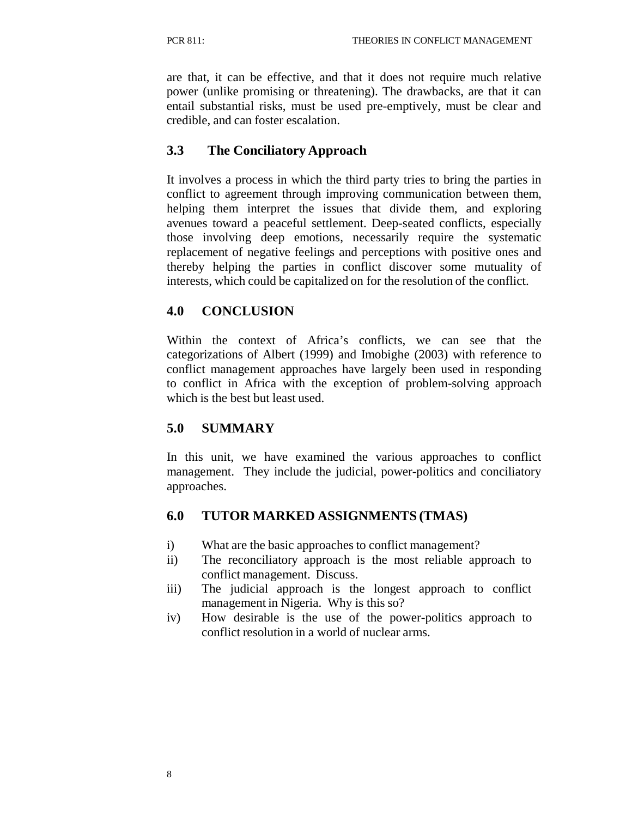are that, it can be effective, and that it does not require much relative power (unlike promising or threatening). The drawbacks, are that it can entail substantial risks, must be used pre-emptively, must be clear and credible, and can foster escalation.

# **3.3 The Conciliatory Approach**

It involves a process in which the third party tries to bring the parties in conflict to agreement through improving communication between them, helping them interpret the issues that divide them, and exploring avenues toward a peaceful settlement. Deep-seated conflicts, especially those involving deep emotions, necessarily require the systematic replacement of negative feelings and perceptions with positive ones and thereby helping the parties in conflict discover some mutuality of interests, which could be capitalized on for the resolution of the conflict.

# **4.0 CONCLUSION**

Within the context of Africa's conflicts, we can see that the categorizations of Albert (1999) and Imobighe (2003) with reference to conflict management approaches have largely been used in responding to conflict in Africa with the exception of problem-solving approach which is the best but least used.

# **5.0 SUMMARY**

In this unit, we have examined the various approaches to conflict management. They include the judicial, power-politics and conciliatory approaches.

# **6.0 TUTOR MARKED ASSIGNMENTS (TMAS)**

- i) What are the basic approaches to conflict management?
- ii) The reconciliatory approach is the most reliable approach to conflict management. Discuss.
- iii) The judicial approach is the longest approach to conflict management in Nigeria. Why is this so?
- iv) How desirable is the use of the power-politics approach to conflict resolution in a world of nuclear arms.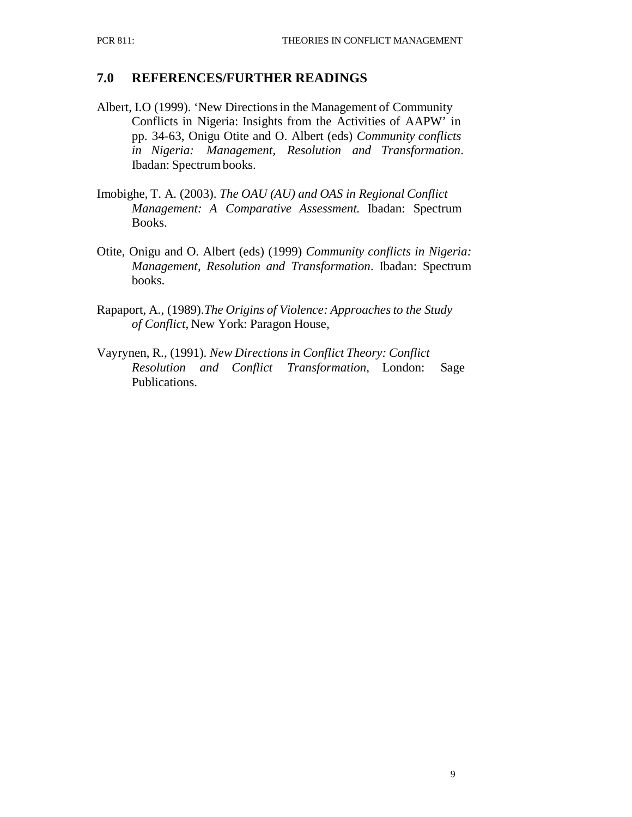#### **7.0 REFERENCES/FURTHER READINGS**

- Albert, I.O (1999). 'New Directions in the Management of Community Conflicts in Nigeria: Insights from the Activities of AAPW' in pp. 34-63, Onigu Otite and O. Albert (eds) *Community conflicts in Nigeria: Management, Resolution and Transformation*. Ibadan: Spectrum books.
- Imobighe, T. A. (2003). *The OAU (AU) and OAS in Regional Conflict Management: A Comparative Assessment.* Ibadan: Spectrum Books.
- Otite, Onigu and O. Albert (eds) (1999) *Community conflicts in Nigeria: Management, Resolution and Transformation*. Ibadan: Spectrum books.
- Rapaport, A., (1989).*The Origins of Violence: Approaches to the Study of Conflict*, New York: Paragon House,
- Vayrynen, R., (1991). *New Directions in Conflict Theory: Conflict Resolution and Conflict Transformation,* London: Sage Publications.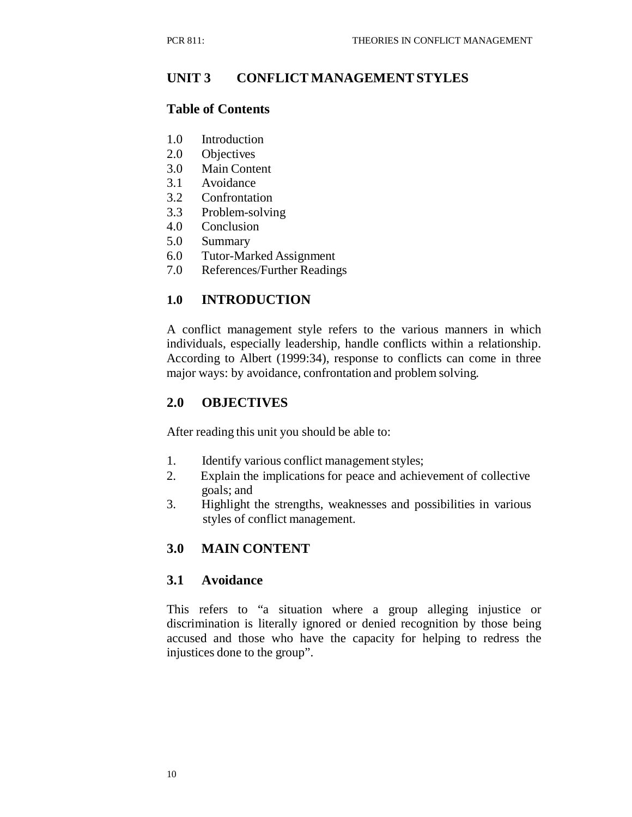# **UNIT 3 CONFLICT MANAGEMENT STYLES**

#### **Table of Contents**

- 1.0 Introduction
- 2.0 Objectives
- 3.0 Main Content
- 3.1 Avoidance
- 3.2 Confrontation
- 3.3 Problem-solving
- 4.0 Conclusion
- 5.0 Summary
- 6.0 Tutor-Marked Assignment
- 7.0 References/Further Readings

#### **1.0 INTRODUCTION**

A conflict management style refers to the various manners in which individuals, especially leadership, handle conflicts within a relationship. According to Albert (1999:34), response to conflicts can come in three major ways: by avoidance, confrontation and problem solving.

#### **2.0 OBJECTIVES**

After reading this unit you should be able to:

- 1. Identify various conflict management styles;
- 2. Explain the implications for peace and achievement of collective goals; and
- 3. Highlight the strengths, weaknesses and possibilities in various styles of conflict management.

#### **3.0 MAIN CONTENT**

#### **3.1 Avoidance**

This refers to "a situation where a group alleging injustice or discrimination is literally ignored or denied recognition by those being accused and those who have the capacity for helping to redress the injustices done to the group".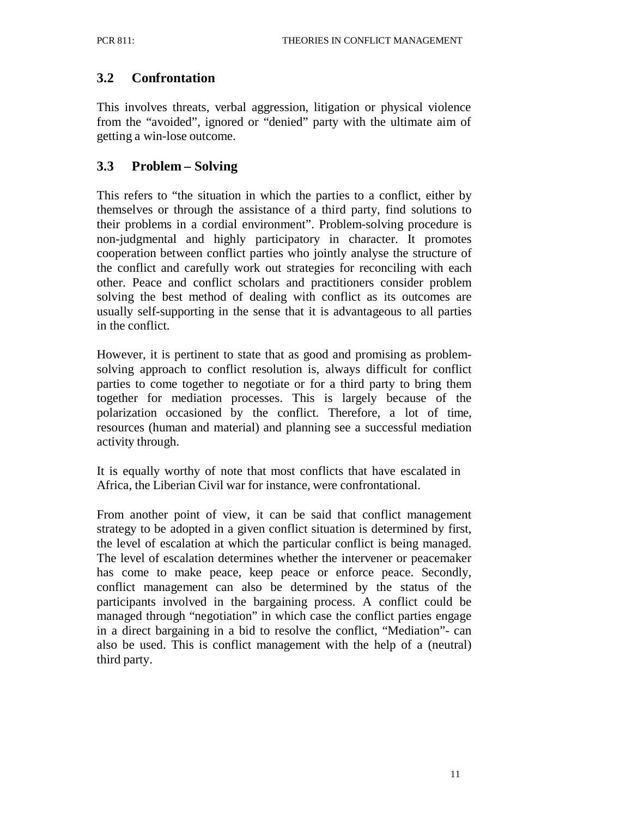# **3.2 Confrontation**

This involves threats, verbal aggression, litigation or physical violence from the "avoided", ignored or "denied" party with the ultimate aim of getting a win-lose outcome.

#### **3.3 Problem – Solving**

This refers to "the situation in which the parties to a conflict, either by themselves or through the assistance of a third party, find solutions to their problems in a cordial environment". Problem-solving procedure is non-judgmental and highly participatory in character. It promotes cooperation between conflict parties who jointly analyse the structure of the conflict and carefully work out strategies for reconciling with each other. Peace and conflict scholars and practitioners consider problem solving the best method of dealing with conflict as its outcomes are usually self-supporting in the sense that it is advantageous to all parties in the conflict.

However, it is pertinent to state that as good and promising as problemsolving approach to conflict resolution is, always difficult for conflict parties to come together to negotiate or for a third party to bring them together for mediation processes. This is largely because of the polarization occasioned by the conflict. Therefore, a lot of time, resources (human and material) and planning see a successful mediation activity through.

It is equally worthy of note that most conflicts that have escalated in Africa, the Liberian Civil war for instance, were confrontational.

From another point of view, it can be said that conflict management strategy to be adopted in a given conflict situation is determined by first, the level of escalation at which the particular conflict is being managed. The level of escalation determines whether the intervener or peacemaker has come to make peace, keep peace or enforce peace. Secondly, conflict management can also be determined by the status of the participants involved in the bargaining process. A conflict could be managed through "negotiation" in which case the conflict parties engage in a direct bargaining in a bid to resolve the conflict, "Mediation"- can also be used. This is conflict management with the help of a (neutral) third party.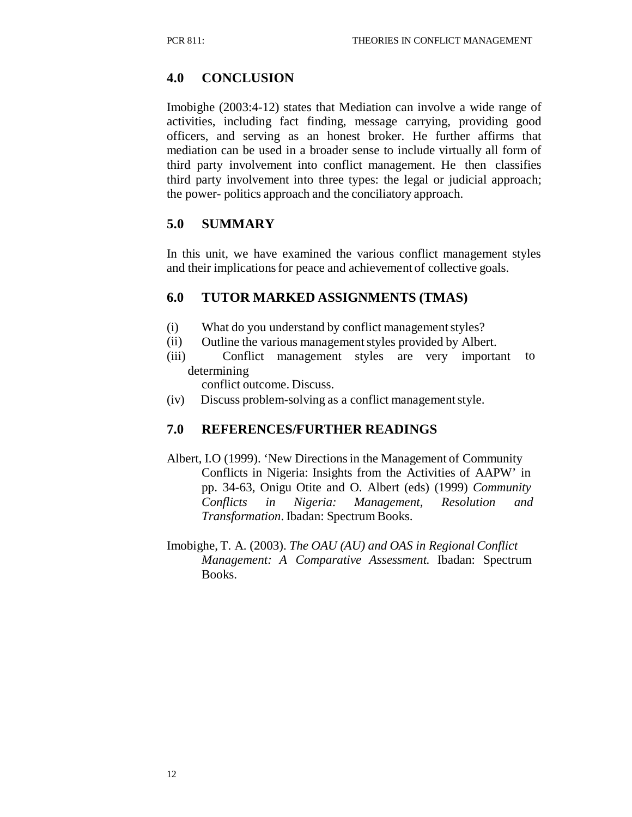### **4.0 CONCLUSION**

Imobighe (2003:4-12) states that Mediation can involve a wide range of activities, including fact finding, message carrying, providing good officers, and serving as an honest broker. He further affirms that mediation can be used in a broader sense to include virtually all form of third party involvement into conflict management. He then classifies third party involvement into three types: the legal or judicial approach; the power- politics approach and the conciliatory approach.

#### **5.0 SUMMARY**

In this unit, we have examined the various conflict management styles and their implications for peace and achievement of collective goals.

#### **6.0 TUTOR MARKED ASSIGNMENTS (TMAS)**

- (i) What do you understand by conflict management styles?
- (ii) Outline the various management styles provided by Albert.
- (iii) Conflict management styles are very important to determining

conflict outcome. Discuss.

(iv) Discuss problem-solving as a conflict management style.

#### **7.0 REFERENCES/FURTHER READINGS**

- Albert, I.O (1999). 'New Directions in the Management of Community Conflicts in Nigeria: Insights from the Activities of AAPW' in pp. 34-63, Onigu Otite and O. Albert (eds) (1999) *Community Conflicts in Nigeria: Management, Resolution and Transformation*. Ibadan: Spectrum Books.
- Imobighe, T. A. (2003). *The OAU (AU) and OAS in Regional Conflict Management: A Comparative Assessment.* Ibadan: Spectrum Books.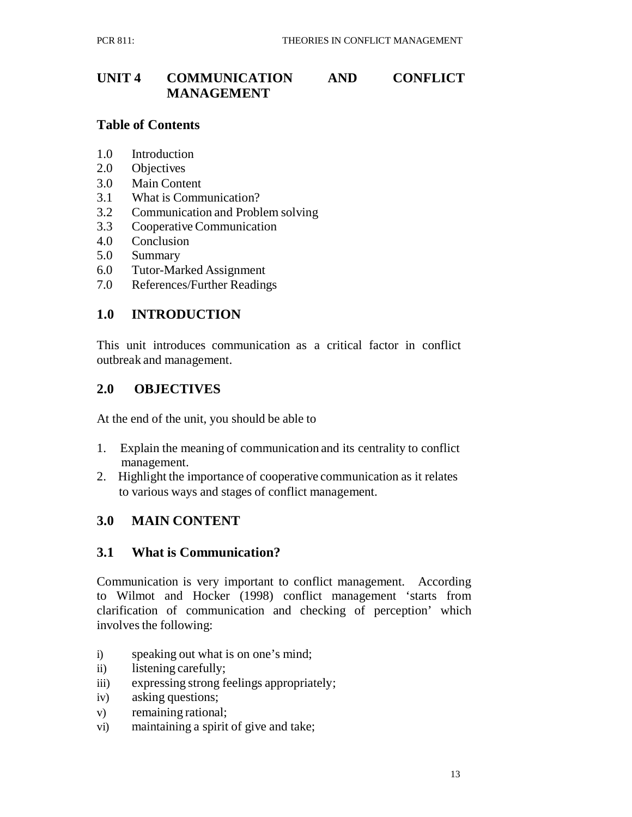# **UNIT 4 COMMUNICATION AND CONFLICT MANAGEMENT**

#### **Table of Contents**

- 1.0 Introduction
- 2.0 Objectives
- 3.0 Main Content
- 3.1 What is Communication?
- 3.2 Communication and Problem solving
- 3.3 Cooperative Communication
- 4.0 Conclusion
- 5.0 Summary
- 6.0 Tutor-Marked Assignment
- 7.0 References/Further Readings

### **1.0 INTRODUCTION**

This unit introduces communication as a critical factor in conflict outbreak and management.

#### **2.0 OBJECTIVES**

At the end of the unit, you should be able to

- 1. Explain the meaning of communication and its centrality to conflict management.
- 2. Highlight the importance of cooperative communication as it relates to various ways and stages of conflict management.

# **3.0 MAIN CONTENT**

#### **3.1 What is Communication?**

Communication is very important to conflict management. According to Wilmot and Hocker (1998) conflict management 'starts from clarification of communication and checking of perception' which involves the following:

- i) speaking out what is on one's mind;
- ii) listening carefully;
- iii) expressing strong feelings appropriately;
- iv) asking questions;
- v) remaining rational;
- vi) maintaining a spirit of give and take;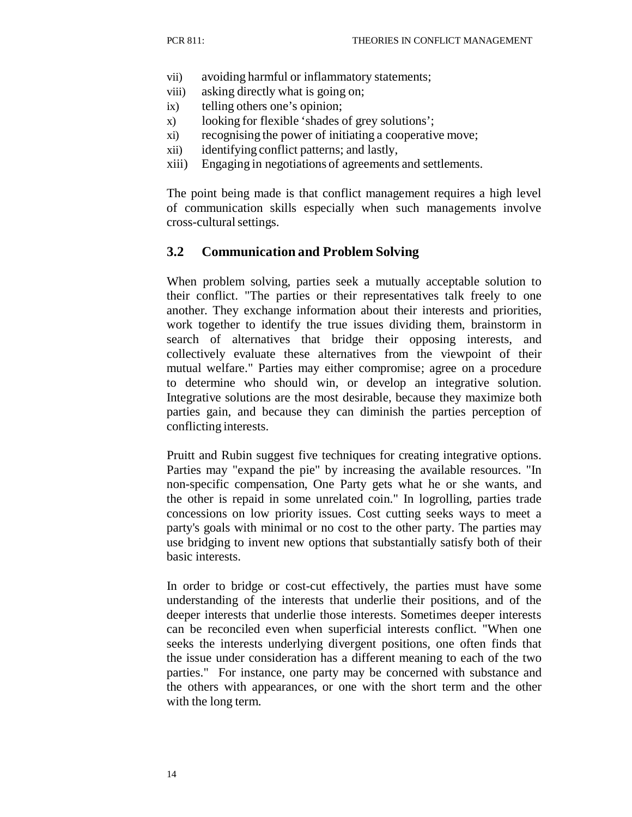- vii) avoiding harmful or inflammatory statements;
- viii) asking directly what is going on;
- ix) telling others one's opinion;
- x) looking for flexible 'shades of grey solutions';
- xi) recognising the power of initiating a cooperative move;
- xii) identifying conflict patterns; and lastly,
- xiii) Engaging in negotiations of agreements and settlements.

The point being made is that conflict management requires a high level of communication skills especially when such managements involve cross-cultural settings.

#### **3.2 Communication and Problem Solving**

When problem solving, parties seek a mutually acceptable solution to their conflict. "The parties or their representatives talk freely to one another. They exchange information about their interests and priorities, work together to identify the true issues dividing them, brainstorm in search of alternatives that bridge their opposing interests, and collectively evaluate these alternatives from the viewpoint of their mutual welfare." Parties may either compromise; agree on a procedure to determine who should win, or develop an integrative solution. Integrative solutions are the most desirable, because they maximize both parties gain, and because they can diminish the parties perception of conflicting interests.

Pruitt and Rubin suggest five techniques for creating integrative options. Parties may "expand the pie" by increasing the available resources. "In non-specific compensation, One Party gets what he or she wants, and the other is repaid in some unrelated coin." In logrolling, parties trade concessions on low priority issues. Cost cutting seeks ways to meet a party's goals with minimal or no cost to the other party. The parties may use bridging to invent new options that substantially satisfy both of their basic interests.

In order to bridge or cost-cut effectively, the parties must have some understanding of the interests that underlie their positions, and of the deeper interests that underlie those interests. Sometimes deeper interests can be reconciled even when superficial interests conflict. "When one seeks the interests underlying divergent positions, one often finds that the issue under consideration has a different meaning to each of the two parties." For instance, one party may be concerned with substance and the others with appearances, or one with the short term and the other with the long term.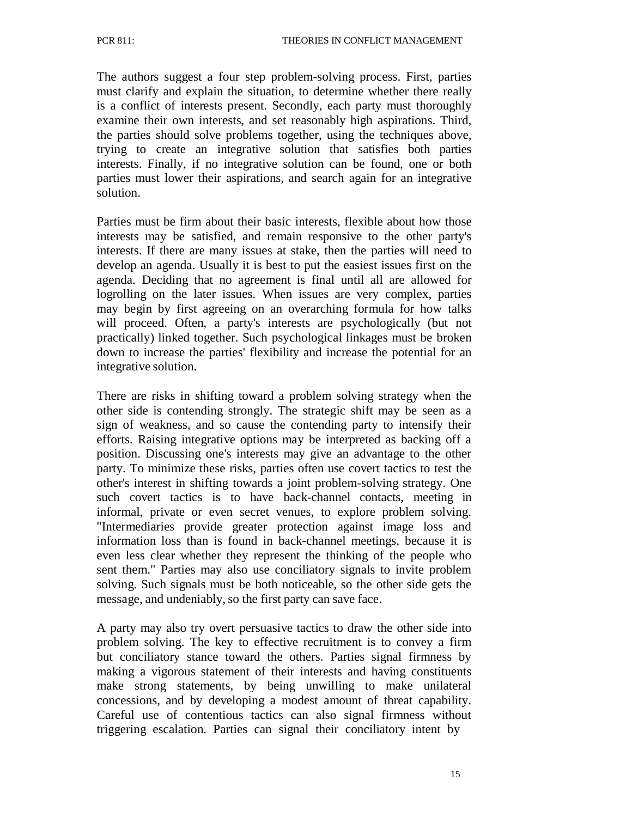The authors suggest a four step problem-solving process. First, parties must clarify and explain the situation, to determine whether there really is a conflict of interests present. Secondly, each party must thoroughly examine their own interests, and set reasonably high aspirations. Third, the parties should solve problems together, using the techniques above, trying to create an integrative solution that satisfies both parties interests. Finally, if no integrative solution can be found, one or both parties must lower their aspirations, and search again for an integrative solution.

Parties must be firm about their basic interests, flexible about how those interests may be satisfied, and remain responsive to the other party's interests. If there are many issues at stake, then the parties will need to develop an agenda. Usually it is best to put the easiest issues first on the agenda. Deciding that no agreement is final until all are allowed for logrolling on the later issues. When issues are very complex, parties may begin by first agreeing on an overarching formula for how talks will proceed. Often, a party's interests are psychologically (but not practically) linked together. Such psychological linkages must be broken down to increase the parties' flexibility and increase the potential for an integrative solution.

There are risks in shifting toward a problem solving strategy when the other side is contending strongly. The strategic shift may be seen as a sign of weakness, and so cause the contending party to intensify their efforts. Raising integrative options may be interpreted as backing off a position. Discussing one's interests may give an advantage to the other party. To minimize these risks, parties often use covert tactics to test the other's interest in shifting towards a joint problem-solving strategy. One such covert tactics is to have back-channel contacts, meeting in informal, private or even secret venues, to explore problem solving. "Intermediaries provide greater protection against image loss and information loss than is found in back-channel meetings, because it is even less clear whether they represent the thinking of the people who sent them." Parties may also use conciliatory signals to invite problem solving. Such signals must be both noticeable, so the other side gets the message, and undeniably, so the first party can save face.

A party may also try overt persuasive tactics to draw the other side into problem solving. The key to effective recruitment is to convey a firm but conciliatory stance toward the others. Parties signal firmness by making a vigorous statement of their interests and having constituents make strong statements, by being unwilling to make unilateral concessions, and by developing a modest amount of threat capability. Careful use of contentious tactics can also signal firmness without triggering escalation. Parties can signal their conciliatory intent by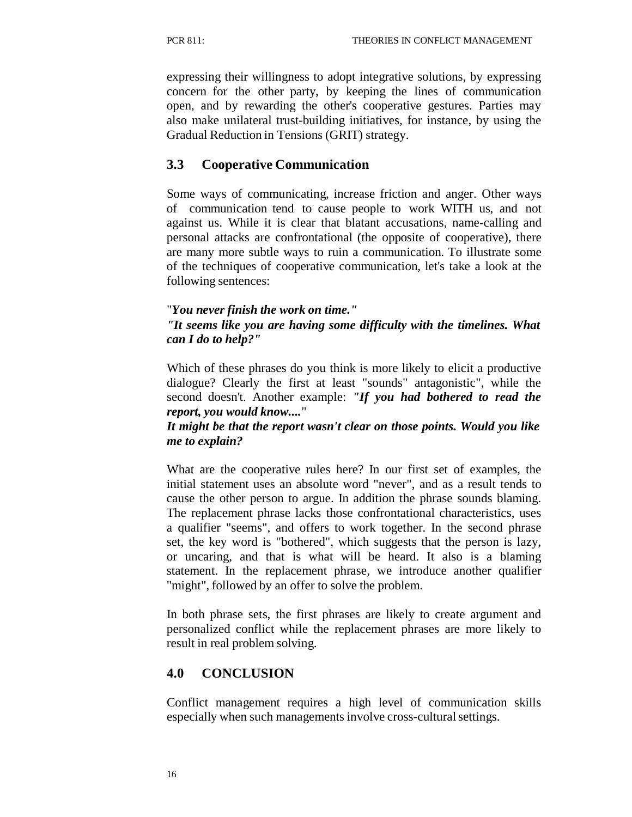expressing their willingness to adopt integrative solutions, by expressing concern for the other party, by keeping the lines of communication open, and by rewarding the other's cooperative gestures. Parties may also make unilateral trust-building initiatives, for instance, by using the Gradual Reduction in Tensions (GRIT) strategy.

# **3.3 Cooperative Communication**

Some ways of communicating, increase friction and anger. Other ways of communication tend to cause people to work WITH us, and not against us. While it is clear that blatant accusations, name-calling and personal attacks are confrontational (the opposite of cooperative), there are many more subtle ways to ruin a communication. To illustrate some of the techniques of cooperative communication, let's take a look at the following sentences:

# "*You never finish the work on time."*

#### *"It seems like you are having some difficulty with the timelines. What can I do to help?"*

Which of these phrases do you think is more likely to elicit a productive dialogue? Clearly the first at least "sounds" antagonistic", while the second doesn't. Another example: *"If you had bothered to read the report, you would know....*"

#### *It might be that the report wasn't clear on those points. Would you like me to explain?*

What are the cooperative rules here? In our first set of examples, the initial statement uses an absolute word "never", and as a result tends to cause the other person to argue. In addition the phrase sounds blaming. The replacement phrase lacks those confrontational characteristics, uses a qualifier "seems", and offers to work together. In the second phrase set, the key word is "bothered", which suggests that the person is lazy, or uncaring, and that is what will be heard. It also is a blaming statement. In the replacement phrase, we introduce another qualifier "might", followed by an offer to solve the problem.

In both phrase sets, the first phrases are likely to create argument and personalized conflict while the replacement phrases are more likely to result in real problem solving.

#### **4.0 CONCLUSION**

Conflict management requires a high level of communication skills especially when such managements involve cross-cultural settings.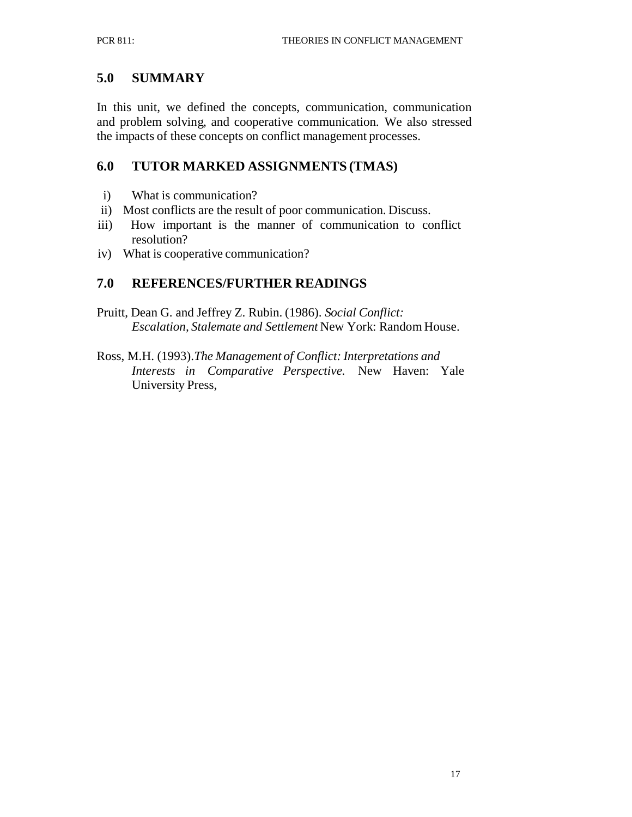# **5.0 SUMMARY**

In this unit, we defined the concepts, communication, communication and problem solving, and cooperative communication. We also stressed the impacts of these concepts on conflict management processes.

# **6.0 TUTOR MARKED ASSIGNMENTS (TMAS)**

- i) What is communication?
- ii) Most conflicts are the result of poor communication. Discuss.
- iii) How important is the manner of communication to conflict resolution?
- iv) What is cooperative communication?

# **7.0 REFERENCES/FURTHER READINGS**

- Pruitt, Dean G. and Jeffrey Z. Rubin. (1986). *Social Conflict: Escalation, Stalemate and Settlement* New York: Random House.
- Ross, M.H. (1993).*The Management of Conflict: Interpretations and Interests in Comparative Perspective.* New Haven: Yale University Press,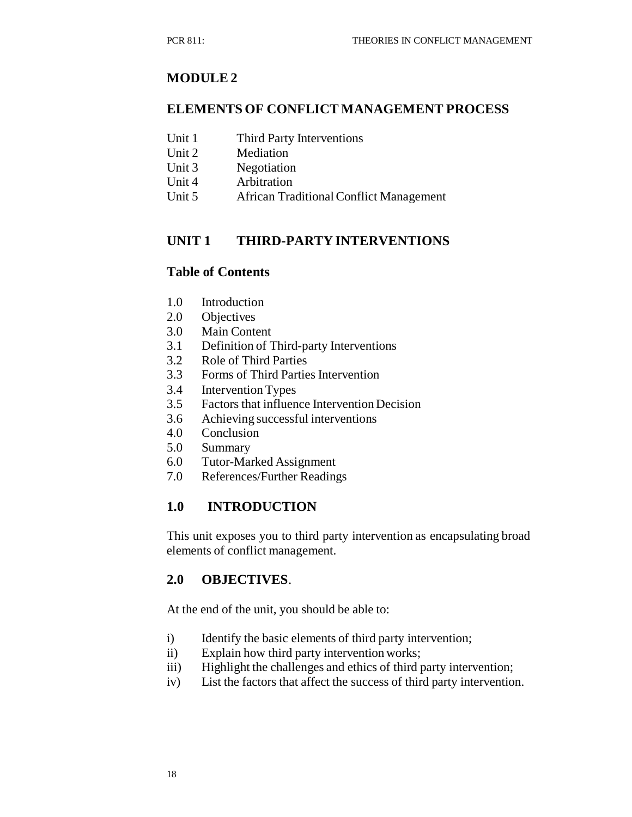# **MODULE 2**

#### **ELEMENTS OF CONFLICT MANAGEMENT PROCESS**

- Unit 1 Third Party Interventions
- Unit 2 Mediation
- Unit 3 Negotiation
- Unit 4 **Arbitration**
- Unit 5 African Traditional Conflict Management

# **UNIT 1 THIRD-PARTY INTERVENTIONS**

### **Table of Contents**

- 1.0 Introduction
- 2.0 Objectives
- 3.0 Main Content
- 3.1 Definition of Third-party Interventions
- 3.2 Role of Third Parties
- 3.3 Forms of Third Parties Intervention
- 3.4 Intervention Types
- 3.5 Factors that influence Intervention Decision
- 3.6 Achieving successful interventions
- 4.0 Conclusion
- 5.0 Summary
- 6.0 Tutor-Marked Assignment
- 7.0 References/Further Readings

# **1.0 INTRODUCTION**

This unit exposes you to third party intervention as encapsulating broad elements of conflict management.

# **2.0 OBJECTIVES**.

At the end of the unit, you should be able to:

- i) Identify the basic elements of third party intervention;
- ii) Explain how third party intervention works;
- iii) Highlight the challenges and ethics of third party intervention;
- iv) List the factors that affect the success of third party intervention.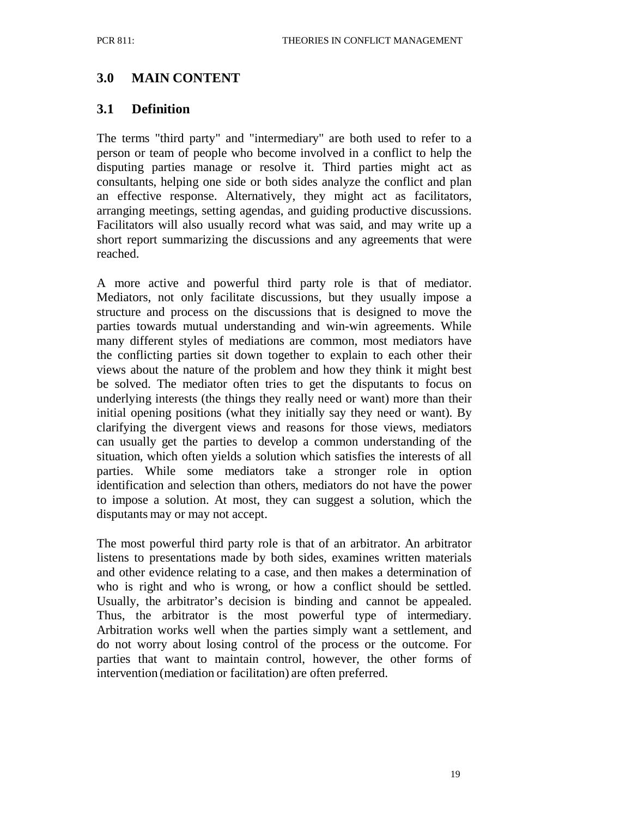# **3.0 MAIN CONTENT**

## **3.1 Definition**

The terms "third party" and "intermediary" are both used to refer to a person or team of people who become involved in a conflict to help the disputing parties manage or resolve it. Third parties might act as consultants, helping one side or both sides analyze the conflict and plan an effective response. Alternatively, they might act as facilitators, arranging meetings, setting agendas, and guiding productive discussions. Facilitators will also usually record what was said, and may write up a short report summarizing the discussions and any agreements that were reached.

A more active and powerful third party role is that of mediator. Mediators, not only facilitate discussions, but they usually impose a structure and process on the discussions that is designed to move the parties towards mutual understanding and win-win agreements. While many different styles of mediations are common, most mediators have the conflicting parties sit down together to explain to each other their views about the nature of the problem and how they think it might best be solved. The mediator often tries to get the disputants to focus on underlying interests (the things they really need or want) more than their initial opening positions (what they initially say they need or want). By clarifying the divergent views and reasons for those views, mediators can usually get the parties to develop a common understanding of the situation, which often yields a solution which satisfies the interests of all parties. While some mediators take a stronger role in option identification and selection than others, mediators do not have the power to impose a solution. At most, they can suggest a solution, which the disputants may or may not accept.

The most powerful third party role is that of an arbitrator. An arbitrator listens to presentations made by both sides, examines written materials and other evidence relating to a case, and then makes a determination of who is right and who is wrong, or how a conflict should be settled. Usually, the arbitrator's decision is binding and cannot be appealed. Thus, the arbitrator is the most powerful type of intermediary. Arbitration works well when the parties simply want a settlement, and do not worry about losing control of the process or the outcome. For parties that want to maintain control, however, the other forms of intervention (mediation or facilitation) are often preferred.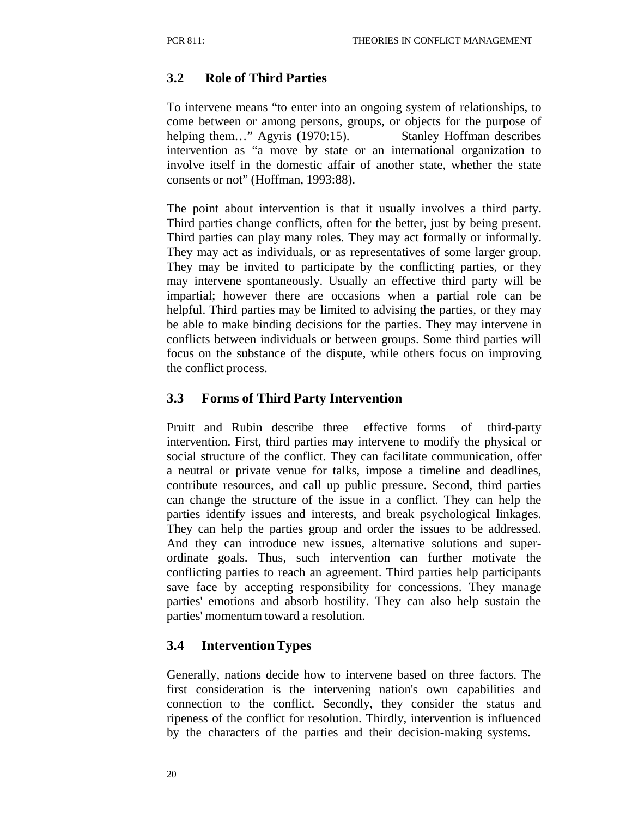# **3.2 Role of Third Parties**

To intervene means "to enter into an ongoing system of relationships, to come between or among persons, groups, or objects for the purpose of helping them..." Agyris (1970:15). Stanley Hoffman describes intervention as "a move by state or an international organization to involve itself in the domestic affair of another state, whether the state consents or not" (Hoffman, 1993:88).

The point about intervention is that it usually involves a third party. Third parties change conflicts, often for the better, just by being present. Third parties can play many roles. They may act formally or informally. They may act as individuals, or as representatives of some larger group. They may be invited to participate by the conflicting parties, or they may intervene spontaneously. Usually an effective third party will be impartial; however there are occasions when a partial role can be helpful. Third parties may be limited to advising the parties, or they may be able to make binding decisions for the parties. They may intervene in conflicts between individuals or between groups. Some third parties will focus on the substance of the dispute, while others focus on improving the conflict process.

## **3.3 Forms of Third Party Intervention**

Pruitt and Rubin describe three effective forms of third-party intervention. First, third parties may intervene to modify the physical or social structure of the conflict. They can facilitate communication, offer a neutral or private venue for talks, impose a timeline and deadlines, contribute resources, and call up public pressure. Second, third parties can change the structure of the issue in a conflict. They can help the parties identify issues and interests, and break psychological linkages. They can help the parties group and order the issues to be addressed. And they can introduce new issues, alternative solutions and superordinate goals. Thus, such intervention can further motivate the conflicting parties to reach an agreement. Third parties help participants save face by accepting responsibility for concessions. They manage parties' emotions and absorb hostility. They can also help sustain the parties' momentum toward a resolution.

## **3.4 Intervention Types**

Generally, nations decide how to intervene based on three factors. The first consideration is the intervening nation's own capabilities and connection to the conflict. Secondly, they consider the status and ripeness of the conflict for resolution. Thirdly, intervention is influenced by the characters of the parties and their decision-making systems.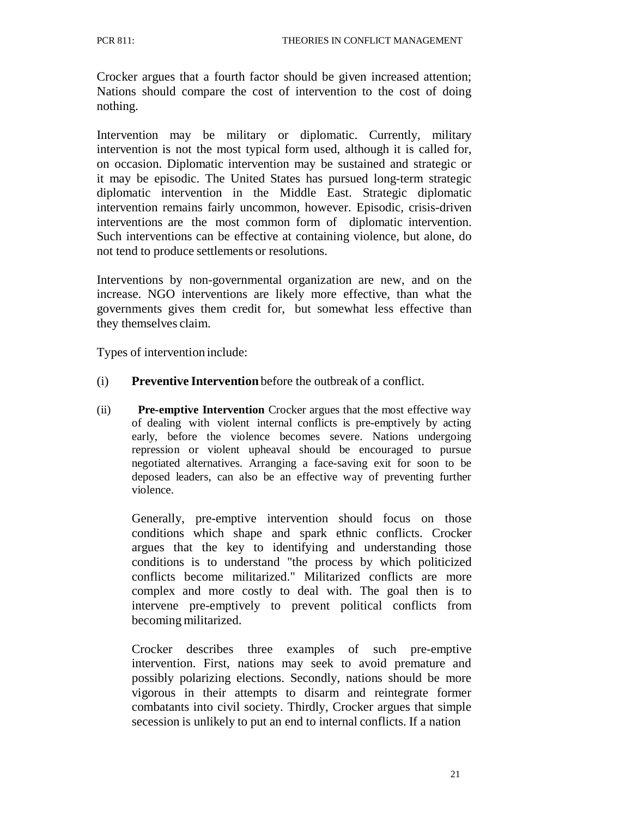Crocker argues that a fourth factor should be given increased attention; Nations should compare the cost of intervention to the cost of doing nothing.

Intervention may be military or diplomatic. Currently, military intervention is not the most typical form used, although it is called for, on occasion. Diplomatic intervention may be sustained and strategic or it may be episodic. The United States has pursued long-term strategic diplomatic intervention in the Middle East. Strategic diplomatic intervention remains fairly uncommon, however. Episodic, crisis-driven interventions are the most common form of diplomatic intervention. Such interventions can be effective at containing violence, but alone, do not tend to produce settlements or resolutions.

Interventions by non-governmental organization are new, and on the increase. NGO interventions are likely more effective, than what the governments gives them credit for, but somewhat less effective than they themselves claim.

Types of intervention include:

- (i) **Preventive Intervention** before the outbreak of a conflict.
- (ii) **Pre-emptive Intervention** Crocker argues that the most effective way of dealing with violent internal conflicts is pre-emptively by acting early, before the violence becomes severe. Nations undergoing repression or violent upheaval should be encouraged to pursue negotiated alternatives. Arranging a face-saving exit for soon to be deposed leaders, can also be an effective way of preventing further violence.

Generally, pre-emptive intervention should focus on those conditions which shape and spark ethnic conflicts. Crocker argues that the key to identifying and understanding those conditions is to understand "the process by which politicized conflicts become militarized." Militarized conflicts are more complex and more costly to deal with. The goal then is to intervene pre-emptively to prevent political conflicts from becoming militarized.

Crocker describes three examples of such pre-emptive intervention. First, nations may seek to avoid premature and possibly polarizing elections. Secondly, nations should be more vigorous in their attempts to disarm and reintegrate former combatants into civil society. Thirdly, Crocker argues that simple secession is unlikely to put an end to internal conflicts. If a nation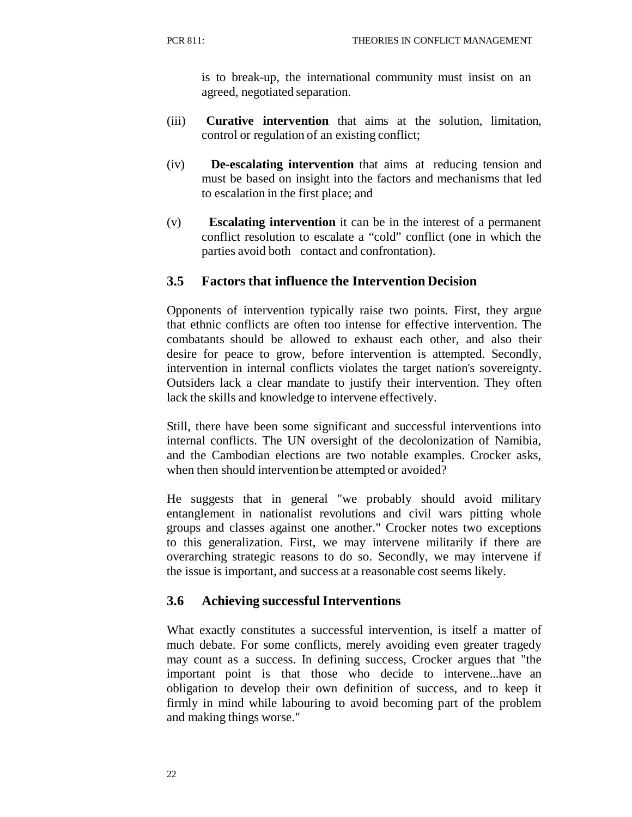is to break-up, the international community must insist on an agreed, negotiated separation.

- (iii) **Curative intervention** that aims at the solution, limitation, control or regulation of an existing conflict;
- (iv) **De-escalating intervention** that aims at reducing tension and must be based on insight into the factors and mechanisms that led to escalation in the first place; and
- (v) **Escalating intervention** it can be in the interest of a permanent conflict resolution to escalate a "cold" conflict (one in which the parties avoid both contact and confrontation).

## **3.5 Factors that influence the Intervention Decision**

Opponents of intervention typically raise two points. First, they argue that ethnic conflicts are often too intense for effective intervention. The combatants should be allowed to exhaust each other, and also their desire for peace to grow, before intervention is attempted. Secondly, intervention in internal conflicts violates the target nation's sovereignty. Outsiders lack a clear mandate to justify their intervention. They often lack the skills and knowledge to intervene effectively.

Still, there have been some significant and successful interventions into internal conflicts. The UN oversight of the decolonization of Namibia, and the Cambodian elections are two notable examples. Crocker asks, when then should intervention be attempted or avoided?

He suggests that in general "we probably should avoid military entanglement in nationalist revolutions and civil wars pitting whole groups and classes against one another." Crocker notes two exceptions to this generalization. First, we may intervene militarily if there are overarching strategic reasons to do so. Secondly, we may intervene if the issue is important, and success at a reasonable cost seems likely.

## **3.6 Achieving successful Interventions**

What exactly constitutes a successful intervention, is itself a matter of much debate. For some conflicts, merely avoiding even greater tragedy may count as a success. In defining success, Crocker argues that "the important point is that those who decide to intervene...have an obligation to develop their own definition of success, and to keep it firmly in mind while labouring to avoid becoming part of the problem and making things worse."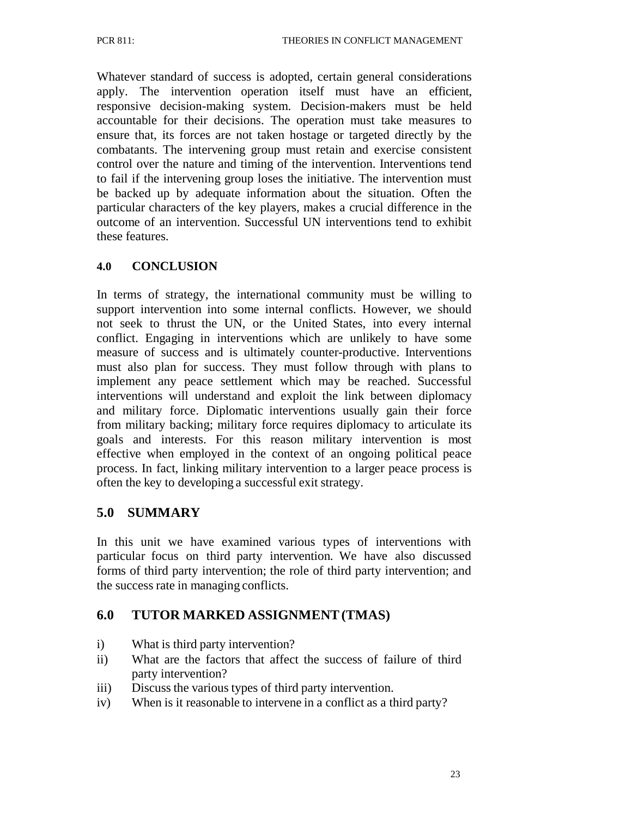Whatever standard of success is adopted, certain general considerations apply. The intervention operation itself must have an efficient, responsive decision-making system. Decision-makers must be held accountable for their decisions. The operation must take measures to ensure that, its forces are not taken hostage or targeted directly by the combatants. The intervening group must retain and exercise consistent control over the nature and timing of the intervention. Interventions tend to fail if the intervening group loses the initiative. The intervention must be backed up by adequate information about the situation. Often the particular characters of the key players, makes a crucial difference in the outcome of an intervention. Successful UN interventions tend to exhibit these features.

### **4.0 CONCLUSION**

In terms of strategy, the international community must be willing to support intervention into some internal conflicts. However, we should not seek to thrust the UN, or the United States, into every internal conflict. Engaging in interventions which are unlikely to have some measure of success and is ultimately counter-productive. Interventions must also plan for success. They must follow through with plans to implement any peace settlement which may be reached. Successful interventions will understand and exploit the link between diplomacy and military force. Diplomatic interventions usually gain their force from military backing; military force requires diplomacy to articulate its goals and interests. For this reason military intervention is most effective when employed in the context of an ongoing political peace process. In fact, linking military intervention to a larger peace process is often the key to developing a successful exit strategy.

## **5.0 SUMMARY**

In this unit we have examined various types of interventions with particular focus on third party intervention. We have also discussed forms of third party intervention; the role of third party intervention; and the success rate in managing conflicts.

### **6.0 TUTOR MARKED ASSIGNMENT (TMAS)**

- i) What is third party intervention?
- ii) What are the factors that affect the success of failure of third party intervention?
- iii) Discuss the various types of third party intervention.
- iv) When is it reasonable to intervene in a conflict as a third party?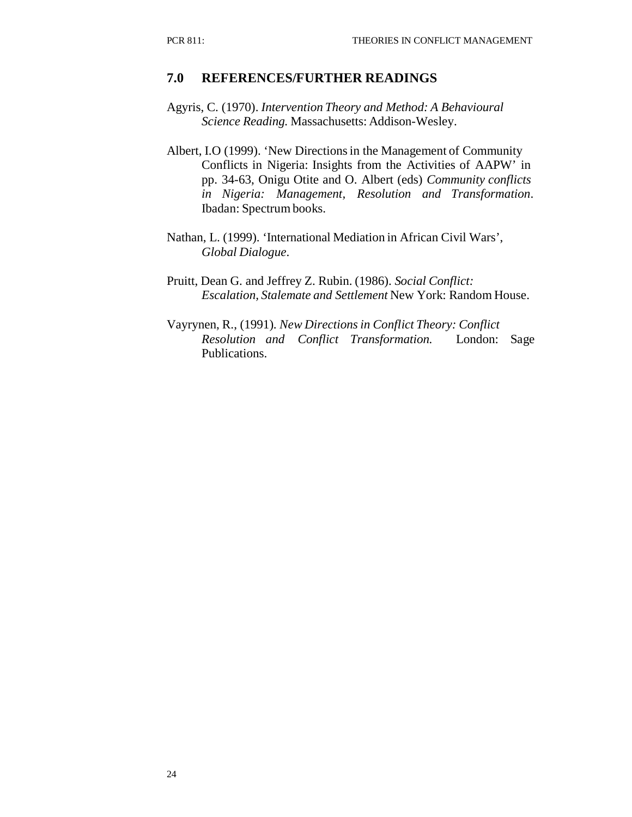#### **7.0 REFERENCES/FURTHER READINGS**

- Agyris, C. (1970). *Intervention Theory and Method: A Behavioural Science Reading.* Massachusetts: Addison-Wesley.
- Albert, I.O (1999). 'New Directions in the Management of Community Conflicts in Nigeria: Insights from the Activities of AAPW' in pp. 34-63, Onigu Otite and O. Albert (eds) *Community conflicts in Nigeria: Management, Resolution and Transformation*. Ibadan: Spectrum books.
- Nathan, L. (1999). 'International Mediation in African Civil Wars', *Global Dialogue*.
- Pruitt, Dean G. and Jeffrey Z. Rubin. (1986). *Social Conflict: Escalation, Stalemate and Settlement* New York: Random House.
- Vayrynen, R., (1991). *New Directions in Conflict Theory: Conflict Resolution and Conflict Transformation.* London: Sage Publications.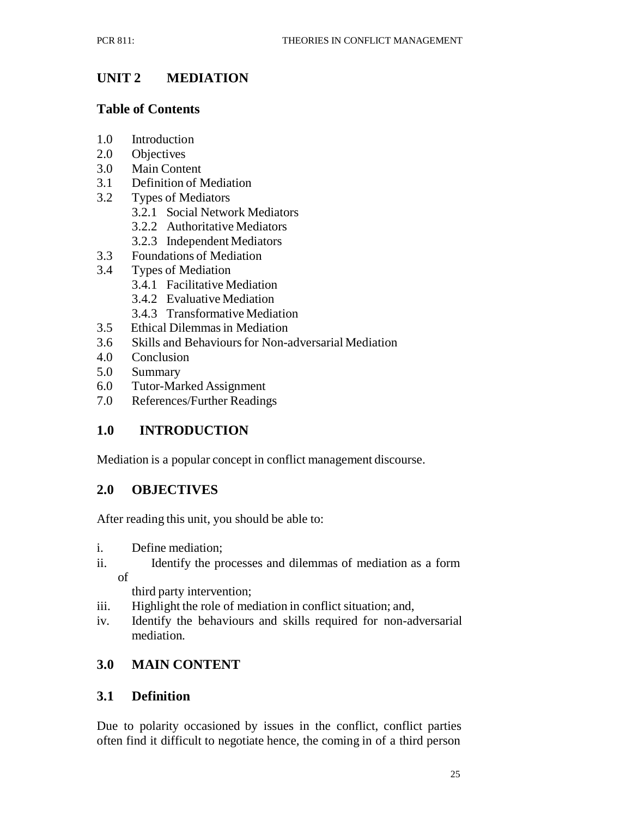# **UNIT 2 MEDIATION**

### **Table of Contents**

- 1.0 Introduction
- 2.0 Objectives
- 3.0 Main Content
- 3.1 Definition of Mediation
- 3.2 Types of Mediators
	- 3.2.1 Social Network Mediators
	- 3.2.2 Authoritative Mediators
	- 3.2.3 Independent Mediators
- 3.3 Foundations of Mediation
- 3.4 Types of Mediation
	- 3.4.1 Facilitative Mediation
	- 3.4.2 Evaluative Mediation
	- 3.4.3 Transformative Mediation
- 3.5 Ethical Dilemmas in Mediation
- 3.6 Skills and Behaviours for Non-adversarial Mediation
- 4.0 Conclusion
- 5.0 Summary
- 6.0 Tutor-Marked Assignment
- 7.0 References/Further Readings

# **1.0 INTRODUCTION**

Mediation is a popular concept in conflict management discourse.

# **2.0 OBJECTIVES**

After reading this unit, you should be able to:

- i. Define mediation;
- ii. Identify the processes and dilemmas of mediation as a form of

third party intervention;

- iii. Highlight the role of mediation in conflict situation; and,
- iv. Identify the behaviours and skills required for non-adversarial mediation.

# **3.0 MAIN CONTENT**

# **3.1 Definition**

Due to polarity occasioned by issues in the conflict, conflict parties often find it difficult to negotiate hence, the coming in of a third person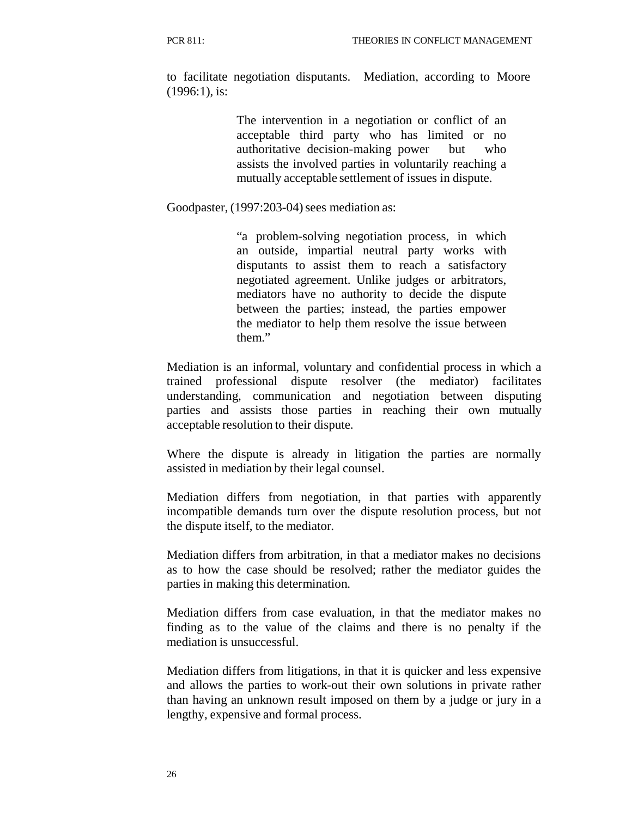to facilitate negotiation disputants. Mediation, according to Moore (1996:1), is:

> The intervention in a negotiation or conflict of an acceptable third party who has limited or no authoritative decision-making power but who assists the involved parties in voluntarily reaching a mutually acceptable settlement of issues in dispute.

Goodpaster, (1997:203-04) sees mediation as:

"a problem-solving negotiation process, in which an outside, impartial neutral party works with disputants to assist them to reach a satisfactory negotiated agreement. Unlike judges or arbitrators, mediators have no authority to decide the dispute between the parties; instead, the parties empower the mediator to help them resolve the issue between them."

Mediation is an informal, voluntary and confidential process in which a trained professional dispute resolver (the mediator) facilitates understanding, communication and negotiation between disputing parties and assists those parties in reaching their own mutually acceptable resolution to their dispute.

Where the dispute is already in litigation the parties are normally assisted in mediation by their legal counsel.

Mediation differs from negotiation, in that parties with apparently incompatible demands turn over the dispute resolution process, but not the dispute itself, to the mediator.

Mediation differs from arbitration, in that a mediator makes no decisions as to how the case should be resolved; rather the mediator guides the parties in making this determination.

Mediation differs from case evaluation, in that the mediator makes no finding as to the value of the claims and there is no penalty if the mediation is unsuccessful.

Mediation differs from litigations, in that it is quicker and less expensive and allows the parties to work-out their own solutions in private rather than having an unknown result imposed on them by a judge or jury in a lengthy, expensive and formal process.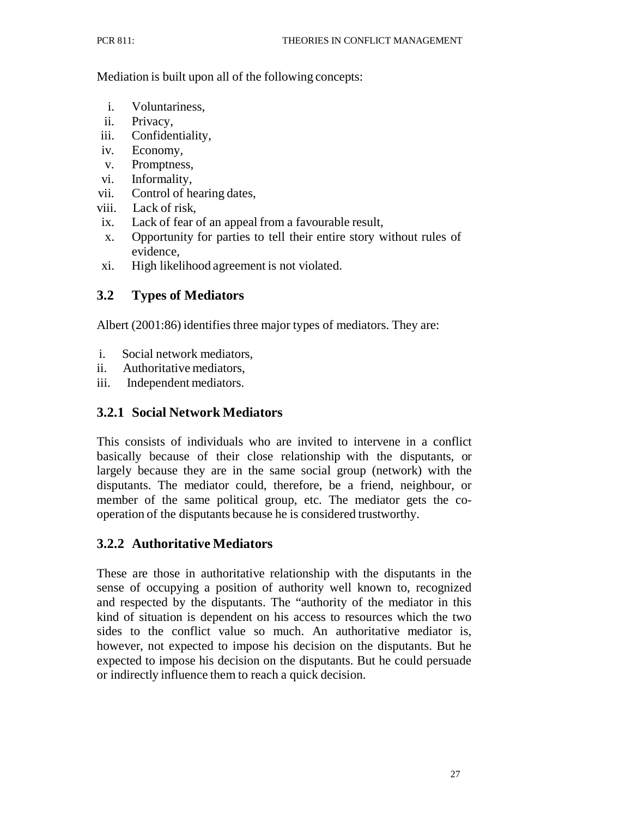Mediation is built upon all of the following concepts:

- i. Voluntariness,
- ii. Privacy,
- iii. Confidentiality,
- iv. Economy,
- v. Promptness,
- vi. Informality,
- vii. Control of hearing dates,
- viii. Lack of risk,
- ix. Lack of fear of an appeal from a favourable result,
- x. Opportunity for parties to tell their entire story without rules of evidence,
- xi. High likelihood agreement is not violated.

## **3.2 Types of Mediators**

Albert (2001:86) identifies three major types of mediators. They are:

- i. Social network mediators,
- ii. Authoritative mediators,
- iii. Independent mediators.

# **3.2.1 Social Network Mediators**

This consists of individuals who are invited to intervene in a conflict basically because of their close relationship with the disputants, or largely because they are in the same social group (network) with the disputants. The mediator could, therefore, be a friend, neighbour, or member of the same political group, etc. The mediator gets the cooperation of the disputants because he is considered trustworthy.

## **3.2.2 Authoritative Mediators**

These are those in authoritative relationship with the disputants in the sense of occupying a position of authority well known to, recognized and respected by the disputants. The "authority of the mediator in this kind of situation is dependent on his access to resources which the two sides to the conflict value so much. An authoritative mediator is, however, not expected to impose his decision on the disputants. But he expected to impose his decision on the disputants. But he could persuade or indirectly influence them to reach a quick decision.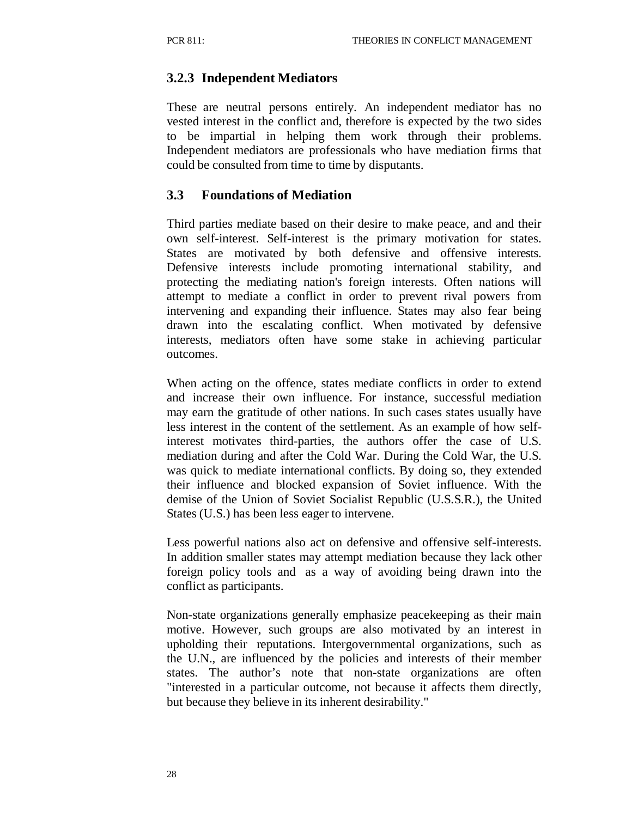## **3.2.3 Independent Mediators**

These are neutral persons entirely. An independent mediator has no vested interest in the conflict and, therefore is expected by the two sides to be impartial in helping them work through their problems. Independent mediators are professionals who have mediation firms that could be consulted from time to time by disputants.

## **3.3 Foundations of Mediation**

Third parties mediate based on their desire to make peace, and and their own self-interest. Self-interest is the primary motivation for states. States are motivated by both defensive and offensive interests. Defensive interests include promoting international stability, and protecting the mediating nation's foreign interests. Often nations will attempt to mediate a conflict in order to prevent rival powers from intervening and expanding their influence. States may also fear being drawn into the escalating conflict. When motivated by defensive interests, mediators often have some stake in achieving particular outcomes.

When acting on the offence, states mediate conflicts in order to extend and increase their own influence. For instance, successful mediation may earn the gratitude of other nations. In such cases states usually have less interest in the content of the settlement. As an example of how selfinterest motivates third-parties, the authors offer the case of U.S. mediation during and after the Cold War. During the Cold War, the U.S. was quick to mediate international conflicts. By doing so, they extended their influence and blocked expansion of Soviet influence. With the demise of the Union of Soviet Socialist Republic (U.S.S.R.), the United States (U.S.) has been less eager to intervene.

Less powerful nations also act on defensive and offensive self-interests. In addition smaller states may attempt mediation because they lack other foreign policy tools and as a way of avoiding being drawn into the conflict as participants.

Non-state organizations generally emphasize peacekeeping as their main motive. However, such groups are also motivated by an interest in upholding their reputations. Intergovernmental organizations, such as the U.N., are influenced by the policies and interests of their member states. The author's note that non-state organizations are often "interested in a particular outcome, not because it affects them directly, but because they believe in its inherent desirability."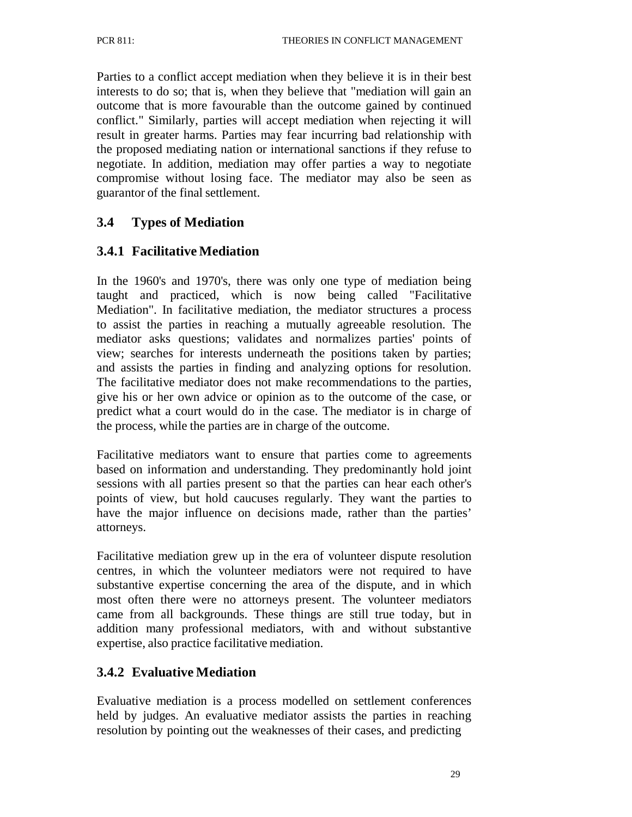Parties to a conflict accept mediation when they believe it is in their best interests to do so; that is, when they believe that "mediation will gain an outcome that is more favourable than the outcome gained by continued conflict." Similarly, parties will accept mediation when rejecting it will result in greater harms. Parties may fear incurring bad relationship with the proposed mediating nation or international sanctions if they refuse to negotiate. In addition, mediation may offer parties a way to negotiate compromise without losing face. The mediator may also be seen as guarantor of the final settlement.

# **3.4 Types of Mediation**

# **3.4.1 Facilitative Mediation**

In the 1960's and 1970's, there was only one type of mediation being taught and practiced, which is now being called "Facilitative Mediation". In facilitative mediation, the mediator structures a process to assist the parties in reaching a mutually agreeable resolution. The mediator asks questions; validates and normalizes parties' points of view; searches for interests underneath the positions taken by parties; and assists the parties in finding and analyzing options for resolution. The facilitative mediator does not make recommendations to the parties, give his or her own advice or opinion as to the outcome of the case, or predict what a court would do in the case. The mediator is in charge of the process, while the parties are in charge of the outcome.

Facilitative mediators want to ensure that parties come to agreements based on information and understanding. They predominantly hold joint sessions with all parties present so that the parties can hear each other's points of view, but hold caucuses regularly. They want the parties to have the major influence on decisions made, rather than the parties' attorneys.

Facilitative mediation grew up in the era of volunteer dispute resolution centres, in which the volunteer mediators were not required to have substantive expertise concerning the area of the dispute, and in which most often there were no attorneys present. The volunteer mediators came from all backgrounds. These things are still true today, but in addition many professional mediators, with and without substantive expertise, also practice facilitative mediation.

# **3.4.2 Evaluative Mediation**

Evaluative mediation is a process modelled on settlement conferences held by judges. An evaluative mediator assists the parties in reaching resolution by pointing out the weaknesses of their cases, and predicting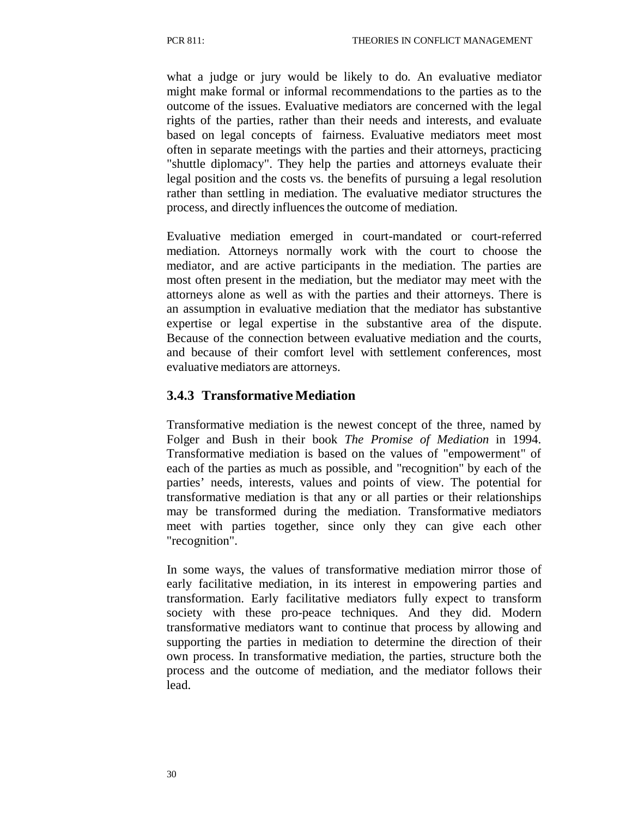what a judge or jury would be likely to do. An evaluative mediator might make formal or informal recommendations to the parties as to the outcome of the issues. Evaluative mediators are concerned with the legal rights of the parties, rather than their needs and interests, and evaluate based on legal concepts of fairness. Evaluative mediators meet most often in separate meetings with the parties and their attorneys, practicing "shuttle diplomacy". They help the parties and attorneys evaluate their legal position and the costs vs. the benefits of pursuing a legal resolution rather than settling in mediation. The evaluative mediator structures the process, and directly influences the outcome of mediation.

Evaluative mediation emerged in court-mandated or court-referred mediation. Attorneys normally work with the court to choose the mediator, and are active participants in the mediation. The parties are most often present in the mediation, but the mediator may meet with the attorneys alone as well as with the parties and their attorneys. There is an assumption in evaluative mediation that the mediator has substantive expertise or legal expertise in the substantive area of the dispute. Because of the connection between evaluative mediation and the courts, and because of their comfort level with settlement conferences, most evaluative mediators are attorneys.

## **3.4.3 Transformative Mediation**

Transformative mediation is the newest concept of the three, named by Folger and Bush in their book *The Promise of Mediation* in 1994. Transformative mediation is based on the values of "empowerment" of each of the parties as much as possible, and "recognition" by each of the parties' needs, interests, values and points of view. The potential for transformative mediation is that any or all parties or their relationships may be transformed during the mediation. Transformative mediators meet with parties together, since only they can give each other "recognition".

In some ways, the values of transformative mediation mirror those of early facilitative mediation, in its interest in empowering parties and transformation. Early facilitative mediators fully expect to transform society with these pro-peace techniques. And they did. Modern transformative mediators want to continue that process by allowing and supporting the parties in mediation to determine the direction of their own process. In transformative mediation, the parties, structure both the process and the outcome of mediation, and the mediator follows their lead.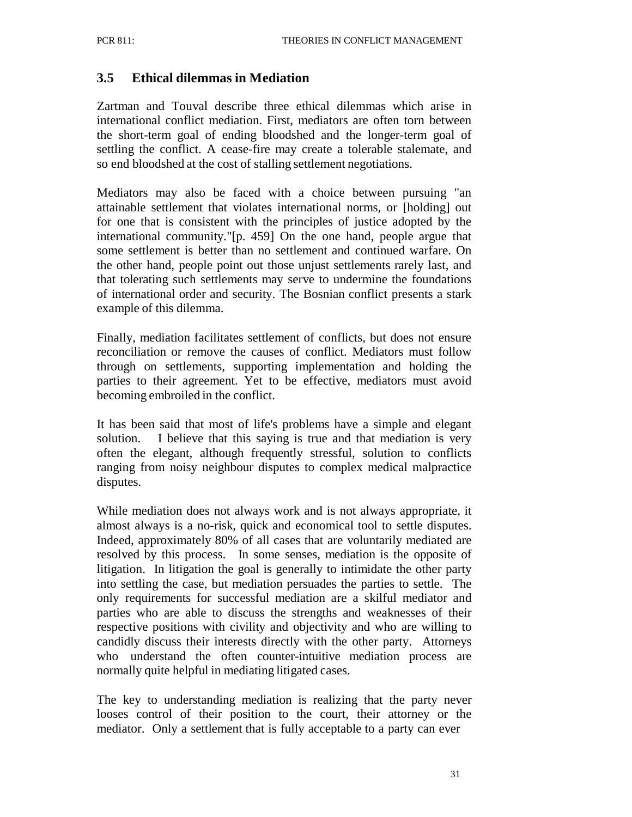### **3.5 Ethical dilemmas in Mediation**

Zartman and Touval describe three ethical dilemmas which arise in international conflict mediation. First, mediators are often torn between the short-term goal of ending bloodshed and the longer-term goal of settling the conflict. A cease-fire may create a tolerable stalemate, and so end bloodshed at the cost of stalling settlement negotiations.

Mediators may also be faced with a choice between pursuing "an attainable settlement that violates international norms, or [holding] out for one that is consistent with the principles of justice adopted by the international community."[p. 459] On the one hand, people argue that some settlement is better than no settlement and continued warfare. On the other hand, people point out those unjust settlements rarely last, and that tolerating such settlements may serve to undermine the foundations of international order and security. The Bosnian conflict presents a stark example of this dilemma.

Finally, mediation facilitates settlement of conflicts, but does not ensure reconciliation or remove the causes of conflict. Mediators must follow through on settlements, supporting implementation and holding the parties to their agreement. Yet to be effective, mediators must avoid becoming embroiled in the conflict.

It has been said that most of life's problems have a simple and elegant solution. I believe that this saying is true and that mediation is very often the elegant, although frequently stressful, solution to conflicts ranging from noisy neighbour disputes to complex medical malpractice disputes.

While mediation does not always work and is not always appropriate, it almost always is a no-risk, quick and economical tool to settle disputes. Indeed, approximately 80% of all cases that are voluntarily mediated are resolved by this process. In some senses, mediation is the opposite of litigation. In litigation the goal is generally to intimidate the other party into settling the case, but mediation persuades the parties to settle. The only requirements for successful mediation are a skilful mediator and parties who are able to discuss the strengths and weaknesses of their respective positions with civility and objectivity and who are willing to candidly discuss their interests directly with the other party. Attorneys who understand the often counter-intuitive mediation process are normally quite helpful in mediating litigated cases.

The key to understanding mediation is realizing that the party never looses control of their position to the court, their attorney or the mediator. Only a settlement that is fully acceptable to a party can ever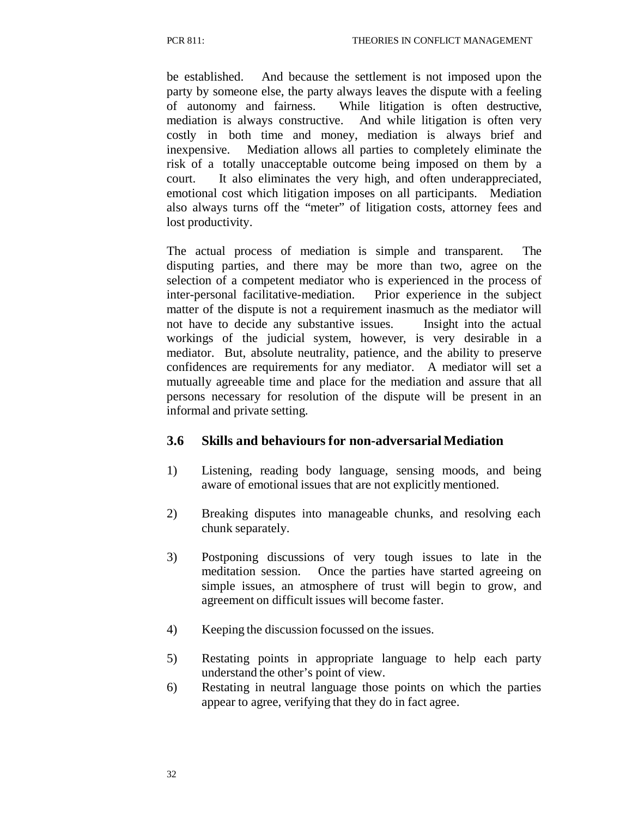be established. And because the settlement is not imposed upon the party by someone else, the party always leaves the dispute with a feeling of autonomy and fairness. While litigation is often destructive, mediation is always constructive. And while litigation is often very costly in both time and money, mediation is always brief and inexpensive. Mediation allows all parties to completely eliminate the risk of a totally unacceptable outcome being imposed on them by a court. It also eliminates the very high, and often underappreciated, emotional cost which litigation imposes on all participants. Mediation also always turns off the "meter" of litigation costs, attorney fees and lost productivity.

The actual process of mediation is simple and transparent. The disputing parties, and there may be more than two, agree on the selection of a competent mediator who is experienced in the process of inter-personal facilitative-mediation. Prior experience in the subject matter of the dispute is not a requirement inasmuch as the mediator will not have to decide any substantive issues. Insight into the actual workings of the judicial system, however, is very desirable in a mediator. But, absolute neutrality, patience, and the ability to preserve confidences are requirements for any mediator. A mediator will set a mutually agreeable time and place for the mediation and assure that all persons necessary for resolution of the dispute will be present in an informal and private setting.

### **3.6 Skills and behaviours for non-adversarial Mediation**

- 1) Listening, reading body language, sensing moods, and being aware of emotional issues that are not explicitly mentioned.
- 2) Breaking disputes into manageable chunks, and resolving each chunk separately.
- 3) Postponing discussions of very tough issues to late in the meditation session. Once the parties have started agreeing on simple issues, an atmosphere of trust will begin to grow, and agreement on difficult issues will become faster.
- 4) Keeping the discussion focussed on the issues.
- 5) Restating points in appropriate language to help each party understand the other's point of view.
- 6) Restating in neutral language those points on which the parties appear to agree, verifying that they do in fact agree.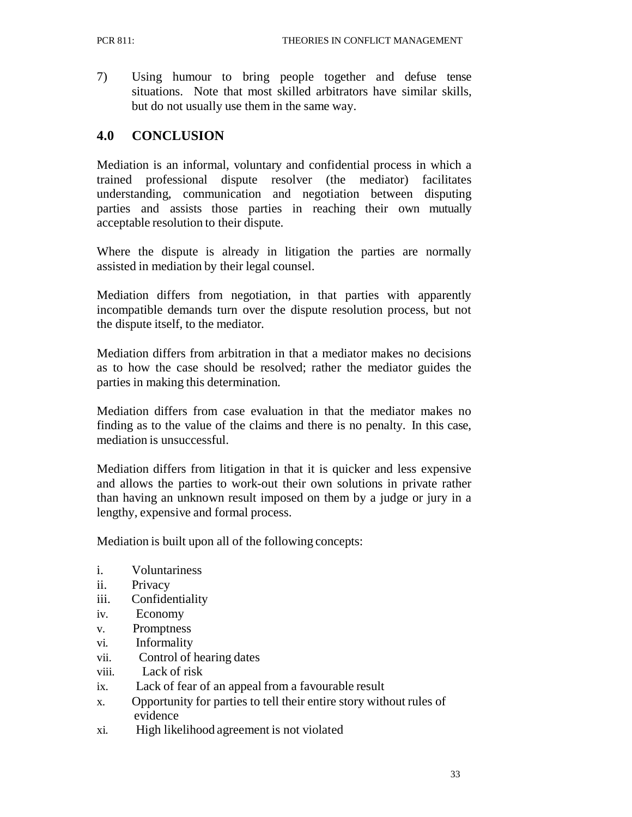7) Using humour to bring people together and defuse tense situations. Note that most skilled arbitrators have similar skills, but do not usually use them in the same way.

## **4.0 CONCLUSION**

Mediation is an informal, voluntary and confidential process in which a trained professional dispute resolver (the mediator) facilitates understanding, communication and negotiation between disputing parties and assists those parties in reaching their own mutually acceptable resolution to their dispute.

Where the dispute is already in litigation the parties are normally assisted in mediation by their legal counsel.

Mediation differs from negotiation, in that parties with apparently incompatible demands turn over the dispute resolution process, but not the dispute itself, to the mediator.

Mediation differs from arbitration in that a mediator makes no decisions as to how the case should be resolved; rather the mediator guides the parties in making this determination.

Mediation differs from case evaluation in that the mediator makes no finding as to the value of the claims and there is no penalty. In this case, mediation is unsuccessful.

Mediation differs from litigation in that it is quicker and less expensive and allows the parties to work-out their own solutions in private rather than having an unknown result imposed on them by a judge or jury in a lengthy, expensive and formal process.

Mediation is built upon all of the following concepts:

- i. Voluntariness
- ii. Privacy
- iii. Confidentiality
- iv. Economy
- v. Promptness
- vi. Informality
- vii. Control of hearing dates
- viii. Lack of risk
- ix. Lack of fear of an appeal from a favourable result
- x. Opportunity for parties to tell their entire story without rules of evidence
- xi. High likelihood agreement is not violated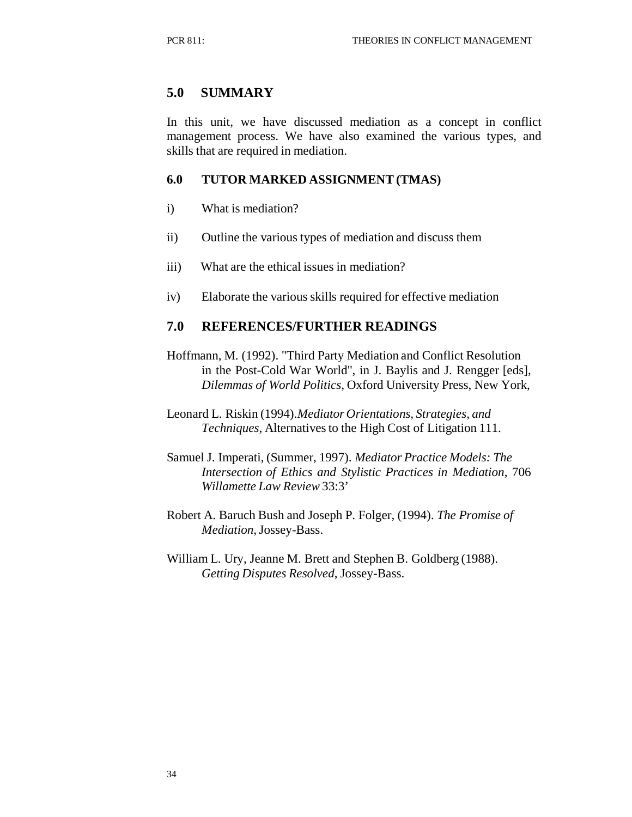### **5.0 SUMMARY**

In this unit, we have discussed mediation as a concept in conflict management process. We have also examined the various types, and skills that are required in mediation.

#### **6.0 TUTOR MARKED ASSIGNMENT (TMAS)**

- i) What is mediation?
- ii) Outline the various types of mediation and discuss them
- iii) What are the ethical issues in mediation?
- iv) Elaborate the various skills required for effective mediation

#### **7.0 REFERENCES/FURTHER READINGS**

- Hoffmann, M. (1992). "Third Party Mediation and Conflict Resolution in the Post-Cold War World", in J. Baylis and J. Rengger [eds], *Dilemmas of World Politics*, Oxford University Press, New York,
- Leonard L. Riskin (1994).*Mediator Orientations, Strategies, and Techniques*, Alternatives to the High Cost of Litigation 111.
- Samuel J. Imperati, (Summer, 1997). *Mediator Practice Models: The Intersection of Ethics and Stylistic Practices in Mediation*, 706 *Willamette Law Review* 33:3'
- Robert A. Baruch Bush and Joseph P. Folger, (1994). *The Promise of Mediation*, Jossey-Bass.
- William L. Ury, Jeanne M. Brett and Stephen B. Goldberg (1988). *Getting Disputes Resolved*, Jossey-Bass.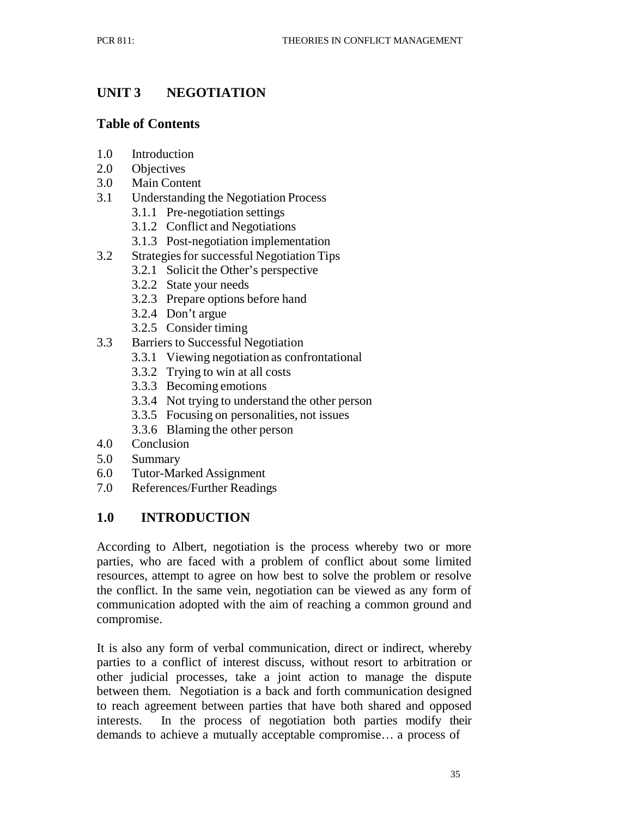# **UNIT 3 NEGOTIATION**

### **Table of Contents**

- 1.0 Introduction
- 2.0 Objectives
- 3.0 Main Content
- 3.1 Understanding the Negotiation Process
	- 3.1.1 Pre-negotiation settings
	- 3.1.2 Conflict and Negotiations
	- 3.1.3 Post-negotiation implementation
- 3.2 Strategies for successful Negotiation Tips
	- 3.2.1 Solicit the Other's perspective
	- 3.2.2 State your needs
	- 3.2.3 Prepare options before hand
	- 3.2.4 Don't argue
	- 3.2.5 Consider timing
- 3.3 Barriers to Successful Negotiation
	- 3.3.1 Viewing negotiation as confrontational
	- 3.3.2 Trying to win at all costs
	- 3.3.3 Becoming emotions
	- 3.3.4 Not trying to understand the other person
	- 3.3.5 Focusing on personalities, not issues
	- 3.3.6 Blaming the other person
- 4.0 Conclusion
- 5.0 Summary
- 6.0 Tutor-Marked Assignment
- 7.0 References/Further Readings

## **1.0 INTRODUCTION**

According to Albert, negotiation is the process whereby two or more parties, who are faced with a problem of conflict about some limited resources, attempt to agree on how best to solve the problem or resolve the conflict. In the same vein, negotiation can be viewed as any form of communication adopted with the aim of reaching a common ground and compromise.

It is also any form of verbal communication, direct or indirect, whereby parties to a conflict of interest discuss, without resort to arbitration or other judicial processes, take a joint action to manage the dispute between them. Negotiation is a back and forth communication designed to reach agreement between parties that have both shared and opposed interests. In the process of negotiation both parties modify their demands to achieve a mutually acceptable compromise… a process of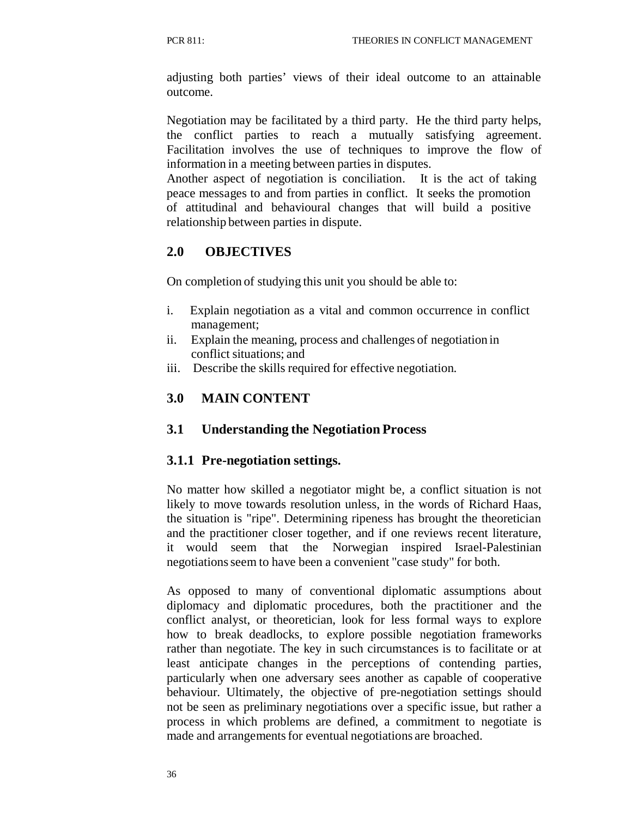adjusting both parties' views of their ideal outcome to an attainable outcome.

Negotiation may be facilitated by a third party. He the third party helps, the conflict parties to reach a mutually satisfying agreement. Facilitation involves the use of techniques to improve the flow of information in a meeting between parties in disputes.

Another aspect of negotiation is conciliation. It is the act of taking peace messages to and from parties in conflict. It seeks the promotion of attitudinal and behavioural changes that will build a positive relationship between parties in dispute.

# **2.0 OBJECTIVES**

On completion of studying this unit you should be able to:

- i. Explain negotiation as a vital and common occurrence in conflict management;
- ii. Explain the meaning, process and challenges of negotiation in conflict situations; and
- iii. Describe the skills required for effective negotiation.

## **3.0 MAIN CONTENT**

## **3.1 Understanding the Negotiation Process**

### **3.1.1 Pre-negotiation settings.**

No matter how skilled a negotiator might be, a conflict situation is not likely to move towards resolution unless, in the words of Richard Haas, the situation is "ripe". Determining ripeness has brought the theoretician and the practitioner closer together, and if one reviews recent literature, it would seem that the Norwegian inspired Israel-Palestinian negotiations seem to have been a convenient "case study" for both.

As opposed to many of conventional diplomatic assumptions about diplomacy and diplomatic procedures, both the practitioner and the conflict analyst, or theoretician, look for less formal ways to explore how to break deadlocks, to explore possible negotiation frameworks rather than negotiate. The key in such circumstances is to facilitate or at least anticipate changes in the perceptions of contending parties, particularly when one adversary sees another as capable of cooperative behaviour. Ultimately, the objective of pre-negotiation settings should not be seen as preliminary negotiations over a specific issue, but rather a process in which problems are defined, a commitment to negotiate is made and arrangements for eventual negotiations are broached.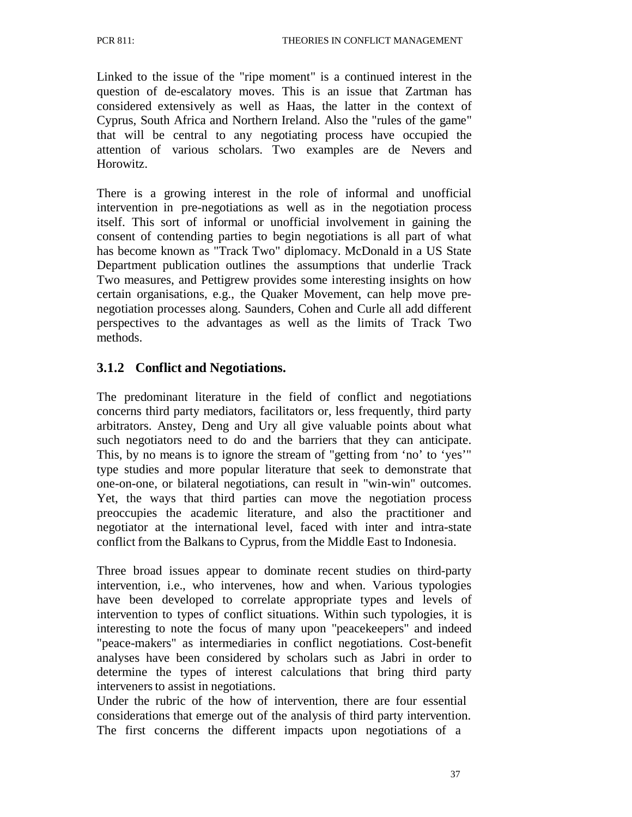Linked to the issue of the "ripe moment" is a continued interest in the question of de-escalatory moves. This is an issue that Zartman has considered extensively as well as Haas, the latter in the context of Cyprus, South Africa and Northern Ireland. Also the "rules of the game" that will be central to any negotiating process have occupied the attention of various scholars. Two examples are de Nevers and Horowitz.

There is a growing interest in the role of informal and unofficial intervention in pre-negotiations as well as in the negotiation process itself. This sort of informal or unofficial involvement in gaining the consent of contending parties to begin negotiations is all part of what has become known as "Track Two" diplomacy. McDonald in a US State Department publication outlines the assumptions that underlie Track Two measures, and Pettigrew provides some interesting insights on how certain organisations, e.g., the Quaker Movement, can help move prenegotiation processes along. Saunders, Cohen and Curle all add different perspectives to the advantages as well as the limits of Track Two methods.

## **3.1.2 Conflict and Negotiations.**

The predominant literature in the field of conflict and negotiations concerns third party mediators, facilitators or, less frequently, third party arbitrators. Anstey, Deng and Ury all give valuable points about what such negotiators need to do and the barriers that they can anticipate. This, by no means is to ignore the stream of "getting from 'no' to 'yes'" type studies and more popular literature that seek to demonstrate that one-on-one, or bilateral negotiations, can result in "win-win" outcomes. Yet, the ways that third parties can move the negotiation process preoccupies the academic literature, and also the practitioner and negotiator at the international level, faced with inter and intra-state conflict from the Balkans to Cyprus, from the Middle East to Indonesia.

Three broad issues appear to dominate recent studies on third-party intervention, i.e., who intervenes, how and when. Various typologies have been developed to correlate appropriate types and levels of intervention to types of conflict situations. Within such typologies, it is interesting to note the focus of many upon "peacekeepers" and indeed "peace-makers" as intermediaries in conflict negotiations. Cost-benefit analyses have been considered by scholars such as Jabri in order to determine the types of interest calculations that bring third party interveners to assist in negotiations.

Under the rubric of the how of intervention, there are four essential considerations that emerge out of the analysis of third party intervention. The first concerns the different impacts upon negotiations of a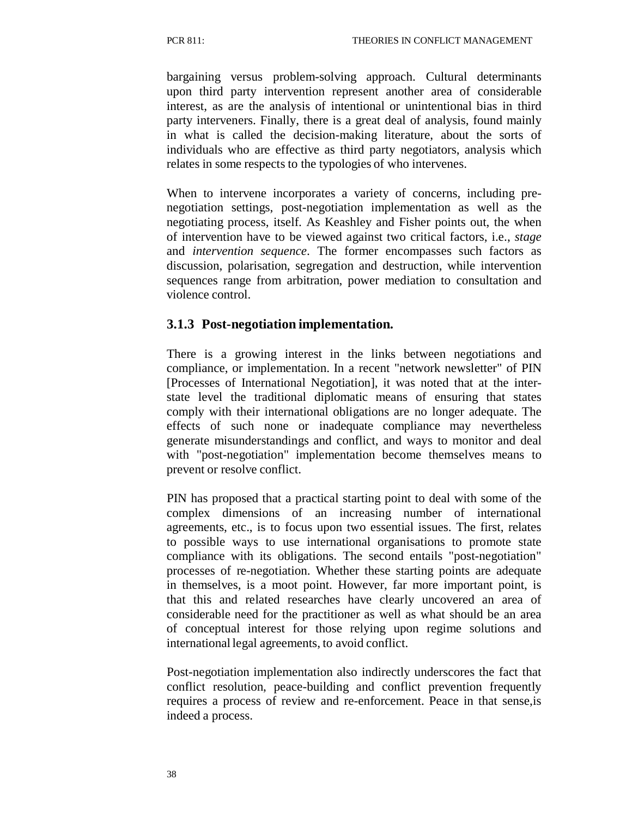bargaining versus problem-solving approach. Cultural determinants upon third party intervention represent another area of considerable interest, as are the analysis of intentional or unintentional bias in third party interveners. Finally, there is a great deal of analysis, found mainly in what is called the decision-making literature, about the sorts of individuals who are effective as third party negotiators, analysis which relates in some respects to the typologies of who intervenes.

When to intervene incorporates a variety of concerns, including prenegotiation settings, post-negotiation implementation as well as the negotiating process, itself. As Keashley and Fisher points out, the when of intervention have to be viewed against two critical factors, i.e., *stage*  and *intervention sequence*. The former encompasses such factors as discussion, polarisation, segregation and destruction, while intervention sequences range from arbitration, power mediation to consultation and violence control.

### **3.1.3 Post-negotiation implementation.**

There is a growing interest in the links between negotiations and compliance, or implementation. In a recent "network newsletter" of PIN [Processes of International Negotiation], it was noted that at the interstate level the traditional diplomatic means of ensuring that states comply with their international obligations are no longer adequate. The effects of such none or inadequate compliance may nevertheless generate misunderstandings and conflict, and ways to monitor and deal with "post-negotiation" implementation become themselves means to prevent or resolve conflict.

PIN has proposed that a practical starting point to deal with some of the complex dimensions of an increasing number of international agreements, etc., is to focus upon two essential issues. The first, relates to possible ways to use international organisations to promote state compliance with its obligations. The second entails "post-negotiation" processes of re-negotiation. Whether these starting points are adequate in themselves, is a moot point. However, far more important point, is that this and related researches have clearly uncovered an area of considerable need for the practitioner as well as what should be an area of conceptual interest for those relying upon regime solutions and international legal agreements, to avoid conflict.

Post-negotiation implementation also indirectly underscores the fact that conflict resolution, peace-building and conflict prevention frequently requires a process of review and re-enforcement. Peace in that sense,is indeed a process.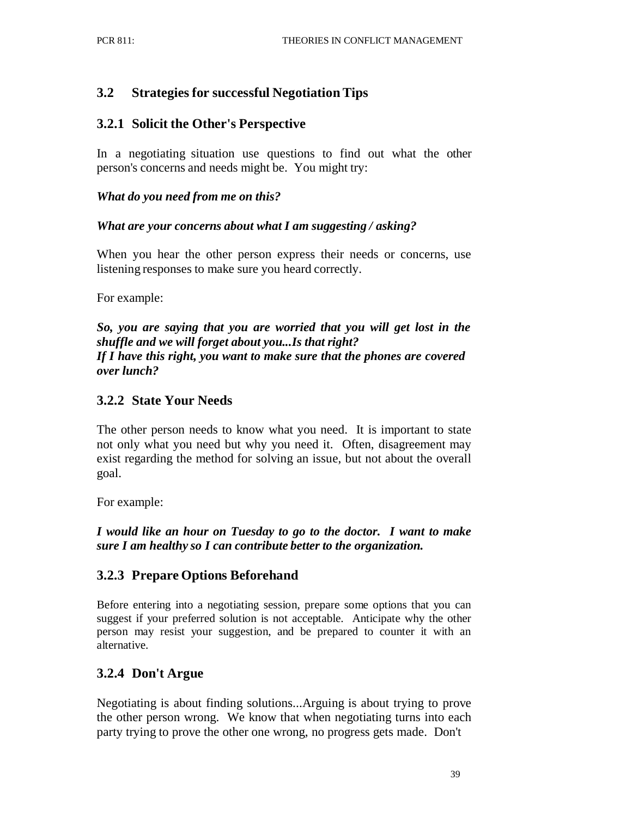## **3.2 Strategies for successful Negotiation Tips**

#### **3.2.1 Solicit the Other's Perspective**

In a negotiating situation use questions to find out what the other person's concerns and needs might be. You might try:

#### *What do you need from me on this?*

#### *What are your concerns about what I am suggesting / asking?*

When you hear the other person express their needs or concerns, use listening responses to make sure you heard correctly.

For example:

*So, you are saying that you are worried that you will get lost in the shuffle and we will forget about you...Is that right? If I have this right, you want to make sure that the phones are covered over lunch?*

#### **3.2.2 State Your Needs**

The other person needs to know what you need. It is important to state not only what you need but why you need it. Often, disagreement may exist regarding the method for solving an issue, but not about the overall goal.

For example:

*I would like an hour on Tuesday to go to the doctor. I want to make sure I am healthy so I can contribute better to the organization.*

### **3.2.3 Prepare Options Beforehand**

Before entering into a negotiating session, prepare some options that you can suggest if your preferred solution is not acceptable. Anticipate why the other person may resist your suggestion, and be prepared to counter it with an alternative.

### **3.2.4 Don't Argue**

Negotiating is about finding solutions...Arguing is about trying to prove the other person wrong. We know that when negotiating turns into each party trying to prove the other one wrong, no progress gets made. Don't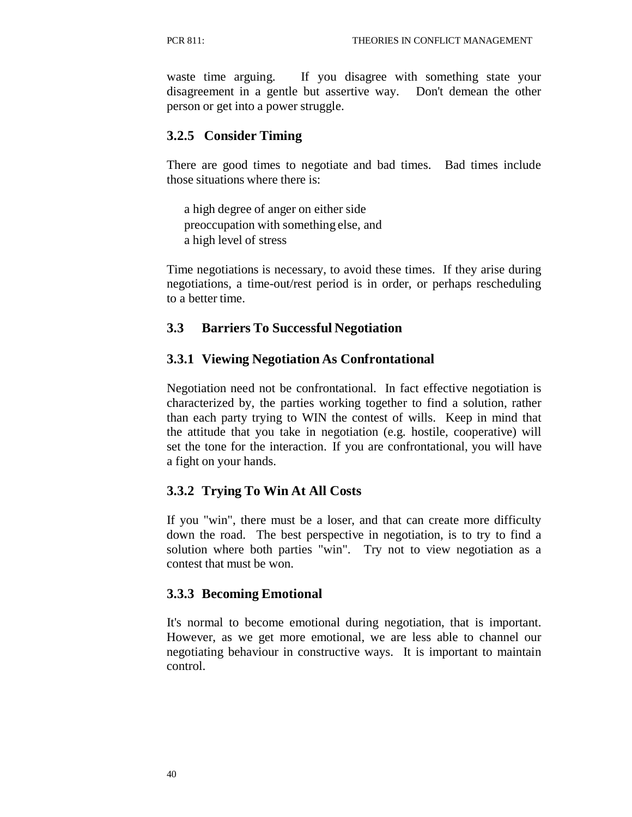waste time arguing. If you disagree with something state your disagreement in a gentle but assertive way. Don't demean the other person or get into a power struggle.

#### **3.2.5 Consider Timing**

There are good times to negotiate and bad times. Bad times include those situations where there is:

a high degree of anger on either side preoccupation with something else, and a high level of stress

Time negotiations is necessary, to avoid these times. If they arise during negotiations, a time-out/rest period is in order, or perhaps rescheduling to a better time.

### **3.3 Barriers To Successful Negotiation**

#### **3.3.1 Viewing Negotiation As Confrontational**

Negotiation need not be confrontational. In fact effective negotiation is characterized by, the parties working together to find a solution, rather than each party trying to WIN the contest of wills. Keep in mind that the attitude that you take in negotiation (e.g. hostile, cooperative) will set the tone for the interaction. If you are confrontational, you will have a fight on your hands.

### **3.3.2 Trying To Win At All Costs**

If you "win", there must be a loser, and that can create more difficulty down the road. The best perspective in negotiation, is to try to find a solution where both parties "win". Try not to view negotiation as a contest that must be won.

#### **3.3.3 Becoming Emotional**

It's normal to become emotional during negotiation, that is important. However, as we get more emotional, we are less able to channel our negotiating behaviour in constructive ways. It is important to maintain control.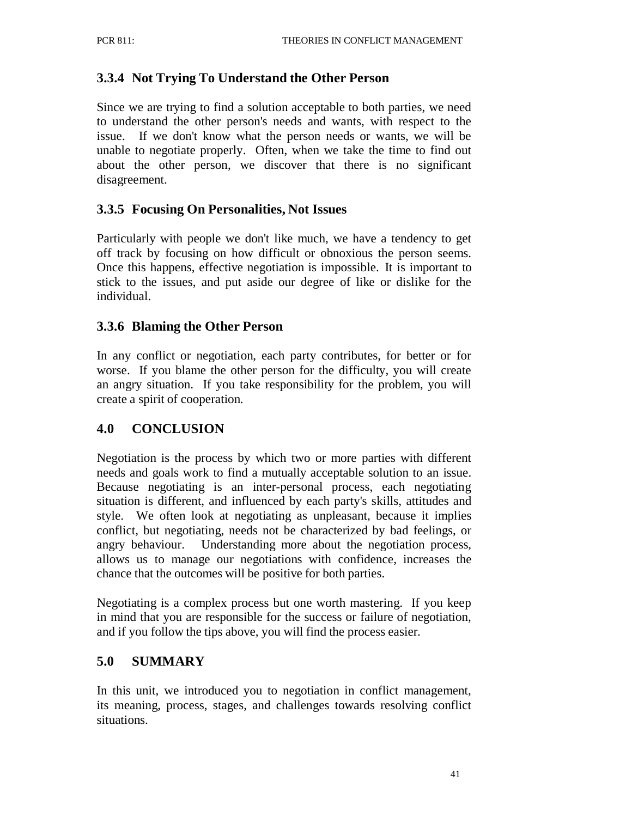## **3.3.4 Not Trying To Understand the Other Person**

Since we are trying to find a solution acceptable to both parties, we need to understand the other person's needs and wants, with respect to the issue. If we don't know what the person needs or wants, we will be unable to negotiate properly. Often, when we take the time to find out about the other person, we discover that there is no significant disagreement.

### **3.3.5 Focusing On Personalities, Not Issues**

Particularly with people we don't like much, we have a tendency to get off track by focusing on how difficult or obnoxious the person seems. Once this happens, effective negotiation is impossible. It is important to stick to the issues, and put aside our degree of like or dislike for the individual.

### **3.3.6 Blaming the Other Person**

In any conflict or negotiation, each party contributes, for better or for worse. If you blame the other person for the difficulty, you will create an angry situation. If you take responsibility for the problem, you will create a spirit of cooperation.

### **4.0 CONCLUSION**

Negotiation is the process by which two or more parties with different needs and goals work to find a mutually acceptable solution to an issue. Because negotiating is an inter-personal process, each negotiating situation is different, and influenced by each party's skills, attitudes and style. We often look at negotiating as unpleasant, because it implies conflict, but negotiating, needs not be characterized by bad feelings, or angry behaviour. Understanding more about the negotiation process, allows us to manage our negotiations with confidence, increases the chance that the outcomes will be positive for both parties.

Negotiating is a complex process but one worth mastering. If you keep in mind that you are responsible for the success or failure of negotiation, and if you follow the tips above, you will find the process easier.

### **5.0 SUMMARY**

In this unit, we introduced you to negotiation in conflict management, its meaning, process, stages, and challenges towards resolving conflict situations.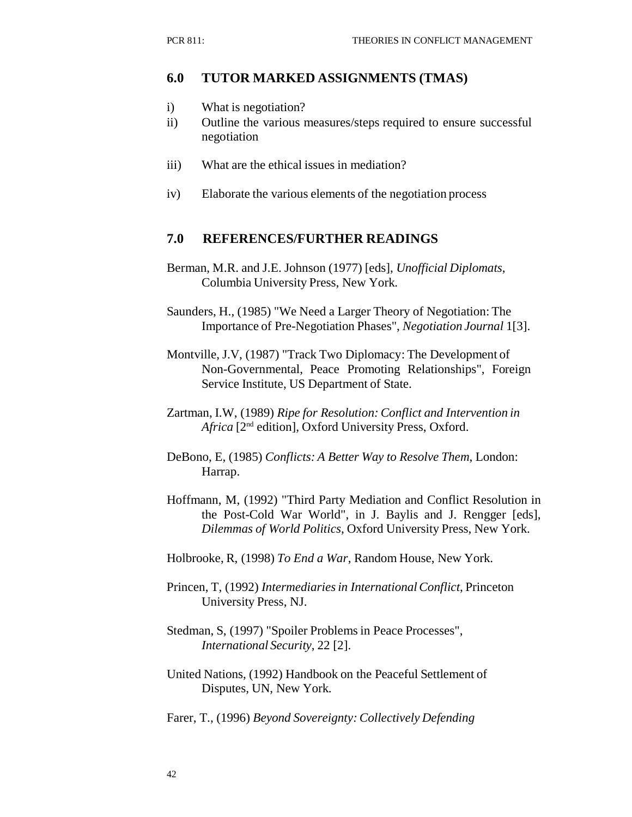#### **6.0 TUTOR MARKED ASSIGNMENTS (TMAS)**

- i) What is negotiation?
- ii) Outline the various measures/steps required to ensure successful negotiation
- iii) What are the ethical issues in mediation?
- iv) Elaborate the various elements of the negotiation process

### **7.0 REFERENCES/FURTHER READINGS**

- Berman, M.R. and J.E. Johnson (1977) [eds], *Unofficial Diplomats*, Columbia University Press, New York.
- Saunders, H., (1985) "We Need a Larger Theory of Negotiation: The Importance of Pre-Negotiation Phases", *Negotiation Journal* 1[3].
- Montville, J.V, (1987) "Track Two Diplomacy: The Development of Non-Governmental, Peace Promoting Relationships", Foreign Service Institute, US Department of State.
- Zartman, I.W, (1989) *Ripe for Resolution: Conflict and Intervention in* Africa <sup>[2nd</sup> edition], Oxford University Press, Oxford.
- DeBono, E, (1985) *Conflicts: A Better Way to Resolve Them*, London: Harrap.
- Hoffmann, M, (1992) "Third Party Mediation and Conflict Resolution in the Post-Cold War World", in J. Baylis and J. Rengger [eds], *Dilemmas of World Politics*, Oxford University Press, New York.
- Holbrooke, R, (1998) *To End a War*, Random House, New York.
- Princen, T, (1992) *Intermediaries in International Conflict*, Princeton University Press, NJ.
- Stedman, S, (1997) "Spoiler Problems in Peace Processes", *International Security*, 22 [2].
- United Nations, (1992) Handbook on the Peaceful Settlement of Disputes, UN, New York.
- Farer, T., (1996) *Beyond Sovereignty: Collectively Defending*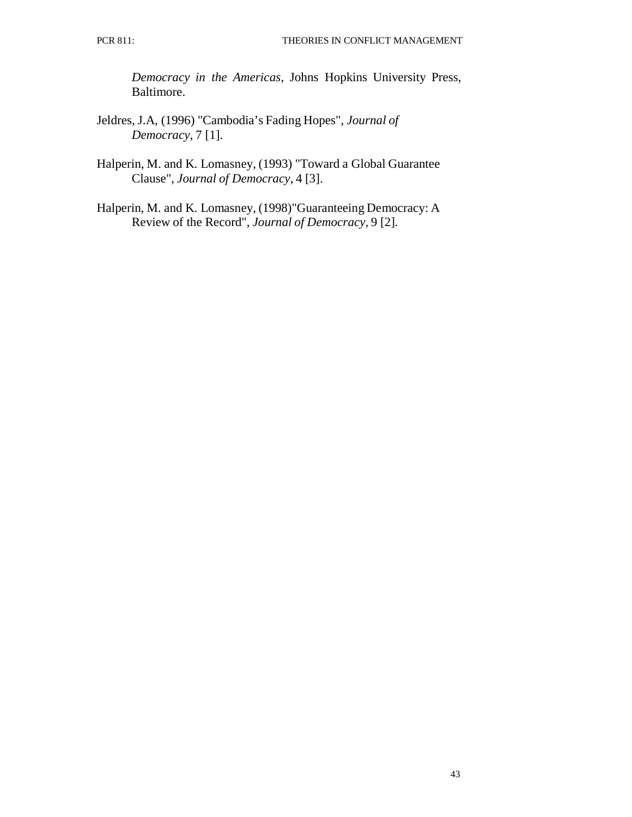*Democracy in the Americas*, Johns Hopkins University Press, Baltimore.

- Jeldres, J.A, (1996) "Cambodia's Fading Hopes", *Journal of Democracy*, 7 [1].
- Halperin, M. and K. Lomasney, (1993) "Toward a Global Guarantee Clause", *Journal of Democracy*, 4 [3].
- Halperin, M. and K. Lomasney, (1998)"Guaranteeing Democracy: A Review of the Record", *Journal of Democracy,* 9 [2].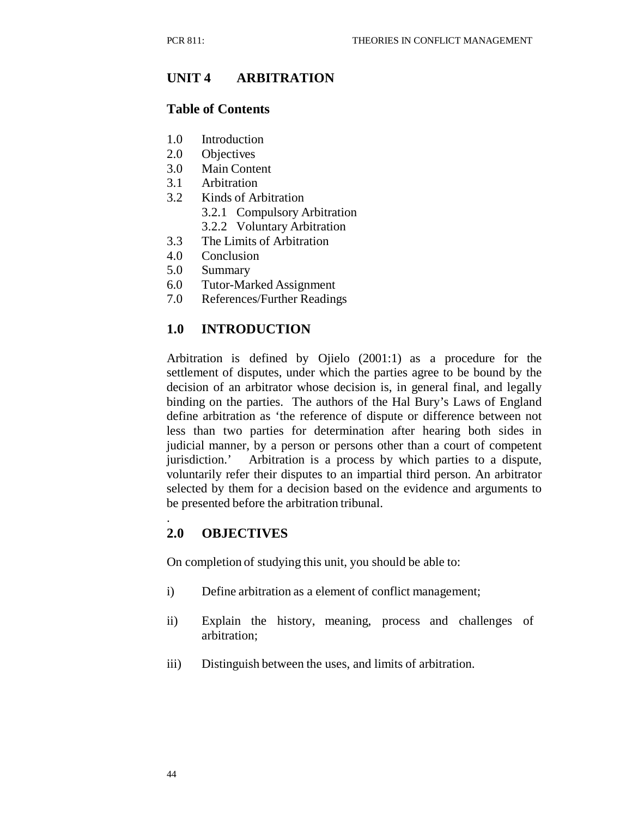## **UNIT 4 ARBITRATION**

#### **Table of Contents**

- 1.0 Introduction
- 2.0 Objectives
- 3.0 Main Content
- 3.1 Arbitration
- 3.2 Kinds of Arbitration
	- 3.2.1 Compulsory Arbitration
	- 3.2.2 Voluntary Arbitration
- 3.3 The Limits of Arbitration
- 4.0 Conclusion
- 5.0 Summary
- 6.0 Tutor-Marked Assignment
- 7.0 References/Further Readings

### **1.0 INTRODUCTION**

Arbitration is defined by Ojielo (2001:1) as a procedure for the settlement of disputes, under which the parties agree to be bound by the decision of an arbitrator whose decision is, in general final, and legally binding on the parties. The authors of the Hal Bury's Laws of England define arbitration as 'the reference of dispute or difference between not less than two parties for determination after hearing both sides in judicial manner, by a person or persons other than a court of competent jurisdiction.' Arbitration is a process by which parties to a dispute, voluntarily refer their disputes to an impartial third person. An arbitrator selected by them for a decision based on the evidence and arguments to be presented before the arbitration tribunal.

### **2.0 OBJECTIVES**

On completion of studying this unit, you should be able to:

- i) Define arbitration as a element of conflict management;
- ii) Explain the history, meaning, process and challenges of arbitration;
- iii) Distinguish between the uses, and limits of arbitration.

.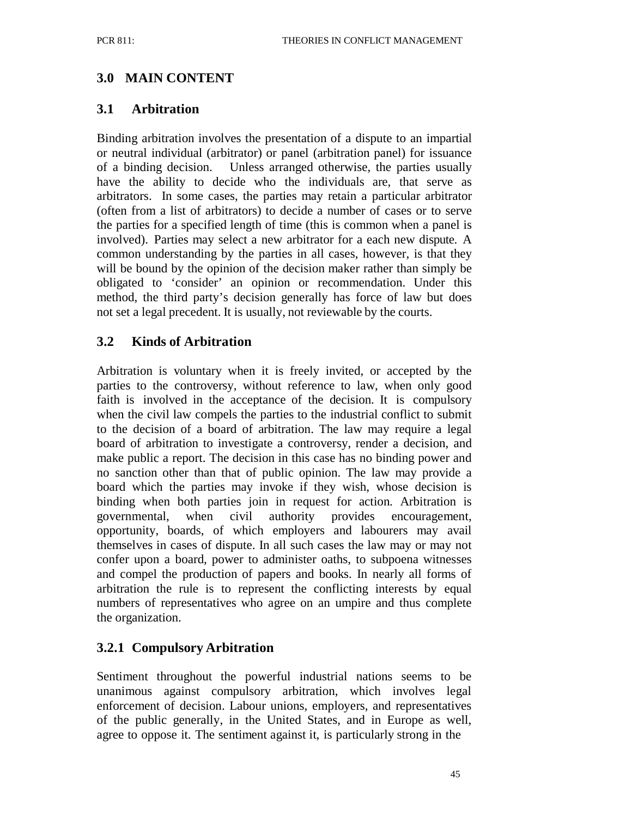# **3.0 MAIN CONTENT**

## **3.1 Arbitration**

Binding arbitration involves the presentation of a dispute to an impartial or neutral individual (arbitrator) or panel (arbitration panel) for issuance of a binding decision. Unless arranged otherwise, the parties usually have the ability to decide who the individuals are, that serve as arbitrators. In some cases, the parties may retain a particular arbitrator (often from a list of arbitrators) to decide a number of cases or to serve the parties for a specified length of time (this is common when a panel is involved). Parties may select a new arbitrator for a each new dispute. A common understanding by the parties in all cases, however, is that they will be bound by the opinion of the decision maker rather than simply be obligated to 'consider' an opinion or recommendation. Under this method, the third party's decision generally has force of law but does not set a legal precedent. It is usually, not reviewable by the courts.

## **3.2 Kinds of Arbitration**

Arbitration is voluntary when it is freely invited, or accepted by the parties to the controversy, without reference to law, when only good faith is involved in the acceptance of the decision. It is compulsory when the civil law compels the parties to the industrial conflict to submit to the decision of a board of arbitration. The law may require a legal board of arbitration to investigate a controversy, render a decision, and make public a report. The decision in this case has no binding power and no sanction other than that of public opinion. The law may provide a board which the parties may invoke if they wish, whose decision is binding when both parties join in request for action. Arbitration is governmental, when civil authority provides encouragement, opportunity, boards, of which employers and labourers may avail themselves in cases of dispute. In all such cases the law may or may not confer upon a board, power to administer oaths, to subpoena witnesses and compel the production of papers and books. In nearly all forms of arbitration the rule is to represent the conflicting interests by equal numbers of representatives who agree on an umpire and thus complete the organization.

# **3.2.1 Compulsory Arbitration**

Sentiment throughout the powerful industrial nations seems to be unanimous against compulsory arbitration, which involves legal enforcement of decision. Labour unions, employers, and representatives of the public generally, in the United States, and in Europe as well, agree to oppose it. The sentiment against it, is particularly strong in the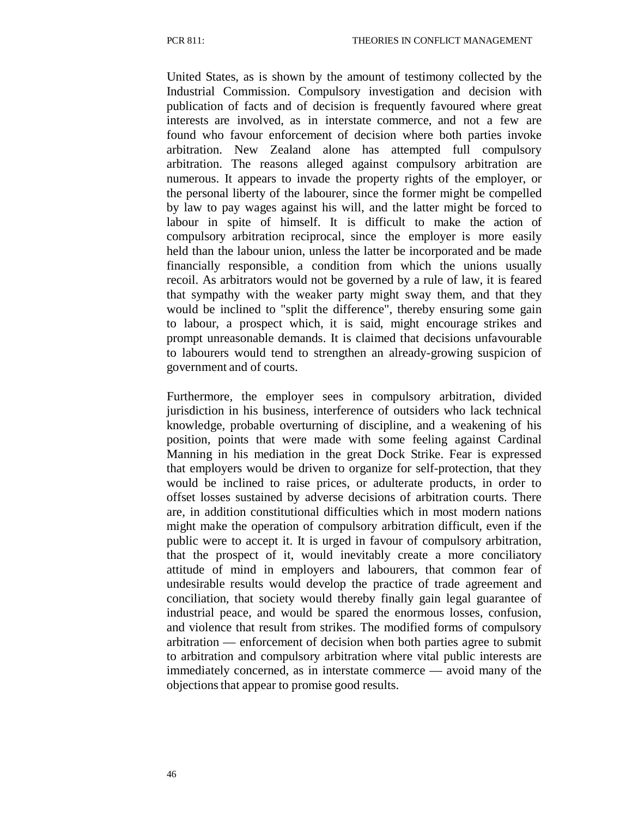United States, as is shown by the amount of testimony collected by the Industrial Commission. Compulsory investigation and decision with publication of facts and of decision is frequently favoured where great interests are involved, as in interstate commerce, and not a few are found who favour enforcement of decision where both parties invoke arbitration. New Zealand alone has attempted full compulsory arbitration. The reasons alleged against compulsory arbitration are numerous. It appears to invade the property rights of the employer, or the personal liberty of the labourer, since the former might be compelled by law to pay wages against his will, and the latter might be forced to labour in spite of himself. It is difficult to make the action of compulsory arbitration reciprocal, since the employer is more easily held than the labour union, unless the latter be incorporated and be made financially responsible, a condition from which the unions usually recoil. As arbitrators would not be governed by a rule of law, it is feared that sympathy with the weaker party might sway them, and that they would be inclined to "split the difference", thereby ensuring some gain to labour, a prospect which, it is said, might encourage strikes and prompt unreasonable demands. It is claimed that decisions unfavourable to labourers would tend to strengthen an already-growing suspicion of government and of courts.

Furthermore, the employer sees in compulsory arbitration, divided jurisdiction in his business, interference of outsiders who lack technical knowledge, probable overturning of discipline, and a weakening of his position, points that were made with some feeling against Cardinal Manning in his mediation in the great Dock Strike. Fear is expressed that employers would be driven to organize for self-protection, that they would be inclined to raise prices, or adulterate products, in order to offset losses sustained by adverse decisions of arbitration courts. There are, in addition constitutional difficulties which in most modern nations might make the operation of compulsory arbitration difficult, even if the public were to accept it. It is urged in favour of compulsory arbitration, that the prospect of it, would inevitably create a more conciliatory attitude of mind in employers and labourers, that common fear of undesirable results would develop the practice of trade agreement and conciliation, that society would thereby finally gain legal guarantee of industrial peace, and would be spared the enormous losses, confusion, and violence that result from strikes. The modified forms of compulsory arbitration — enforcement of decision when both parties agree to submit to arbitration and compulsory arbitration where vital public interests are immediately concerned, as in interstate commerce — avoid many of the objections that appear to promise good results.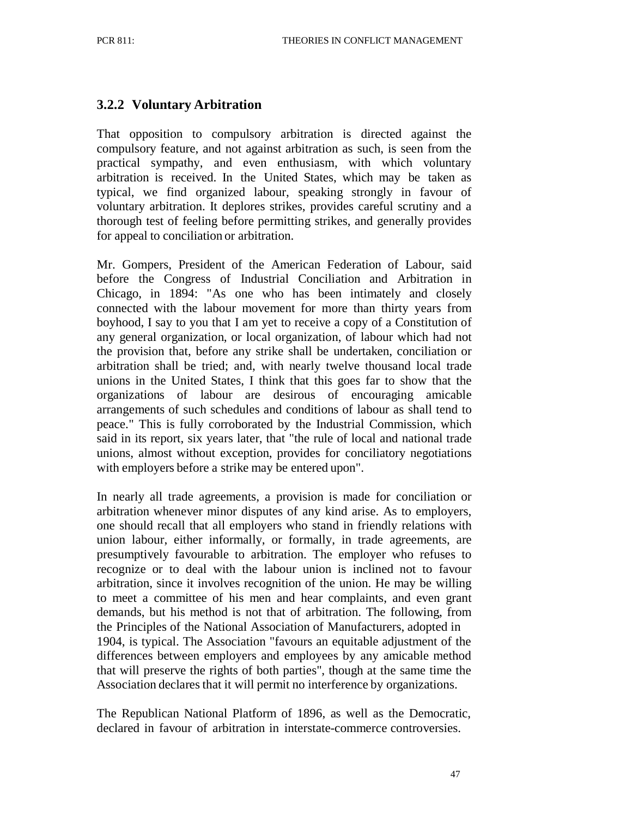## **3.2.2 Voluntary Arbitration**

That opposition to compulsory arbitration is directed against the compulsory feature, and not against arbitration as such, is seen from the practical sympathy, and even enthusiasm, with which voluntary arbitration is received. In the United States, which may be taken as typical, we find organized labour, speaking strongly in favour of voluntary arbitration. It deplores strikes, provides careful scrutiny and a thorough test of feeling before permitting strikes, and generally provides for appeal to conciliation or arbitration.

Mr. Gompers, President of the American Federation of Labour, said before the Congress of Industrial Conciliation and Arbitration in Chicago, in 1894: "As one who has been intimately and closely connected with the labour movement for more than thirty years from boyhood, I say to you that I am yet to receive a copy of a Constitution of any general organization, or local organization, of labour which had not the provision that, before any strike shall be undertaken, conciliation or arbitration shall be tried; and, with nearly twelve thousand local trade unions in the United States, I think that this goes far to show that the organizations of labour are desirous of encouraging amicable arrangements of such schedules and conditions of labour as shall tend to peace." This is fully corroborated by the Industrial Commission, which said in its report, six years later, that "the rule of local and national trade unions, almost without exception, provides for conciliatory negotiations with employers before a strike may be entered upon".

In nearly all trade agreements, a provision is made for conciliation or arbitration whenever minor disputes of any kind arise. As to employers, one should recall that all employers who stand in friendly relations with union labour, either informally, or formally, in trade agreements, are presumptively favourable to arbitration. The employer who refuses to recognize or to deal with the labour union is inclined not to favour arbitration, since it involves recognition of the union. He may be willing to meet a committee of his men and hear complaints, and even grant demands, but his method is not that of arbitration. The following, from the Principles of the National Association of Manufacturers, adopted in 1904, is typical. The Association "favours an equitable adjustment of the differences between employers and employees by any amicable method that will preserve the rights of both parties", though at the same time the Association declares that it will permit no interference by organizations.

The Republican National Platform of 1896, as well as the Democratic, declared in favour of arbitration in interstate-commerce controversies.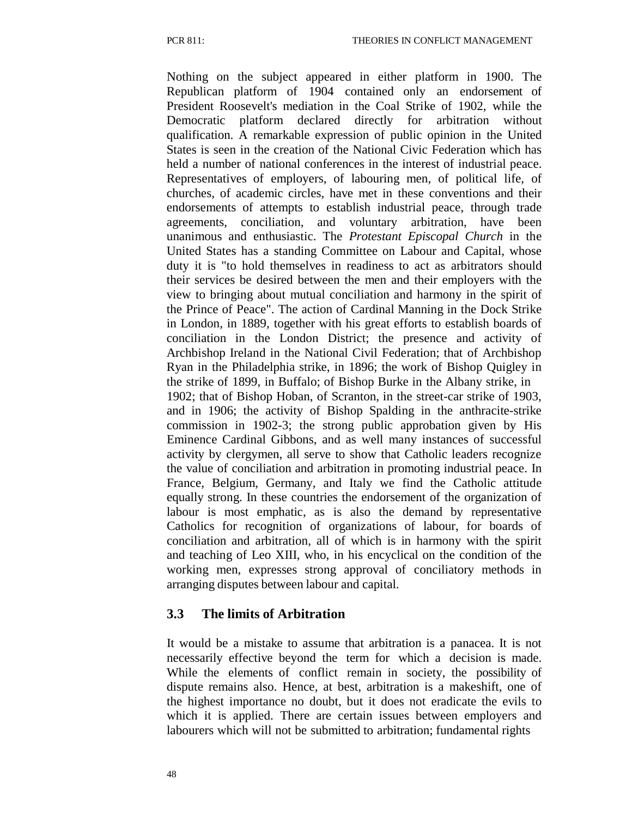Nothing on the subject appeared in either platform in 1900. The Republican platform of 1904 contained only an endorsement of President Roosevelt's mediation in the Coal Strike of 1902, while the Democratic platform declared directly for arbitration without qualification. A remarkable expression of public opinion in the United States is seen in the creation of the National Civic Federation which has held a number of national conferences in the interest of industrial peace. Representatives of employers, of labouring men, of political life, of churches, of academic circles, have met in these conventions and their endorsements of attempts to establish industrial peace, through trade agreements, conciliation, and voluntary arbitration, have been unanimous and enthusiastic. The *Protestant Episcopal Church* in the United States has a standing Committee on Labour and Capital, whose duty it is "to hold themselves in readiness to act as arbitrators should their services be desired between the men and their employers with the view to bringing about mutual conciliation and harmony in the spirit of the Prince of Peace". The action of Cardinal Manning in the Dock Strike in London, in 1889, together with his great efforts to establish boards of conciliation in the London District; the presence and activity of Archbishop Ireland in the National Civil Federation; that of Archbishop Ryan in the Philadelphia strike, in 1896; the work of Bishop Quigley in the strike of 1899, in Buffalo; of Bishop Burke in the Albany strike, in 1902; that of Bishop Hoban, of Scranton, in the street-car strike of 1903, and in 1906; the activity of Bishop Spalding in the anthracite-strike commission in 1902-3; the strong public approbation given by His Eminence Cardinal Gibbons, and as well many instances of successful activity by clergymen, all serve to show that Catholic leaders recognize the value of conciliation and arbitration in promoting industrial peace. In France, Belgium, Germany, and Italy we find the Catholic attitude equally strong. In these countries the endorsement of the organization of labour is most emphatic, as is also the demand by representative Catholics for recognition of organizations of labour, for boards of conciliation and arbitration, all of which is in harmony with the spirit and teaching of Leo XIII, who, in his encyclical on the condition of the working men, expresses strong approval of conciliatory methods in arranging disputes between labour and capital.

#### **3.3 The limits of Arbitration**

It would be a mistake to assume that arbitration is a panacea. It is not necessarily effective beyond the term for which a decision is made. While the elements of conflict remain in society, the possibility of dispute remains also. Hence, at best, arbitration is a makeshift, one of the highest importance no doubt, but it does not eradicate the evils to which it is applied. There are certain issues between employers and labourers which will not be submitted to arbitration; fundamental rights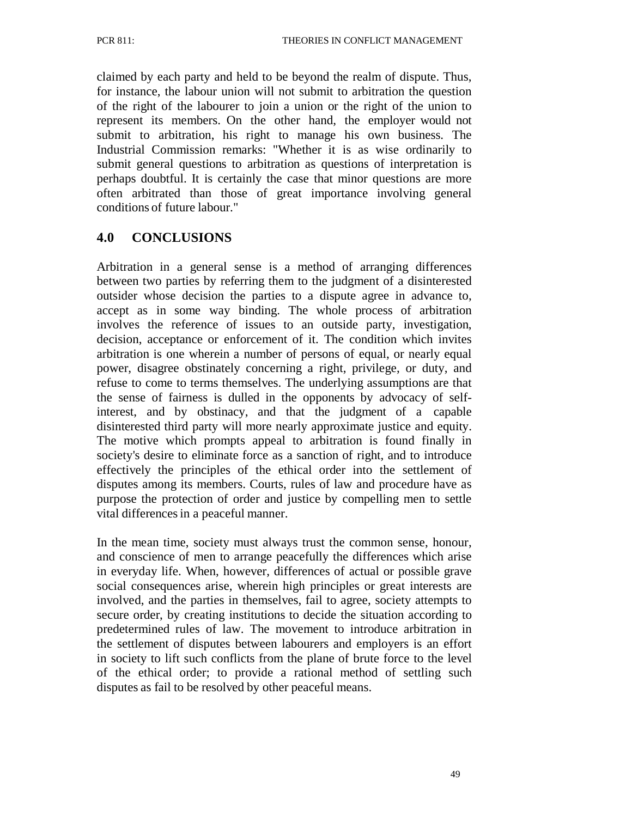claimed by each party and held to be beyond the realm of dispute. Thus, for instance, the labour union will not submit to arbitration the question of the right of the labourer to join a union or the right of the union to represent its members. On the other hand, the employer would not submit to arbitration, his right to manage his own business. The Industrial Commission remarks: "Whether it is as wise ordinarily to submit general questions to arbitration as questions of interpretation is perhaps doubtful. It is certainly the case that minor questions are more often arbitrated than those of great importance involving general conditions of future labour."

### **4.0 CONCLUSIONS**

Arbitration in a general sense is a method of arranging differences between two parties by referring them to the judgment of a disinterested outsider whose decision the parties to a dispute agree in advance to, accept as in some way binding. The whole process of arbitration involves the reference of issues to an outside party, investigation, decision, acceptance or enforcement of it. The condition which invites arbitration is one wherein a number of persons of equal, or nearly equal power, disagree obstinately concerning a right, privilege, or duty, and refuse to come to terms themselves. The underlying assumptions are that the sense of fairness is dulled in the opponents by advocacy of selfinterest, and by obstinacy, and that the judgment of a capable disinterested third party will more nearly approximate justice and equity. The motive which prompts appeal to arbitration is found finally in society's desire to eliminate force as a sanction of right, and to introduce effectively the principles of the ethical order into the settlement of disputes among its members. Courts, rules of law and procedure have as purpose the protection of order and justice by compelling men to settle vital differences in a peaceful manner.

In the mean time, society must always trust the common sense, honour, and conscience of men to arrange peacefully the differences which arise in everyday life. When, however, differences of actual or possible grave social consequences arise, wherein high principles or great interests are involved, and the parties in themselves, fail to agree, society attempts to secure order, by creating institutions to decide the situation according to predetermined rules of law. The movement to introduce arbitration in the settlement of disputes between labourers and employers is an effort in society to lift such conflicts from the plane of brute force to the level of the ethical order; to provide a rational method of settling such disputes as fail to be resolved by other peaceful means.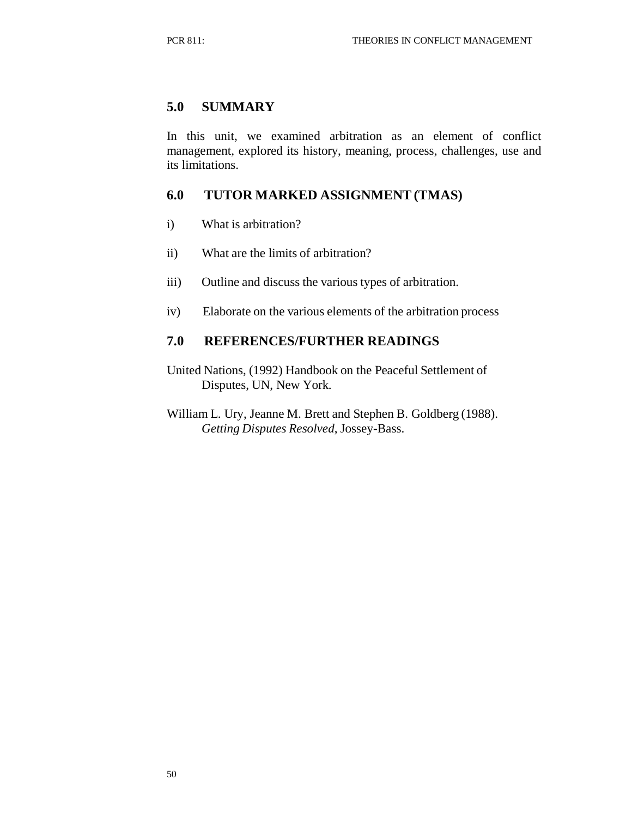### **5.0 SUMMARY**

In this unit, we examined arbitration as an element of conflict management, explored its history, meaning, process, challenges, use and its limitations.

### **6.0 TUTOR MARKED ASSIGNMENT (TMAS)**

- i) What is arbitration?
- ii) What are the limits of arbitration?
- iii) Outline and discuss the various types of arbitration.
- iv) Elaborate on the various elements of the arbitration process

### **7.0 REFERENCES/FURTHER READINGS**

- United Nations, (1992) Handbook on the Peaceful Settlement of Disputes, UN, New York.
- William L. Ury, Jeanne M. Brett and Stephen B. Goldberg (1988). *Getting Disputes Resolved*, Jossey-Bass.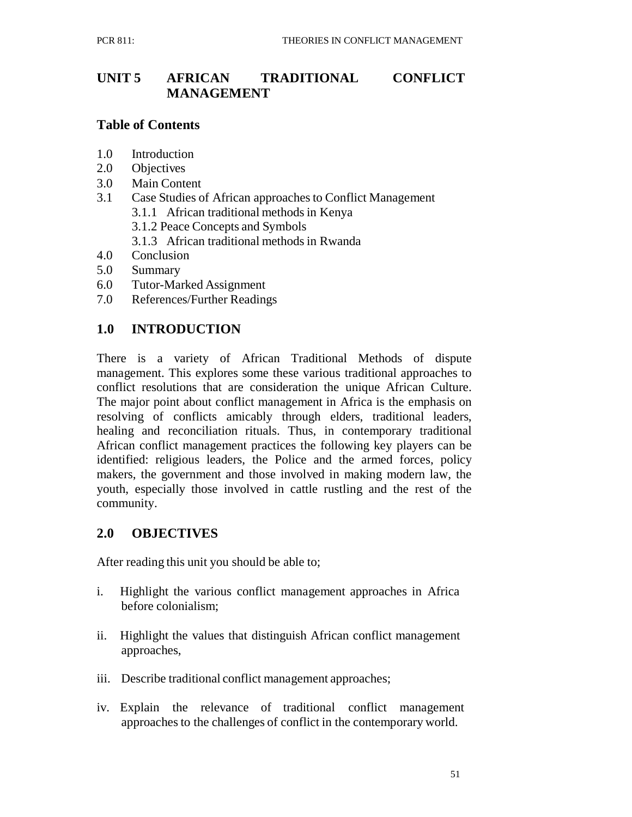# **UNIT 5 AFRICAN TRADITIONAL CONFLICT MANAGEMENT**

### **Table of Contents**

- 1.0 Introduction
- 2.0 Objectives
- 3.0 Main Content
- 3.1 Case Studies of African approaches to Conflict Management
	- 3.1.1 African traditional methods in Kenya
	- 3.1.2 Peace Concepts and Symbols
	- 3.1.3 African traditional methods in Rwanda
- 4.0 Conclusion
- 5.0 Summary
- 6.0 Tutor-Marked Assignment
- 7.0 References/Further Readings

## **1.0 INTRODUCTION**

There is a variety of African Traditional Methods of dispute management. This explores some these various traditional approaches to conflict resolutions that are consideration the unique African Culture. The major point about conflict management in Africa is the emphasis on resolving of conflicts amicably through elders, traditional leaders, healing and reconciliation rituals. Thus, in contemporary traditional African conflict management practices the following key players can be identified: religious leaders, the Police and the armed forces, policy makers, the government and those involved in making modern law, the youth, especially those involved in cattle rustling and the rest of the community.

## **2.0 OBJECTIVES**

After reading this unit you should be able to;

- i. Highlight the various conflict management approaches in Africa before colonialism;
- ii. Highlight the values that distinguish African conflict management approaches,
- iii. Describe traditional conflict management approaches;
- iv. Explain the relevance of traditional conflict management approaches to the challenges of conflict in the contemporary world.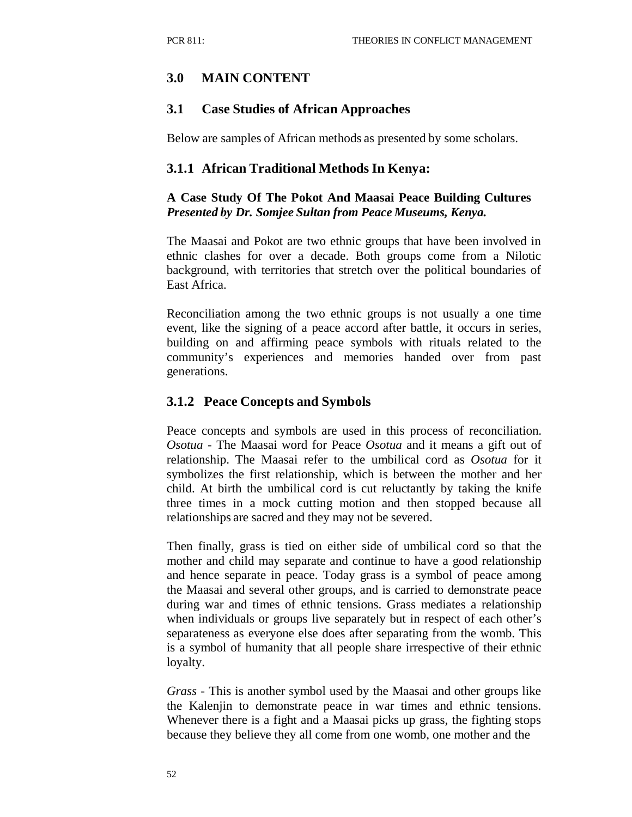# **3.0 MAIN CONTENT**

### **3.1 Case Studies of African Approaches**

Below are samples of African methods as presented by some scholars.

### **3.1.1 African Traditional Methods In Kenya:**

### **A Case Study Of The Pokot And Maasai Peace Building Cultures** *Presented by Dr. Somjee Sultan from Peace Museums, Kenya.*

The Maasai and Pokot are two ethnic groups that have been involved in ethnic clashes for over a decade. Both groups come from a Nilotic background, with territories that stretch over the political boundaries of East Africa.

Reconciliation among the two ethnic groups is not usually a one time event, like the signing of a peace accord after battle, it occurs in series, building on and affirming peace symbols with rituals related to the community's experiences and memories handed over from past generations.

## **3.1.2 Peace Concepts and Symbols**

Peace concepts and symbols are used in this process of reconciliation. *Osotua* - The Maasai word for Peace *Osotua* and it means a gift out of relationship. The Maasai refer to the umbilical cord as *Osotua* for it symbolizes the first relationship, which is between the mother and her child. At birth the umbilical cord is cut reluctantly by taking the knife three times in a mock cutting motion and then stopped because all relationships are sacred and they may not be severed.

Then finally, grass is tied on either side of umbilical cord so that the mother and child may separate and continue to have a good relationship and hence separate in peace. Today grass is a symbol of peace among the Maasai and several other groups, and is carried to demonstrate peace during war and times of ethnic tensions. Grass mediates a relationship when individuals or groups live separately but in respect of each other's separateness as everyone else does after separating from the womb. This is a symbol of humanity that all people share irrespective of their ethnic loyalty.

*Grass -* This is another symbol used by the Maasai and other groups like the Kalenjin to demonstrate peace in war times and ethnic tensions. Whenever there is a fight and a Maasai picks up grass, the fighting stops because they believe they all come from one womb, one mother and the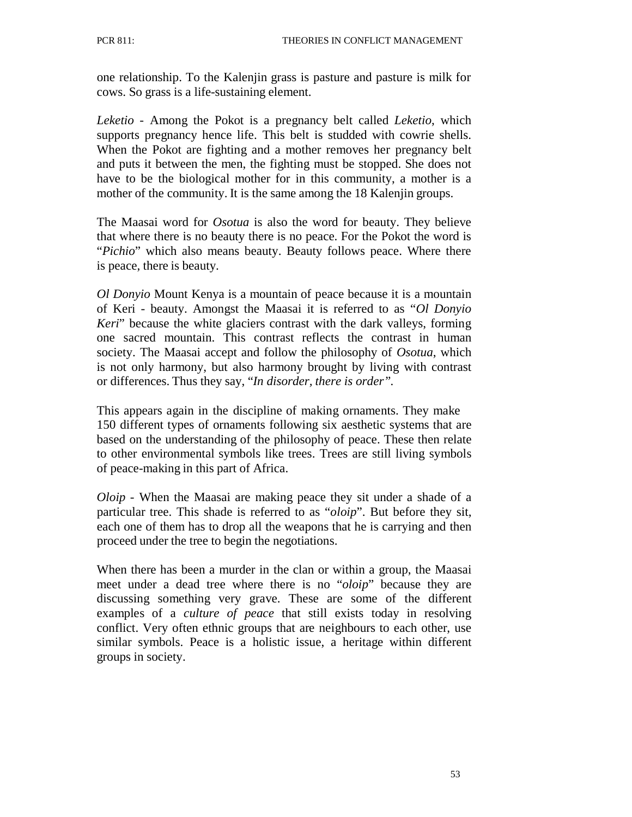one relationship. To the Kalenjin grass is pasture and pasture is milk for cows. So grass is a life-sustaining element.

*Leketio -* Among the Pokot is a pregnancy belt called *Leketio*, which supports pregnancy hence life. This belt is studded with cowrie shells. When the Pokot are fighting and a mother removes her pregnancy belt and puts it between the men, the fighting must be stopped. She does not have to be the biological mother for in this community, a mother is a mother of the community. It is the same among the 18 Kalenjin groups.

The Maasai word for *Osotua* is also the word for beauty. They believe that where there is no beauty there is no peace. For the Pokot the word is "*Pichio*" which also means beauty. Beauty follows peace. Where there is peace, there is beauty.

*Ol Donyio* Mount Kenya is a mountain of peace because it is a mountain of Keri - beauty. Amongst the Maasai it is referred to as "*Ol Donyio Keri*" because the white glaciers contrast with the dark valleys, forming one sacred mountain. This contrast reflects the contrast in human society. The Maasai accept and follow the philosophy of *Osotua*, which is not only harmony, but also harmony brought by living with contrast or differences. Thus they say, "*In disorder, there is order".*

This appears again in the discipline of making ornaments. They make 150 different types of ornaments following six aesthetic systems that are based on the understanding of the philosophy of peace. These then relate to other environmental symbols like trees. Trees are still living symbols of peace-making in this part of Africa.

*Oloip -* When the Maasai are making peace they sit under a shade of a particular tree. This shade is referred to as "*oloip*". But before they sit, each one of them has to drop all the weapons that he is carrying and then proceed under the tree to begin the negotiations.

When there has been a murder in the clan or within a group, the Maasai meet under a dead tree where there is no "*oloip*" because they are discussing something very grave. These are some of the different examples of a *culture of peace* that still exists today in resolving conflict. Very often ethnic groups that are neighbours to each other, use similar symbols. Peace is a holistic issue, a heritage within different groups in society.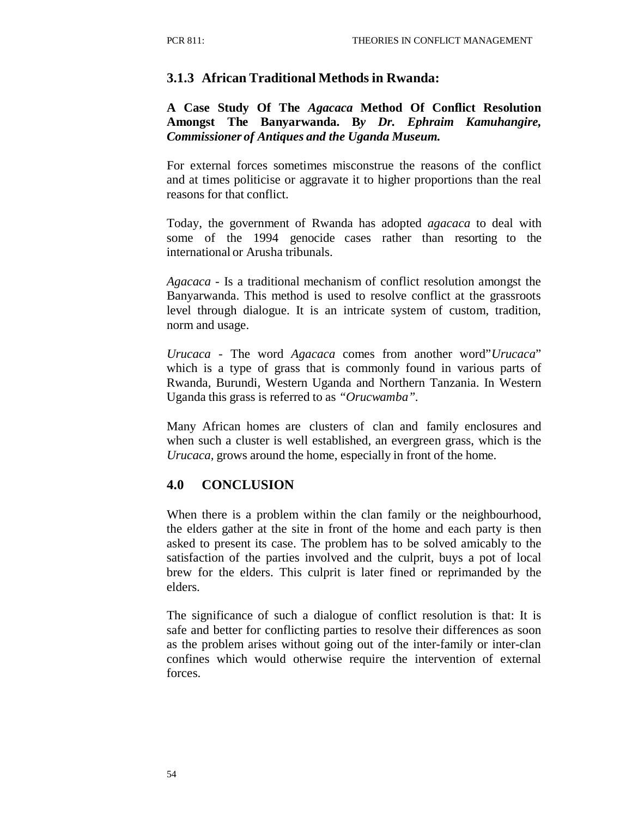#### **3.1.3 African Traditional Methods in Rwanda:**

#### **A Case Study Of The** *Agacaca* **Method Of Conflict Resolution Amongst The Banyarwanda. B***y Dr. Ephraim Kamuhangire, Commissioner of Antiques and the Uganda Museum.*

For external forces sometimes misconstrue the reasons of the conflict and at times politicise or aggravate it to higher proportions than the real reasons for that conflict.

Today, the government of Rwanda has adopted *agacaca* to deal with some of the 1994 genocide cases rather than resorting to the international or Arusha tribunals.

*Agacaca -* Is a traditional mechanism of conflict resolution amongst the Banyarwanda. This method is used to resolve conflict at the grassroots level through dialogue. It is an intricate system of custom, tradition, norm and usage.

*Urucaca* - The word *Agacaca* comes from another word"*Urucaca*" which is a type of grass that is commonly found in various parts of Rwanda, Burundi, Western Uganda and Northern Tanzania. In Western Uganda this grass is referred to as *"Orucwamba".*

Many African homes are clusters of clan and family enclosures and when such a cluster is well established, an evergreen grass, which is the *Urucaca,* grows around the home, especially in front of the home.

#### **4.0 CONCLUSION**

When there is a problem within the clan family or the neighbourhood, the elders gather at the site in front of the home and each party is then asked to present its case. The problem has to be solved amicably to the satisfaction of the parties involved and the culprit, buys a pot of local brew for the elders. This culprit is later fined or reprimanded by the elders.

The significance of such a dialogue of conflict resolution is that: It is safe and better for conflicting parties to resolve their differences as soon as the problem arises without going out of the inter-family or inter-clan confines which would otherwise require the intervention of external forces.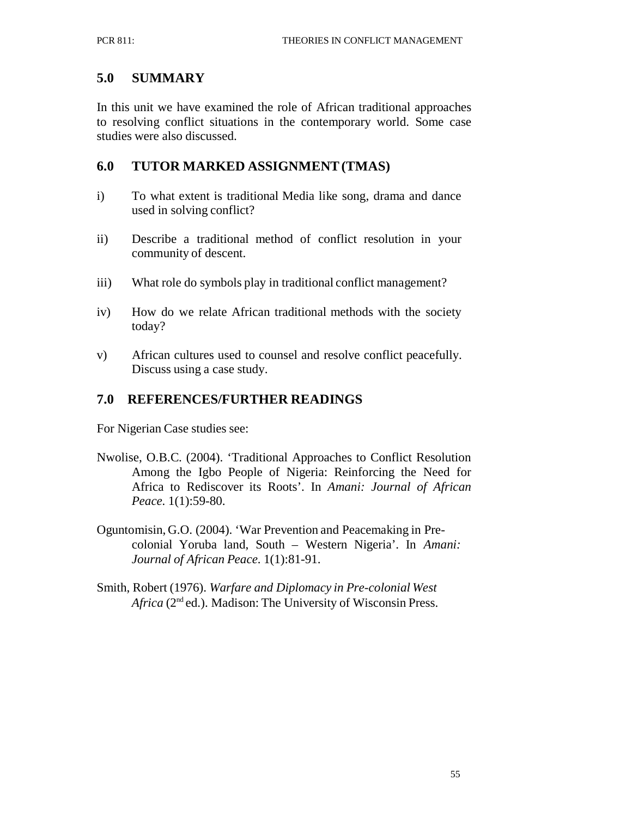## **5.0 SUMMARY**

In this unit we have examined the role of African traditional approaches to resolving conflict situations in the contemporary world. Some case studies were also discussed.

## **6.0 TUTOR MARKED ASSIGNMENT (TMAS)**

- i) To what extent is traditional Media like song, drama and dance used in solving conflict?
- ii) Describe a traditional method of conflict resolution in your community of descent.
- iii) What role do symbols play in traditional conflict management?
- iv) How do we relate African traditional methods with the society today?
- v) African cultures used to counsel and resolve conflict peacefully. Discuss using a case study.

## **7.0 REFERENCES/FURTHER READINGS**

For Nigerian Case studies see:

- Nwolise, O.B.C. (2004). 'Traditional Approaches to Conflict Resolution Among the Igbo People of Nigeria: Reinforcing the Need for Africa to Rediscover its Roots'. In *Amani: Journal of African Peace.* 1(1):59-80.
- Oguntomisin, G.O. (2004). 'War Prevention and Peacemaking in Precolonial Yoruba land, South – Western Nigeria'. In *Amani: Journal of African Peace.* 1(1):81-91.
- Smith, Robert (1976). *Warfare and Diplomacy in Pre-colonial West Africa* (2<sup>nd</sup> ed.). Madison: The University of Wisconsin Press.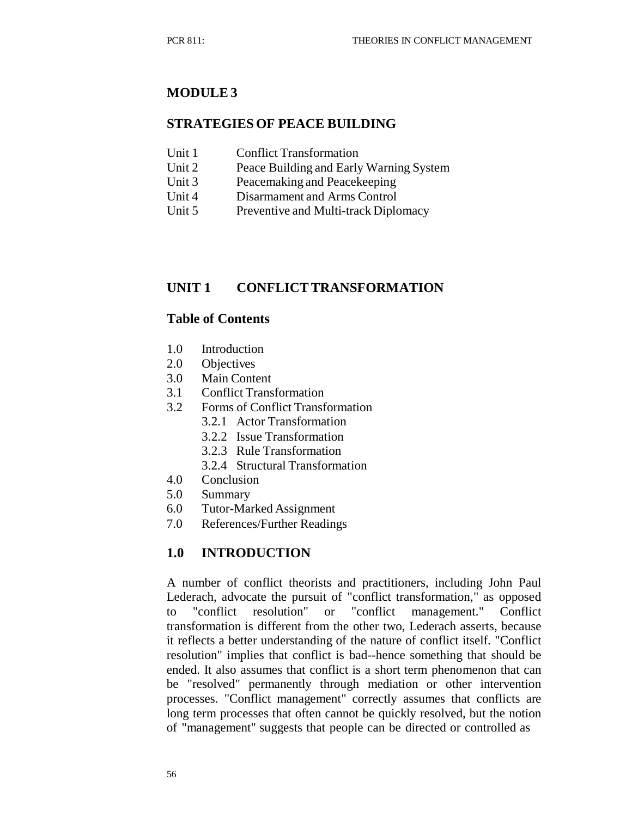#### **MODULE 3**

#### **STRATEGIES OF PEACE BUILDING**

| <b>Conflict Transformation</b><br>Unit 1 |
|------------------------------------------|
|------------------------------------------|

- Unit 2 Peace Building and Early Warning System
- Unit 3 Peacemaking and Peacekeeping
- Unit 4 Disarmament and Arms Control
- Unit 5 Preventive and Multi-track Diplomacy

#### **UNIT 1 CONFLICT TRANSFORMATION**

#### **Table of Contents**

- 1.0 Introduction
- 2.0 Objectives
- 3.0 Main Content
- 3.1 Conflict Transformation
- 3.2 Forms of Conflict Transformation
	- 3.2.1 Actor Transformation
	- 3.2.2 Issue Transformation
	- 3.2.3 Rule Transformation
	- 3.2.4 Structural Transformation
- 4.0 Conclusion
- 5.0 Summary
- 6.0 Tutor-Marked Assignment
- 7.0 References/Further Readings

#### **1.0 INTRODUCTION**

A number of conflict theorists and practitioners, including John Paul Lederach, advocate the pursuit of "conflict transformation," as opposed to "conflict resolution" or "conflict management." Conflict transformation is different from the other two, Lederach asserts, because it reflects a better understanding of the nature of conflict itself. "Conflict resolution" implies that conflict is bad--hence something that should be ended. It also assumes that conflict is a short term phenomenon that can be "resolved" permanently through mediation or other intervention processes. "Conflict management" correctly assumes that conflicts are long term processes that often cannot be quickly resolved, but the notion of "management" suggests that people can be directed or controlled as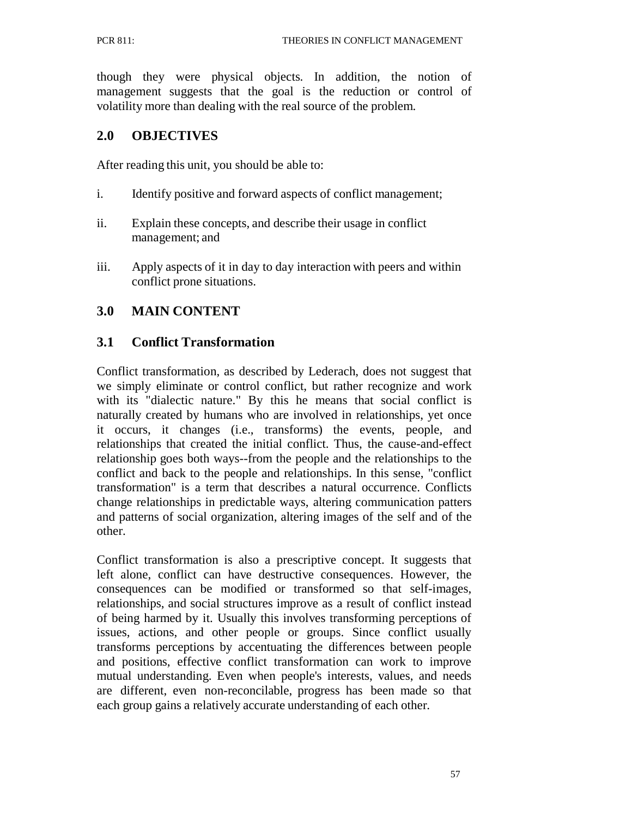though they were physical objects. In addition, the notion of management suggests that the goal is the reduction or control of volatility more than dealing with the real source of the problem.

## **2.0 OBJECTIVES**

After reading this unit, you should be able to:

- i. Identify positive and forward aspects of conflict management;
- ii. Explain these concepts, and describe their usage in conflict management; and
- iii. Apply aspects of it in day to day interaction with peers and within conflict prone situations.

## **3.0 MAIN CONTENT**

#### **3.1 Conflict Transformation**

Conflict transformation, as described by Lederach, does not suggest that we simply eliminate or control conflict, but rather recognize and work with its "dialectic nature." By this he means that social conflict is naturally created by humans who are involved in relationships, yet once it occurs, it changes (i.e., transforms) the events, people, and relationships that created the initial conflict. Thus, the cause-and-effect relationship goes both ways--from the people and the relationships to the conflict and back to the people and relationships. In this sense, "conflict transformation" is a term that describes a natural occurrence. Conflicts change relationships in predictable ways, altering communication patters and patterns of social organization, altering images of the self and of the other.

Conflict transformation is also a prescriptive concept. It suggests that left alone, conflict can have destructive consequences. However, the consequences can be modified or transformed so that self-images, relationships, and social structures improve as a result of conflict instead of being harmed by it. Usually this involves transforming perceptions of issues, actions, and other people or groups. Since conflict usually transforms perceptions by accentuating the differences between people and positions, effective conflict transformation can work to improve mutual understanding. Even when people's interests, values, and needs are different, even non-reconcilable, progress has been made so that each group gains a relatively accurate understanding of each other.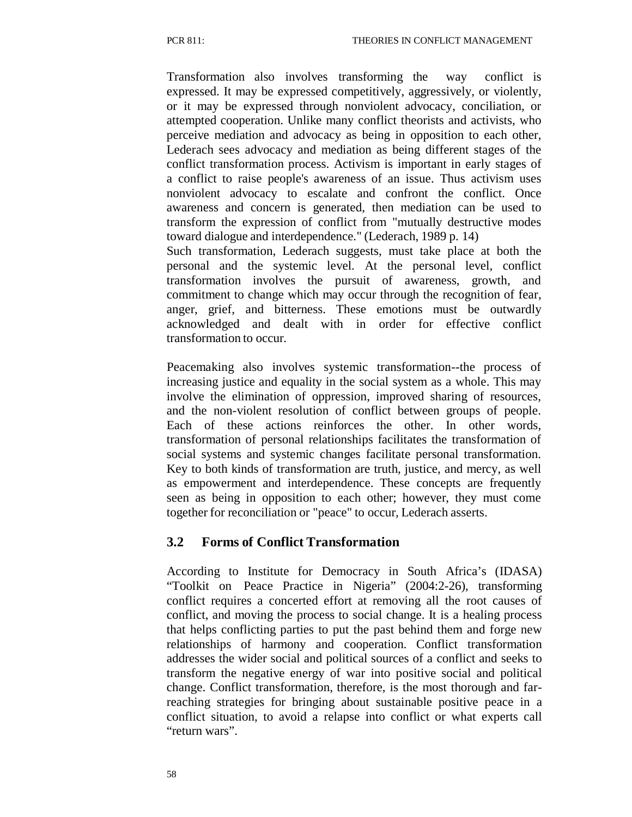Transformation also involves transforming the way conflict is expressed. It may be expressed competitively, aggressively, or violently, or it may be expressed through nonviolent advocacy, conciliation, or attempted cooperation. Unlike many conflict theorists and activists, who perceive mediation and advocacy as being in opposition to each other, Lederach sees advocacy and mediation as being different stages of the conflict transformation process. Activism is important in early stages of a conflict to raise people's awareness of an issue. Thus activism uses nonviolent advocacy to escalate and confront the conflict. Once awareness and concern is generated, then mediation can be used to transform the expression of conflict from "mutually destructive modes toward dialogue and interdependence." (Lederach, 1989 p. 14)

Such transformation, Lederach suggests, must take place at both the personal and the systemic level. At the personal level, conflict transformation involves the pursuit of awareness, growth, and commitment to change which may occur through the recognition of fear, anger, grief, and bitterness. These emotions must be outwardly acknowledged and dealt with in order for effective conflict transformation to occur.

Peacemaking also involves systemic transformation--the process of increasing justice and equality in the social system as a whole. This may involve the elimination of oppression, improved sharing of resources, and the non-violent resolution of conflict between groups of people. Each of these actions reinforces the other. In other words, transformation of personal relationships facilitates the transformation of social systems and systemic changes facilitate personal transformation. Key to both kinds of transformation are truth, justice, and mercy, as well as empowerment and interdependence. These concepts are frequently seen as being in opposition to each other; however, they must come together for reconciliation or "peace" to occur, Lederach asserts.

## **3.2 Forms of Conflict Transformation**

According to Institute for Democracy in South Africa's (IDASA) "Toolkit on Peace Practice in Nigeria" (2004:2-26), transforming conflict requires a concerted effort at removing all the root causes of conflict, and moving the process to social change. It is a healing process that helps conflicting parties to put the past behind them and forge new relationships of harmony and cooperation. Conflict transformation addresses the wider social and political sources of a conflict and seeks to transform the negative energy of war into positive social and political change. Conflict transformation, therefore, is the most thorough and farreaching strategies for bringing about sustainable positive peace in a conflict situation, to avoid a relapse into conflict or what experts call "return wars".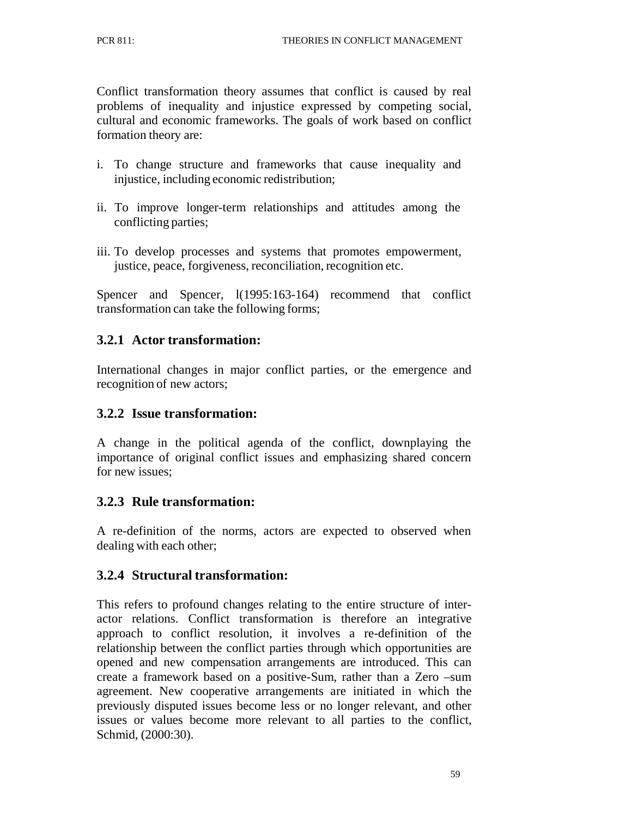Conflict transformation theory assumes that conflict is caused by real problems of inequality and injustice expressed by competing social, cultural and economic frameworks. The goals of work based on conflict formation theory are:

- i. To change structure and frameworks that cause inequality and injustice, including economic redistribution;
- ii. To improve longer-term relationships and attitudes among the conflicting parties;
- iii. To develop processes and systems that promotes empowerment, justice, peace, forgiveness, reconciliation, recognition etc.

Spencer and Spencer, l(1995:163-164) recommend that conflict transformation can take the following forms;

## **3.2.1 Actor transformation:**

International changes in major conflict parties, or the emergence and recognition of new actors;

## **3.2.2 Issue transformation:**

A change in the political agenda of the conflict, downplaying the importance of original conflict issues and emphasizing shared concern for new issues;

## **3.2.3 Rule transformation:**

A re-definition of the norms, actors are expected to observed when dealing with each other;

# **3.2.4 Structural transformation:**

This refers to profound changes relating to the entire structure of interactor relations. Conflict transformation is therefore an integrative approach to conflict resolution, it involves a re-definition of the relationship between the conflict parties through which opportunities are opened and new compensation arrangements are introduced. This can create a framework based on a positive-Sum, rather than a Zero –sum agreement. New cooperative arrangements are initiated in which the previously disputed issues become less or no longer relevant, and other issues or values become more relevant to all parties to the conflict, Schmid, (2000:30).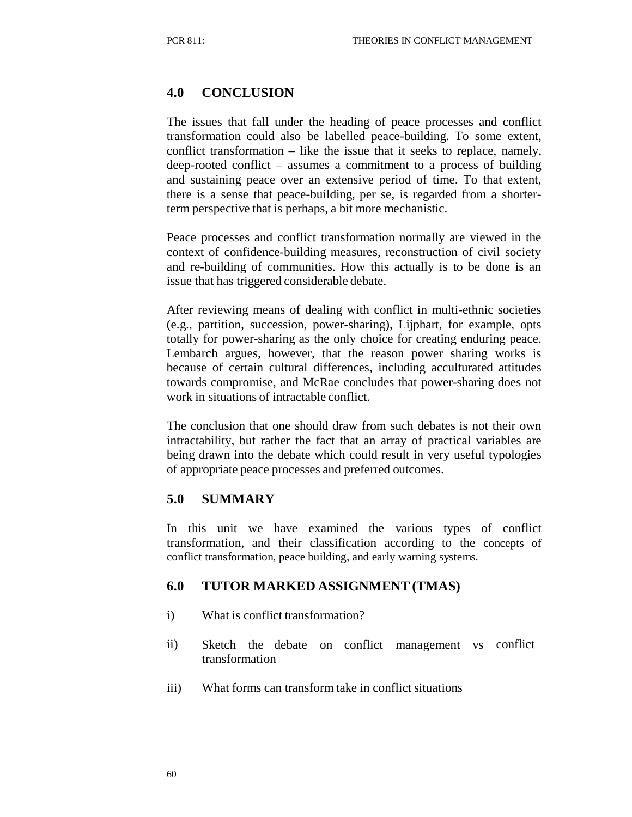#### **4.0 CONCLUSION**

The issues that fall under the heading of peace processes and conflict transformation could also be labelled peace-building. To some extent, conflict transformation – like the issue that it seeks to replace, namely, deep-rooted conflict – assumes a commitment to a process of building and sustaining peace over an extensive period of time. To that extent, there is a sense that peace-building, per se, is regarded from a shorterterm perspective that is perhaps, a bit more mechanistic.

Peace processes and conflict transformation normally are viewed in the context of confidence-building measures, reconstruction of civil society and re-building of communities. How this actually is to be done is an issue that has triggered considerable debate.

After reviewing means of dealing with conflict in multi-ethnic societies (e.g., partition, succession, power-sharing), Lijphart, for example, opts totally for power-sharing as the only choice for creating enduring peace. Lembarch argues, however, that the reason power sharing works is because of certain cultural differences, including acculturated attitudes towards compromise, and McRae concludes that power-sharing does not work in situations of intractable conflict.

The conclusion that one should draw from such debates is not their own intractability, but rather the fact that an array of practical variables are being drawn into the debate which could result in very useful typologies of appropriate peace processes and preferred outcomes.

#### **5.0 SUMMARY**

In this unit we have examined the various types of conflict transformation, and their classification according to the concepts of conflict transformation, peace building, and early warning systems.

#### **6.0 TUTOR MARKED ASSIGNMENT (TMAS)**

- i) What is conflict transformation?
- ii) Sketch the debate on conflict management vs conflict transformation
- iii) What forms can transform take in conflict situations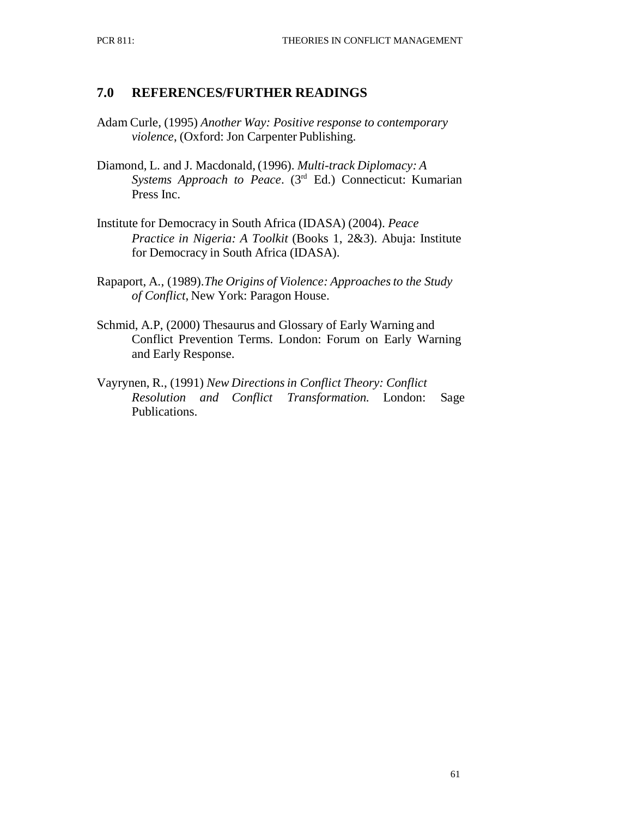#### **7.0 REFERENCES/FURTHER READINGS**

- Adam Curle, (1995) *Another Way: Positive response to contemporary violence*, (Oxford: Jon Carpenter Publishing.
- Diamond, L. and J. Macdonald, (1996). *Multi-track Diplomacy: A Systems Approach to Peace.* (3<sup>rd</sup> Ed.) Connecticut: Kumarian Press Inc.
- Institute for Democracy in South Africa (IDASA) (2004). *Peace Practice in Nigeria: A Toolkit* (Books 1, 2&3). Abuja: Institute for Democracy in South Africa (IDASA).
- Rapaport, A., (1989).*The Origins of Violence: Approaches to the Study of Conflict*, New York: Paragon House.
- Schmid, A.P, (2000) Thesaurus and Glossary of Early Warning and Conflict Prevention Terms. London: Forum on Early Warning and Early Response.
- Vayrynen, R., (1991) *New Directions in Conflict Theory: Conflict Resolution and Conflict Transformation.* London: Sage Publications.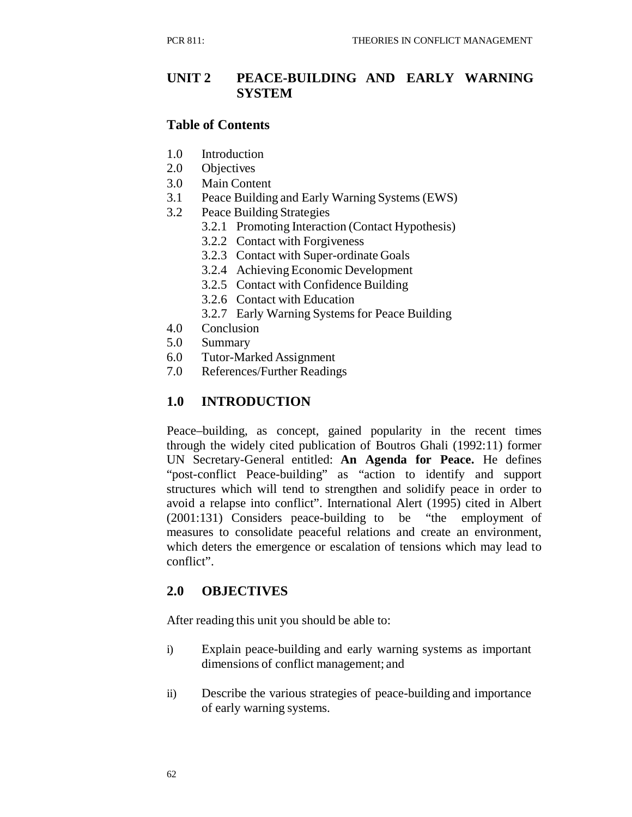## **UNIT 2 PEACE-BUILDING AND EARLY WARNING SYSTEM**

#### **Table of Contents**

- 1.0 Introduction
- 2.0 Objectives
- 3.0 Main Content
- 3.1 Peace Building and Early Warning Systems (EWS)
- 3.2 Peace Building Strategies
	- 3.2.1 Promoting Interaction (Contact Hypothesis)
	- 3.2.2 Contact with Forgiveness
	- 3.2.3 Contact with Super-ordinate Goals
	- 3.2.4 Achieving Economic Development
	- 3.2.5 Contact with Confidence Building
	- 3.2.6 Contact with Education
	- 3.2.7 Early Warning Systems for Peace Building
- 4.0 Conclusion
- 5.0 Summary
- 6.0 Tutor-Marked Assignment
- 7.0 References/Further Readings

## **1.0 INTRODUCTION**

Peace–building, as concept, gained popularity in the recent times through the widely cited publication of Boutros Ghali (1992:11) former UN Secretary-General entitled: **An Agenda for Peace.** He defines "post-conflict Peace-building" as "action to identify and support structures which will tend to strengthen and solidify peace in order to avoid a relapse into conflict". International Alert (1995) cited in Albert (2001:131) Considers peace-building to be "the employment of measures to consolidate peaceful relations and create an environment, which deters the emergence or escalation of tensions which may lead to conflict".

## **2.0 OBJECTIVES**

After reading this unit you should be able to:

- i) Explain peace-building and early warning systems as important dimensions of conflict management; and
- ii) Describe the various strategies of peace-building and importance of early warning systems.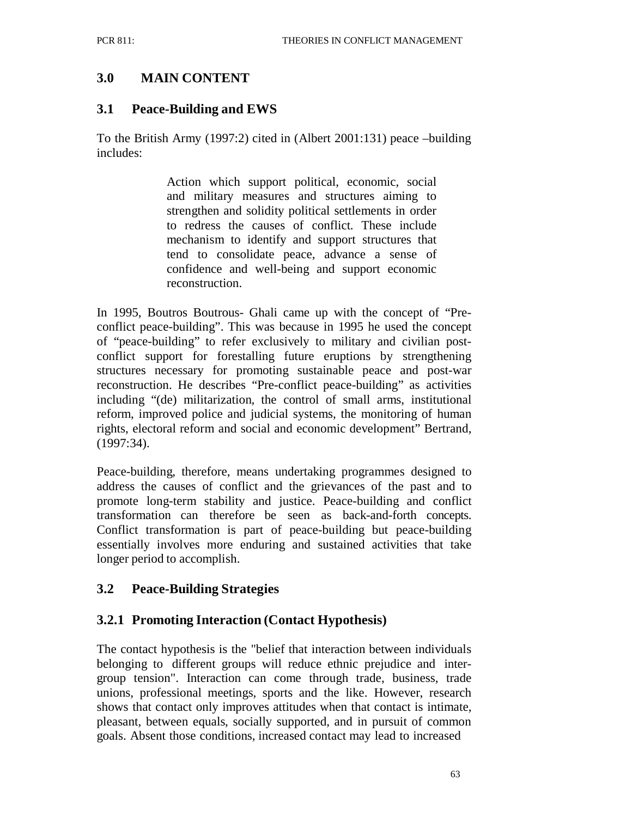# **3.0 MAIN CONTENT**

## **3.1 Peace-Building and EWS**

To the British Army (1997:2) cited in (Albert 2001:131) peace –building includes:

> Action which support political, economic, social and military measures and structures aiming to strengthen and solidity political settlements in order to redress the causes of conflict. These include mechanism to identify and support structures that tend to consolidate peace, advance a sense of confidence and well-being and support economic reconstruction.

In 1995, Boutros Boutrous- Ghali came up with the concept of "Preconflict peace-building". This was because in 1995 he used the concept of "peace-building" to refer exclusively to military and civilian postconflict support for forestalling future eruptions by strengthening structures necessary for promoting sustainable peace and post-war reconstruction. He describes "Pre-conflict peace-building" as activities including "(de) militarization, the control of small arms, institutional reform, improved police and judicial systems, the monitoring of human rights, electoral reform and social and economic development" Bertrand, (1997:34).

Peace-building, therefore, means undertaking programmes designed to address the causes of conflict and the grievances of the past and to promote long-term stability and justice. Peace-building and conflict transformation can therefore be seen as back-and-forth concepts. Conflict transformation is part of peace-building but peace-building essentially involves more enduring and sustained activities that take longer period to accomplish.

# **3.2 Peace-Building Strategies**

# **3.2.1 Promoting Interaction (Contact Hypothesis)**

The contact hypothesis is the "belief that interaction between individuals belonging to different groups will reduce ethnic prejudice and intergroup tension". Interaction can come through trade, business, trade unions, professional meetings, sports and the like. However, research shows that contact only improves attitudes when that contact is intimate, pleasant, between equals, socially supported, and in pursuit of common goals. Absent those conditions, increased contact may lead to increased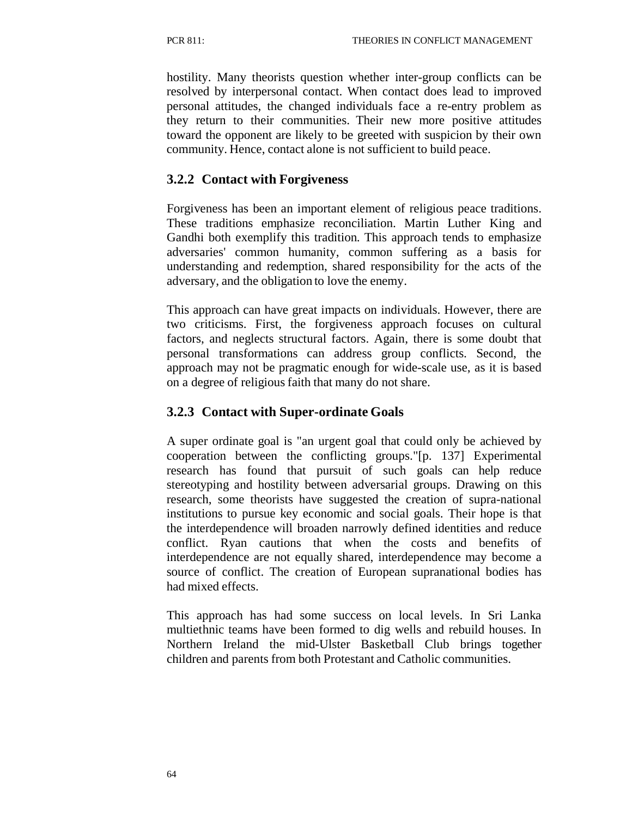hostility. Many theorists question whether inter-group conflicts can be resolved by interpersonal contact. When contact does lead to improved personal attitudes, the changed individuals face a re-entry problem as they return to their communities. Their new more positive attitudes toward the opponent are likely to be greeted with suspicion by their own community. Hence, contact alone is not sufficient to build peace.

## **3.2.2 Contact with Forgiveness**

Forgiveness has been an important element of religious peace traditions. These traditions emphasize reconciliation. Martin Luther King and Gandhi both exemplify this tradition. This approach tends to emphasize adversaries' common humanity, common suffering as a basis for understanding and redemption, shared responsibility for the acts of the adversary, and the obligation to love the enemy.

This approach can have great impacts on individuals. However, there are two criticisms. First, the forgiveness approach focuses on cultural factors, and neglects structural factors. Again, there is some doubt that personal transformations can address group conflicts. Second, the approach may not be pragmatic enough for wide-scale use, as it is based on a degree of religious faith that many do not share.

## **3.2.3 Contact with Super-ordinate Goals**

A super ordinate goal is "an urgent goal that could only be achieved by cooperation between the conflicting groups."[p. 137] Experimental research has found that pursuit of such goals can help reduce stereotyping and hostility between adversarial groups. Drawing on this research, some theorists have suggested the creation of supra-national institutions to pursue key economic and social goals. Their hope is that the interdependence will broaden narrowly defined identities and reduce conflict. Ryan cautions that when the costs and benefits of interdependence are not equally shared, interdependence may become a source of conflict. The creation of European supranational bodies has had mixed effects.

This approach has had some success on local levels. In Sri Lanka multiethnic teams have been formed to dig wells and rebuild houses. In Northern Ireland the mid-Ulster Basketball Club brings together children and parents from both Protestant and Catholic communities.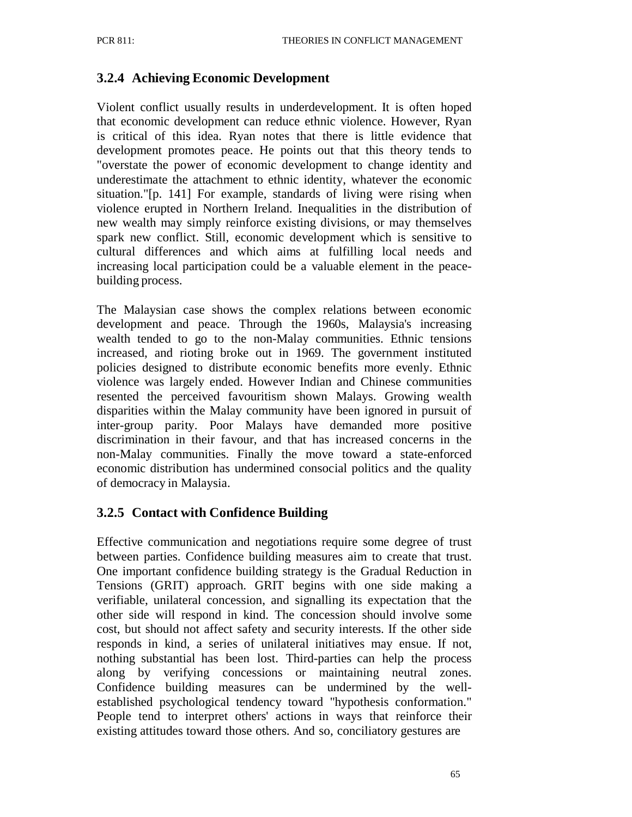#### **3.2.4 Achieving Economic Development**

Violent conflict usually results in underdevelopment. It is often hoped that economic development can reduce ethnic violence. However, Ryan is critical of this idea. Ryan notes that there is little evidence that development promotes peace. He points out that this theory tends to "overstate the power of economic development to change identity and underestimate the attachment to ethnic identity, whatever the economic situation."[p. 141] For example, standards of living were rising when violence erupted in Northern Ireland. Inequalities in the distribution of new wealth may simply reinforce existing divisions, or may themselves spark new conflict. Still, economic development which is sensitive to cultural differences and which aims at fulfilling local needs and increasing local participation could be a valuable element in the peacebuilding process.

The Malaysian case shows the complex relations between economic development and peace. Through the 1960s, Malaysia's increasing wealth tended to go to the non-Malay communities. Ethnic tensions increased, and rioting broke out in 1969. The government instituted policies designed to distribute economic benefits more evenly. Ethnic violence was largely ended. However Indian and Chinese communities resented the perceived favouritism shown Malays. Growing wealth disparities within the Malay community have been ignored in pursuit of inter-group parity. Poor Malays have demanded more positive discrimination in their favour, and that has increased concerns in the non-Malay communities. Finally the move toward a state-enforced economic distribution has undermined consocial politics and the quality of democracy in Malaysia.

#### **3.2.5 Contact with Confidence Building**

Effective communication and negotiations require some degree of trust between parties. Confidence building measures aim to create that trust. One important confidence building strategy is the Gradual Reduction in Tensions (GRIT) approach. GRIT begins with one side making a verifiable, unilateral concession, and signalling its expectation that the other side will respond in kind. The concession should involve some cost, but should not affect safety and security interests. If the other side responds in kind, a series of unilateral initiatives may ensue. If not, nothing substantial has been lost. Third-parties can help the process along by verifying concessions or maintaining neutral zones. Confidence building measures can be undermined by the wellestablished psychological tendency toward "hypothesis conformation." People tend to interpret others' actions in ways that reinforce their existing attitudes toward those others. And so, conciliatory gestures are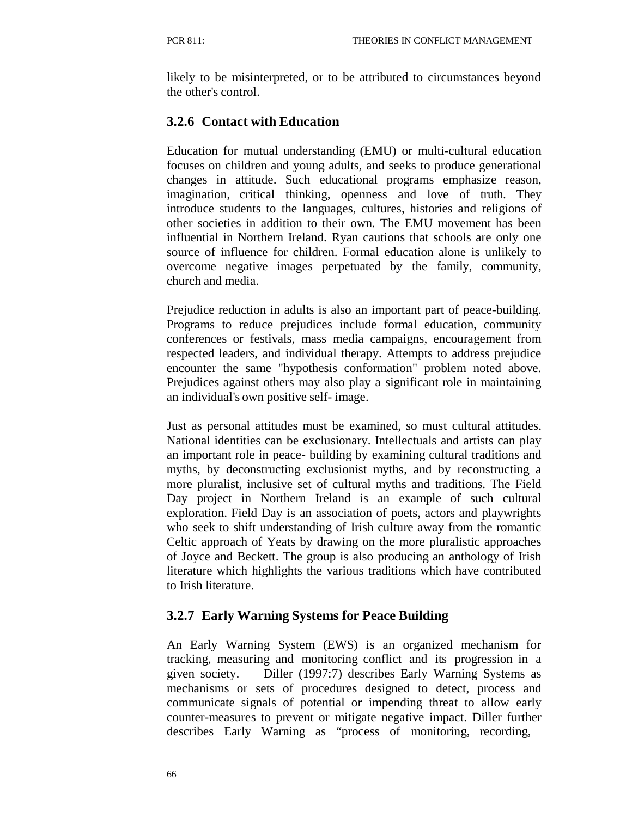likely to be misinterpreted, or to be attributed to circumstances beyond the other's control.

#### **3.2.6 Contact with Education**

Education for mutual understanding (EMU) or multi-cultural education focuses on children and young adults, and seeks to produce generational changes in attitude. Such educational programs emphasize reason, imagination, critical thinking, openness and love of truth. They introduce students to the languages, cultures, histories and religions of other societies in addition to their own. The EMU movement has been influential in Northern Ireland. Ryan cautions that schools are only one source of influence for children. Formal education alone is unlikely to overcome negative images perpetuated by the family, community, church and media.

Prejudice reduction in adults is also an important part of peace-building. Programs to reduce prejudices include formal education, community conferences or festivals, mass media campaigns, encouragement from respected leaders, and individual therapy. Attempts to address prejudice encounter the same "hypothesis conformation" problem noted above. Prejudices against others may also play a significant role in maintaining an individual's own positive self- image.

Just as personal attitudes must be examined, so must cultural attitudes. National identities can be exclusionary. Intellectuals and artists can play an important role in peace- building by examining cultural traditions and myths, by deconstructing exclusionist myths, and by reconstructing a more pluralist, inclusive set of cultural myths and traditions. The Field Day project in Northern Ireland is an example of such cultural exploration. Field Day is an association of poets, actors and playwrights who seek to shift understanding of Irish culture away from the romantic Celtic approach of Yeats by drawing on the more pluralistic approaches of Joyce and Beckett. The group is also producing an anthology of Irish literature which highlights the various traditions which have contributed to Irish literature.

#### **3.2.7 Early Warning Systems for Peace Building**

An Early Warning System (EWS) is an organized mechanism for tracking, measuring and monitoring conflict and its progression in a given society. Diller (1997:7) describes Early Warning Systems as mechanisms or sets of procedures designed to detect, process and communicate signals of potential or impending threat to allow early counter-measures to prevent or mitigate negative impact. Diller further describes Early Warning as "process of monitoring, recording,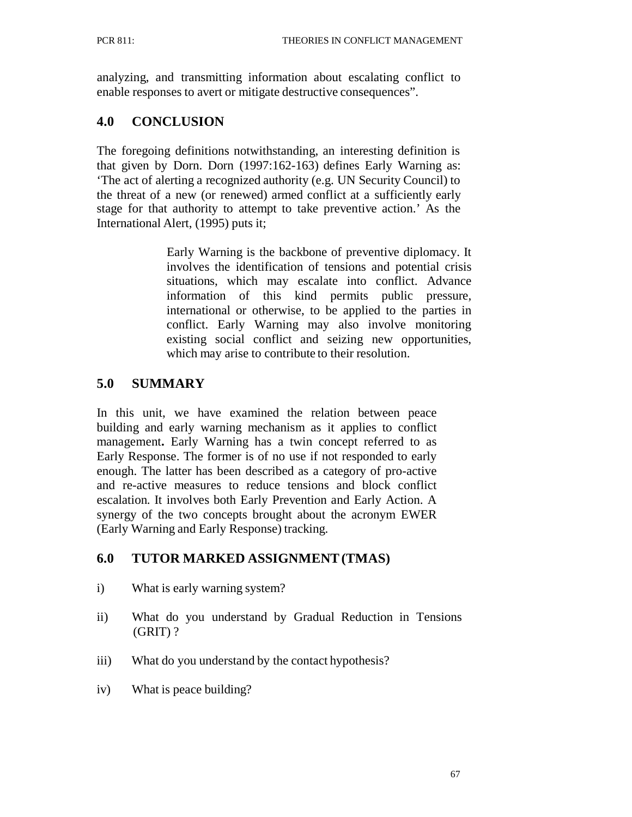analyzing, and transmitting information about escalating conflict to enable responses to avert or mitigate destructive consequences".

## **4.0 CONCLUSION**

The foregoing definitions notwithstanding, an interesting definition is that given by Dorn. Dorn (1997:162-163) defines Early Warning as: 'The act of alerting a recognized authority (e.g. UN Security Council) to the threat of a new (or renewed) armed conflict at a sufficiently early stage for that authority to attempt to take preventive action.' As the International Alert, (1995) puts it;

> Early Warning is the backbone of preventive diplomacy. It involves the identification of tensions and potential crisis situations, which may escalate into conflict. Advance information of this kind permits public pressure, international or otherwise, to be applied to the parties in conflict. Early Warning may also involve monitoring existing social conflict and seizing new opportunities, which may arise to contribute to their resolution.

## **5.0 SUMMARY**

In this unit, we have examined the relation between peace building and early warning mechanism as it applies to conflict management**.** Early Warning has a twin concept referred to as Early Response. The former is of no use if not responded to early enough. The latter has been described as a category of pro-active and re-active measures to reduce tensions and block conflict escalation. It involves both Early Prevention and Early Action. A synergy of the two concepts brought about the acronym EWER (Early Warning and Early Response) tracking.

## **6.0 TUTOR MARKED ASSIGNMENT (TMAS)**

- i) What is early warning system?
- ii) What do you understand by Gradual Reduction in Tensions (GRIT) ?
- iii) What do you understand by the contact hypothesis?
- iv) What is peace building?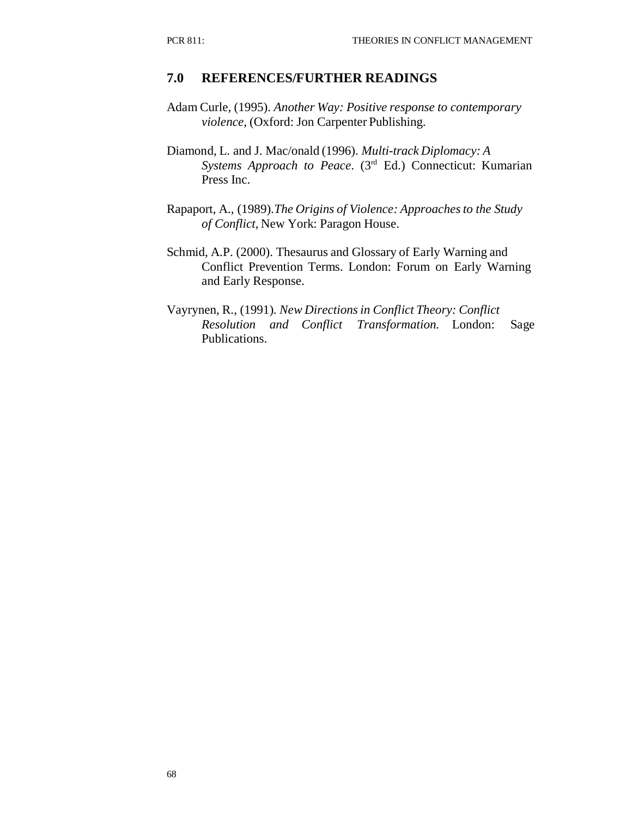#### **7.0 REFERENCES/FURTHER READINGS**

- Adam Curle, (1995). *Another Way: Positive response to contemporary violence*, (Oxford: Jon Carpenter Publishing.
- Diamond, L. and J. Mac/onald (1996). *Multi-track Diplomacy: A Systems Approach to Peace*. (3rd Ed.) Connecticut: Kumarian Press Inc.
- Rapaport, A., (1989).*The Origins of Violence: Approaches to the Study of Conflict*, New York: Paragon House.
- Schmid, A.P. (2000). Thesaurus and Glossary of Early Warning and Conflict Prevention Terms. London: Forum on Early Warning and Early Response.
- Vayrynen, R., (1991). *New Directions in Conflict Theory: Conflict Resolution and Conflict Transformation.* London: Sage Publications.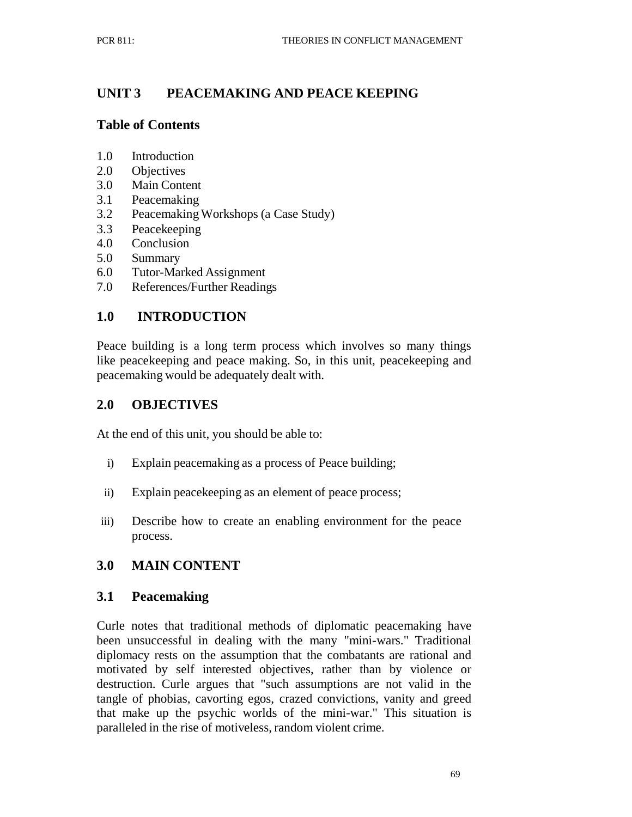# **UNIT 3 PEACEMAKING AND PEACE KEEPING**

#### **Table of Contents**

- 1.0 Introduction
- 2.0 Objectives
- 3.0 Main Content
- 3.1 Peacemaking
- 3.2 Peacemaking Workshops (a Case Study)
- 3.3 Peacekeeping
- 4.0 Conclusion
- 5.0 Summary
- 6.0 Tutor-Marked Assignment
- 7.0 References/Further Readings

## **1.0 INTRODUCTION**

Peace building is a long term process which involves so many things like peacekeeping and peace making. So, in this unit, peacekeeping and peacemaking would be adequately dealt with.

## **2.0 OBJECTIVES**

At the end of this unit, you should be able to:

- i) Explain peacemaking as a process of Peace building;
- ii) Explain peacekeeping as an element of peace process;
- iii) Describe how to create an enabling environment for the peace process.

## **3.0 MAIN CONTENT**

#### **3.1 Peacemaking**

Curle notes that traditional methods of diplomatic peacemaking have been unsuccessful in dealing with the many "mini-wars." Traditional diplomacy rests on the assumption that the combatants are rational and motivated by self interested objectives, rather than by violence or destruction. Curle argues that "such assumptions are not valid in the tangle of phobias, cavorting egos, crazed convictions, vanity and greed that make up the psychic worlds of the mini-war." This situation is paralleled in the rise of motiveless, random violent crime.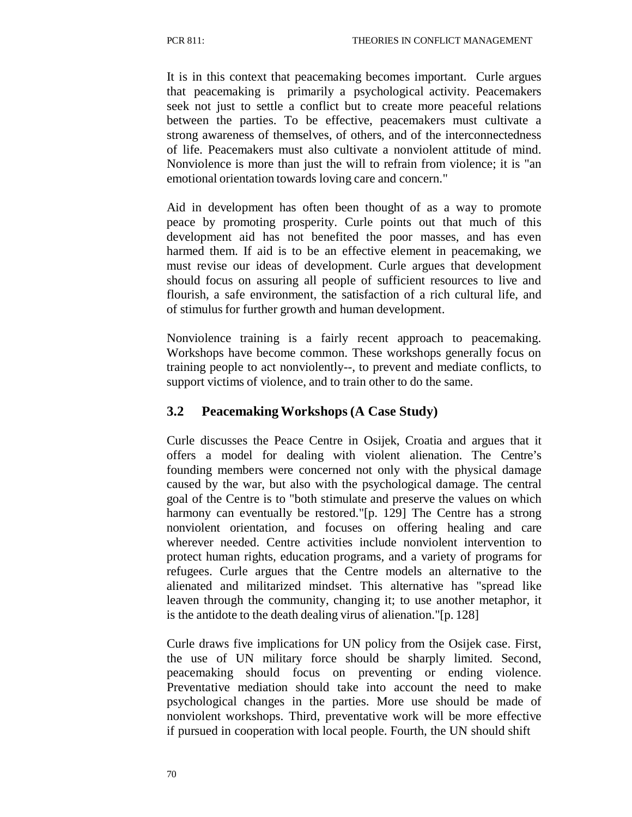It is in this context that peacemaking becomes important. Curle argues that peacemaking is primarily a psychological activity. Peacemakers seek not just to settle a conflict but to create more peaceful relations between the parties. To be effective, peacemakers must cultivate a strong awareness of themselves, of others, and of the interconnectedness of life. Peacemakers must also cultivate a nonviolent attitude of mind. Nonviolence is more than just the will to refrain from violence; it is "an emotional orientation towards loving care and concern."

Aid in development has often been thought of as a way to promote peace by promoting prosperity. Curle points out that much of this development aid has not benefited the poor masses, and has even harmed them. If aid is to be an effective element in peacemaking, we must revise our ideas of development. Curle argues that development should focus on assuring all people of sufficient resources to live and flourish, a safe environment, the satisfaction of a rich cultural life, and of stimulus for further growth and human development.

Nonviolence training is a fairly recent approach to peacemaking. Workshops have become common. These workshops generally focus on training people to act nonviolently--, to prevent and mediate conflicts, to support victims of violence, and to train other to do the same.

## **3.2 Peacemaking Workshops (A Case Study)**

Curle discusses the Peace Centre in Osijek, Croatia and argues that it offers a model for dealing with violent alienation. The Centre's founding members were concerned not only with the physical damage caused by the war, but also with the psychological damage. The central goal of the Centre is to "both stimulate and preserve the values on which harmony can eventually be restored."[p. 129] The Centre has a strong nonviolent orientation, and focuses on offering healing and care wherever needed. Centre activities include nonviolent intervention to protect human rights, education programs, and a variety of programs for refugees. Curle argues that the Centre models an alternative to the alienated and militarized mindset. This alternative has "spread like leaven through the community, changing it; to use another metaphor, it is the antidote to the death dealing virus of alienation."[p. 128]

Curle draws five implications for UN policy from the Osijek case. First, the use of UN military force should be sharply limited. Second, peacemaking should focus on preventing or ending violence. Preventative mediation should take into account the need to make psychological changes in the parties. More use should be made of nonviolent workshops. Third, preventative work will be more effective if pursued in cooperation with local people. Fourth, the UN should shift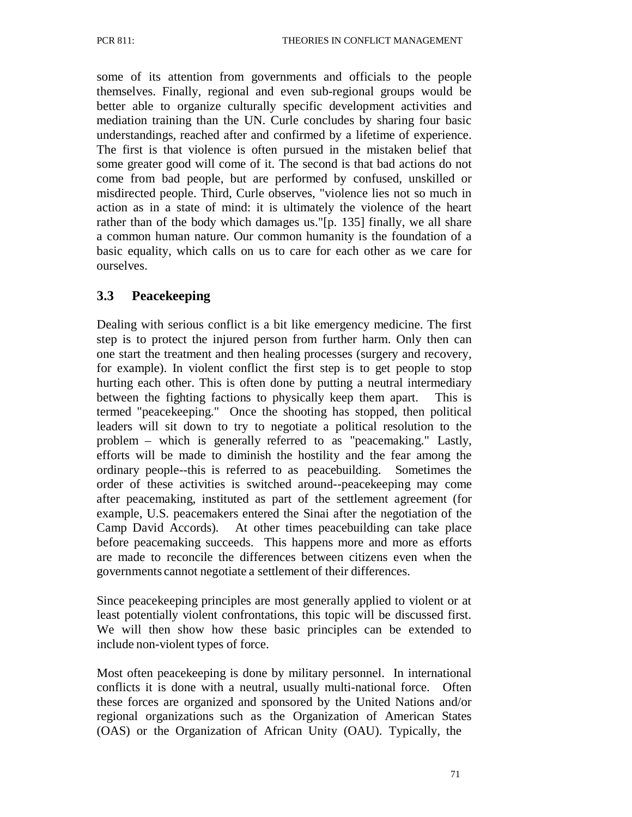some of its attention from governments and officials to the people themselves. Finally, regional and even sub-regional groups would be better able to organize culturally specific development activities and mediation training than the UN. Curle concludes by sharing four basic understandings, reached after and confirmed by a lifetime of experience. The first is that violence is often pursued in the mistaken belief that some greater good will come of it. The second is that bad actions do not come from bad people, but are performed by confused, unskilled or misdirected people. Third, Curle observes, "violence lies not so much in action as in a state of mind: it is ultimately the violence of the heart rather than of the body which damages us."[p. 135] finally, we all share a common human nature. Our common humanity is the foundation of a basic equality, which calls on us to care for each other as we care for ourselves.

## **3.3 Peacekeeping**

Dealing with serious conflict is a bit like emergency medicine. The first step is to protect the injured person from further harm. Only then can one start the treatment and then healing processes (surgery and recovery, for example). In violent conflict the first step is to get people to stop hurting each other. This is often done by putting a neutral intermediary between the fighting factions to physically keep them apart. This is termed "peacekeeping." Once the shooting has stopped, then political leaders will sit down to try to negotiate a political resolution to the problem – which is generally referred to as "peacemaking." Lastly, efforts will be made to diminish the hostility and the fear among the ordinary people--this is referred to as peacebuilding. Sometimes the order of these activities is switched around--peacekeeping may come after peacemaking, instituted as part of the settlement agreement (for example, U.S. peacemakers entered the Sinai after the negotiation of the Camp David Accords). At other times peacebuilding can take place before peacemaking succeeds. This happens more and more as efforts are made to reconcile the differences between citizens even when the governments cannot negotiate a settlement of their differences.

Since peacekeeping principles are most generally applied to violent or at least potentially violent confrontations, this topic will be discussed first. We will then show how these basic principles can be extended to include non-violent types of force.

Most often peacekeeping is done by military personnel. In international conflicts it is done with a neutral, usually multi-national force. Often these forces are organized and sponsored by the United Nations and/or regional organizations such as the Organization of American States (OAS) or the Organization of African Unity (OAU). Typically, the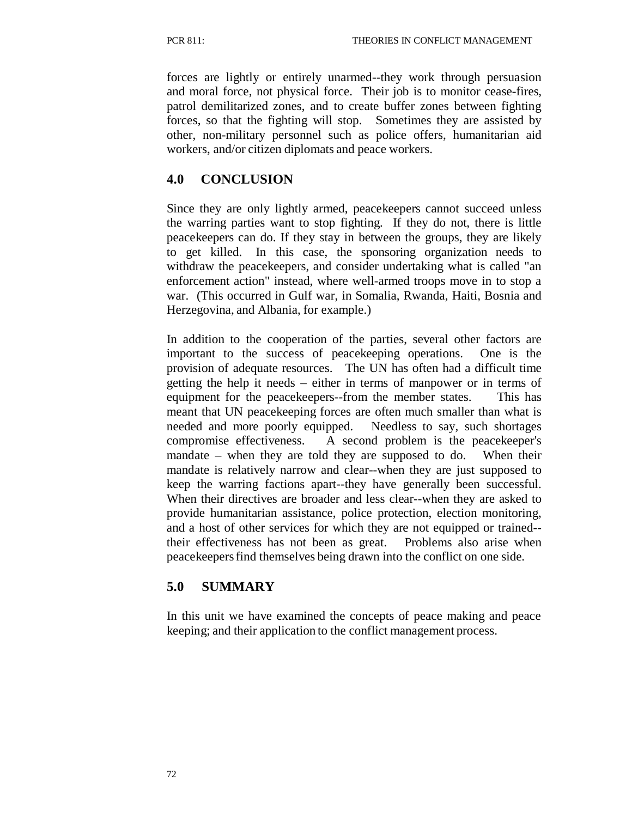forces are lightly or entirely unarmed--they work through persuasion and moral force, not physical force. Their job is to monitor cease-fires, patrol demilitarized zones, and to create buffer zones between fighting forces, so that the fighting will stop. Sometimes they are assisted by other, non-military personnel such as police offers, humanitarian aid workers, and/or citizen diplomats and peace workers.

#### **4.0 CONCLUSION**

Since they are only lightly armed, peacekeepers cannot succeed unless the warring parties want to stop fighting. If they do not, there is little peacekeepers can do. If they stay in between the groups, they are likely to get killed. In this case, the sponsoring organization needs to withdraw the peacekeepers, and consider undertaking what is called "an enforcement action" instead, where well-armed troops move in to stop a war. (This occurred in Gulf war, in Somalia, Rwanda, Haiti, Bosnia and Herzegovina, and Albania, for example.)

In addition to the cooperation of the parties, several other factors are important to the success of peacekeeping operations. One is the provision of adequate resources. The UN has often had a difficult time getting the help it needs – either in terms of manpower or in terms of equipment for the peacekeepers--from the member states. This has meant that UN peacekeeping forces are often much smaller than what is needed and more poorly equipped. Needless to say, such shortages compromise effectiveness. A second problem is the peacekeeper's mandate – when they are told they are supposed to do. When their mandate is relatively narrow and clear--when they are just supposed to keep the warring factions apart--they have generally been successful. When their directives are broader and less clear--when they are asked to provide humanitarian assistance, police protection, election monitoring, and a host of other services for which they are not equipped or trained- their effectiveness has not been as great. Problems also arise when peacekeepers find themselves being drawn into the conflict on one side.

#### **5.0 SUMMARY**

In this unit we have examined the concepts of peace making and peace keeping; and their application to the conflict management process.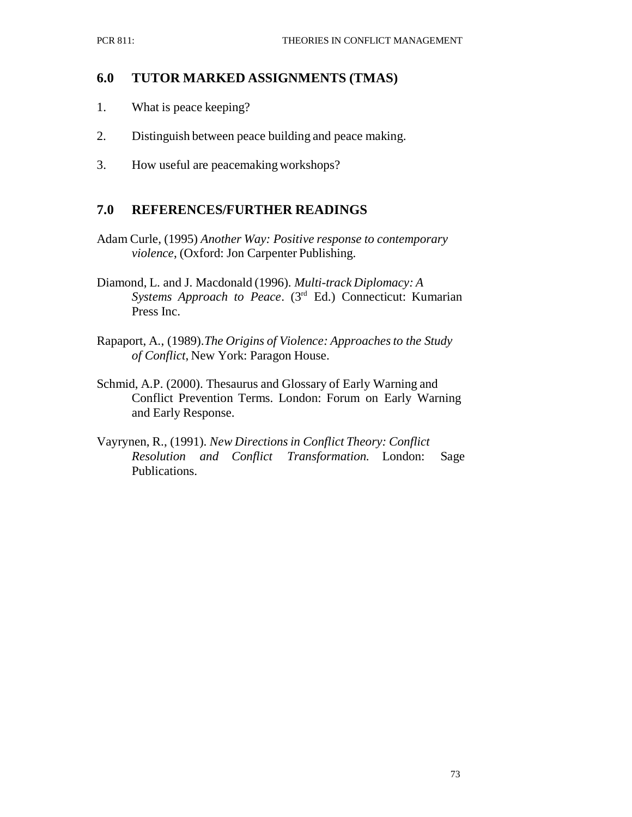## **6.0 TUTOR MARKED ASSIGNMENTS (TMAS)**

- 1. What is peace keeping?
- 2. Distinguish between peace building and peace making.
- 3. How useful are peacemaking workshops?

#### **7.0 REFERENCES/FURTHER READINGS**

- Adam Curle, (1995) *Another Way: Positive response to contemporary violence*, (Oxford: Jon Carpenter Publishing.
- Diamond, L. and J. Macdonald (1996). *Multi-track Diplomacy: A Systems Approach to Peace*. (3rd Ed.) Connecticut: Kumarian Press Inc.
- Rapaport, A., (1989).*The Origins of Violence: Approaches to the Study of Conflict*, New York: Paragon House.
- Schmid, A.P. (2000). Thesaurus and Glossary of Early Warning and Conflict Prevention Terms. London: Forum on Early Warning and Early Response.
- Vayrynen, R., (1991). *New Directions in Conflict Theory: Conflict Resolution and Conflict Transformation.* London: Sage Publications.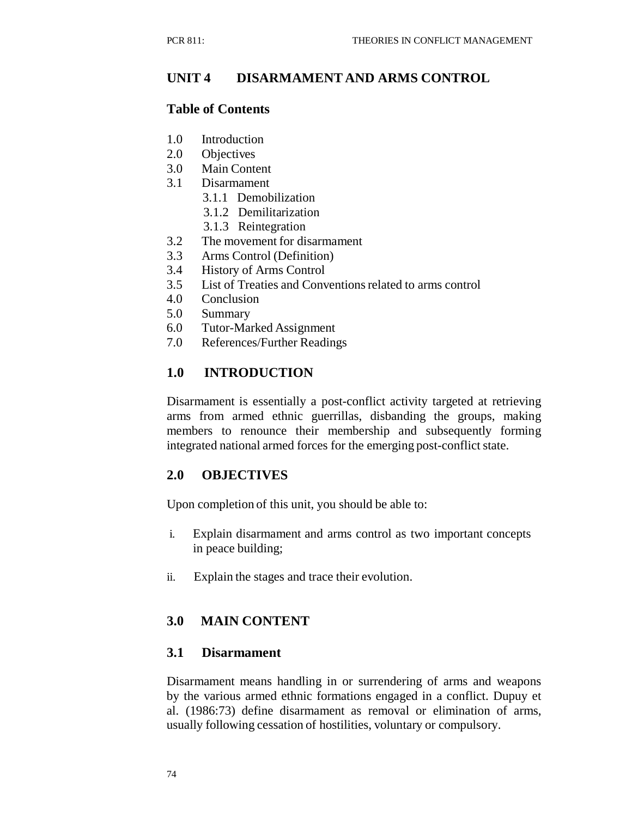## **UNIT 4 DISARMAMENT AND ARMS CONTROL**

#### **Table of Contents**

- 1.0 Introduction
- 2.0 Objectives
- 3.0 Main Content
- 3.1 Disarmament
	- 3.1.1 Demobilization
	- 3.1.2 Demilitarization
	- 3.1.3 Reintegration
- 3.2 The movement for disarmament
- 3.3 Arms Control (Definition)
- 3.4 History of Arms Control
- 3.5 List of Treaties and Conventions related to arms control
- 4.0 Conclusion
- 5.0 Summary
- 6.0 Tutor-Marked Assignment
- 7.0 References/Further Readings

#### **1.0 INTRODUCTION**

Disarmament is essentially a post-conflict activity targeted at retrieving arms from armed ethnic guerrillas, disbanding the groups, making members to renounce their membership and subsequently forming integrated national armed forces for the emerging post-conflict state.

#### **2.0 OBJECTIVES**

Upon completion of this unit, you should be able to:

- i. Explain disarmament and arms control as two important concepts in peace building;
- ii. Explain the stages and trace their evolution.

## **3.0 MAIN CONTENT**

#### **3.1 Disarmament**

Disarmament means handling in or surrendering of arms and weapons by the various armed ethnic formations engaged in a conflict. Dupuy et al. (1986:73) define disarmament as removal or elimination of arms, usually following cessation of hostilities, voluntary or compulsory.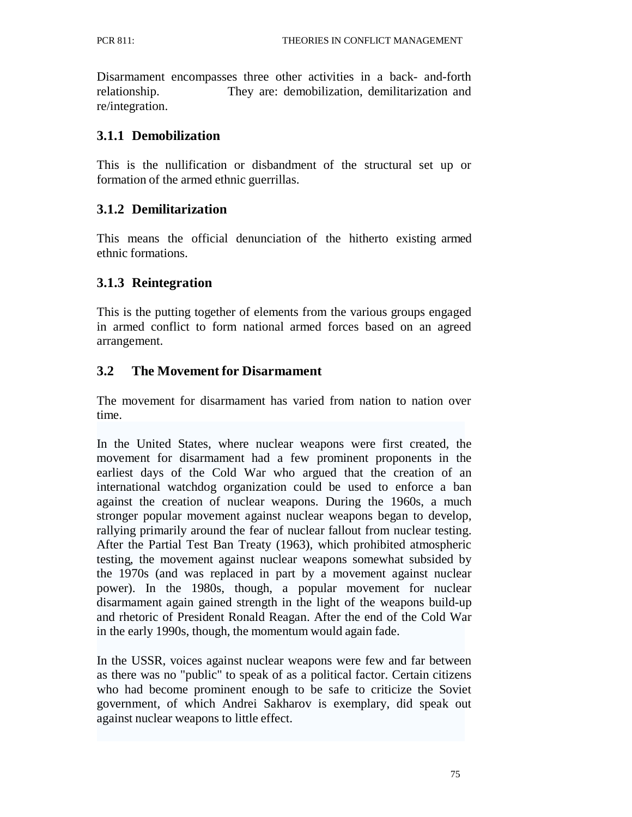Disarmament encompasses three other activities in a back- and-forth relationship. They are: demobilization, demilitarization and re/integration.

#### **3.1.1 Demobilization**

This is the nullification or disbandment of the structural set up or formation of the armed ethnic guerrillas.

## **3.1.2 Demilitarization**

This means the official denunciation of the hitherto existing armed ethnic formations.

# **3.1.3 Reintegration**

This is the putting together of elements from the various groups engaged in armed conflict to form national armed forces based on an agreed arrangement.

## **3.2 The Movement for Disarmament**

The movement for disarmament has varied from nation to nation over time.

In the United States, where nuclear weapons were first created, the movement for disarmament had a few prominent proponents in the earliest days of the Cold War who argued that the creation of an international watchdog organization could be used to enforce a ban against the creation of nuclear weapons. During the 1960s, a much stronger popular movement against nuclear weapons began to develop, rallying primarily around the fear of nuclear fallout from nuclear testing. After the Partial Test Ban Treaty (1963), which prohibited atmospheric testing, the movement against nuclear weapons somewhat subsided by the 1970s (and was replaced in part by a movement against nuclear power). In the 1980s, though, a popular movement for nuclear disarmament again gained strength in the light of the weapons build-up and rhetoric of President Ronald Reagan. After the end of the Cold War in the early 1990s, though, the momentum would again fade.

In the USSR, voices against nuclear weapons were few and far between as there was no "public" to speak of as a political factor. Certain citizens who had become prominent enough to be safe to criticize the Soviet government, of which Andrei Sakharov is exemplary, did speak out against nuclear weapons to little effect.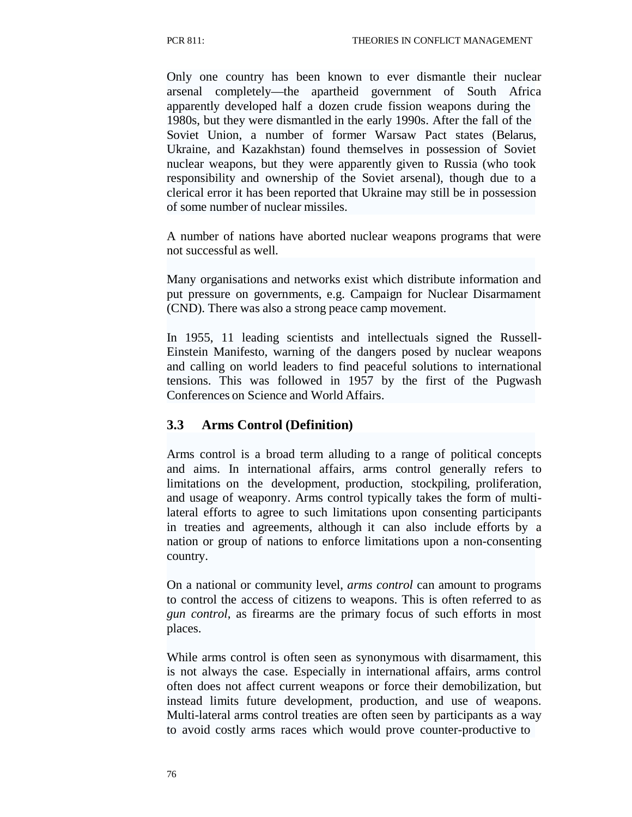Only one country has been known to ever dismantle their nuclear arsenal completely—the apartheid government of South Africa apparently developed half a dozen crude fission weapons during the 1980s, but they were dismantled in the early 1990s. After the fall of the Soviet Union, a number of former Warsaw Pact states (Belarus, Ukraine, and Kazakhstan) found themselves in possession of Soviet nuclear weapons, but they were apparently given to Russia (who took responsibility and ownership of the Soviet arsenal), though due to a clerical error it has been reported that Ukraine may still be in possession of some number of nuclear missiles.

A number of nations have aborted nuclear weapons programs that were not successful as well.

Many organisations and networks exist which distribute information and put pressure on governments, e.g. Campaign for Nuclear Disarmament (CND). There was also a strong peace camp movement.

In 1955, 11 leading scientists and intellectuals signed the Russell-Einstein Manifesto, warning of the dangers posed by nuclear weapons and calling on world leaders to find peaceful solutions to international tensions. This was followed in 1957 by the first of the Pugwash Conferences on Science and World Affairs.

## **3.3 Arms Control (Definition)**

Arms control is a broad term alluding to a range of political concepts and aims. In international affairs, arms control generally refers to limitations on the development, production, stockpiling, proliferation, and usage of weaponry. Arms control typically takes the form of multilateral efforts to agree to such limitations upon consenting participants in treaties and agreements, although it can also include efforts by a nation or group of nations to enforce limitations upon a non-consenting country.

On a national or community level, *arms control* can amount to programs to control the access of citizens to weapons. This is often referred to as *gun control*, as firearms are the primary focus of such efforts in most places.

While arms control is often seen as synonymous with disarmament, this is not always the case. Especially in international affairs, arms control often does not affect current weapons or force their demobilization, but instead limits future development, production, and use of weapons. Multi-lateral arms control treaties are often seen by participants as a way to avoid costly arms races which would prove counter-productive to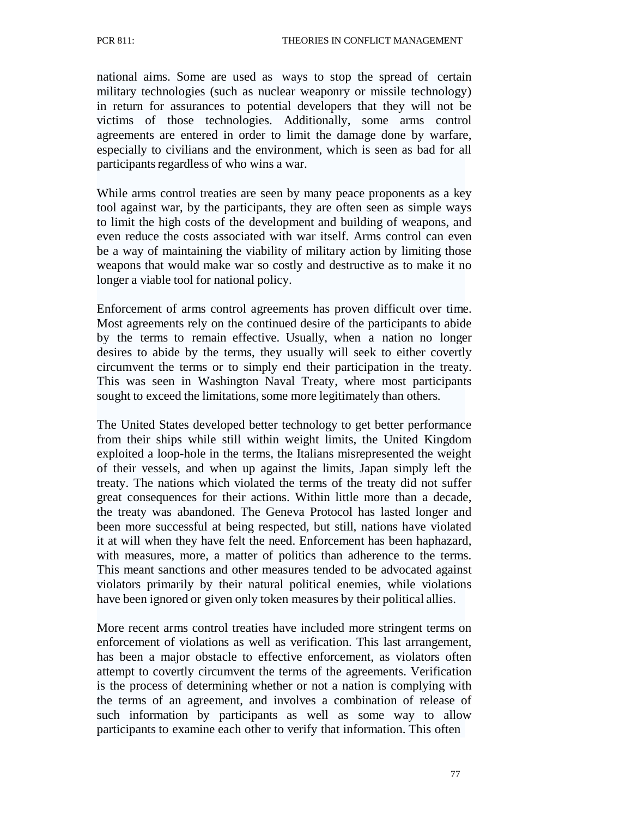national aims. Some are used as ways to stop the spread of certain military technologies (such as nuclear weaponry or missile technology) in return for assurances to potential developers that they will not be victims of those technologies. Additionally, some arms control agreements are entered in order to limit the damage done by warfare, especially to civilians and the environment, which is seen as bad for all participants regardless of who wins a war.

While arms control treaties are seen by many peace proponents as a key tool against war, by the participants, they are often seen as simple ways to limit the high costs of the development and building of weapons, and even reduce the costs associated with war itself. Arms control can even be a way of maintaining the viability of military action by limiting those weapons that would make war so costly and destructive as to make it no longer a viable tool for national policy.

Enforcement of arms control agreements has proven difficult over time. Most agreements rely on the continued desire of the participants to abide by the terms to remain effective. Usually, when a nation no longer desires to abide by the terms, they usually will seek to either covertly circumvent the terms or to simply end their participation in the treaty. This was seen in Washington Naval Treaty, where most participants sought to exceed the limitations, some more legitimately than others.

The United States developed better technology to get better performance from their ships while still within weight limits, the United Kingdom exploited a loop-hole in the terms, the Italians misrepresented the weight of their vessels, and when up against the limits, Japan simply left the treaty. The nations which violated the terms of the treaty did not suffer great consequences for their actions. Within little more than a decade, the treaty was abandoned. The Geneva Protocol has lasted longer and been more successful at being respected, but still, nations have violated it at will when they have felt the need. Enforcement has been haphazard, with measures, more, a matter of politics than adherence to the terms. This meant sanctions and other measures tended to be advocated against violators primarily by their natural political enemies, while violations have been ignored or given only token measures by their political allies.

More recent arms control treaties have included more stringent terms on enforcement of violations as well as verification. This last arrangement, has been a major obstacle to effective enforcement, as violators often attempt to covertly circumvent the terms of the agreements. Verification is the process of determining whether or not a nation is complying with the terms of an agreement, and involves a combination of release of such information by participants as well as some way to allow participants to examine each other to verify that information. This often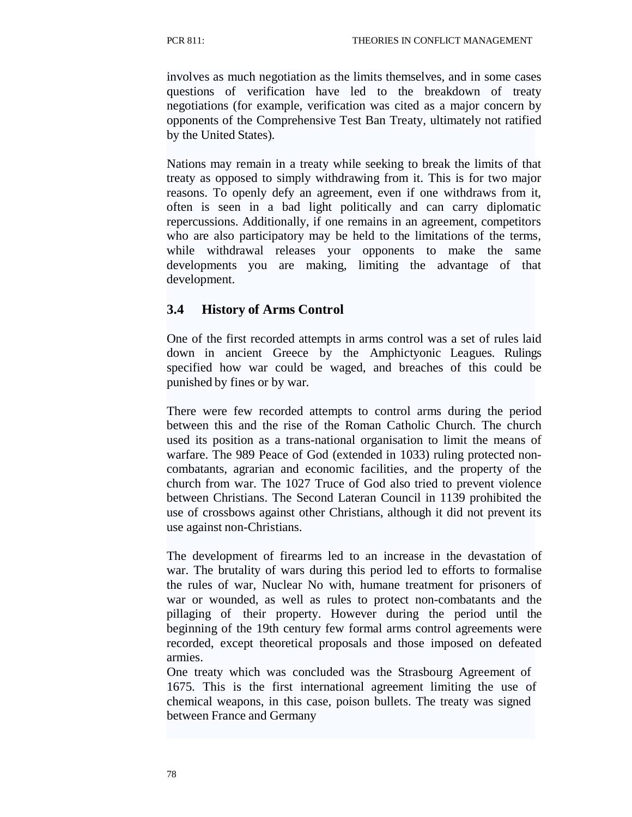involves as much negotiation as the limits themselves, and in some cases questions of verification have led to the breakdown of treaty negotiations (for example, verification was cited as a major concern by opponents of the Comprehensive Test Ban Treaty, ultimately not ratified by the United States).

Nations may remain in a treaty while seeking to break the limits of that treaty as opposed to simply withdrawing from it. This is for two major reasons. To openly defy an agreement, even if one withdraws from it, often is seen in a bad light politically and can carry diplomatic repercussions. Additionally, if one remains in an agreement, competitors who are also participatory may be held to the limitations of the terms, while withdrawal releases your opponents to make the same developments you are making, limiting the advantage of that development.

## **3.4 History of Arms Control**

One of the first recorded attempts in arms control was a set of rules laid down in ancient Greece by the Amphictyonic Leagues. Rulings specified how war could be waged, and breaches of this could be punished by fines or by war.

There were few recorded attempts to control arms during the period between this and the rise of the Roman Catholic Church. The church used its position as a trans-national organisation to limit the means of warfare. The 989 Peace of God (extended in 1033) ruling protected noncombatants, agrarian and economic facilities, and the property of the church from war. The 1027 Truce of God also tried to prevent violence between Christians. The Second Lateran Council in 1139 prohibited the use of crossbows against other Christians, although it did not prevent its use against non-Christians.

The development of firearms led to an increase in the devastation of war. The brutality of wars during this period led to efforts to formalise the rules of war, Nuclear No with, humane treatment for prisoners of war or wounded, as well as rules to protect non-combatants and the pillaging of their property. However during the period until the beginning of the 19th century few formal arms control agreements were recorded, except theoretical proposals and those imposed on defeated armies.

One treaty which was concluded was the Strasbourg Agreement of 1675. This is the first international agreement limiting the use of chemical weapons, in this case, poison bullets. The treaty was signed between France and Germany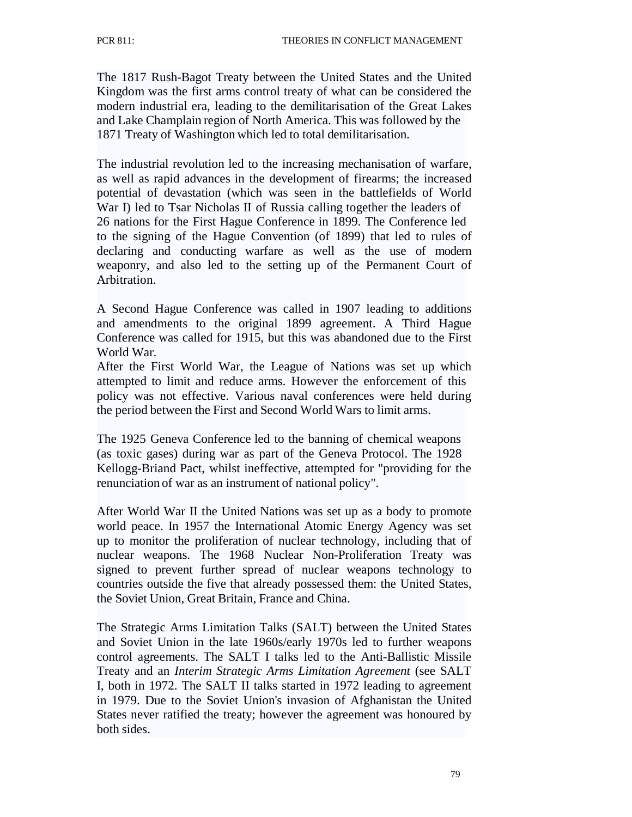The 1817 Rush-Bagot Treaty between the United States and the United Kingdom was the first arms control treaty of what can be considered the modern industrial era, leading to the demilitarisation of the Great Lakes and Lake Champlain region of North America. This was followed by the 1871 Treaty of Washington which led to total demilitarisation.

The industrial revolution led to the increasing mechanisation of warfare, as well as rapid advances in the development of firearms; the increased potential of devastation (which was seen in the battlefields of World War I) led to Tsar Nicholas II of Russia calling together the leaders of 26 nations for the First Hague Conference in 1899. The Conference led to the signing of the Hague Convention (of 1899) that led to rules of declaring and conducting warfare as well as the use of modern weaponry, and also led to the setting up of the Permanent Court of Arbitration.

A Second Hague Conference was called in 1907 leading to additions and amendments to the original 1899 agreement. A Third Hague Conference was called for 1915, but this was abandoned due to the First World War.

After the First World War, the League of Nations was set up which attempted to limit and reduce arms. However the enforcement of this policy was not effective. Various naval conferences were held during the period between the First and Second World Wars to limit arms.

The 1925 Geneva Conference led to the banning of chemical weapons (as toxic gases) during war as part of the Geneva Protocol. The 1928 Kellogg-Briand Pact, whilst ineffective, attempted for "providing for the renunciation of war as an instrument of national policy".

After World War II the United Nations was set up as a body to promote world peace. In 1957 the International Atomic Energy Agency was set up to monitor the proliferation of nuclear technology, including that of nuclear weapons. The 1968 Nuclear Non-Proliferation Treaty was signed to prevent further spread of nuclear weapons technology to countries outside the five that already possessed them: the United States, the Soviet Union, Great Britain, France and China.

The Strategic Arms Limitation Talks (SALT) between the United States and Soviet Union in the late 1960s/early 1970s led to further weapons control agreements. The SALT I talks led to the Anti-Ballistic Missile Treaty and an *Interim Strategic Arms Limitation Agreement* (see SALT I, both in 1972. The SALT II talks started in 1972 leading to agreement in 1979. Due to the Soviet Union's invasion of Afghanistan the United States never ratified the treaty; however the agreement was honoured by both sides.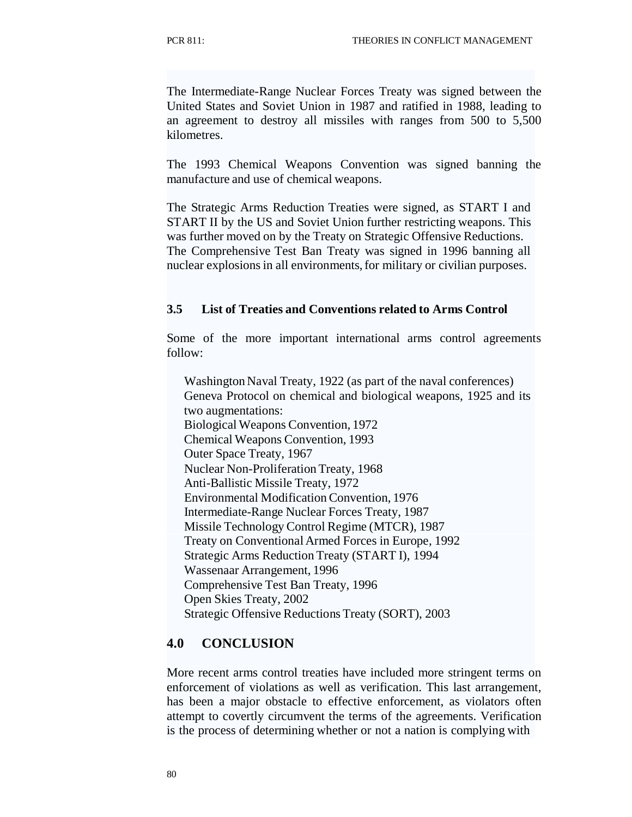The Intermediate-Range Nuclear Forces Treaty was signed between the United States and Soviet Union in 1987 and ratified in 1988, leading to an agreement to destroy all missiles with ranges from 500 to 5,500 kilometres.

The 1993 Chemical Weapons Convention was signed banning the manufacture and use of chemical weapons.

The Strategic Arms Reduction Treaties were signed, as START I and START II by the US and Soviet Union further restricting weapons. This was further moved on by the Treaty on Strategic Offensive Reductions. The Comprehensive Test Ban Treaty was signed in 1996 banning all nuclear explosions in all environments, for military or civilian purposes.

#### **3.5 List of Treaties and Conventions related to Arms Control**

Some of the more important international arms control agreements follow:

Washington Naval Treaty, 1922 (as part of the naval conferences) Geneva Protocol on chemical and biological weapons, 1925 and its two augmentations: Biological Weapons Convention, 1972 Chemical Weapons Convention, 1993 Outer Space Treaty, 1967 Nuclear Non-Proliferation Treaty, 1968 Anti-Ballistic Missile Treaty, 1972 Environmental Modification Convention, 1976 Intermediate-Range Nuclear Forces Treaty, 1987 Missile Technology Control Regime (MTCR), 1987 Treaty on Conventional Armed Forces in Europe, 1992 Strategic Arms Reduction Treaty (START I), 1994 Wassenaar Arrangement, 1996 Comprehensive Test Ban Treaty, 1996 Open Skies Treaty, 2002 Strategic Offensive Reductions Treaty (SORT), 2003

## **4.0 CONCLUSION**

More recent arms control treaties have included more stringent terms on enforcement of violations as well as verification. This last arrangement, has been a major obstacle to effective enforcement, as violators often attempt to covertly circumvent the terms of the agreements. Verification is the process of determining whether or not a nation is complying with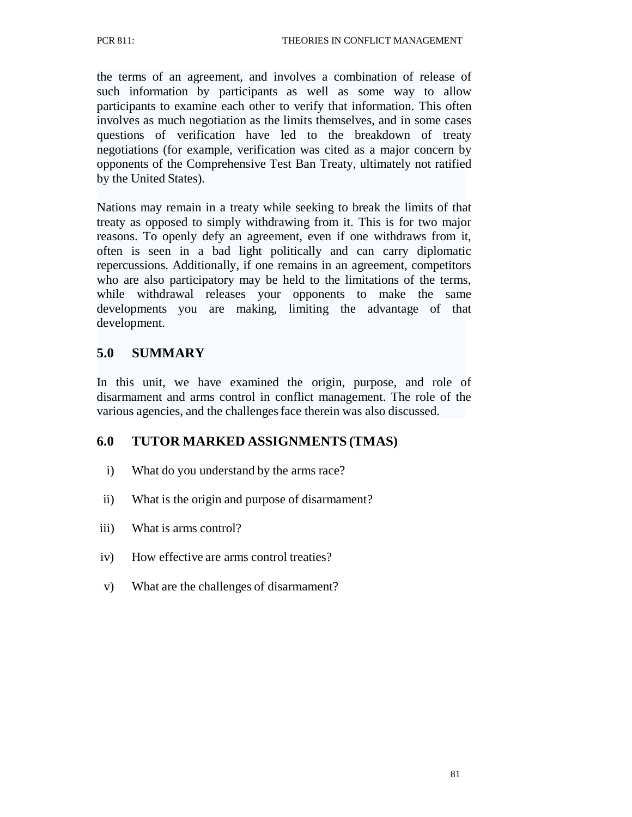the terms of an agreement, and involves a combination of release of such information by participants as well as some way to allow participants to examine each other to verify that information. This often involves as much negotiation as the limits themselves, and in some cases questions of verification have led to the breakdown of treaty negotiations (for example, verification was cited as a major concern by opponents of the Comprehensive Test Ban Treaty, ultimately not ratified by the United States).

Nations may remain in a treaty while seeking to break the limits of that treaty as opposed to simply withdrawing from it. This is for two major reasons. To openly defy an agreement, even if one withdraws from it, often is seen in a bad light politically and can carry diplomatic repercussions. Additionally, if one remains in an agreement, competitors who are also participatory may be held to the limitations of the terms, while withdrawal releases your opponents to make the same developments you are making, limiting the advantage of that development.

## **5.0 SUMMARY**

In this unit, we have examined the origin, purpose, and role of disarmament and arms control in conflict management. The role of the various agencies, and the challenges face therein was also discussed.

## **6.0 TUTOR MARKED ASSIGNMENTS (TMAS)**

- i) What do you understand by the arms race?
- ii) What is the origin and purpose of disarmament?
- iii) What is arms control?
- iv) How effective are arms control treaties?
- v) What are the challenges of disarmament?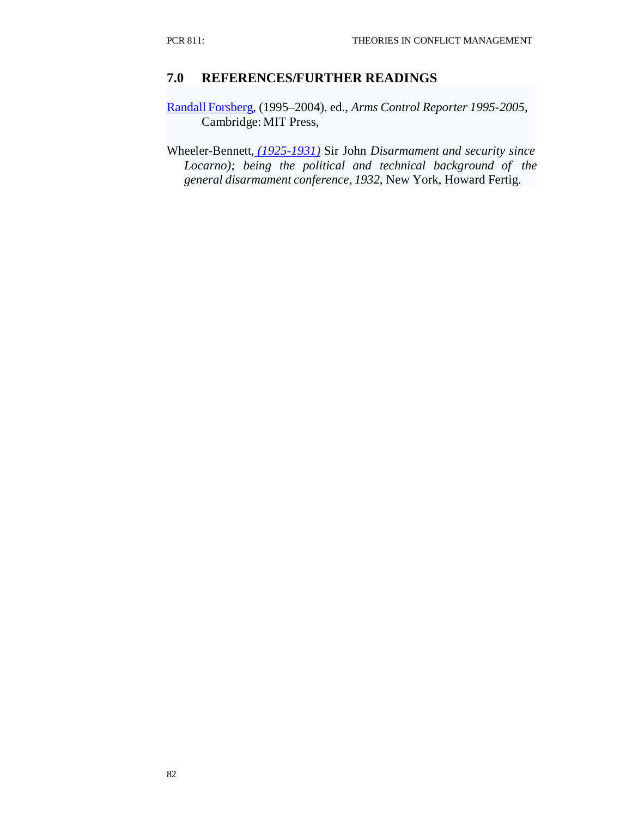#### **7.0 REFERENCES/FURTHER READINGS**

Randall Forsberg, (1995–2004). ed., *Arms Control Reporter 1995-2005*, Cambridge: MIT Press,

Wheeler-Bennett, *(1925-1931)* Sir John *Disarmament and security since Locarno); being the political and technical background of the general disarmament conference, 1932*, New York, Howard Fertig.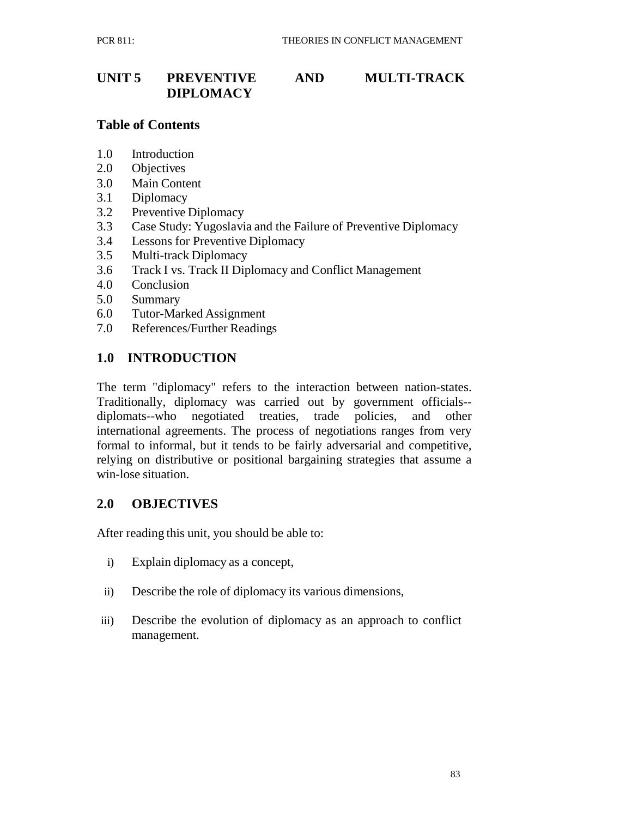# **UNIT 5 PREVENTIVE AND MULTI-TRACK DIPLOMACY**

#### **Table of Contents**

- 1.0 Introduction
- 2.0 Objectives
- 3.0 Main Content
- 3.1 Diplomacy
- 3.2 Preventive Diplomacy
- 3.3 Case Study: Yugoslavia and the Failure of Preventive Diplomacy
- 3.4 Lessons for Preventive Diplomacy
- 3.5 Multi-track Diplomacy
- 3.6 Track I vs. Track II Diplomacy and Conflict Management
- 4.0 Conclusion
- 5.0 Summary
- 6.0 Tutor-Marked Assignment
- 7.0 References/Further Readings

#### **1.0 INTRODUCTION**

The term "diplomacy" refers to the interaction between nation-states. Traditionally, diplomacy was carried out by government officials- diplomats--who negotiated treaties, trade policies, and other international agreements. The process of negotiations ranges from very formal to informal, but it tends to be fairly adversarial and competitive, relying on distributive or positional bargaining strategies that assume a win-lose situation.

#### **2.0 OBJECTIVES**

After reading this unit, you should be able to:

- i) Explain diplomacy as a concept,
- ii) Describe the role of diplomacy its various dimensions,
- iii) Describe the evolution of diplomacy as an approach to conflict management.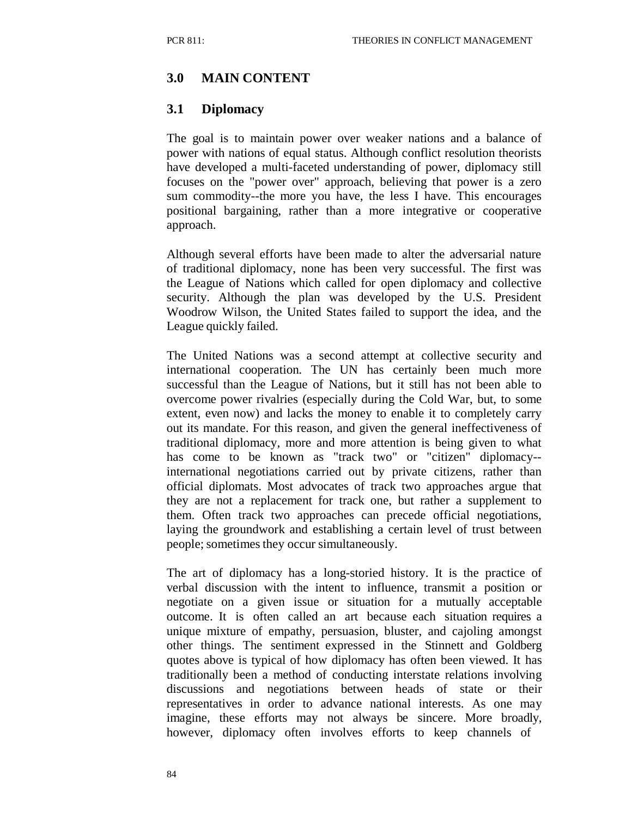#### **3.0 MAIN CONTENT**

#### **3.1 Diplomacy**

The goal is to maintain power over weaker nations and a balance of power with nations of equal status. Although conflict resolution theorists have developed a multi-faceted understanding of power, diplomacy still focuses on the "power over" approach, believing that power is a zero sum commodity--the more you have, the less I have. This encourages positional bargaining, rather than a more integrative or cooperative approach.

Although several efforts have been made to alter the adversarial nature of traditional diplomacy, none has been very successful. The first was the League of Nations which called for open diplomacy and collective security. Although the plan was developed by the U.S. President Woodrow Wilson, the United States failed to support the idea, and the League quickly failed.

The United Nations was a second attempt at collective security and international cooperation. The UN has certainly been much more successful than the League of Nations, but it still has not been able to overcome power rivalries (especially during the Cold War, but, to some extent, even now) and lacks the money to enable it to completely carry out its mandate. For this reason, and given the general ineffectiveness of traditional diplomacy, more and more attention is being given to what has come to be known as "track two" or "citizen" diplomacy- international negotiations carried out by private citizens, rather than official diplomats. Most advocates of track two approaches argue that they are not a replacement for track one, but rather a supplement to them. Often track two approaches can precede official negotiations, laying the groundwork and establishing a certain level of trust between people; sometimes they occur simultaneously.

The art of diplomacy has a long-storied history. It is the practice of verbal discussion with the intent to influence, transmit a position or negotiate on a given issue or situation for a mutually acceptable outcome. It is often called an art because each situation requires a unique mixture of empathy, persuasion, bluster, and cajoling amongst other things. The sentiment expressed in the Stinnett and Goldberg quotes above is typical of how diplomacy has often been viewed. It has traditionally been a method of conducting interstate relations involving discussions and negotiations between heads of state or their representatives in order to advance national interests. As one may imagine, these efforts may not always be sincere. More broadly, however, diplomacy often involves efforts to keep channels of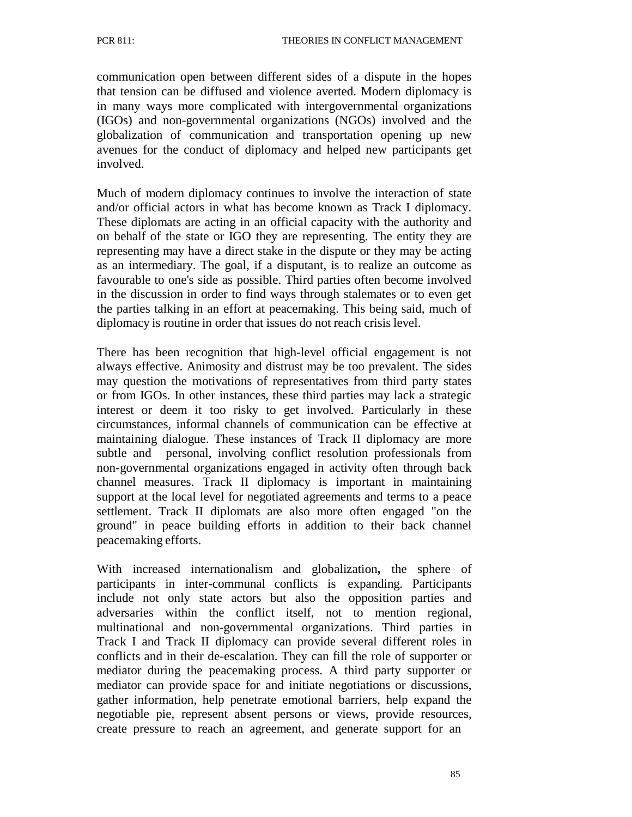communication open between different sides of a dispute in the hopes that tension can be diffused and violence averted. Modern diplomacy is in many ways more complicated with intergovernmental organizations (IGOs) and non-governmental organizations (NGOs) involved and the globalization of communication and transportation opening up new avenues for the conduct of diplomacy and helped new participants get involved.

Much of modern diplomacy continues to involve the interaction of state and/or official actors in what has become known as Track I diplomacy. These diplomats are acting in an official capacity with the authority and on behalf of the state or IGO they are representing. The entity they are representing may have a direct stake in the dispute or they may be acting as an intermediary. The goal, if a disputant, is to realize an outcome as favourable to one's side as possible. Third parties often become involved in the discussion in order to find ways through stalemates or to even get the parties talking in an effort at peacemaking. This being said, much of diplomacy is routine in order that issues do not reach crisis level.

There has been recognition that high-level official engagement is not always effective. Animosity and distrust may be too prevalent. The sides may question the motivations of representatives from third party states or from IGOs. In other instances, these third parties may lack a strategic interest or deem it too risky to get involved. Particularly in these circumstances, informal channels of communication can be effective at maintaining dialogue. These instances of Track II diplomacy are more subtle and personal, involving conflict resolution professionals from non-governmental organizations engaged in activity often through back channel measures. Track II diplomacy is important in maintaining support at the local level for negotiated agreements and terms to a peace settlement. Track II diplomats are also more often engaged "on the ground" in peace building efforts in addition to their back channel peacemaking efforts.

With increased internationalism and globalization**,** the sphere of participants in inter-communal conflicts is expanding. Participants include not only state actors but also the opposition parties and adversaries within the conflict itself, not to mention regional, multinational and non-governmental organizations. Third parties in Track I and Track II diplomacy can provide several different roles in conflicts and in their de-escalation. They can fill the role of supporter or mediator during the peacemaking process. A third party supporter or mediator can provide space for and initiate negotiations or discussions, gather information, help penetrate emotional barriers, help expand the negotiable pie, represent absent persons or views, provide resources, create pressure to reach an agreement, and generate support for an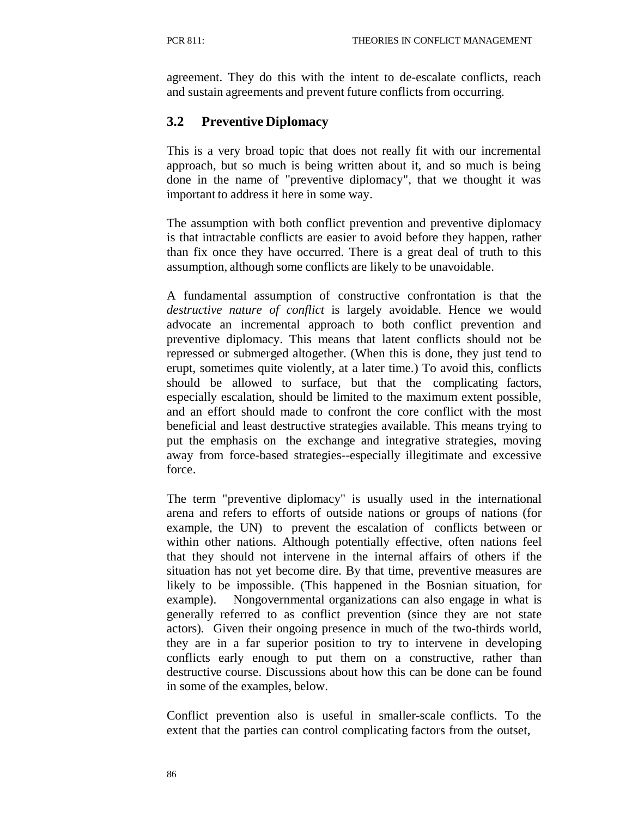agreement. They do this with the intent to de-escalate conflicts, reach and sustain agreements and prevent future conflicts from occurring.

#### **3.2 Preventive Diplomacy**

This is a very broad topic that does not really fit with our incremental approach, but so much is being written about it, and so much is being done in the name of "preventive diplomacy", that we thought it was important to address it here in some way.

The assumption with both conflict prevention and preventive diplomacy is that intractable conflicts are easier to avoid before they happen, rather than fix once they have occurred. There is a great deal of truth to this assumption, although some conflicts are likely to be unavoidable.

A fundamental assumption of constructive confrontation is that the *destructive nature of conflict* is largely avoidable. Hence we would advocate an incremental approach to both conflict prevention and preventive diplomacy. This means that latent conflicts should not be repressed or submerged altogether. (When this is done, they just tend to erupt, sometimes quite violently, at a later time.) To avoid this, conflicts should be allowed to surface, but that the complicating factors, especially escalation, should be limited to the maximum extent possible, and an effort should made to confront the core conflict with the most beneficial and least destructive strategies available. This means trying to put the emphasis on the exchange and integrative strategies, moving away from force-based strategies--especially illegitimate and excessive force.

The term "preventive diplomacy" is usually used in the international arena and refers to efforts of outside nations or groups of nations (for example, the UN) to prevent the escalation of conflicts between or within other nations. Although potentially effective, often nations feel that they should not intervene in the internal affairs of others if the situation has not yet become dire. By that time, preventive measures are likely to be impossible. (This happened in the Bosnian situation, for example). Nongovernmental organizations can also engage in what is generally referred to as conflict prevention (since they are not state actors). Given their ongoing presence in much of the two-thirds world, they are in a far superior position to try to intervene in developing conflicts early enough to put them on a constructive, rather than destructive course. Discussions about how this can be done can be found in some of the examples, below.

Conflict prevention also is useful in smaller-scale conflicts. To the extent that the parties can control complicating factors from the outset,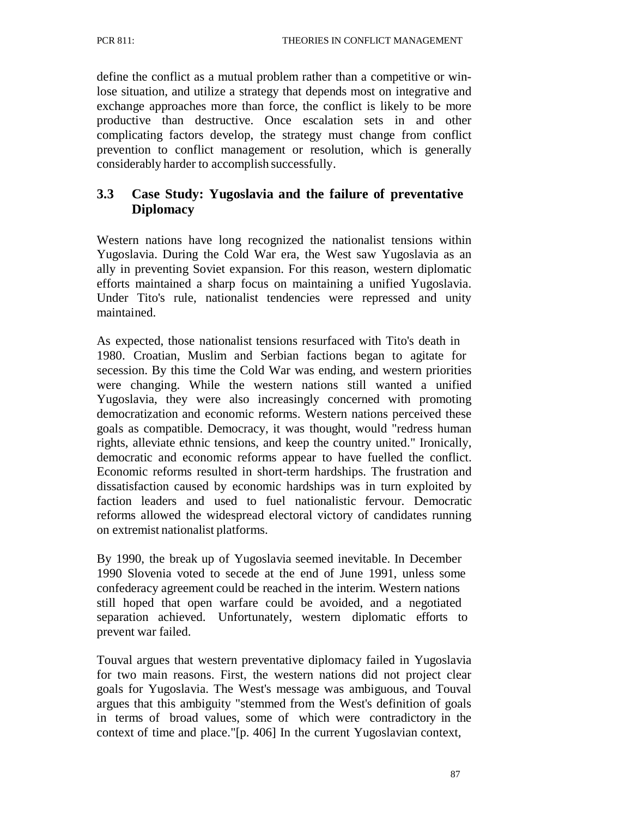define the conflict as a mutual problem rather than a competitive or winlose situation, and utilize a strategy that depends most on integrative and exchange approaches more than force, the conflict is likely to be more productive than destructive. Once escalation sets in and other complicating factors develop, the strategy must change from conflict prevention to conflict management or resolution, which is generally considerably harder to accomplish successfully.

## **3.3 Case Study: Yugoslavia and the failure of preventative Diplomacy**

Western nations have long recognized the nationalist tensions within Yugoslavia. During the Cold War era, the West saw Yugoslavia as an ally in preventing Soviet expansion. For this reason, western diplomatic efforts maintained a sharp focus on maintaining a unified Yugoslavia. Under Tito's rule, nationalist tendencies were repressed and unity maintained.

As expected, those nationalist tensions resurfaced with Tito's death in 1980. Croatian, Muslim and Serbian factions began to agitate for secession. By this time the Cold War was ending, and western priorities were changing. While the western nations still wanted a unified Yugoslavia, they were also increasingly concerned with promoting democratization and economic reforms. Western nations perceived these goals as compatible. Democracy, it was thought, would "redress human rights, alleviate ethnic tensions, and keep the country united." Ironically, democratic and economic reforms appear to have fuelled the conflict. Economic reforms resulted in short-term hardships. The frustration and dissatisfaction caused by economic hardships was in turn exploited by faction leaders and used to fuel nationalistic fervour. Democratic reforms allowed the widespread electoral victory of candidates running on extremist nationalist platforms.

By 1990, the break up of Yugoslavia seemed inevitable. In December 1990 Slovenia voted to secede at the end of June 1991, unless some confederacy agreement could be reached in the interim. Western nations still hoped that open warfare could be avoided, and a negotiated separation achieved. Unfortunately, western diplomatic efforts to prevent war failed.

Touval argues that western preventative diplomacy failed in Yugoslavia for two main reasons. First, the western nations did not project clear goals for Yugoslavia. The West's message was ambiguous, and Touval argues that this ambiguity "stemmed from the West's definition of goals in terms of broad values, some of which were contradictory in the context of time and place."[p. 406] In the current Yugoslavian context,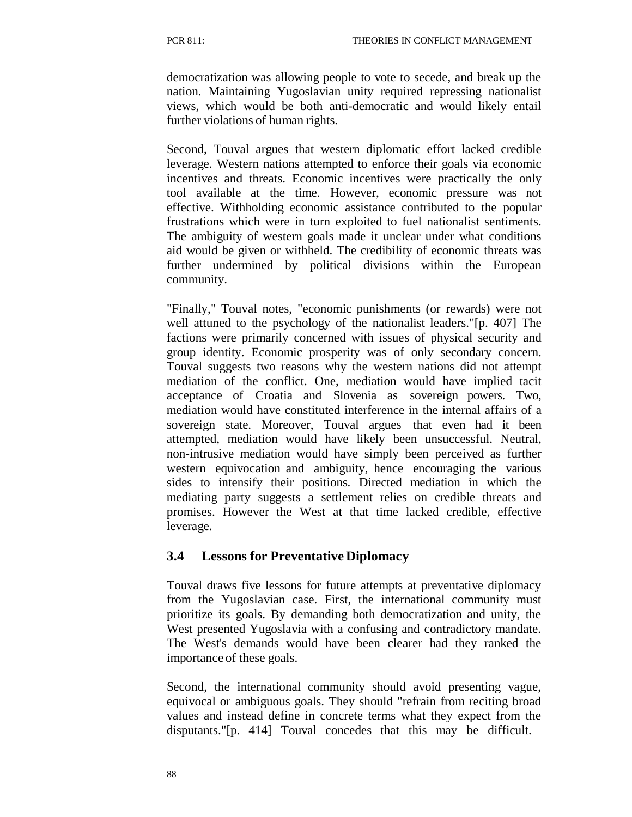democratization was allowing people to vote to secede, and break up the nation. Maintaining Yugoslavian unity required repressing nationalist views, which would be both anti-democratic and would likely entail further violations of human rights.

Second, Touval argues that western diplomatic effort lacked credible leverage. Western nations attempted to enforce their goals via economic incentives and threats. Economic incentives were practically the only tool available at the time. However, economic pressure was not effective. Withholding economic assistance contributed to the popular frustrations which were in turn exploited to fuel nationalist sentiments. The ambiguity of western goals made it unclear under what conditions aid would be given or withheld. The credibility of economic threats was further undermined by political divisions within the European community.

"Finally," Touval notes, "economic punishments (or rewards) were not well attuned to the psychology of the nationalist leaders."[p. 407] The factions were primarily concerned with issues of physical security and group identity. Economic prosperity was of only secondary concern. Touval suggests two reasons why the western nations did not attempt mediation of the conflict. One, mediation would have implied tacit acceptance of Croatia and Slovenia as sovereign powers. Two, mediation would have constituted interference in the internal affairs of a sovereign state. Moreover, Touval argues that even had it been attempted, mediation would have likely been unsuccessful. Neutral, non-intrusive mediation would have simply been perceived as further western equivocation and ambiguity, hence encouraging the various sides to intensify their positions. Directed mediation in which the mediating party suggests a settlement relies on credible threats and promises. However the West at that time lacked credible, effective leverage.

## **3.4 Lessons for Preventative Diplomacy**

Touval draws five lessons for future attempts at preventative diplomacy from the Yugoslavian case. First, the international community must prioritize its goals. By demanding both democratization and unity, the West presented Yugoslavia with a confusing and contradictory mandate. The West's demands would have been clearer had they ranked the importance of these goals.

Second, the international community should avoid presenting vague, equivocal or ambiguous goals. They should "refrain from reciting broad values and instead define in concrete terms what they expect from the disputants."[p. 414] Touval concedes that this may be difficult.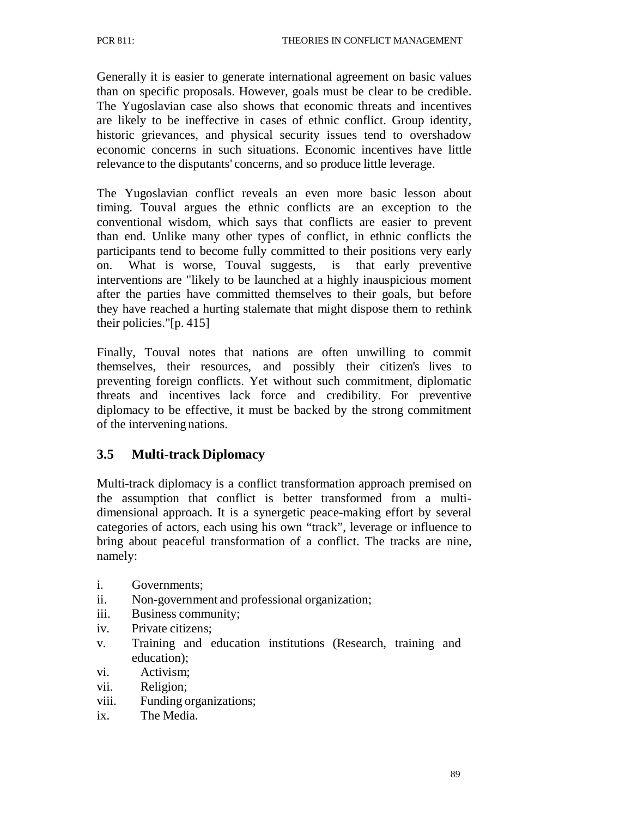Generally it is easier to generate international agreement on basic values than on specific proposals. However, goals must be clear to be credible. The Yugoslavian case also shows that economic threats and incentives are likely to be ineffective in cases of ethnic conflict. Group identity, historic grievances, and physical security issues tend to overshadow economic concerns in such situations. Economic incentives have little relevance to the disputants' concerns, and so produce little leverage.

The Yugoslavian conflict reveals an even more basic lesson about timing. Touval argues the ethnic conflicts are an exception to the conventional wisdom, which says that conflicts are easier to prevent than end. Unlike many other types of conflict, in ethnic conflicts the participants tend to become fully committed to their positions very early on. What is worse, Touval suggests, is that early preventive interventions are "likely to be launched at a highly inauspicious moment after the parties have committed themselves to their goals, but before they have reached a hurting stalemate that might dispose them to rethink their policies."[p. 415]

Finally, Touval notes that nations are often unwilling to commit themselves, their resources, and possibly their citizen's lives to preventing foreign conflicts. Yet without such commitment, diplomatic threats and incentives lack force and credibility. For preventive diplomacy to be effective, it must be backed by the strong commitment of the intervening nations.

## **3.5 Multi-track Diplomacy**

Multi-track diplomacy is a conflict transformation approach premised on the assumption that conflict is better transformed from a multidimensional approach. It is a synergetic peace-making effort by several categories of actors, each using his own "track", leverage or influence to bring about peaceful transformation of a conflict. The tracks are nine, namely:

- i. Governments;
- ii. Non-government and professional organization;
- iii. Business community;
- iv. Private citizens;
- v. Training and education institutions (Research, training and education);
- vi. Activism;
- vii. Religion;
- viii. Funding organizations;
- ix. The Media.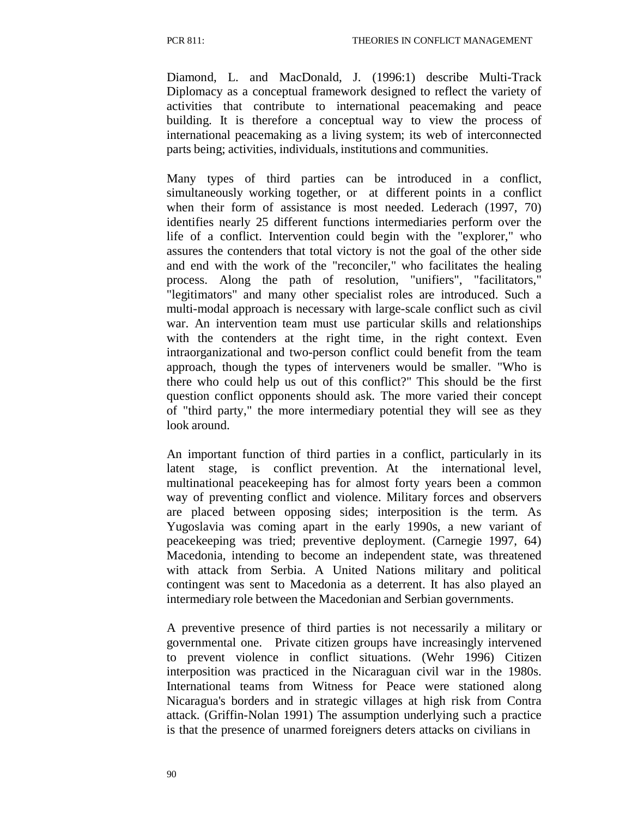Diamond, L. and MacDonald, J. (1996:1) describe Multi-Track Diplomacy as a conceptual framework designed to reflect the variety of activities that contribute to international peacemaking and peace building. It is therefore a conceptual way to view the process of international peacemaking as a living system; its web of interconnected parts being; activities, individuals, institutions and communities.

Many types of third parties can be introduced in a conflict, simultaneously working together, or at different points in a conflict when their form of assistance is most needed. Lederach (1997, 70) identifies nearly 25 different functions intermediaries perform over the life of a conflict. Intervention could begin with the "explorer," who assures the contenders that total victory is not the goal of the other side and end with the work of the "reconciler," who facilitates the healing process. Along the path of resolution, "unifiers", "facilitators," "legitimators" and many other specialist roles are introduced. Such a multi-modal approach is necessary with large-scale conflict such as civil war. An intervention team must use particular skills and relationships with the contenders at the right time, in the right context. Even intraorganizational and two-person conflict could benefit from the team approach, though the types of interveners would be smaller. "Who is there who could help us out of this conflict?" This should be the first question conflict opponents should ask. The more varied their concept of "third party," the more intermediary potential they will see as they look around.

An important function of third parties in a conflict, particularly in its latent stage, is conflict prevention. At the international level, multinational peacekeeping has for almost forty years been a common way of preventing conflict and violence. Military forces and observers are placed between opposing sides; interposition is the term. As Yugoslavia was coming apart in the early 1990s, a new variant of peacekeeping was tried; preventive deployment. (Carnegie 1997, 64) Macedonia, intending to become an independent state, was threatened with attack from Serbia. A United Nations military and political contingent was sent to Macedonia as a deterrent. It has also played an intermediary role between the Macedonian and Serbian governments.

A preventive presence of third parties is not necessarily a military or governmental one. Private citizen groups have increasingly intervened to prevent violence in conflict situations. (Wehr 1996) Citizen interposition was practiced in the Nicaraguan civil war in the 1980s. International teams from Witness for Peace were stationed along Nicaragua's borders and in strategic villages at high risk from Contra attack. (Griffin-Nolan 1991) The assumption underlying such a practice is that the presence of unarmed foreigners deters attacks on civilians in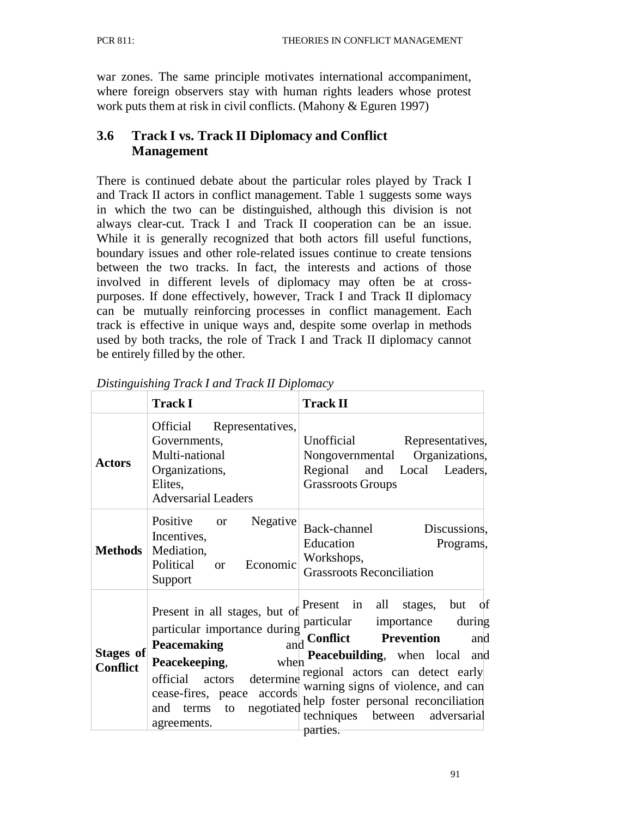war zones. The same principle motivates international accompaniment, where foreign observers stay with human rights leaders whose protest work puts them at risk in civil conflicts. (Mahony & Eguren 1997)

# **3.6 Track I vs. Track II Diplomacy and Conflict Management**

There is continued debate about the particular roles played by Track I and Track II actors in conflict management. Table 1 suggests some ways in which the two can be distinguished, although this division is not always clear-cut. Track I and Track II cooperation can be an issue. While it is generally recognized that both actors fill useful functions, boundary issues and other role-related issues continue to create tensions between the two tracks. In fact, the interests and actions of those involved in different levels of diplomacy may often be at crosspurposes. If done effectively, however, Track I and Track II diplomacy can be mutually reinforcing processes in conflict management. Each track is effective in unique ways and, despite some overlap in methods used by both tracks, the role of Track I and Track II diplomacy cannot be entirely filled by the other.

|                                     | <b>Track I</b>                                                                                                                              | <b>Track II</b>                                                                                                                                                                                                                                                                                                                                                                |
|-------------------------------------|---------------------------------------------------------------------------------------------------------------------------------------------|--------------------------------------------------------------------------------------------------------------------------------------------------------------------------------------------------------------------------------------------------------------------------------------------------------------------------------------------------------------------------------|
| <b>Actors</b>                       | Official Representatives,<br>Governments,<br>Multi-national<br>Organizations,<br>Elites,<br><b>Adversarial Leaders</b>                      | Unofficial<br>Representatives,<br>Nongovernmental Organizations,<br>Regional and Local Leaders,<br><b>Grassroots Groups</b>                                                                                                                                                                                                                                                    |
| Methods                             | Positive<br>Negative<br><b>or</b><br>Incentives,<br>Mediation,<br>Political<br>Economic<br><b>or</b><br>Support                             | Back-channel<br>Discussions,<br>Education<br>Programs,<br>Workshops,<br><b>Grassroots Reconciliation</b>                                                                                                                                                                                                                                                                       |
| <b>Stages of</b><br><b>Conflict</b> | Peacemaking<br>when<br>Peacekeeping,<br>official<br>actors<br>accords<br>cease-fires, peace<br>negotiated<br>to<br>and terms<br>agreements. | Present in all stages, but of Present in all stages, but of<br>particular importance during particular importance during<br><b>Prevention</b><br>and Conflict<br>and<br>Peacebuilding, when local and<br>determine regional actors can detect early<br>warning signs of violence, and can<br>help foster personal reconciliation<br>techniques between adversarial<br>parties. |

*Distinguishing Track I and Track II Diplomacy*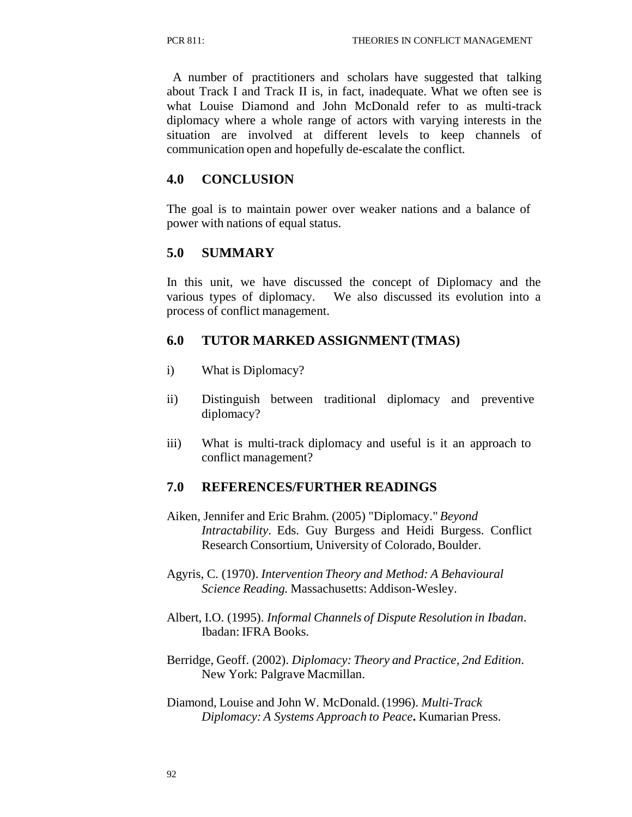A number of practitioners and scholars have suggested that talking about Track I and Track II is, in fact, inadequate. What we often see is what Louise Diamond and John McDonald refer to as multi-track diplomacy where a whole range of actors with varying interests in the situation are involved at different levels to keep channels of communication open and hopefully de-escalate the conflict.

## **4.0 CONCLUSION**

The goal is to maintain power over weaker nations and a balance of power with nations of equal status.

## **5.0 SUMMARY**

In this unit, we have discussed the concept of Diplomacy and the various types of diplomacy. We also discussed its evolution into a process of conflict management.

## **6.0 TUTOR MARKED ASSIGNMENT (TMAS)**

- i) What is Diplomacy?
- ii) Distinguish between traditional diplomacy and preventive diplomacy?
- iii) What is multi-track diplomacy and useful is it an approach to conflict management?

## **7.0 REFERENCES/FURTHER READINGS**

- Aiken, Jennifer and Eric Brahm. (2005) "Diplomacy." *Beyond Intractability*. Eds. Guy Burgess and Heidi Burgess. Conflict Research Consortium, University of Colorado, Boulder.
- Agyris, C. (1970). *Intervention Theory and Method: A Behavioural Science Reading.* Massachusetts: Addison-Wesley.
- Albert, I.O. (1995). *Informal Channels of Dispute Resolution in Ibadan*. Ibadan: IFRA Books.
- Berridge, Geoff. (2002). *Diplomacy: Theory and Practice, 2nd Edition*. New York: Palgrave Macmillan.
- Diamond, Louise and John W. McDonald. (1996). *Multi-Track Diplomacy: A Systems Approach to Peace***.** Kumarian Press.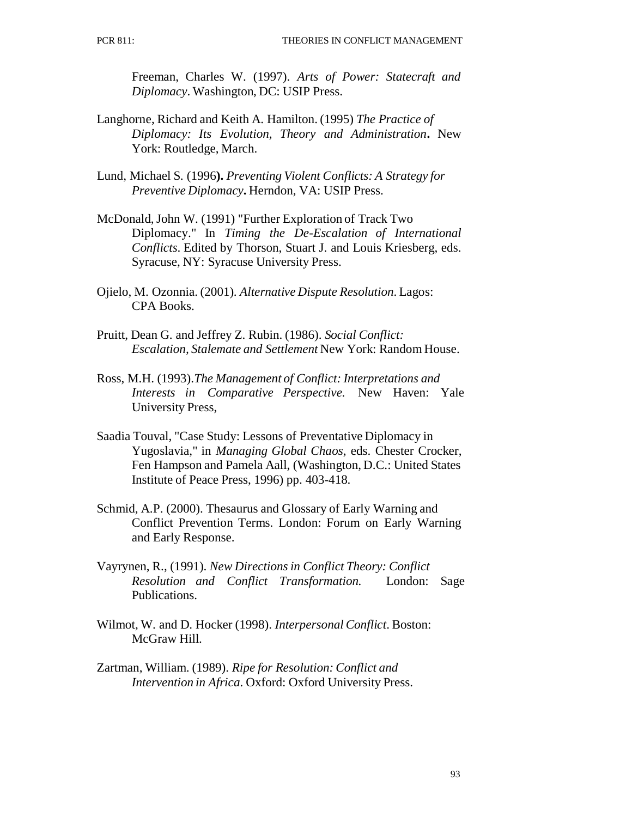Freeman, Charles W. (1997). *Arts of Power: Statecraft and Diplomacy*. Washington, DC: USIP Press.

- Langhorne, Richard and Keith A. Hamilton. (1995) *The Practice of Diplomacy: Its Evolution, Theory and Administration***.** New York: Routledge, March.
- Lund, Michael S. (1996**).** *Preventing Violent Conflicts: A Strategy for Preventive Diplomacy***.** Herndon, VA: USIP Press.
- McDonald, John W. (1991) "Further Exploration of Track Two Diplomacy." In *Timing the De-Escalation of International Conflicts*. Edited by Thorson, Stuart J. and Louis Kriesberg, eds. Syracuse, NY: Syracuse University Press.
- Ojielo, M. Ozonnia. (2001). *Alternative Dispute Resolution*. Lagos: CPA Books.
- Pruitt, Dean G. and Jeffrey Z. Rubin. (1986). *Social Conflict: Escalation, Stalemate and Settlement* New York: Random House.
- Ross, M.H. (1993).*The Management of Conflict: Interpretations and Interests in Comparative Perspective.* New Haven: Yale University Press,
- Saadia Touval, "Case Study: Lessons of Preventative Diplomacy in Yugoslavia," in *Managing Global Chaos*, eds. Chester Crocker, Fen Hampson and Pamela Aall, (Washington, D.C.: United States Institute of Peace Press, 1996) pp. 403-418.
- Schmid, A.P. (2000). Thesaurus and Glossary of Early Warning and Conflict Prevention Terms. London: Forum on Early Warning and Early Response.
- Vayrynen, R., (1991). *New Directions in Conflict Theory: Conflict Resolution and Conflict Transformation.* London: Sage Publications.
- Wilmot, W. and D. Hocker (1998). *Interpersonal Conflict*. Boston: McGraw Hill.
- Zartman, William. (1989). *Ripe for Resolution: Conflict and Intervention in Africa*. Oxford: Oxford University Press.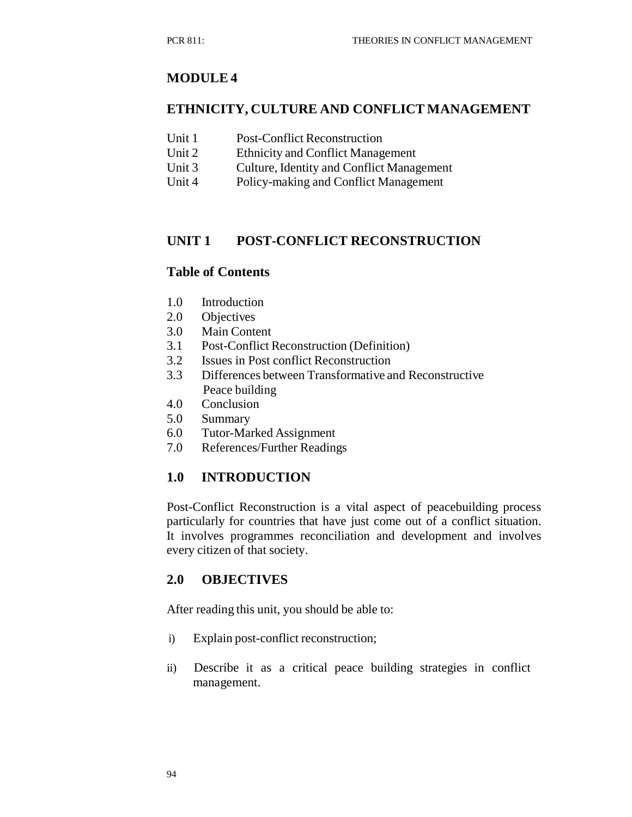# **MODULE 4**

### **ETHNICITY, CULTURE AND CONFLICT MANAGEMENT**

- Unit 1 Post-Conflict Reconstruction
- Unit 2 Ethnicity and Conflict Management
- Unit 3 Culture, Identity and Conflict Management
- Unit 4 Policy-making and Conflict Management

### **UNIT 1 POST-CONFLICT RECONSTRUCTION**

### **Table of Contents**

- 1.0 Introduction
- 2.0 Objectives
- 3.0 Main Content
- 3.1 Post-Conflict Reconstruction (Definition)
- 3.2 Issues in Post conflict Reconstruction
- 3.3 Differences between Transformative and Reconstructive Peace building
- 4.0 Conclusion
- 5.0 Summary
- 6.0 Tutor-Marked Assignment
- 7.0 References/Further Readings

## **1.0 INTRODUCTION**

Post-Conflict Reconstruction is a vital aspect of peacebuilding process particularly for countries that have just come out of a conflict situation. It involves programmes reconciliation and development and involves every citizen of that society.

## **2.0 OBJECTIVES**

After reading this unit, you should be able to:

- i) Explain post-conflict reconstruction;
- ii) Describe it as a critical peace building strategies in conflict management.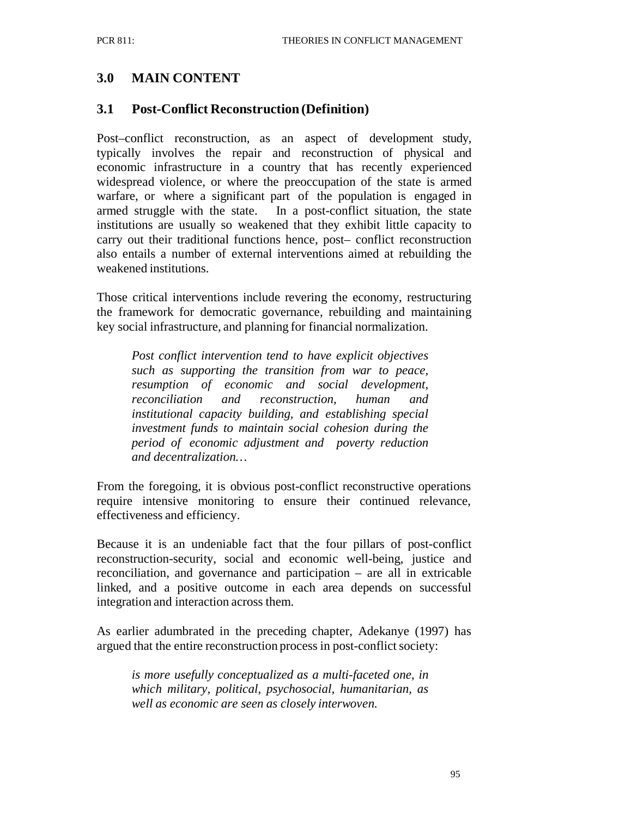### **3.0 MAIN CONTENT**

#### **3.1 Post-Conflict Reconstruction (Definition)**

Post–conflict reconstruction, as an aspect of development study, typically involves the repair and reconstruction of physical and economic infrastructure in a country that has recently experienced widespread violence, or where the preoccupation of the state is armed warfare, or where a significant part of the population is engaged in armed struggle with the state. In a post-conflict situation, the state institutions are usually so weakened that they exhibit little capacity to carry out their traditional functions hence, post– conflict reconstruction also entails a number of external interventions aimed at rebuilding the weakened institutions.

Those critical interventions include revering the economy, restructuring the framework for democratic governance, rebuilding and maintaining key social infrastructure, and planning for financial normalization.

*Post conflict intervention tend to have explicit objectives such as supporting the transition from war to peace, resumption of economic and social development, reconciliation and reconstruction, human and institutional capacity building, and establishing special investment funds to maintain social cohesion during the period of economic adjustment and poverty reduction and decentralization…*

From the foregoing, it is obvious post-conflict reconstructive operations require intensive monitoring to ensure their continued relevance, effectiveness and efficiency.

Because it is an undeniable fact that the four pillars of post-conflict reconstruction-security, social and economic well-being, justice and reconciliation, and governance and participation – are all in extricable linked, and a positive outcome in each area depends on successful integration and interaction across them.

As earlier adumbrated in the preceding chapter, Adekanye (1997) has argued that the entire reconstruction process in post-conflict society:

*is more usefully conceptualized as a multi-faceted one, in which military, political, psychosocial, humanitarian, as well as economic are seen as closely interwoven.*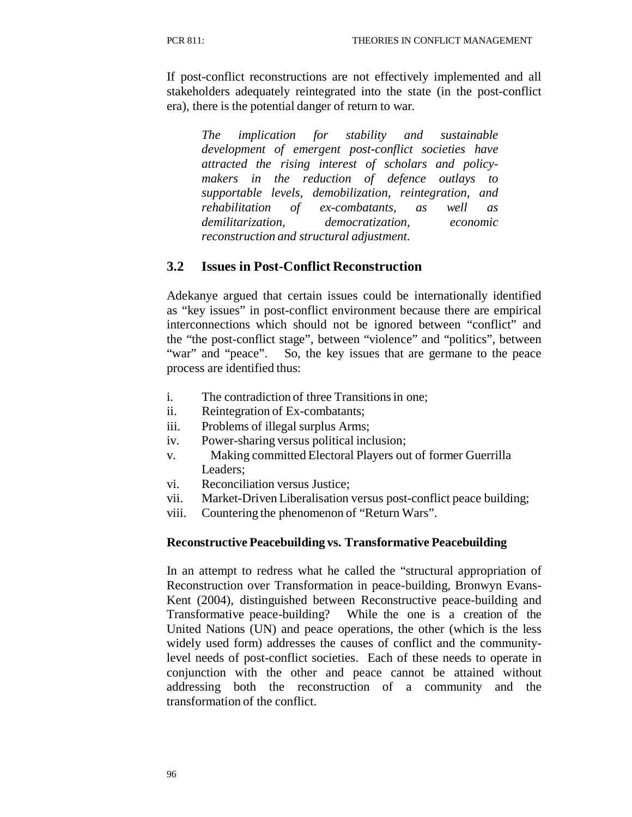If post-conflict reconstructions are not effectively implemented and all stakeholders adequately reintegrated into the state (in the post-conflict era), there is the potential danger of return to war.

*The implication for stability and sustainable development of emergent post-conflict societies have attracted the rising interest of scholars and policymakers in the reduction of defence outlays to supportable levels, demobilization, reintegration, and rehabilitation of ex-combatants, as well as demilitarization, democratization, economic reconstruction and structural adjustment.*

## **3.2 Issues in Post-Conflict Reconstruction**

Adekanye argued that certain issues could be internationally identified as "key issues" in post-conflict environment because there are empirical interconnections which should not be ignored between "conflict" and the "the post-conflict stage", between "violence" and "politics", between "war" and "peace". So, the key issues that are germane to the peace process are identified thus:

- i. The contradiction of three Transitions in one;
- ii. Reintegration of Ex-combatants;
- iii. Problems of illegal surplus Arms;
- iv. Power-sharing versus political inclusion;
- v. Making committed Electoral Players out of former Guerrilla Leaders;
- vi. Reconciliation versus Justice;
- vii. Market-Driven Liberalisation versus post-conflict peace building;
- viii. Countering the phenomenon of "Return Wars".

### **Reconstructive Peacebuilding vs. Transformative Peacebuilding**

In an attempt to redress what he called the "structural appropriation of Reconstruction over Transformation in peace-building, Bronwyn Evans-Kent (2004), distinguished between Reconstructive peace-building and Transformative peace-building? While the one is a creation of the United Nations (UN) and peace operations, the other (which is the less widely used form) addresses the causes of conflict and the communitylevel needs of post-conflict societies. Each of these needs to operate in conjunction with the other and peace cannot be attained without addressing both the reconstruction of a community and the transformation of the conflict.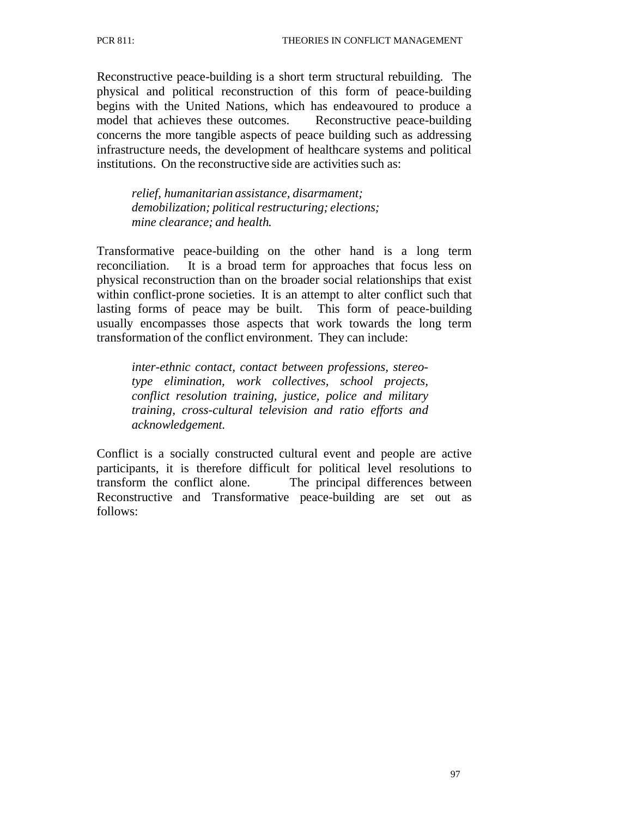Reconstructive peace-building is a short term structural rebuilding. The physical and political reconstruction of this form of peace-building begins with the United Nations, which has endeavoured to produce a model that achieves these outcomes. Reconstructive peace-building concerns the more tangible aspects of peace building such as addressing infrastructure needs, the development of healthcare systems and political institutions. On the reconstructive side are activities such as:

*relief, humanitarian assistance, disarmament; demobilization; political restructuring; elections; mine clearance; and health.*

Transformative peace-building on the other hand is a long term reconciliation. It is a broad term for approaches that focus less on physical reconstruction than on the broader social relationships that exist within conflict-prone societies. It is an attempt to alter conflict such that lasting forms of peace may be built. This form of peace-building usually encompasses those aspects that work towards the long term transformation of the conflict environment. They can include:

*inter-ethnic contact, contact between professions, stereotype elimination, work collectives, school projects, conflict resolution training, justice, police and military training, cross-cultural television and ratio efforts and acknowledgement.*

Conflict is a socially constructed cultural event and people are active participants, it is therefore difficult for political level resolutions to transform the conflict alone. The principal differences between Reconstructive and Transformative peace-building are set out as follows: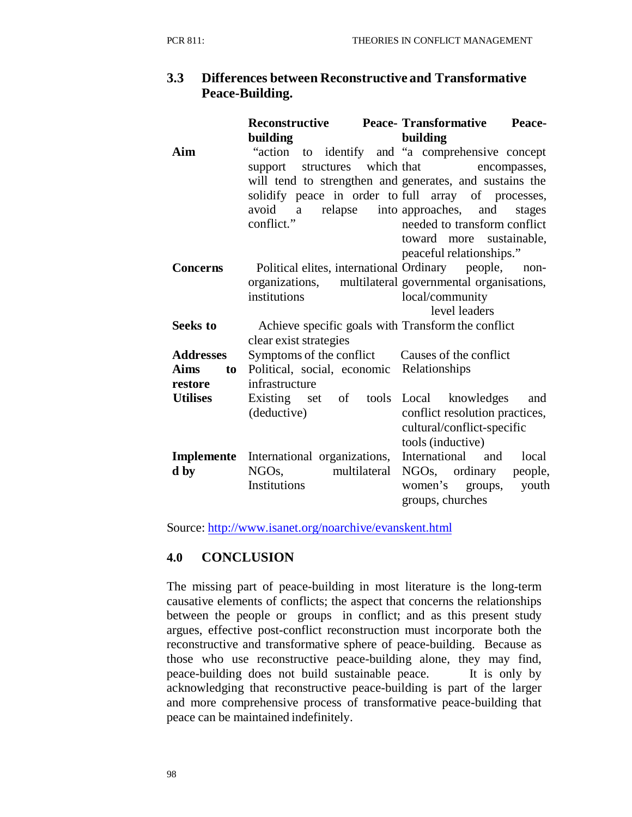## **3.3 Differences between Reconstructive and Transformative Peace-Building.**

|                   | Reconstructive                                     | <b>Peace- Transformative</b><br>Peace-                  |
|-------------------|----------------------------------------------------|---------------------------------------------------------|
|                   | building                                           | building                                                |
| Aim               |                                                    | "action to identify and "a comprehensive concept"       |
|                   | structures which that<br>support                   | encompasses,                                            |
|                   |                                                    | will tend to strengthen and generates, and sustains the |
|                   |                                                    | solidify peace in order to full array of processes,     |
|                   | avoid<br>a                                         | relapse into approaches,<br>and<br>stages               |
|                   | conflict."                                         | needed to transform conflict                            |
|                   |                                                    | toward more sustainable,                                |
|                   |                                                    | peaceful relationships."                                |
| <b>Concerns</b>   | Political elites, international Ordinary people,   | non-                                                    |
|                   | organizations,                                     | multilateral governmental organisations,                |
|                   | institutions                                       | local/community                                         |
|                   |                                                    | level leaders                                           |
| <b>Seeks to</b>   | Achieve specific goals with Transform the conflict |                                                         |
|                   | clear exist strategies                             |                                                         |
| <b>Addresses</b>  | Symptoms of the conflict                           | Causes of the conflict                                  |
| <b>Aims</b><br>to | Political, social, economic                        | Relationships                                           |
| restore           | infrastructure                                     |                                                         |
| <b>Utilises</b>   | Existing set of                                    | tools Local<br>knowledges<br>and                        |
|                   | (deductive)                                        | conflict resolution practices,                          |
|                   |                                                    | cultural/conflict-specific                              |
|                   |                                                    |                                                         |
|                   |                                                    | tools (inductive)                                       |
| Implemente        | International organizations,                       | International and<br>local                              |
| d by              | multilateral<br>NGOs,                              | NGOs, ordinary<br>people,                               |
|                   | Institutions                                       | women's<br>groups,<br>youth                             |
|                   |                                                    | groups, churches                                        |

Source: http://www.isanet.org/noarchive/evanskent.html

## **4.0 CONCLUSION**

The missing part of peace-building in most literature is the long-term causative elements of conflicts; the aspect that concerns the relationships between the people or groups in conflict; and as this present study argues, effective post-conflict reconstruction must incorporate both the reconstructive and transformative sphere of peace-building. Because as those who use reconstructive peace-building alone, they may find, peace-building does not build sustainable peace. It is only by acknowledging that reconstructive peace-building is part of the larger and more comprehensive process of transformative peace-building that peace can be maintained indefinitely.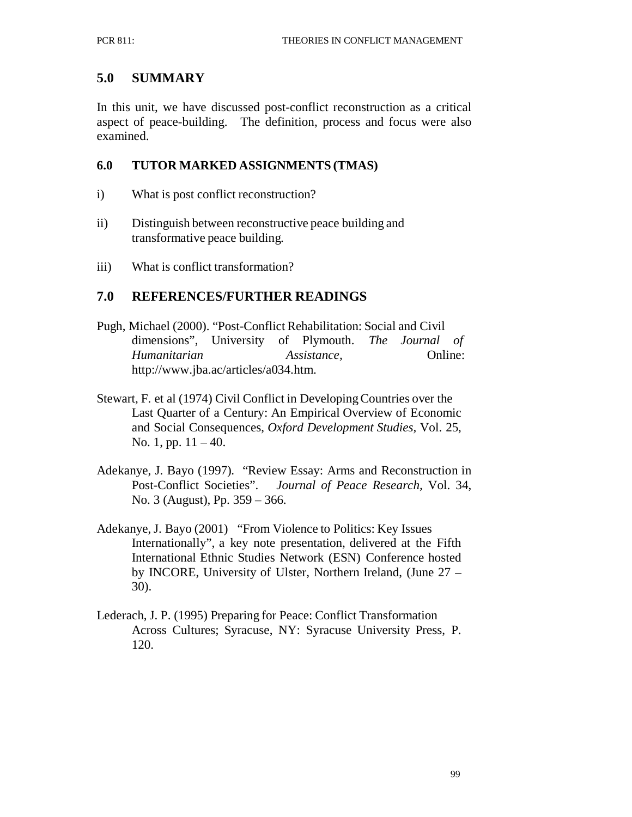## **5.0 SUMMARY**

In this unit, we have discussed post-conflict reconstruction as a critical aspect of peace-building. The definition, process and focus were also examined.

#### **6.0 TUTOR MARKED ASSIGNMENTS (TMAS)**

- i) What is post conflict reconstruction?
- ii) Distinguish between reconstructive peace building and transformative peace building.
- iii) What is conflict transformation?

### **7.0 REFERENCES/FURTHER READINGS**

- Pugh, Michael (2000). "Post-Conflict Rehabilitation: Social and Civil dimensions", University of Plymouth. *The Journal of Humanitarian Assistance,* Online: http://www.jba.ac/articles/a034.htm.
- Stewart, F. et al (1974) Civil Conflict in Developing Countries over the Last Quarter of a Century: An Empirical Overview of Economic and Social Consequences, *Oxford Development Studies,* Vol. 25, No. 1, pp. 11 – 40.
- Adekanye, J. Bayo (1997). "Review Essay: Arms and Reconstruction in Post-Conflict Societies". *Journal of Peace Research,* Vol. 34, No. 3 (August), Pp. 359 – 366.
- Adekanye, J. Bayo (2001) "From Violence to Politics: Key Issues Internationally", a key note presentation, delivered at the Fifth International Ethnic Studies Network (ESN) Conference hosted by INCORE, University of Ulster, Northern Ireland, (June 27 – 30).
- Lederach, J. P. (1995) Preparing for Peace: Conflict Transformation Across Cultures; Syracuse, NY: Syracuse University Press, P. 120.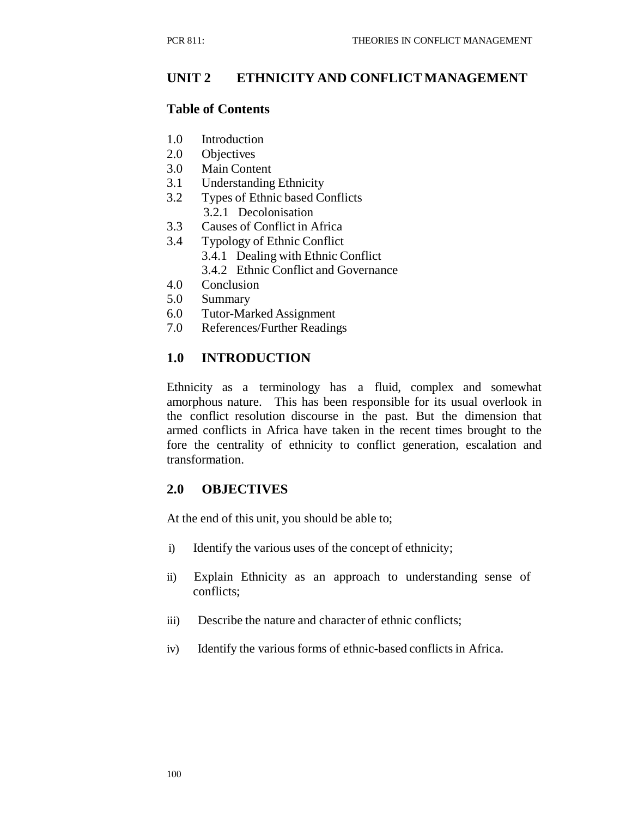## **UNIT 2 ETHNICITY AND CONFLICT MANAGEMENT**

#### **Table of Contents**

- 1.0 Introduction
- 2.0 Objectives
- 3.0 Main Content
- 3.1 Understanding Ethnicity
- 3.2 Types of Ethnic based Conflicts
	- 3.2.1 Decolonisation
- 3.3 Causes of Conflict in Africa
- 3.4 Typology of Ethnic Conflict
	- 3.4.1 Dealing with Ethnic Conflict
	- 3.4.2 Ethnic Conflict and Governance
- 4.0 Conclusion
- 5.0 Summary
- 6.0 Tutor-Marked Assignment
- 7.0 References/Further Readings

### **1.0 INTRODUCTION**

Ethnicity as a terminology has a fluid, complex and somewhat amorphous nature. This has been responsible for its usual overlook in the conflict resolution discourse in the past. But the dimension that armed conflicts in Africa have taken in the recent times brought to the fore the centrality of ethnicity to conflict generation, escalation and transformation.

#### **2.0 OBJECTIVES**

At the end of this unit, you should be able to;

- i) Identify the various uses of the concept of ethnicity;
- ii) Explain Ethnicity as an approach to understanding sense of conflicts;
- iii) Describe the nature and character of ethnic conflicts;
- iv) Identify the various forms of ethnic-based conflicts in Africa.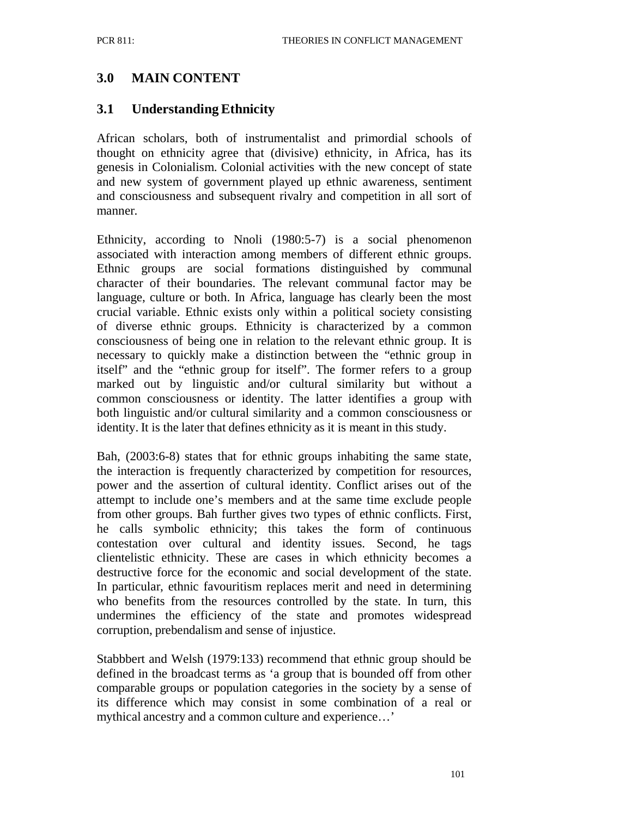## **3.0 MAIN CONTENT**

### **3.1 Understanding Ethnicity**

African scholars, both of instrumentalist and primordial schools of thought on ethnicity agree that (divisive) ethnicity, in Africa, has its genesis in Colonialism. Colonial activities with the new concept of state and new system of government played up ethnic awareness, sentiment and consciousness and subsequent rivalry and competition in all sort of manner.

Ethnicity, according to Nnoli (1980:5-7) is a social phenomenon associated with interaction among members of different ethnic groups. Ethnic groups are social formations distinguished by communal character of their boundaries. The relevant communal factor may be language, culture or both. In Africa, language has clearly been the most crucial variable. Ethnic exists only within a political society consisting of diverse ethnic groups. Ethnicity is characterized by a common consciousness of being one in relation to the relevant ethnic group. It is necessary to quickly make a distinction between the "ethnic group in itself" and the "ethnic group for itself". The former refers to a group marked out by linguistic and/or cultural similarity but without a common consciousness or identity. The latter identifies a group with both linguistic and/or cultural similarity and a common consciousness or identity. It is the later that defines ethnicity as it is meant in this study.

Bah, (2003:6-8) states that for ethnic groups inhabiting the same state, the interaction is frequently characterized by competition for resources, power and the assertion of cultural identity. Conflict arises out of the attempt to include one's members and at the same time exclude people from other groups. Bah further gives two types of ethnic conflicts. First, he calls symbolic ethnicity; this takes the form of continuous contestation over cultural and identity issues. Second, he tags clientelistic ethnicity. These are cases in which ethnicity becomes a destructive force for the economic and social development of the state. In particular, ethnic favouritism replaces merit and need in determining who benefits from the resources controlled by the state. In turn, this undermines the efficiency of the state and promotes widespread corruption, prebendalism and sense of injustice.

Stabbbert and Welsh (1979:133) recommend that ethnic group should be defined in the broadcast terms as 'a group that is bounded off from other comparable groups or population categories in the society by a sense of its difference which may consist in some combination of a real or mythical ancestry and a common culture and experience…'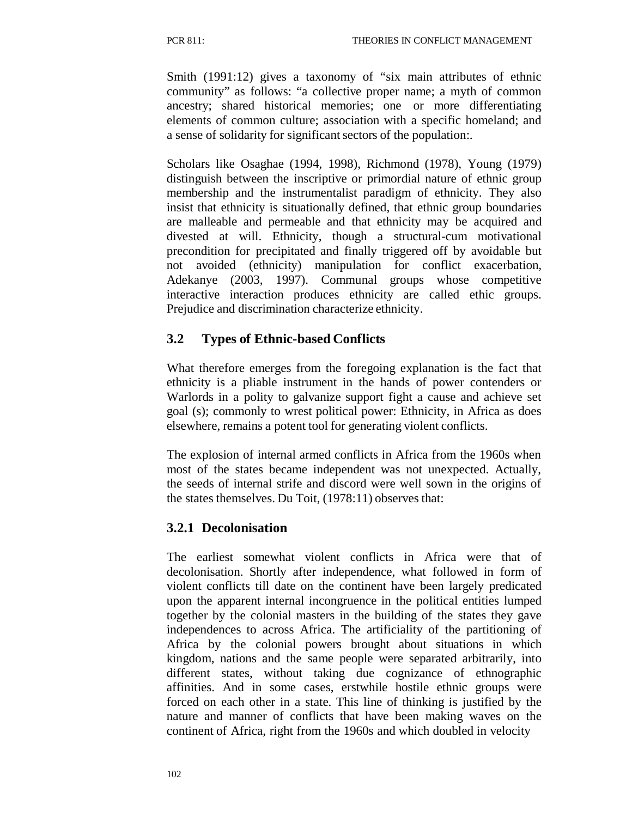Smith (1991:12) gives a taxonomy of "six main attributes of ethnic community" as follows: "a collective proper name; a myth of common ancestry; shared historical memories; one or more differentiating elements of common culture; association with a specific homeland; and a sense of solidarity for significant sectors of the population:.

Scholars like Osaghae (1994, 1998), Richmond (1978), Young (1979) distinguish between the inscriptive or primordial nature of ethnic group membership and the instrumentalist paradigm of ethnicity. They also insist that ethnicity is situationally defined, that ethnic group boundaries are malleable and permeable and that ethnicity may be acquired and divested at will. Ethnicity, though a structural-cum motivational precondition for precipitated and finally triggered off by avoidable but not avoided (ethnicity) manipulation for conflict exacerbation, Adekanye (2003, 1997). Communal groups whose competitive interactive interaction produces ethnicity are called ethic groups. Prejudice and discrimination characterize ethnicity.

## **3.2 Types of Ethnic-based Conflicts**

What therefore emerges from the foregoing explanation is the fact that ethnicity is a pliable instrument in the hands of power contenders or Warlords in a polity to galvanize support fight a cause and achieve set goal (s); commonly to wrest political power: Ethnicity, in Africa as does elsewhere, remains a potent tool for generating violent conflicts.

The explosion of internal armed conflicts in Africa from the 1960s when most of the states became independent was not unexpected. Actually, the seeds of internal strife and discord were well sown in the origins of the states themselves. Du Toit, (1978:11) observes that:

## **3.2.1 Decolonisation**

The earliest somewhat violent conflicts in Africa were that of decolonisation. Shortly after independence, what followed in form of violent conflicts till date on the continent have been largely predicated upon the apparent internal incongruence in the political entities lumped together by the colonial masters in the building of the states they gave independences to across Africa. The artificiality of the partitioning of Africa by the colonial powers brought about situations in which kingdom, nations and the same people were separated arbitrarily, into different states, without taking due cognizance of ethnographic affinities. And in some cases, erstwhile hostile ethnic groups were forced on each other in a state. This line of thinking is justified by the nature and manner of conflicts that have been making waves on the continent of Africa, right from the 1960s and which doubled in velocity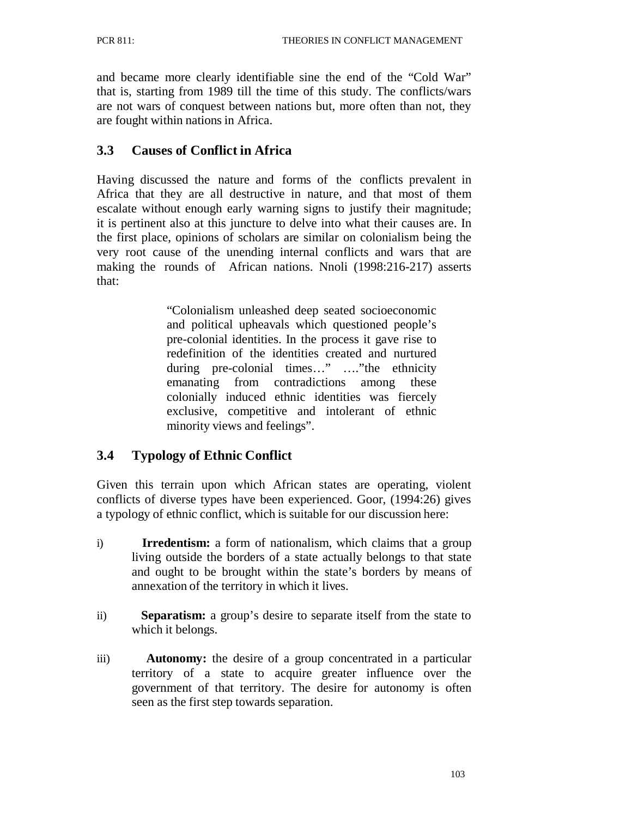and became more clearly identifiable sine the end of the "Cold War" that is, starting from 1989 till the time of this study. The conflicts/wars are not wars of conquest between nations but, more often than not, they are fought within nations in Africa.

## **3.3 Causes of Conflict in Africa**

Having discussed the nature and forms of the conflicts prevalent in Africa that they are all destructive in nature, and that most of them escalate without enough early warning signs to justify their magnitude; it is pertinent also at this juncture to delve into what their causes are. In the first place, opinions of scholars are similar on colonialism being the very root cause of the unending internal conflicts and wars that are making the rounds of African nations. Nnoli (1998:216-217) asserts that:

> "Colonialism unleashed deep seated socioeconomic and political upheavals which questioned people's pre-colonial identities. In the process it gave rise to redefinition of the identities created and nurtured during pre-colonial times…" …."the ethnicity emanating from contradictions among these colonially induced ethnic identities was fiercely exclusive, competitive and intolerant of ethnic minority views and feelings".

# **3.4 Typology of Ethnic Conflict**

Given this terrain upon which African states are operating, violent conflicts of diverse types have been experienced. Goor, (1994:26) gives a typology of ethnic conflict, which is suitable for our discussion here:

- i) **Irredentism:** a form of nationalism, which claims that a group living outside the borders of a state actually belongs to that state and ought to be brought within the state's borders by means of annexation of the territory in which it lives.
- ii) **Separatism:** a group's desire to separate itself from the state to which it belongs.
- iii) **Autonomy:** the desire of a group concentrated in a particular territory of a state to acquire greater influence over the government of that territory. The desire for autonomy is often seen as the first step towards separation.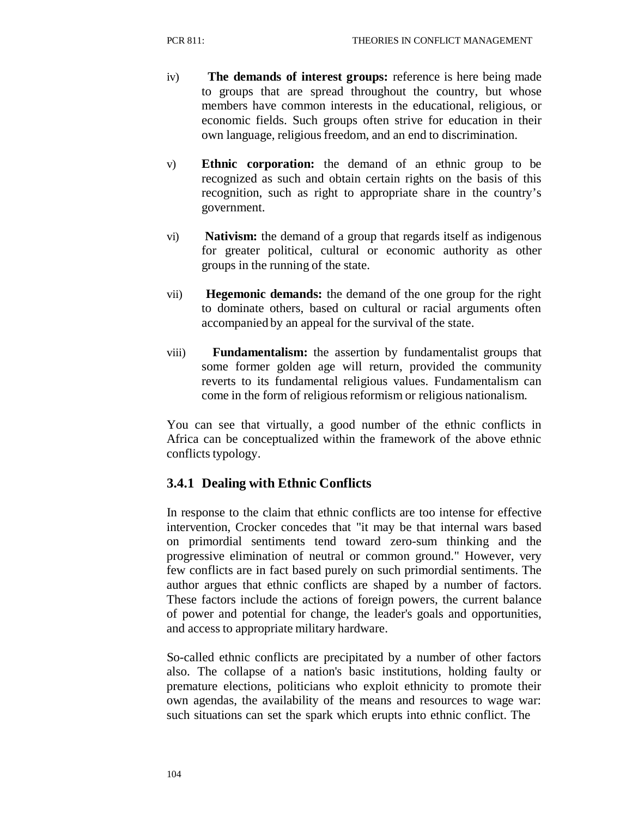- iv) **The demands of interest groups:** reference is here being made to groups that are spread throughout the country, but whose members have common interests in the educational, religious, or economic fields. Such groups often strive for education in their own language, religious freedom, and an end to discrimination.
- v) **Ethnic corporation:** the demand of an ethnic group to be recognized as such and obtain certain rights on the basis of this recognition, such as right to appropriate share in the country's government.
- vi) **Nativism:** the demand of a group that regards itself as indigenous for greater political, cultural or economic authority as other groups in the running of the state.
- vii) **Hegemonic demands:** the demand of the one group for the right to dominate others, based on cultural or racial arguments often accompanied by an appeal for the survival of the state.
- viii) **Fundamentalism:** the assertion by fundamentalist groups that some former golden age will return, provided the community reverts to its fundamental religious values. Fundamentalism can come in the form of religious reformism or religious nationalism.

You can see that virtually, a good number of the ethnic conflicts in Africa can be conceptualized within the framework of the above ethnic conflicts typology.

## **3.4.1 Dealing with Ethnic Conflicts**

In response to the claim that ethnic conflicts are too intense for effective intervention, Crocker concedes that "it may be that internal wars based on primordial sentiments tend toward zero-sum thinking and the progressive elimination of neutral or common ground." However, very few conflicts are in fact based purely on such primordial sentiments. The author argues that ethnic conflicts are shaped by a number of factors. These factors include the actions of foreign powers, the current balance of power and potential for change, the leader's goals and opportunities, and access to appropriate military hardware.

So-called ethnic conflicts are precipitated by a number of other factors also. The collapse of a nation's basic institutions, holding faulty or premature elections, politicians who exploit ethnicity to promote their own agendas, the availability of the means and resources to wage war: such situations can set the spark which erupts into ethnic conflict. The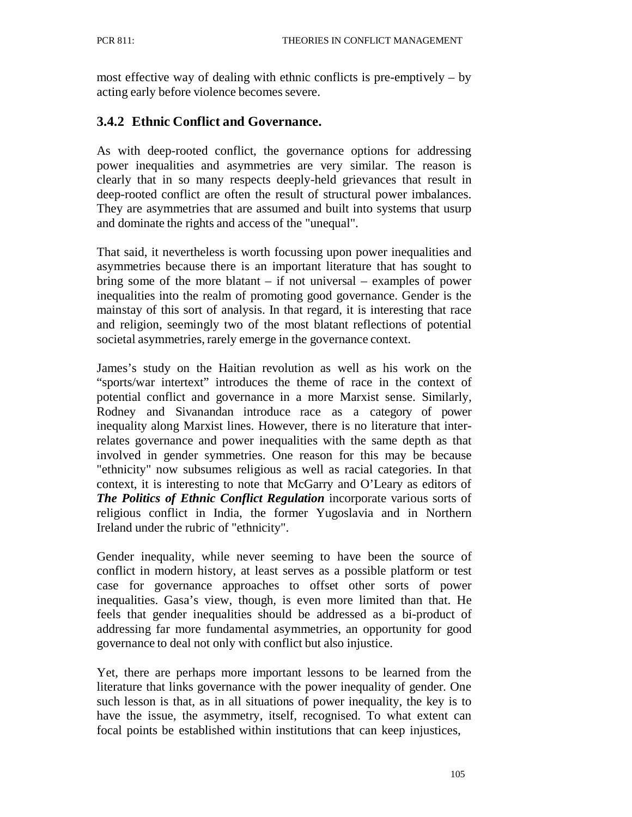most effective way of dealing with ethnic conflicts is pre-emptively – by acting early before violence becomes severe.

## **3.4.2 Ethnic Conflict and Governance.**

As with deep-rooted conflict, the governance options for addressing power inequalities and asymmetries are very similar. The reason is clearly that in so many respects deeply-held grievances that result in deep-rooted conflict are often the result of structural power imbalances. They are asymmetries that are assumed and built into systems that usurp and dominate the rights and access of the "unequal".

That said, it nevertheless is worth focussing upon power inequalities and asymmetries because there is an important literature that has sought to bring some of the more blatant – if not universal – examples of power inequalities into the realm of promoting good governance. Gender is the mainstay of this sort of analysis. In that regard, it is interesting that race and religion, seemingly two of the most blatant reflections of potential societal asymmetries, rarely emerge in the governance context.

James's study on the Haitian revolution as well as his work on the "sports/war intertext" introduces the theme of race in the context of potential conflict and governance in a more Marxist sense. Similarly, Rodney and Sivanandan introduce race as a category of power inequality along Marxist lines. However, there is no literature that interrelates governance and power inequalities with the same depth as that involved in gender symmetries. One reason for this may be because "ethnicity" now subsumes religious as well as racial categories. In that context, it is interesting to note that McGarry and O'Leary as editors of *The Politics of Ethnic Conflict Regulation* incorporate various sorts of religious conflict in India, the former Yugoslavia and in Northern Ireland under the rubric of "ethnicity".

Gender inequality, while never seeming to have been the source of conflict in modern history, at least serves as a possible platform or test case for governance approaches to offset other sorts of power inequalities. Gasa's view, though, is even more limited than that. He feels that gender inequalities should be addressed as a bi-product of addressing far more fundamental asymmetries, an opportunity for good governance to deal not only with conflict but also injustice.

Yet, there are perhaps more important lessons to be learned from the literature that links governance with the power inequality of gender. One such lesson is that, as in all situations of power inequality, the key is to have the issue, the asymmetry, itself, recognised. To what extent can focal points be established within institutions that can keep injustices,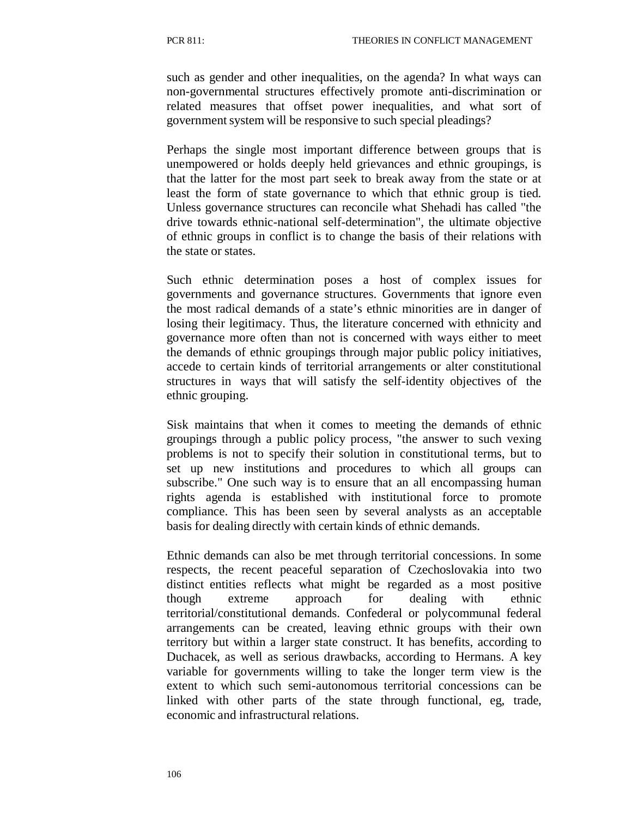such as gender and other inequalities, on the agenda? In what ways can non-governmental structures effectively promote anti-discrimination or related measures that offset power inequalities, and what sort of government system will be responsive to such special pleadings?

Perhaps the single most important difference between groups that is unempowered or holds deeply held grievances and ethnic groupings, is that the latter for the most part seek to break away from the state or at least the form of state governance to which that ethnic group is tied. Unless governance structures can reconcile what Shehadi has called "the drive towards ethnic-national self-determination", the ultimate objective of ethnic groups in conflict is to change the basis of their relations with the state or states.

Such ethnic determination poses a host of complex issues for governments and governance structures. Governments that ignore even the most radical demands of a state's ethnic minorities are in danger of losing their legitimacy. Thus, the literature concerned with ethnicity and governance more often than not is concerned with ways either to meet the demands of ethnic groupings through major public policy initiatives, accede to certain kinds of territorial arrangements or alter constitutional structures in ways that will satisfy the self-identity objectives of the ethnic grouping.

Sisk maintains that when it comes to meeting the demands of ethnic groupings through a public policy process, "the answer to such vexing problems is not to specify their solution in constitutional terms, but to set up new institutions and procedures to which all groups can subscribe." One such way is to ensure that an all encompassing human rights agenda is established with institutional force to promote compliance. This has been seen by several analysts as an acceptable basis for dealing directly with certain kinds of ethnic demands.

Ethnic demands can also be met through territorial concessions. In some respects, the recent peaceful separation of Czechoslovakia into two distinct entities reflects what might be regarded as a most positive though extreme approach for dealing with ethnic territorial/constitutional demands. Confederal or polycommunal federal arrangements can be created, leaving ethnic groups with their own territory but within a larger state construct. It has benefits, according to Duchacek, as well as serious drawbacks, according to Hermans. A key variable for governments willing to take the longer term view is the extent to which such semi-autonomous territorial concessions can be linked with other parts of the state through functional, eg, trade, economic and infrastructural relations.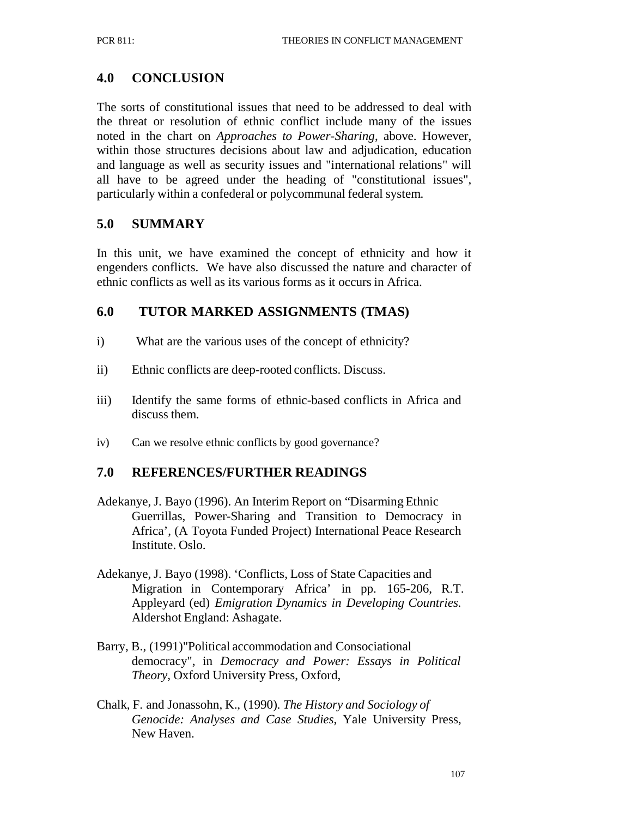# **4.0 CONCLUSION**

The sorts of constitutional issues that need to be addressed to deal with the threat or resolution of ethnic conflict include many of the issues noted in the chart on *Approaches to Power-Sharing*, above. However, within those structures decisions about law and adjudication, education and language as well as security issues and "international relations" will all have to be agreed under the heading of "constitutional issues", particularly within a confederal or polycommunal federal system.

### **5.0 SUMMARY**

In this unit, we have examined the concept of ethnicity and how it engenders conflicts. We have also discussed the nature and character of ethnic conflicts as well as its various forms as it occurs in Africa.

### **6.0 TUTOR MARKED ASSIGNMENTS (TMAS)**

- i) What are the various uses of the concept of ethnicity?
- ii) Ethnic conflicts are deep-rooted conflicts. Discuss.
- iii) Identify the same forms of ethnic-based conflicts in Africa and discuss them.
- iv) Can we resolve ethnic conflicts by good governance?

## **7.0 REFERENCES/FURTHER READINGS**

- Adekanye, J. Bayo (1996). An Interim Report on "Disarming Ethnic Guerrillas, Power-Sharing and Transition to Democracy in Africa', (A Toyota Funded Project) International Peace Research Institute. Oslo.
- Adekanye, J. Bayo (1998). 'Conflicts, Loss of State Capacities and Migration in Contemporary Africa' in pp. 165-206, R.T. Appleyard (ed) *Emigration Dynamics in Developing Countries.*  Aldershot England: Ashagate.
- Barry, B., (1991)"Political accommodation and Consociational democracy", in *Democracy and Power: Essays in Political Theory*, Oxford University Press, Oxford,
- Chalk, F. and Jonassohn, K., (1990). *The History and Sociology of Genocide: Analyses and Case Studies*, Yale University Press, New Haven.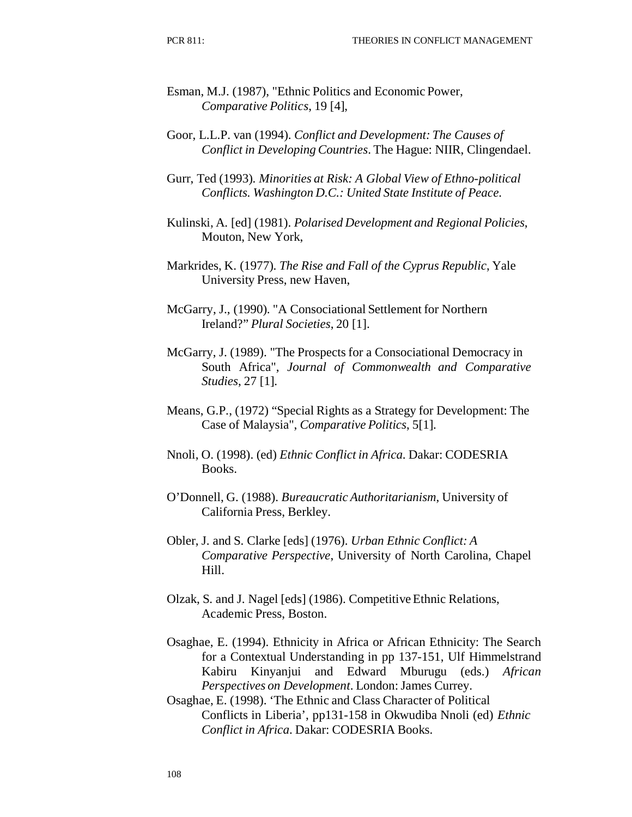- Esman, M.J. (1987), "Ethnic Politics and Economic Power, *Comparative Politics*, 19 [4],
- Goor, L.L.P. van (1994). *Conflict and Development: The Causes of Conflict in Developing Countries*. The Hague: NIIR, Clingendael.
- Gurr, Ted (1993)*. Minorities at Risk: A Global View of Ethno-political Conflicts. Washington D.C.: United State Institute of Peace.*
- Kulinski, A. [ed] (1981). *Polarised Development and Regional Policies*, Mouton, New York,
- Markrides, K. (1977). *The Rise and Fall of the Cyprus Republic*, Yale University Press, new Haven,
- McGarry, J., (1990). "A Consociational Settlement for Northern Ireland?" *Plural Societies*, 20 [1].
- McGarry, J. (1989). "The Prospects for a Consociational Democracy in South Africa", *Journal of Commonwealth and Comparative Studies*, 27 [1].
- Means, G.P., (1972) "Special Rights as a Strategy for Development: The Case of Malaysia", *Comparative Politics*, 5[1].
- Nnoli, O. (1998). (ed) *Ethnic Conflict in Africa*. Dakar: CODESRIA Books.
- O'Donnell, G. (1988). *Bureaucratic Authoritarianism*, University of California Press, Berkley.
- Obler, J. and S. Clarke [eds] (1976). *Urban Ethnic Conflict: A Comparative Perspective*, University of North Carolina, Chapel Hill.
- Olzak, S. and J. Nagel [eds] (1986). Competitive Ethnic Relations, Academic Press, Boston.
- Osaghae, E. (1994). Ethnicity in Africa or African Ethnicity: The Search for a Contextual Understanding in pp 137-151, Ulf Himmelstrand Kabiru Kinyanjui and Edward Mburugu (eds.) *African Perspectives on Development*. London: James Currey.
- Osaghae, E. (1998). 'The Ethnic and Class Character of Political Conflicts in Liberia', pp131-158 in Okwudiba Nnoli (ed) *Ethnic Conflict in Africa*. Dakar: CODESRIA Books.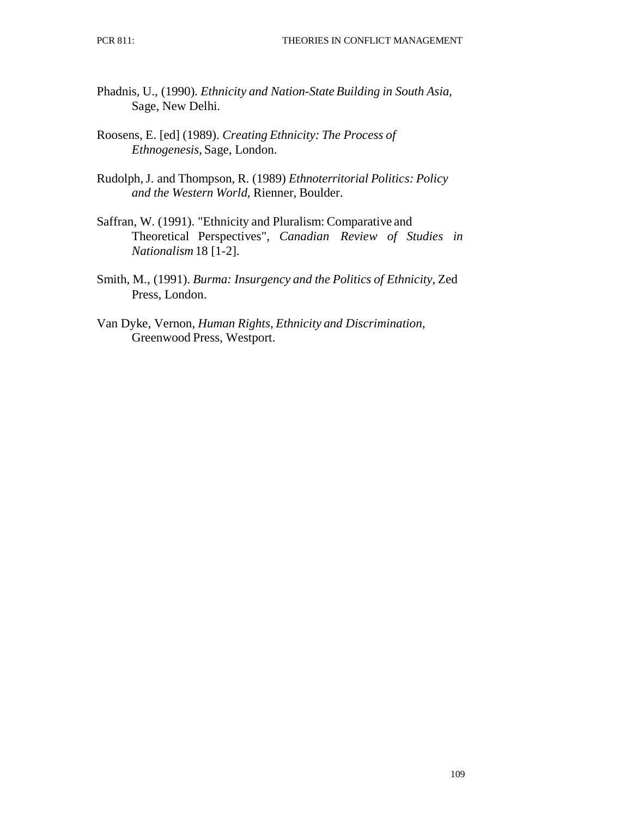- Phadnis, U., (1990). *Ethnicity and Nation-State Building in South Asia*, Sage, New Delhi.
- Roosens, E. [ed] (1989). *Creating Ethnicity: The Process of Ethnogenesis*, Sage, London.
- Rudolph, J. and Thompson, R. (1989) *Ethnoterritorial Politics: Policy and the Western World*, Rienner, Boulder.
- Saffran, W. (1991). "Ethnicity and Pluralism: Comparative and Theoretical Perspectives", *Canadian Review of Studies in Nationalism* 18 [1-2].
- Smith, M., (1991). *Burma: Insurgency and the Politics of Ethnicity*, Zed Press, London.
- Van Dyke, Vernon, *Human Rights, Ethnicity and Discrimination*, Greenwood Press, Westport.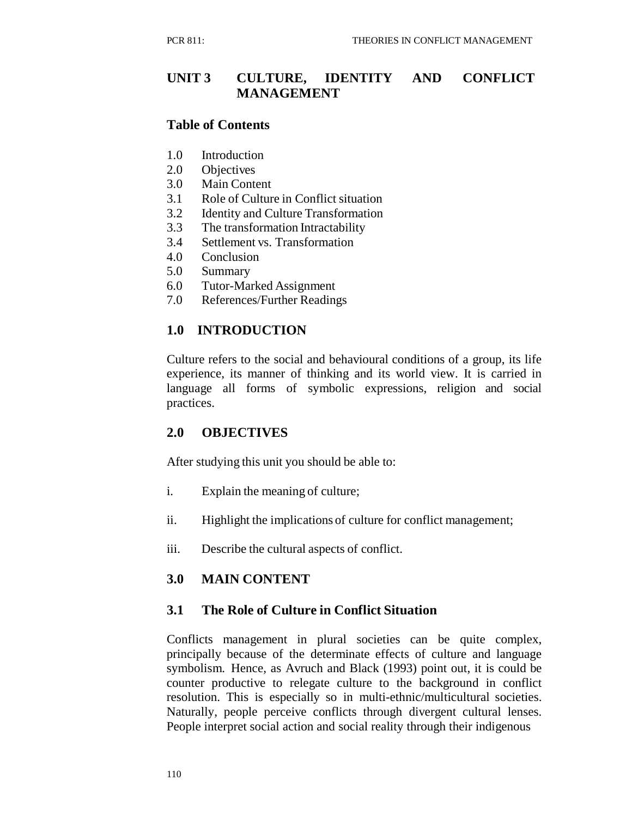## **UNIT 3 CULTURE, IDENTITY AND CONFLICT MANAGEMENT**

#### **Table of Contents**

- 1.0 Introduction
- 2.0 Objectives
- 3.0 Main Content
- 3.1 Role of Culture in Conflict situation
- 3.2 Identity and Culture Transformation
- 3.3 The transformation Intractability
- 3.4 Settlement vs. Transformation
- 4.0 Conclusion
- 5.0 Summary
- 6.0 Tutor-Marked Assignment
- 7.0 References/Further Readings

### **1.0 INTRODUCTION**

Culture refers to the social and behavioural conditions of a group, its life experience, its manner of thinking and its world view. It is carried in language all forms of symbolic expressions, religion and social practices.

### **2.0 OBJECTIVES**

After studying this unit you should be able to:

- i. Explain the meaning of culture;
- ii. Highlight the implications of culture for conflict management;
- iii. Describe the cultural aspects of conflict.

#### **3.0 MAIN CONTENT**

#### **3.1 The Role of Culture in Conflict Situation**

Conflicts management in plural societies can be quite complex, principally because of the determinate effects of culture and language symbolism. Hence, as Avruch and Black (1993) point out, it is could be counter productive to relegate culture to the background in conflict resolution. This is especially so in multi-ethnic/multicultural societies. Naturally, people perceive conflicts through divergent cultural lenses. People interpret social action and social reality through their indigenous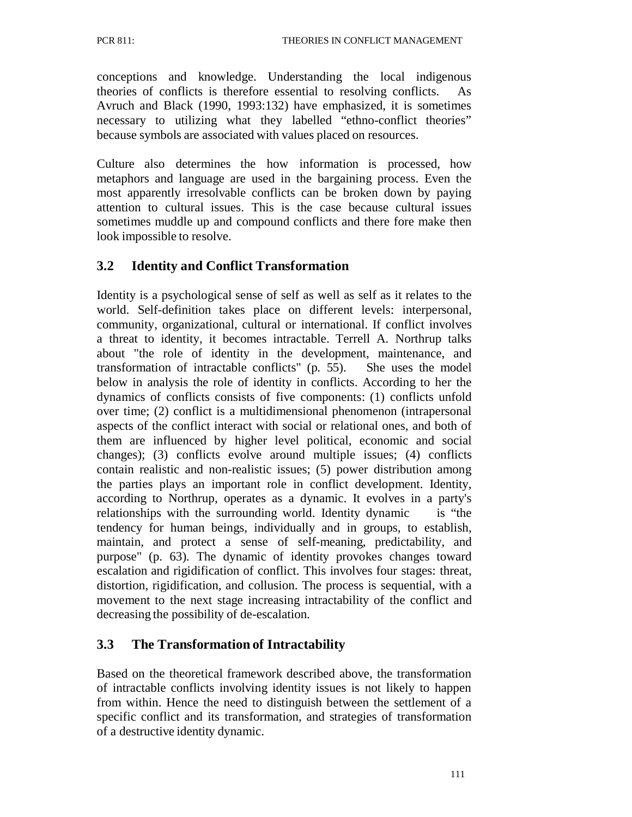conceptions and knowledge. Understanding the local indigenous theories of conflicts is therefore essential to resolving conflicts. As Avruch and Black (1990, 1993:132) have emphasized, it is sometimes necessary to utilizing what they labelled "ethno-conflict theories" because symbols are associated with values placed on resources.

Culture also determines the how information is processed, how metaphors and language are used in the bargaining process. Even the most apparently irresolvable conflicts can be broken down by paying attention to cultural issues. This is the case because cultural issues sometimes muddle up and compound conflicts and there fore make then look impossible to resolve.

## **3.2 Identity and Conflict Transformation**

Identity is a psychological sense of self as well as self as it relates to the world. Self-definition takes place on different levels: interpersonal, community, organizational, cultural or international. If conflict involves a threat to identity, it becomes intractable. Terrell A. Northrup talks about "the role of identity in the development, maintenance, and transformation of intractable conflicts" (p. 55). She uses the model below in analysis the role of identity in conflicts. According to her the dynamics of conflicts consists of five components: (1) conflicts unfold over time; (2) conflict is a multidimensional phenomenon (intrapersonal aspects of the conflict interact with social or relational ones, and both of them are influenced by higher level political, economic and social changes); (3) conflicts evolve around multiple issues; (4) conflicts contain realistic and non-realistic issues; (5) power distribution among the parties plays an important role in conflict development. Identity, according to Northrup, operates as a dynamic. It evolves in a party's relationships with the surrounding world. Identity dynamic is "the tendency for human beings, individually and in groups, to establish, maintain, and protect a sense of self-meaning, predictability, and purpose" (p. 63). The dynamic of identity provokes changes toward escalation and rigidification of conflict. This involves four stages: threat, distortion, rigidification, and collusion. The process is sequential, with a movement to the next stage increasing intractability of the conflict and decreasing the possibility of de-escalation.

## **3.3 The Transformation of Intractability**

Based on the theoretical framework described above, the transformation of intractable conflicts involving identity issues is not likely to happen from within. Hence the need to distinguish between the settlement of a specific conflict and its transformation, and strategies of transformation of a destructive identity dynamic.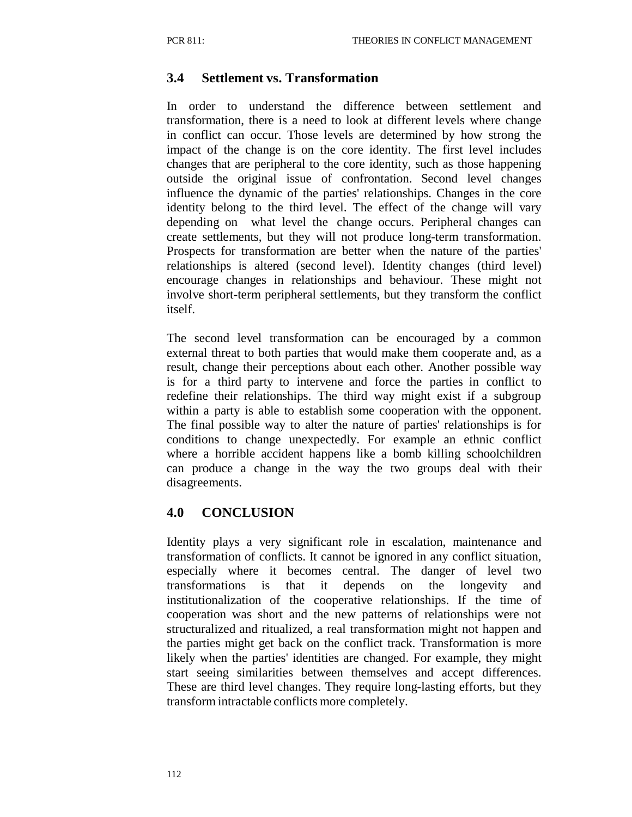### **3.4 Settlement vs. Transformation**

In order to understand the difference between settlement and transformation, there is a need to look at different levels where change in conflict can occur. Those levels are determined by how strong the impact of the change is on the core identity. The first level includes changes that are peripheral to the core identity, such as those happening outside the original issue of confrontation. Second level changes influence the dynamic of the parties' relationships. Changes in the core identity belong to the third level. The effect of the change will vary depending on what level the change occurs. Peripheral changes can create settlements, but they will not produce long-term transformation. Prospects for transformation are better when the nature of the parties' relationships is altered (second level). Identity changes (third level) encourage changes in relationships and behaviour. These might not involve short-term peripheral settlements, but they transform the conflict itself.

The second level transformation can be encouraged by a common external threat to both parties that would make them cooperate and, as a result, change their perceptions about each other. Another possible way is for a third party to intervene and force the parties in conflict to redefine their relationships. The third way might exist if a subgroup within a party is able to establish some cooperation with the opponent. The final possible way to alter the nature of parties' relationships is for conditions to change unexpectedly. For example an ethnic conflict where a horrible accident happens like a bomb killing schoolchildren can produce a change in the way the two groups deal with their disagreements.

### **4.0 CONCLUSION**

Identity plays a very significant role in escalation, maintenance and transformation of conflicts. It cannot be ignored in any conflict situation, especially where it becomes central. The danger of level two transformations is that it depends on the longevity and institutionalization of the cooperative relationships. If the time of cooperation was short and the new patterns of relationships were not structuralized and ritualized, a real transformation might not happen and the parties might get back on the conflict track. Transformation is more likely when the parties' identities are changed. For example, they might start seeing similarities between themselves and accept differences. These are third level changes. They require long-lasting efforts, but they transform intractable conflicts more completely.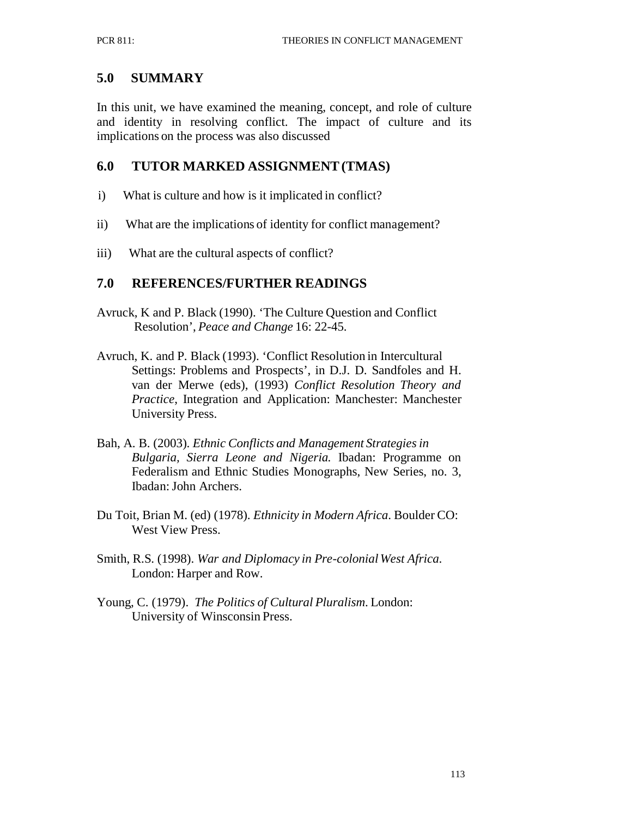## **5.0 SUMMARY**

In this unit, we have examined the meaning, concept, and role of culture and identity in resolving conflict. The impact of culture and its implications on the process was also discussed

## **6.0 TUTOR MARKED ASSIGNMENT (TMAS)**

- i) What is culture and how is it implicated in conflict?
- ii) What are the implications of identity for conflict management?
- iii) What are the cultural aspects of conflict?

### **7.0 REFERENCES/FURTHER READINGS**

- Avruck, K and P. Black (1990). 'The Culture Question and Conflict Resolution', *Peace and Change* 16: 22-45.
- Avruch, K. and P. Black (1993). 'Conflict Resolution in Intercultural Settings: Problems and Prospects', in D.J. D. Sandfoles and H. van der Merwe (eds), (1993) *Conflict Resolution Theory and Practice*, Integration and Application: Manchester: Manchester University Press.
- Bah, A. B. (2003). *Ethnic Conflicts and Management Strategies in Bulgaria, Sierra Leone and Nigeria.* Ibadan: Programme on Federalism and Ethnic Studies Monographs, New Series, no. 3, Ibadan: John Archers.
- Du Toit, Brian M. (ed) (1978). *Ethnicity in Modern Africa*. Boulder CO: West View Press.
- Smith, R.S. (1998). *War and Diplomacy in Pre-colonial West Africa*. London: Harper and Row.
- Young, C. (1979). *The Politics of Cultural Pluralism*. London: University of Winsconsin Press.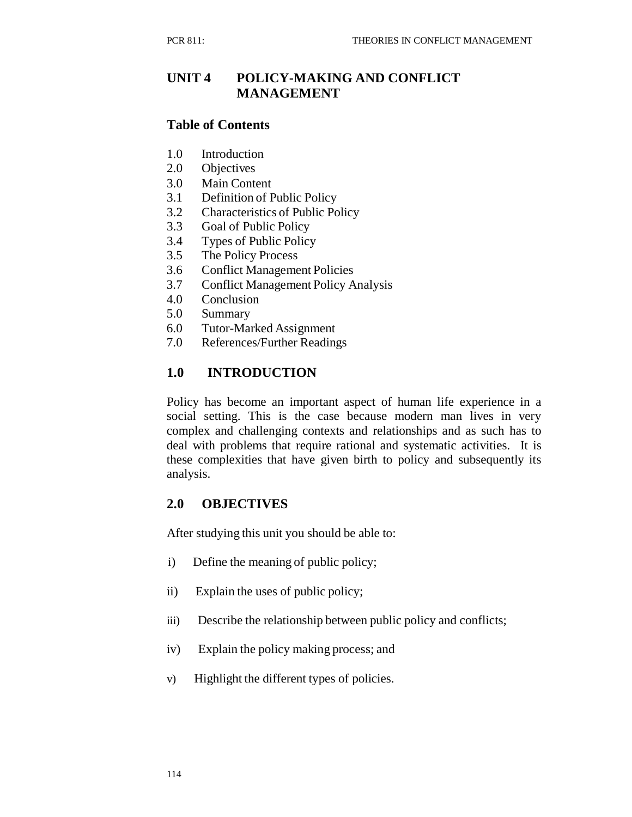# **UNIT 4 POLICY-MAKING AND CONFLICT MANAGEMENT**

#### **Table of Contents**

- 1.0 Introduction
- 2.0 Objectives
- 3.0 Main Content
- 3.1 Definition of Public Policy
- 3.2 Characteristics of Public Policy
- 3.3 Goal of Public Policy
- 3.4 Types of Public Policy
- 3.5 The Policy Process
- 3.6 Conflict Management Policies
- 3.7 Conflict Management Policy Analysis
- 4.0 Conclusion
- 5.0 Summary
- 6.0 Tutor-Marked Assignment
- 7.0 References/Further Readings

## **1.0 INTRODUCTION**

Policy has become an important aspect of human life experience in a social setting. This is the case because modern man lives in very complex and challenging contexts and relationships and as such has to deal with problems that require rational and systematic activities. It is these complexities that have given birth to policy and subsequently its analysis.

### **2.0 OBJECTIVES**

After studying this unit you should be able to:

- i) Define the meaning of public policy;
- ii) Explain the uses of public policy;
- iii) Describe the relationship between public policy and conflicts;
- iv) Explain the policy making process; and
- v) Highlight the different types of policies.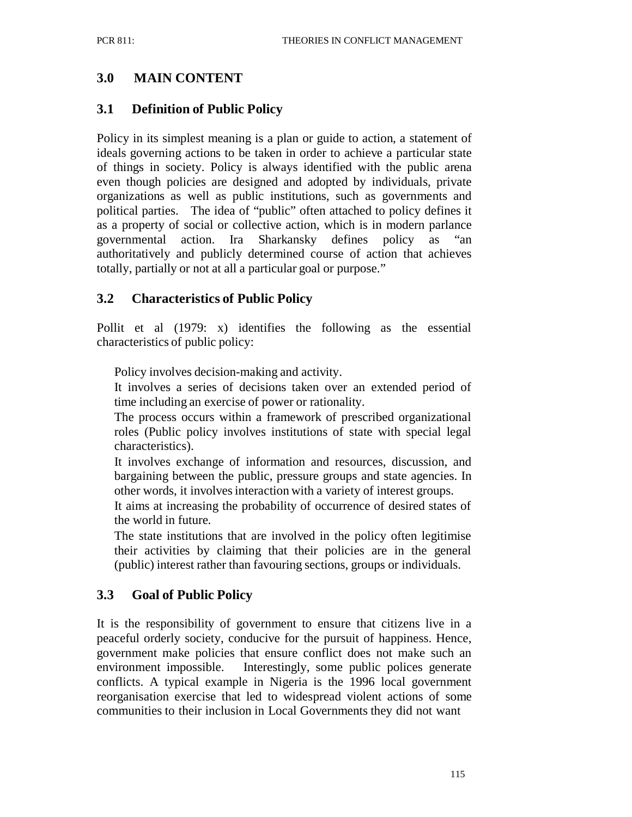## **3.0 MAIN CONTENT**

### **3.1 Definition of Public Policy**

Policy in its simplest meaning is a plan or guide to action, a statement of ideals governing actions to be taken in order to achieve a particular state of things in society. Policy is always identified with the public arena even though policies are designed and adopted by individuals, private organizations as well as public institutions, such as governments and political parties. The idea of "public" often attached to policy defines it as a property of social or collective action, which is in modern parlance governmental action. Ira Sharkansky defines policy as "an authoritatively and publicly determined course of action that achieves totally, partially or not at all a particular goal or purpose."

### **3.2 Characteristics of Public Policy**

Pollit et al (1979: x) identifies the following as the essential characteristics of public policy:

Policy involves decision-making and activity.

It involves a series of decisions taken over an extended period of time including an exercise of power or rationality.

The process occurs within a framework of prescribed organizational roles (Public policy involves institutions of state with special legal characteristics).

It involves exchange of information and resources, discussion, and bargaining between the public, pressure groups and state agencies. In other words, it involves interaction with a variety of interest groups.

It aims at increasing the probability of occurrence of desired states of the world in future.

The state institutions that are involved in the policy often legitimise their activities by claiming that their policies are in the general (public) interest rather than favouring sections, groups or individuals.

## **3.3 Goal of Public Policy**

It is the responsibility of government to ensure that citizens live in a peaceful orderly society, conducive for the pursuit of happiness. Hence, government make policies that ensure conflict does not make such an environment impossible. Interestingly, some public polices generate conflicts. A typical example in Nigeria is the 1996 local government reorganisation exercise that led to widespread violent actions of some communities to their inclusion in Local Governments they did not want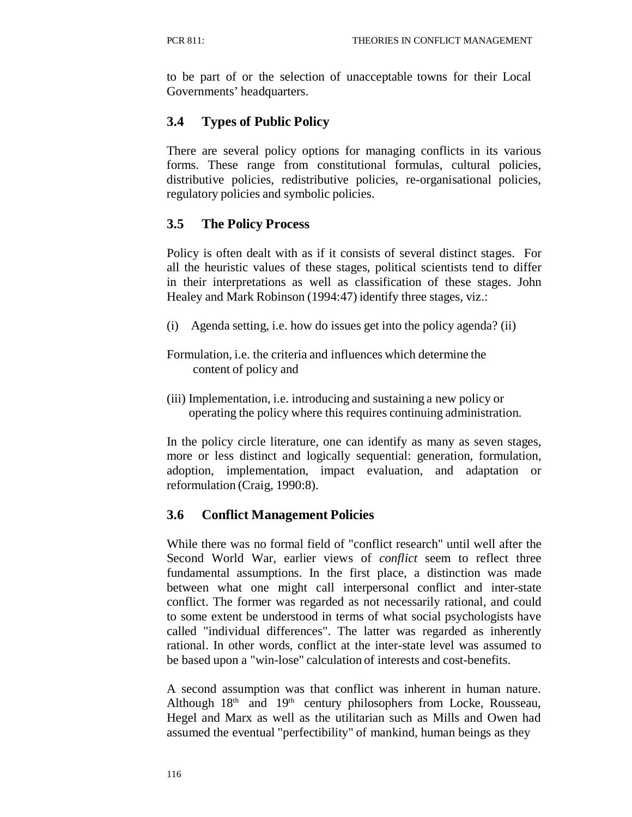to be part of or the selection of unacceptable towns for their Local Governments' headquarters.

# **3.4 Types of Public Policy**

There are several policy options for managing conflicts in its various forms. These range from constitutional formulas, cultural policies, distributive policies, redistributive policies, re-organisational policies, regulatory policies and symbolic policies.

## **3.5 The Policy Process**

Policy is often dealt with as if it consists of several distinct stages. For all the heuristic values of these stages, political scientists tend to differ in their interpretations as well as classification of these stages. John Healey and Mark Robinson (1994:47) identify three stages, viz.:

- (i) Agenda setting, i.e. how do issues get into the policy agenda? (ii)
- Formulation, i.e. the criteria and influences which determine the content of policy and
- (iii) Implementation, i.e. introducing and sustaining a new policy or operating the policy where this requires continuing administration.

In the policy circle literature, one can identify as many as seven stages, more or less distinct and logically sequential: generation, formulation, adoption, implementation, impact evaluation, and adaptation or reformulation (Craig, 1990:8).

## **3.6 Conflict Management Policies**

While there was no formal field of "conflict research" until well after the Second World War, earlier views of *conflict* seem to reflect three fundamental assumptions. In the first place, a distinction was made between what one might call interpersonal conflict and inter-state conflict. The former was regarded as not necessarily rational, and could to some extent be understood in terms of what social psychologists have called "individual differences". The latter was regarded as inherently rational. In other words, conflict at the inter-state level was assumed to be based upon a "win-lose" calculation of interests and cost-benefits.

A second assumption was that conflict was inherent in human nature. Although  $18<sup>th</sup>$  and  $19<sup>th</sup>$  century philosophers from Locke, Rousseau, Hegel and Marx as well as the utilitarian such as Mills and Owen had assumed the eventual "perfectibility" of mankind, human beings as they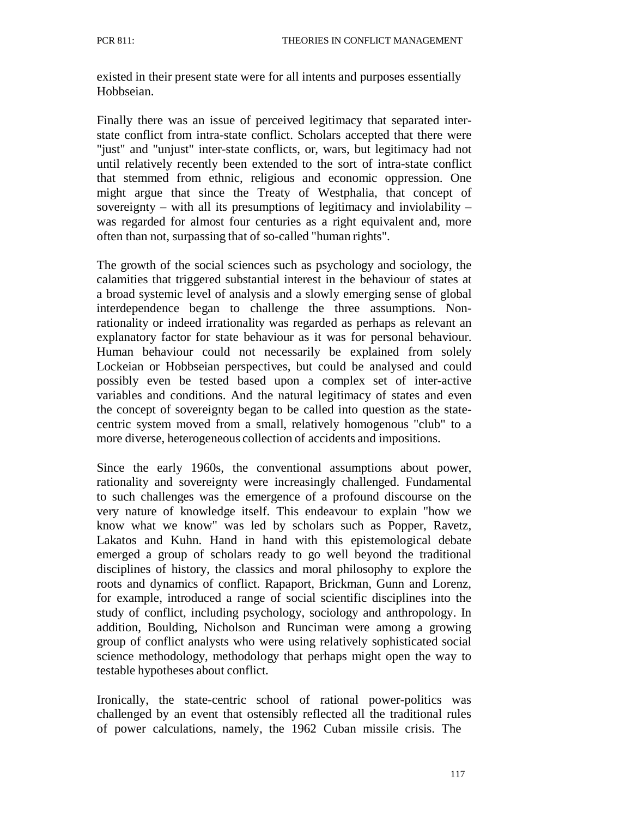existed in their present state were for all intents and purposes essentially Hobbseian.

Finally there was an issue of perceived legitimacy that separated interstate conflict from intra-state conflict. Scholars accepted that there were "just" and "unjust" inter-state conflicts, or, wars, but legitimacy had not until relatively recently been extended to the sort of intra-state conflict that stemmed from ethnic, religious and economic oppression. One might argue that since the Treaty of Westphalia, that concept of sovereignty – with all its presumptions of legitimacy and inviolability – was regarded for almost four centuries as a right equivalent and, more often than not, surpassing that of so-called "human rights".

The growth of the social sciences such as psychology and sociology, the calamities that triggered substantial interest in the behaviour of states at a broad systemic level of analysis and a slowly emerging sense of global interdependence began to challenge the three assumptions. Nonrationality or indeed irrationality was regarded as perhaps as relevant an explanatory factor for state behaviour as it was for personal behaviour. Human behaviour could not necessarily be explained from solely Lockeian or Hobbseian perspectives, but could be analysed and could possibly even be tested based upon a complex set of inter-active variables and conditions. And the natural legitimacy of states and even the concept of sovereignty began to be called into question as the statecentric system moved from a small, relatively homogenous "club" to a more diverse, heterogeneous collection of accidents and impositions.

Since the early 1960s, the conventional assumptions about power, rationality and sovereignty were increasingly challenged. Fundamental to such challenges was the emergence of a profound discourse on the very nature of knowledge itself. This endeavour to explain "how we know what we know" was led by scholars such as Popper, Ravetz, Lakatos and Kuhn. Hand in hand with this epistemological debate emerged a group of scholars ready to go well beyond the traditional disciplines of history, the classics and moral philosophy to explore the roots and dynamics of conflict. Rapaport, Brickman, Gunn and Lorenz, for example, introduced a range of social scientific disciplines into the study of conflict, including psychology, sociology and anthropology. In addition, Boulding, Nicholson and Runciman were among a growing group of conflict analysts who were using relatively sophisticated social science methodology, methodology that perhaps might open the way to testable hypotheses about conflict.

Ironically, the state-centric school of rational power-politics was challenged by an event that ostensibly reflected all the traditional rules of power calculations, namely, the 1962 Cuban missile crisis. The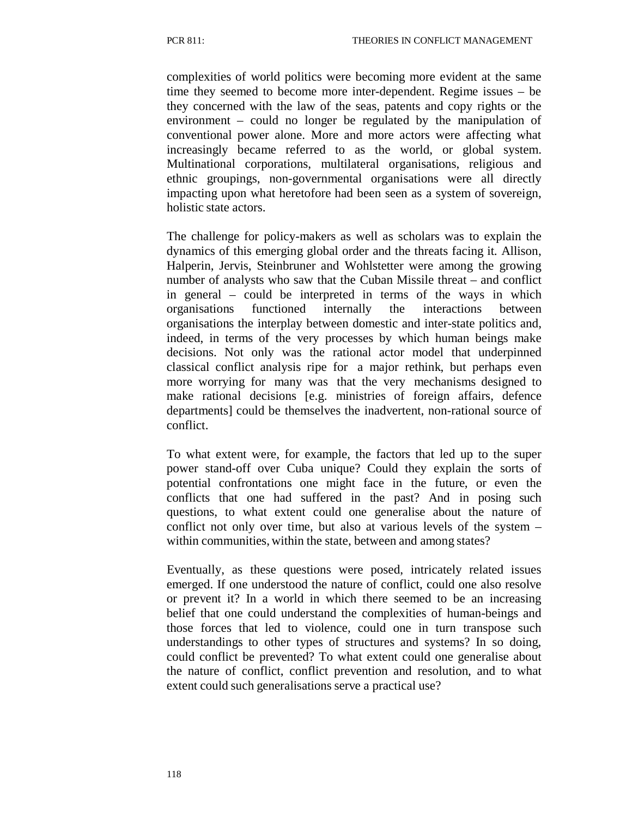complexities of world politics were becoming more evident at the same time they seemed to become more inter-dependent. Regime issues – be they concerned with the law of the seas, patents and copy rights or the environment – could no longer be regulated by the manipulation of conventional power alone. More and more actors were affecting what increasingly became referred to as the world, or global system. Multinational corporations, multilateral organisations, religious and ethnic groupings, non-governmental organisations were all directly impacting upon what heretofore had been seen as a system of sovereign, holistic state actors.

The challenge for policy-makers as well as scholars was to explain the dynamics of this emerging global order and the threats facing it. Allison, Halperin, Jervis, Steinbruner and Wohlstetter were among the growing number of analysts who saw that the Cuban Missile threat – and conflict in general – could be interpreted in terms of the ways in which organisations functioned internally the interactions between organisations the interplay between domestic and inter-state politics and, indeed, in terms of the very processes by which human beings make decisions. Not only was the rational actor model that underpinned classical conflict analysis ripe for a major rethink, but perhaps even more worrying for many was that the very mechanisms designed to make rational decisions [e.g. ministries of foreign affairs, defence departments] could be themselves the inadvertent, non-rational source of conflict.

To what extent were, for example, the factors that led up to the super power stand-off over Cuba unique? Could they explain the sorts of potential confrontations one might face in the future, or even the conflicts that one had suffered in the past? And in posing such questions, to what extent could one generalise about the nature of conflict not only over time, but also at various levels of the system – within communities, within the state, between and among states?

Eventually, as these questions were posed, intricately related issues emerged. If one understood the nature of conflict, could one also resolve or prevent it? In a world in which there seemed to be an increasing belief that one could understand the complexities of human-beings and those forces that led to violence, could one in turn transpose such understandings to other types of structures and systems? In so doing, could conflict be prevented? To what extent could one generalise about the nature of conflict, conflict prevention and resolution, and to what extent could such generalisations serve a practical use?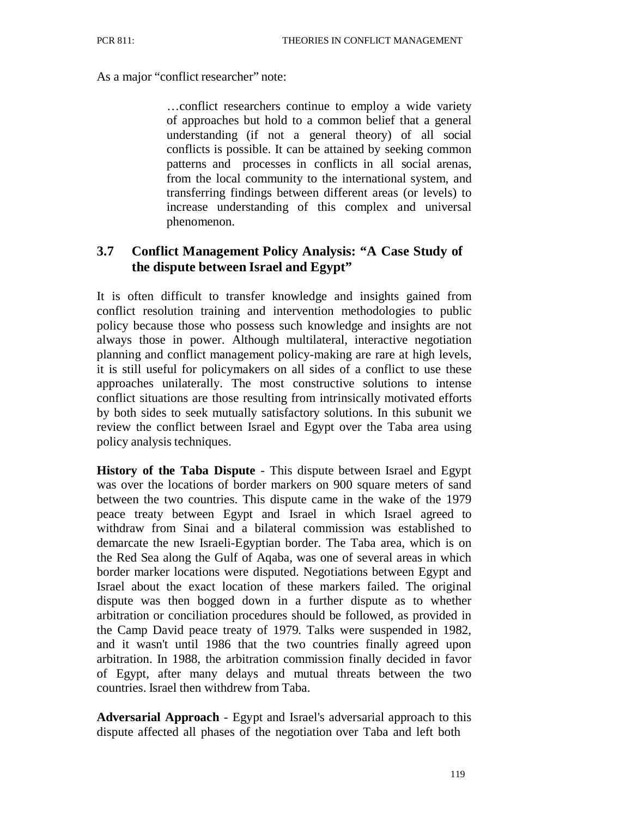As a major "conflict researcher" note:

…conflict researchers continue to employ a wide variety of approaches but hold to a common belief that a general understanding (if not a general theory) of all social conflicts is possible. It can be attained by seeking common patterns and processes in conflicts in all social arenas, from the local community to the international system, and transferring findings between different areas (or levels) to increase understanding of this complex and universal phenomenon.

### **3.7 Conflict Management Policy Analysis: "A Case Study of the dispute between Israel and Egypt"**

It is often difficult to transfer knowledge and insights gained from conflict resolution training and intervention methodologies to public policy because those who possess such knowledge and insights are not always those in power. Although multilateral, interactive negotiation planning and conflict management policy-making are rare at high levels, it is still useful for policymakers on all sides of a conflict to use these approaches unilaterally. The most constructive solutions to intense conflict situations are those resulting from intrinsically motivated efforts by both sides to seek mutually satisfactory solutions. In this subunit we review the conflict between Israel and Egypt over the Taba area using policy analysis techniques.

**History of the Taba Dispute** - This dispute between Israel and Egypt was over the locations of border markers on 900 square meters of sand between the two countries. This dispute came in the wake of the 1979 peace treaty between Egypt and Israel in which Israel agreed to withdraw from Sinai and a bilateral commission was established to demarcate the new Israeli-Egyptian border. The Taba area, which is on the Red Sea along the Gulf of Aqaba, was one of several areas in which border marker locations were disputed. Negotiations between Egypt and Israel about the exact location of these markers failed. The original dispute was then bogged down in a further dispute as to whether arbitration or conciliation procedures should be followed, as provided in the Camp David peace treaty of 1979. Talks were suspended in 1982, and it wasn't until 1986 that the two countries finally agreed upon arbitration. In 1988, the arbitration commission finally decided in favor of Egypt, after many delays and mutual threats between the two countries. Israel then withdrew from Taba.

**Adversarial Approach** - Egypt and Israel's adversarial approach to this dispute affected all phases of the negotiation over Taba and left both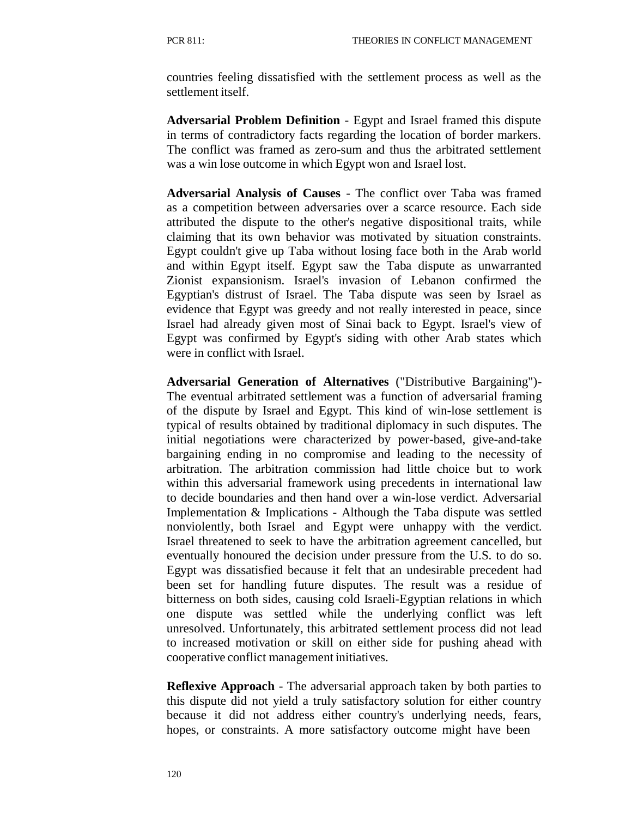countries feeling dissatisfied with the settlement process as well as the settlement itself.

**Adversarial Problem Definition** - Egypt and Israel framed this dispute in terms of contradictory facts regarding the location of border markers. The conflict was framed as zero-sum and thus the arbitrated settlement was a win lose outcome in which Egypt won and Israel lost.

**Adversarial Analysis of Causes** - The conflict over Taba was framed as a competition between adversaries over a scarce resource. Each side attributed the dispute to the other's negative dispositional traits, while claiming that its own behavior was motivated by situation constraints. Egypt couldn't give up Taba without losing face both in the Arab world and within Egypt itself. Egypt saw the Taba dispute as unwarranted Zionist expansionism. Israel's invasion of Lebanon confirmed the Egyptian's distrust of Israel. The Taba dispute was seen by Israel as evidence that Egypt was greedy and not really interested in peace, since Israel had already given most of Sinai back to Egypt. Israel's view of Egypt was confirmed by Egypt's siding with other Arab states which were in conflict with Israel.

**Adversarial Generation of Alternatives** ("Distributive Bargaining")- The eventual arbitrated settlement was a function of adversarial framing of the dispute by Israel and Egypt. This kind of win-lose settlement is typical of results obtained by traditional diplomacy in such disputes. The initial negotiations were characterized by power-based, give-and-take bargaining ending in no compromise and leading to the necessity of arbitration. The arbitration commission had little choice but to work within this adversarial framework using precedents in international law to decide boundaries and then hand over a win-lose verdict. Adversarial Implementation & Implications - Although the Taba dispute was settled nonviolently, both Israel and Egypt were unhappy with the verdict. Israel threatened to seek to have the arbitration agreement cancelled, but eventually honoured the decision under pressure from the U.S. to do so. Egypt was dissatisfied because it felt that an undesirable precedent had been set for handling future disputes. The result was a residue of bitterness on both sides, causing cold Israeli-Egyptian relations in which one dispute was settled while the underlying conflict was left unresolved. Unfortunately, this arbitrated settlement process did not lead to increased motivation or skill on either side for pushing ahead with cooperative conflict management initiatives.

**Reflexive Approach** - The adversarial approach taken by both parties to this dispute did not yield a truly satisfactory solution for either country because it did not address either country's underlying needs, fears, hopes, or constraints. A more satisfactory outcome might have been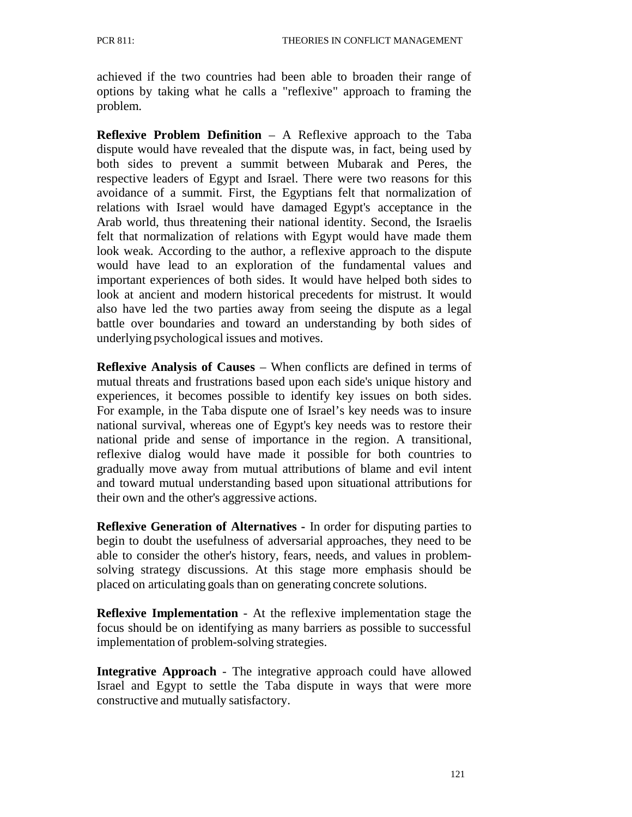achieved if the two countries had been able to broaden their range of options by taking what he calls a "reflexive" approach to framing the problem.

**Reflexive Problem Definition** – A Reflexive approach to the Taba dispute would have revealed that the dispute was, in fact, being used by both sides to prevent a summit between Mubarak and Peres, the respective leaders of Egypt and Israel. There were two reasons for this avoidance of a summit. First, the Egyptians felt that normalization of relations with Israel would have damaged Egypt's acceptance in the Arab world, thus threatening their national identity. Second, the Israelis felt that normalization of relations with Egypt would have made them look weak. According to the author, a reflexive approach to the dispute would have lead to an exploration of the fundamental values and important experiences of both sides. It would have helped both sides to look at ancient and modern historical precedents for mistrust. It would also have led the two parties away from seeing the dispute as a legal battle over boundaries and toward an understanding by both sides of underlying psychological issues and motives.

**Reflexive Analysis of Causes** – When conflicts are defined in terms of mutual threats and frustrations based upon each side's unique history and experiences, it becomes possible to identify key issues on both sides. For example, in the Taba dispute one of Israel's key needs was to insure national survival, whereas one of Egypt's key needs was to restore their national pride and sense of importance in the region. A transitional, reflexive dialog would have made it possible for both countries to gradually move away from mutual attributions of blame and evil intent and toward mutual understanding based upon situational attributions for their own and the other's aggressive actions.

**Reflexive Generation of Alternatives -** In order for disputing parties to begin to doubt the usefulness of adversarial approaches, they need to be able to consider the other's history, fears, needs, and values in problemsolving strategy discussions. At this stage more emphasis should be placed on articulating goals than on generating concrete solutions.

**Reflexive Implementation** - At the reflexive implementation stage the focus should be on identifying as many barriers as possible to successful implementation of problem-solving strategies.

**Integrative Approach** - The integrative approach could have allowed Israel and Egypt to settle the Taba dispute in ways that were more constructive and mutually satisfactory.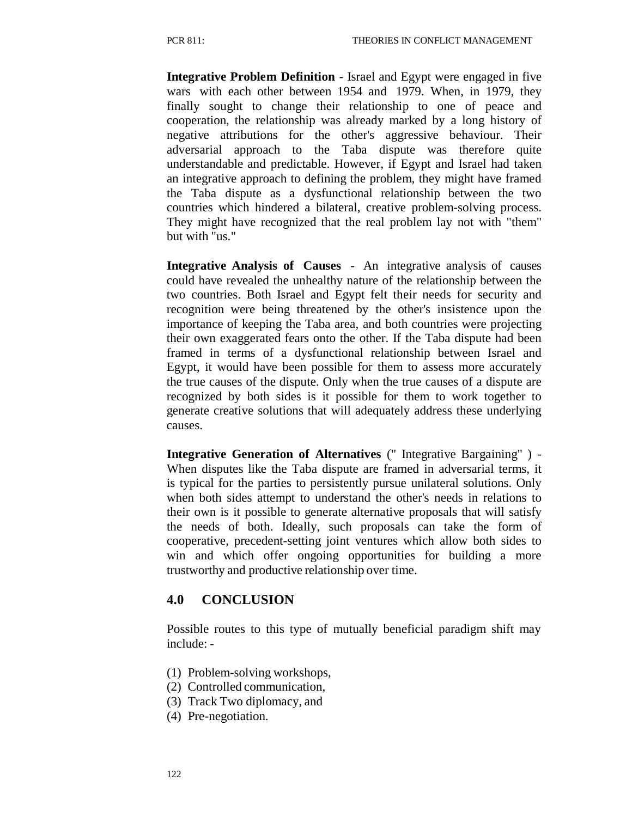**Integrative Problem Definition** - Israel and Egypt were engaged in five wars with each other between 1954 and 1979. When, in 1979, they finally sought to change their relationship to one of peace and cooperation, the relationship was already marked by a long history of negative attributions for the other's aggressive behaviour. Their adversarial approach to the Taba dispute was therefore quite understandable and predictable. However, if Egypt and Israel had taken an integrative approach to defining the problem, they might have framed the Taba dispute as a dysfunctional relationship between the two countries which hindered a bilateral, creative problem-solving process. They might have recognized that the real problem lay not with "them" but with "us."

**Integrative Analysis of Causes** - An integrative analysis of causes could have revealed the unhealthy nature of the relationship between the two countries. Both Israel and Egypt felt their needs for security and recognition were being threatened by the other's insistence upon the importance of keeping the Taba area, and both countries were projecting their own exaggerated fears onto the other. If the Taba dispute had been framed in terms of a dysfunctional relationship between Israel and Egypt, it would have been possible for them to assess more accurately the true causes of the dispute. Only when the true causes of a dispute are recognized by both sides is it possible for them to work together to generate creative solutions that will adequately address these underlying causes.

**Integrative Generation of Alternatives** (" Integrative Bargaining" ) - When disputes like the Taba dispute are framed in adversarial terms, it is typical for the parties to persistently pursue unilateral solutions. Only when both sides attempt to understand the other's needs in relations to their own is it possible to generate alternative proposals that will satisfy the needs of both. Ideally, such proposals can take the form of cooperative, precedent-setting joint ventures which allow both sides to win and which offer ongoing opportunities for building a more trustworthy and productive relationship over time.

#### **4.0 CONCLUSION**

Possible routes to this type of mutually beneficial paradigm shift may include: -

- (1) Problem-solving workshops,
- (2) Controlled communication,
- (3) Track Two diplomacy, and
- (4) Pre-negotiation.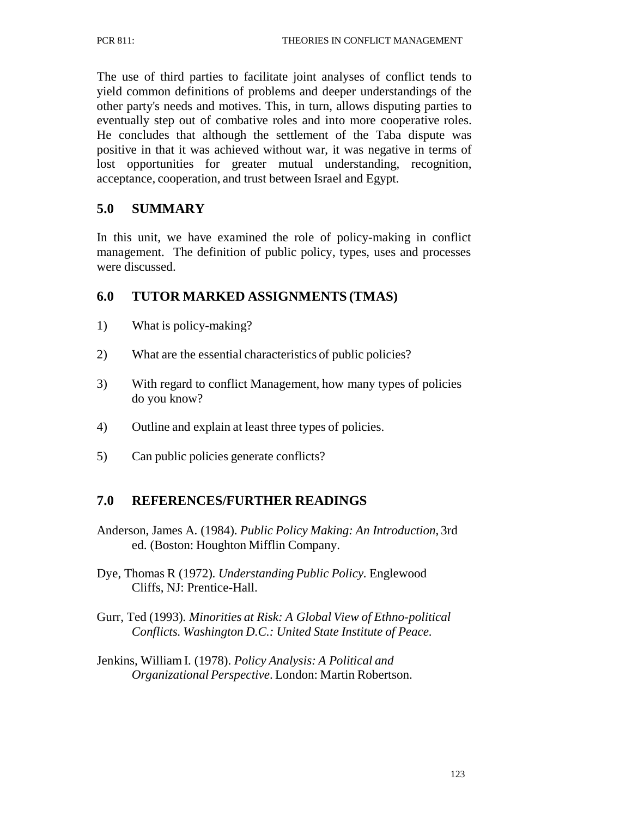The use of third parties to facilitate joint analyses of conflict tends to yield common definitions of problems and deeper understandings of the other party's needs and motives. This, in turn, allows disputing parties to eventually step out of combative roles and into more cooperative roles. He concludes that although the settlement of the Taba dispute was positive in that it was achieved without war, it was negative in terms of lost opportunities for greater mutual understanding, recognition, acceptance, cooperation, and trust between Israel and Egypt.

## **5.0 SUMMARY**

In this unit, we have examined the role of policy-making in conflict management. The definition of public policy, types, uses and processes were discussed.

## **6.0 TUTOR MARKED ASSIGNMENTS (TMAS)**

- 1) What is policy-making?
- 2) What are the essential characteristics of public policies?
- 3) With regard to conflict Management, how many types of policies do you know?
- 4) Outline and explain at least three types of policies.
- 5) Can public policies generate conflicts?

## **7.0 REFERENCES/FURTHER READINGS**

- Anderson, James A. (1984). *Public Policy Making: An Introduction*, 3rd ed. (Boston: Houghton Mifflin Company.
- Dye, Thomas R (1972). *Understanding Public Policy.* Englewood Cliffs, NJ: Prentice-Hall.
- Gurr, Ted (1993)*. Minorities at Risk: A Global View of Ethno-political Conflicts. Washington D.C.: United State Institute of Peace.*
- Jenkins, William I. (1978). *Policy Analysis: A Political and Organizational Perspective*. London: Martin Robertson.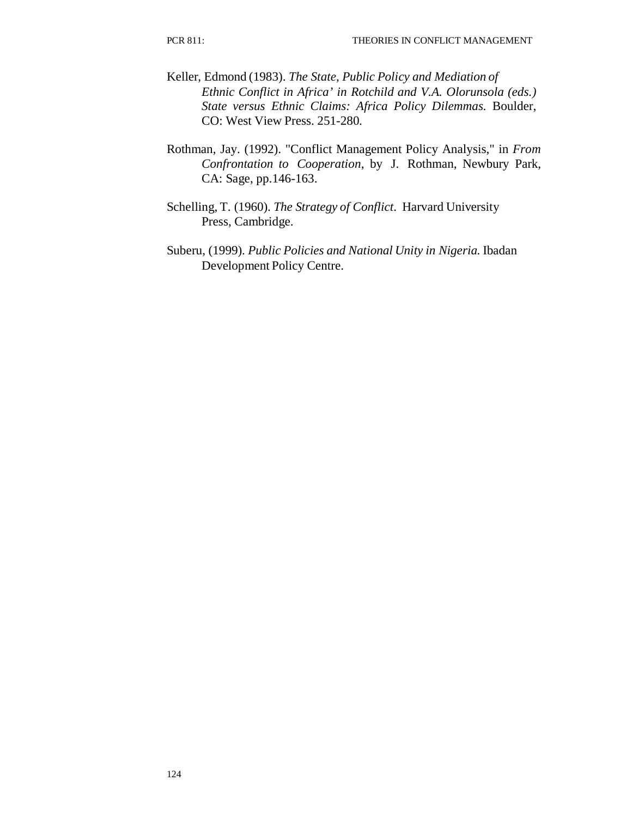- Keller, Edmond (1983). *The State, Public Policy and Mediation of Ethnic Conflict in Africa' in Rotchild and V.A. Olorunsola (eds.) State versus Ethnic Claims: Africa Policy Dilemmas.* Boulder, CO: West View Press. 251-280.
- Rothman, Jay. (1992). "Conflict Management Policy Analysis," in *From Confrontation to Cooperation*, by J. Rothman, Newbury Park, CA: Sage, pp.146-163.
- Schelling, T. (1960). *The Strategy of Conflict*. Harvard University Press, Cambridge.
- Suberu, (1999). *Public Policies and National Unity in Nigeria.* Ibadan Development Policy Centre.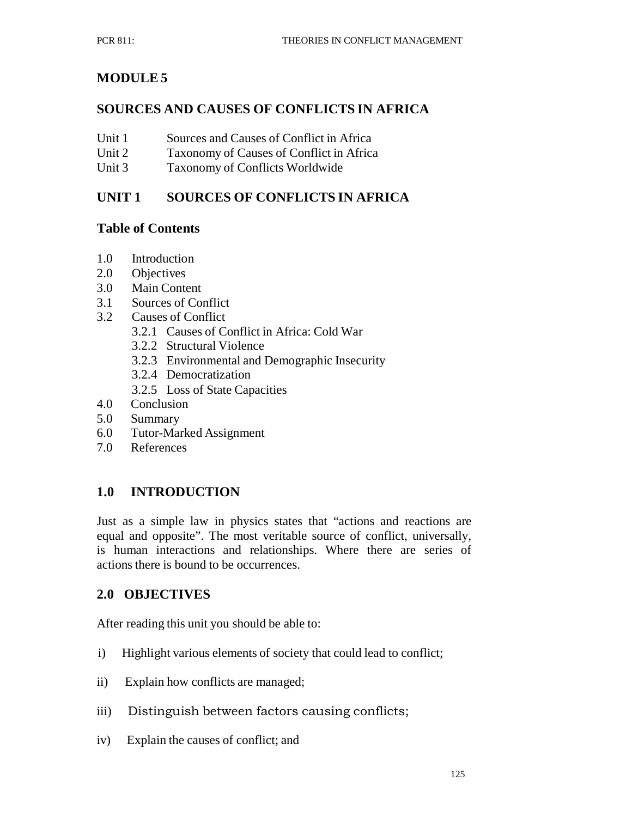# **MODULE 5**

## **SOURCES AND CAUSES OF CONFLICTS IN AFRICA**

- Unit 1 Sources and Causes of Conflict in Africa
- Unit 2 Taxonomy of Causes of Conflict in Africa
- Unit 3 Taxonomy of Conflicts Worldwide

# **UNIT 1 SOURCES OF CONFLICTS IN AFRICA**

## **Table of Contents**

- 1.0 Introduction
- 2.0 Objectives
- 3.0 Main Content
- 3.1 Sources of Conflict
- 3.2 Causes of Conflict
	- 3.2.1 Causes of Conflict in Africa: Cold War
	- 3.2.2 Structural Violence
	- 3.2.3 Environmental and Demographic Insecurity
	- 3.2.4 Democratization
	- 3.2.5 Loss of State Capacities
- 4.0 Conclusion
- 5.0 Summary
- 6.0 Tutor-Marked Assignment
- 7.0 References

# **1.0 INTRODUCTION**

Just as a simple law in physics states that "actions and reactions are equal and opposite". The most veritable source of conflict, universally, is human interactions and relationships. Where there are series of actions there is bound to be occurrences.

## **2.0 OBJECTIVES**

After reading this unit you should be able to:

- i) Highlight various elements of society that could lead to conflict;
- ii) Explain how conflicts are managed;
- iii) Distinguish between factors causing conflicts;
- iv) Explain the causes of conflict; and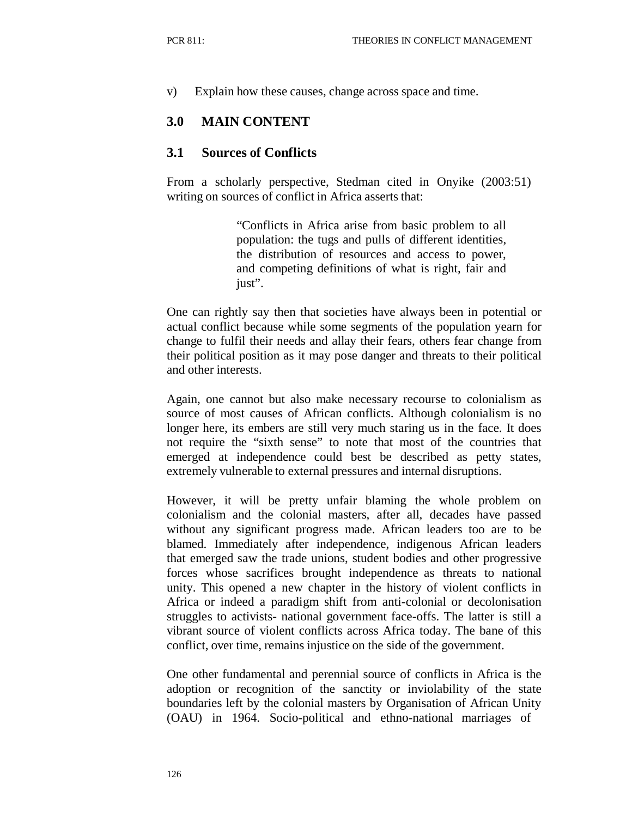v) Explain how these causes, change across space and time.

### **3.0 MAIN CONTENT**

#### **3.1 Sources of Conflicts**

From a scholarly perspective, Stedman cited in Onyike (2003:51) writing on sources of conflict in Africa asserts that:

> "Conflicts in Africa arise from basic problem to all population: the tugs and pulls of different identities, the distribution of resources and access to power, and competing definitions of what is right, fair and just".

One can rightly say then that societies have always been in potential or actual conflict because while some segments of the population yearn for change to fulfil their needs and allay their fears, others fear change from their political position as it may pose danger and threats to their political and other interests.

Again, one cannot but also make necessary recourse to colonialism as source of most causes of African conflicts. Although colonialism is no longer here, its embers are still very much staring us in the face. It does not require the "sixth sense" to note that most of the countries that emerged at independence could best be described as petty states, extremely vulnerable to external pressures and internal disruptions.

However, it will be pretty unfair blaming the whole problem on colonialism and the colonial masters, after all, decades have passed without any significant progress made. African leaders too are to be blamed. Immediately after independence, indigenous African leaders that emerged saw the trade unions, student bodies and other progressive forces whose sacrifices brought independence as threats to national unity. This opened a new chapter in the history of violent conflicts in Africa or indeed a paradigm shift from anti-colonial or decolonisation struggles to activists- national government face-offs. The latter is still a vibrant source of violent conflicts across Africa today. The bane of this conflict, over time, remains injustice on the side of the government.

One other fundamental and perennial source of conflicts in Africa is the adoption or recognition of the sanctity or inviolability of the state boundaries left by the colonial masters by Organisation of African Unity (OAU) in 1964. Socio-political and ethno-national marriages of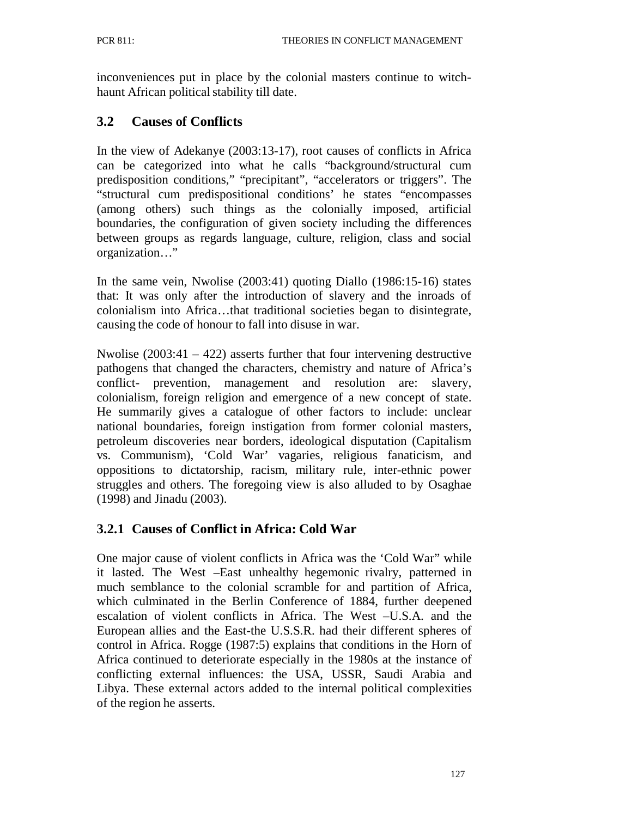inconveniences put in place by the colonial masters continue to witchhaunt African political stability till date.

# **3.2 Causes of Conflicts**

In the view of Adekanye (2003:13-17), root causes of conflicts in Africa can be categorized into what he calls "background/structural cum predisposition conditions," "precipitant", "accelerators or triggers". The "structural cum predispositional conditions' he states "encompasses (among others) such things as the colonially imposed, artificial boundaries, the configuration of given society including the differences between groups as regards language, culture, religion, class and social organization…"

In the same vein, Nwolise (2003:41) quoting Diallo (1986:15-16) states that: It was only after the introduction of slavery and the inroads of colonialism into Africa…that traditional societies began to disintegrate, causing the code of honour to fall into disuse in war.

Nwolise  $(2003:41 - 422)$  asserts further that four intervening destructive pathogens that changed the characters, chemistry and nature of Africa's conflict- prevention, management and resolution are: slavery, colonialism, foreign religion and emergence of a new concept of state. He summarily gives a catalogue of other factors to include: unclear national boundaries, foreign instigation from former colonial masters, petroleum discoveries near borders, ideological disputation (Capitalism vs. Communism), 'Cold War' vagaries, religious fanaticism, and oppositions to dictatorship, racism, military rule, inter-ethnic power struggles and others. The foregoing view is also alluded to by Osaghae (1998) and Jinadu (2003).

# **3.2.1 Causes of Conflict in Africa: Cold War**

One major cause of violent conflicts in Africa was the 'Cold War" while it lasted. The West –East unhealthy hegemonic rivalry, patterned in much semblance to the colonial scramble for and partition of Africa, which culminated in the Berlin Conference of 1884, further deepened escalation of violent conflicts in Africa. The West –U.S.A. and the European allies and the East-the U.S.S.R. had their different spheres of control in Africa. Rogge (1987:5) explains that conditions in the Horn of Africa continued to deteriorate especially in the 1980s at the instance of conflicting external influences: the USA, USSR, Saudi Arabia and Libya. These external actors added to the internal political complexities of the region he asserts.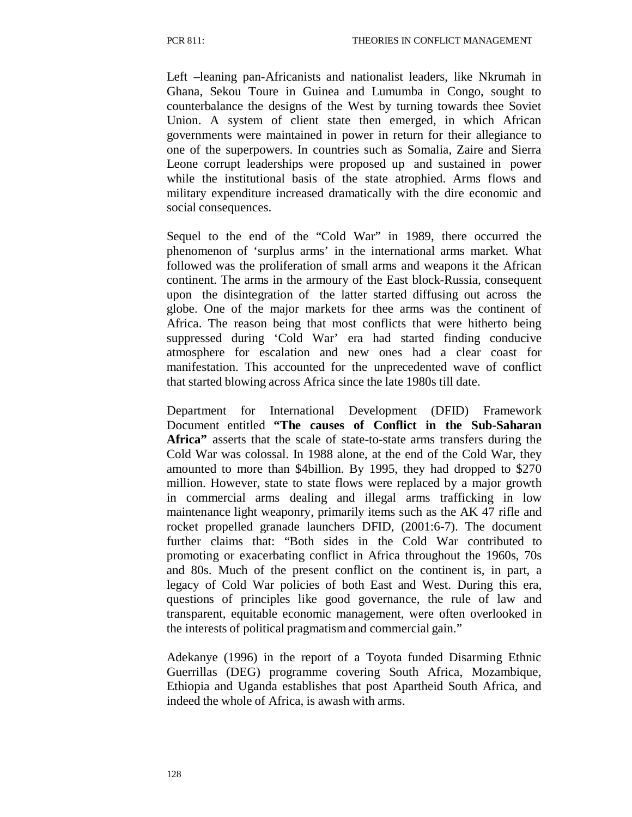Left –leaning pan-Africanists and nationalist leaders, like Nkrumah in Ghana, Sekou Toure in Guinea and Lumumba in Congo, sought to counterbalance the designs of the West by turning towards thee Soviet Union. A system of client state then emerged, in which African governments were maintained in power in return for their allegiance to one of the superpowers. In countries such as Somalia, Zaire and Sierra Leone corrupt leaderships were proposed up and sustained in power while the institutional basis of the state atrophied. Arms flows and military expenditure increased dramatically with the dire economic and social consequences.

Sequel to the end of the "Cold War" in 1989, there occurred the phenomenon of 'surplus arms' in the international arms market. What followed was the proliferation of small arms and weapons it the African continent. The arms in the armoury of the East block-Russia, consequent upon the disintegration of the latter started diffusing out across the globe. One of the major markets for thee arms was the continent of Africa. The reason being that most conflicts that were hitherto being suppressed during 'Cold War' era had started finding conducive atmosphere for escalation and new ones had a clear coast for manifestation. This accounted for the unprecedented wave of conflict that started blowing across Africa since the late 1980s till date.

Department for International Development (DFID) Framework Document entitled **"The causes of Conflict in the Sub-Saharan Africa"** asserts that the scale of state-to-state arms transfers during the Cold War was colossal. In 1988 alone, at the end of the Cold War, they amounted to more than \$4billion. By 1995, they had dropped to \$270 million. However, state to state flows were replaced by a major growth in commercial arms dealing and illegal arms trafficking in low maintenance light weaponry, primarily items such as the AK 47 rifle and rocket propelled granade launchers DFID, (2001:6-7). The document further claims that: "Both sides in the Cold War contributed to promoting or exacerbating conflict in Africa throughout the 1960s, 70s and 80s. Much of the present conflict on the continent is, in part, a legacy of Cold War policies of both East and West. During this era, questions of principles like good governance, the rule of law and transparent, equitable economic management, were often overlooked in the interests of political pragmatism and commercial gain."

Adekanye (1996) in the report of a Toyota funded Disarming Ethnic Guerrillas (DEG) programme covering South Africa, Mozambique, Ethiopia and Uganda establishes that post Apartheid South Africa, and indeed the whole of Africa, is awash with arms.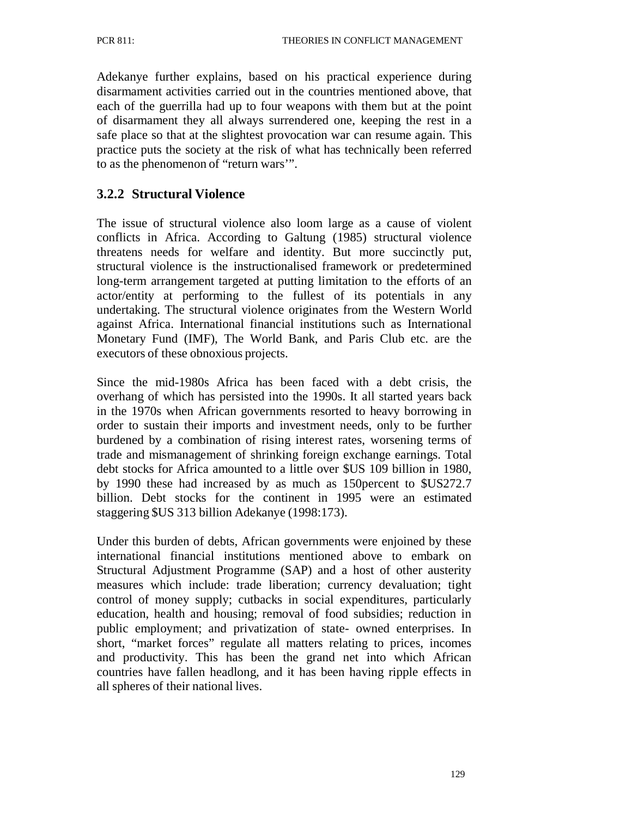Adekanye further explains, based on his practical experience during disarmament activities carried out in the countries mentioned above, that each of the guerrilla had up to four weapons with them but at the point of disarmament they all always surrendered one, keeping the rest in a safe place so that at the slightest provocation war can resume again. This practice puts the society at the risk of what has technically been referred to as the phenomenon of "return wars'".

### **3.2.2 Structural Violence**

The issue of structural violence also loom large as a cause of violent conflicts in Africa. According to Galtung (1985) structural violence threatens needs for welfare and identity. But more succinctly put, structural violence is the instructionalised framework or predetermined long-term arrangement targeted at putting limitation to the efforts of an actor/entity at performing to the fullest of its potentials in any undertaking. The structural violence originates from the Western World against Africa. International financial institutions such as International Monetary Fund (IMF), The World Bank, and Paris Club etc. are the executors of these obnoxious projects.

Since the mid-1980s Africa has been faced with a debt crisis, the overhang of which has persisted into the 1990s. It all started years back in the 1970s when African governments resorted to heavy borrowing in order to sustain their imports and investment needs, only to be further burdened by a combination of rising interest rates, worsening terms of trade and mismanagement of shrinking foreign exchange earnings. Total debt stocks for Africa amounted to a little over \$US 109 billion in 1980, by 1990 these had increased by as much as 150percent to \$US272.7 billion. Debt stocks for the continent in 1995 were an estimated staggering \$US 313 billion Adekanye (1998:173).

Under this burden of debts, African governments were enjoined by these international financial institutions mentioned above to embark on Structural Adjustment Programme (SAP) and a host of other austerity measures which include: trade liberation; currency devaluation; tight control of money supply; cutbacks in social expenditures, particularly education, health and housing; removal of food subsidies; reduction in public employment; and privatization of state- owned enterprises. In short, "market forces" regulate all matters relating to prices, incomes and productivity. This has been the grand net into which African countries have fallen headlong, and it has been having ripple effects in all spheres of their national lives.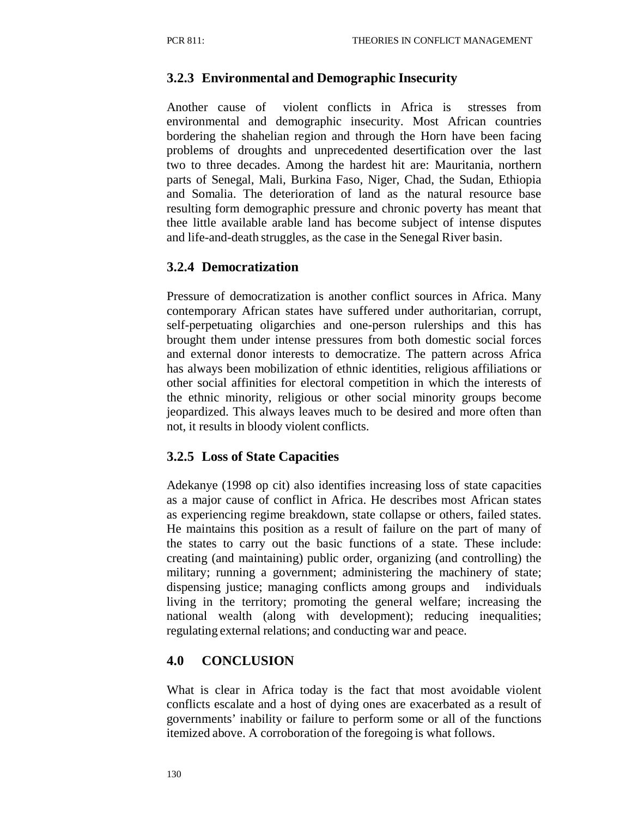#### **3.2.3 Environmental and Demographic Insecurity**

Another cause of violent conflicts in Africa is stresses from environmental and demographic insecurity. Most African countries bordering the shahelian region and through the Horn have been facing problems of droughts and unprecedented desertification over the last two to three decades. Among the hardest hit are: Mauritania, northern parts of Senegal, Mali, Burkina Faso, Niger, Chad, the Sudan, Ethiopia and Somalia. The deterioration of land as the natural resource base resulting form demographic pressure and chronic poverty has meant that thee little available arable land has become subject of intense disputes and life-and-death struggles, as the case in the Senegal River basin.

#### **3.2.4 Democratization**

Pressure of democratization is another conflict sources in Africa. Many contemporary African states have suffered under authoritarian, corrupt, self-perpetuating oligarchies and one-person rulerships and this has brought them under intense pressures from both domestic social forces and external donor interests to democratize. The pattern across Africa has always been mobilization of ethnic identities, religious affiliations or other social affinities for electoral competition in which the interests of the ethnic minority, religious or other social minority groups become jeopardized. This always leaves much to be desired and more often than not, it results in bloody violent conflicts.

#### **3.2.5 Loss of State Capacities**

Adekanye (1998 op cit) also identifies increasing loss of state capacities as a major cause of conflict in Africa. He describes most African states as experiencing regime breakdown, state collapse or others, failed states. He maintains this position as a result of failure on the part of many of the states to carry out the basic functions of a state. These include: creating (and maintaining) public order, organizing (and controlling) the military; running a government; administering the machinery of state; dispensing justice; managing conflicts among groups and individuals living in the territory; promoting the general welfare; increasing the national wealth (along with development); reducing inequalities; regulating external relations; and conducting war and peace.

#### **4.0 CONCLUSION**

What is clear in Africa today is the fact that most avoidable violent conflicts escalate and a host of dying ones are exacerbated as a result of governments' inability or failure to perform some or all of the functions itemized above. A corroboration of the foregoing is what follows.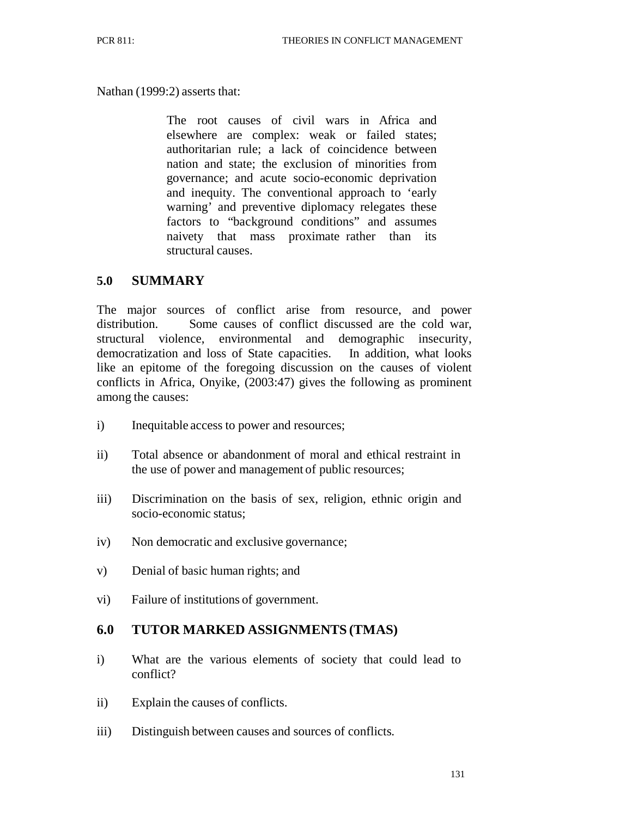Nathan (1999:2) asserts that:

The root causes of civil wars in Africa and elsewhere are complex: weak or failed states; authoritarian rule; a lack of coincidence between nation and state; the exclusion of minorities from governance; and acute socio-economic deprivation and inequity. The conventional approach to 'early warning' and preventive diplomacy relegates these factors to "background conditions" and assumes naivety that mass proximate rather than its structural causes.

### **5.0 SUMMARY**

The major sources of conflict arise from resource, and power distribution. Some causes of conflict discussed are the cold war, structural violence, environmental and demographic insecurity, democratization and loss of State capacities. In addition, what looks like an epitome of the foregoing discussion on the causes of violent conflicts in Africa, Onyike, (2003:47) gives the following as prominent among the causes:

- i) Inequitable access to power and resources;
- ii) Total absence or abandonment of moral and ethical restraint in the use of power and management of public resources;
- iii) Discrimination on the basis of sex, religion, ethnic origin and socio-economic status;
- iv) Non democratic and exclusive governance;
- v) Denial of basic human rights; and
- vi) Failure of institutions of government.

### **6.0 TUTOR MARKED ASSIGNMENTS (TMAS)**

- i) What are the various elements of society that could lead to conflict?
- ii) Explain the causes of conflicts.
- iii) Distinguish between causes and sources of conflicts.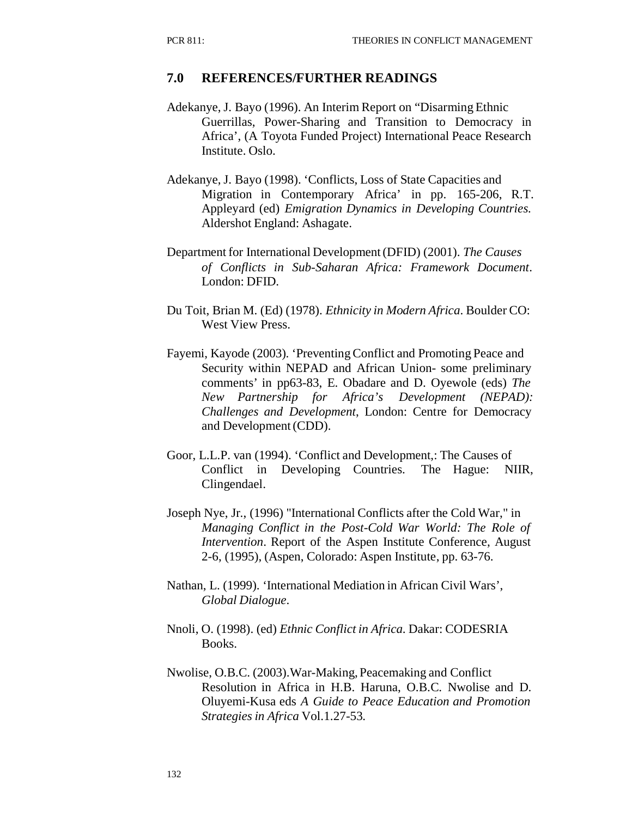#### **7.0 REFERENCES/FURTHER READINGS**

- Adekanye, J. Bayo (1996). An Interim Report on "Disarming Ethnic Guerrillas, Power-Sharing and Transition to Democracy in Africa', (A Toyota Funded Project) International Peace Research Institute. Oslo.
- Adekanye, J. Bayo (1998). 'Conflicts, Loss of State Capacities and Migration in Contemporary Africa' in pp. 165-206, R.T. Appleyard (ed) *Emigration Dynamics in Developing Countries.*  Aldershot England: Ashagate.
- Department for International Development (DFID) (2001). *The Causes of Conflicts in Sub-Saharan Africa: Framework Document*. London: DFID.
- Du Toit, Brian M. (Ed) (1978). *Ethnicity in Modern Africa*. Boulder CO: West View Press.
- Fayemi, Kayode (2003). 'Preventing Conflict and Promoting Peace and Security within NEPAD and African Union- some preliminary comments' in pp63-83, E. Obadare and D. Oyewole (eds) *The New Partnership for Africa's Development (NEPAD): Challenges and Development*, London: Centre for Democracy and Development (CDD).
- Goor, L.L.P. van (1994). 'Conflict and Development,: The Causes of Conflict in Developing Countries. The Hague: NIIR, Clingendael.
- Joseph Nye, Jr., (1996) "International Conflicts after the Cold War," in *Managing Conflict in the Post-Cold War World: The Role of Intervention*. Report of the Aspen Institute Conference, August 2-6, (1995), (Aspen, Colorado: Aspen Institute, pp. 63-76.
- Nathan, L. (1999). 'International Mediation in African Civil Wars', *Global Dialogue*.
- Nnoli, O. (1998). (ed) *Ethnic Conflict in Africa*. Dakar: CODESRIA Books.
- Nwolise, O.B.C. (2003).War-Making, Peacemaking and Conflict Resolution in Africa in H.B. Haruna, O.B.C. Nwolise and D. Oluyemi-Kusa eds *A Guide to Peace Education and Promotion Strategies in Africa* Vol.1.27-53.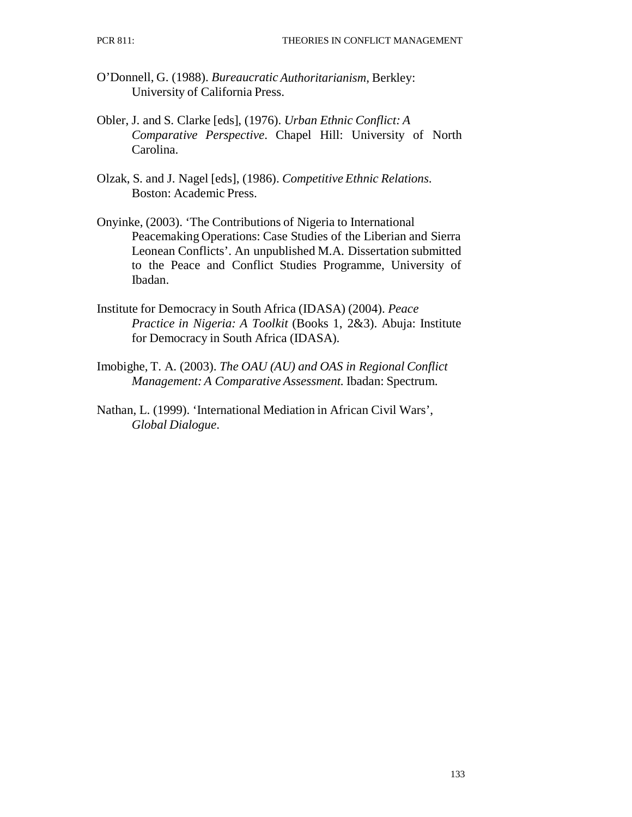- O'Donnell, G. (1988). *Bureaucratic Authoritarianism*, Berkley: University of California Press.
- Obler, J. and S. Clarke [eds], (1976). *Urban Ethnic Conflict: A Comparative Perspective*. Chapel Hill: University of North Carolina.
- Olzak, S. and J. Nagel [eds], (1986). *Competitive Ethnic Relations*. Boston: Academic Press.
- Onyinke, (2003). 'The Contributions of Nigeria to International Peacemaking Operations: Case Studies of the Liberian and Sierra Leonean Conflicts'. An unpublished M.A. Dissertation submitted to the Peace and Conflict Studies Programme, University of Ibadan.
- Institute for Democracy in South Africa (IDASA) (2004). *Peace Practice in Nigeria: A Toolkit* (Books 1, 2&3). Abuja: Institute for Democracy in South Africa (IDASA).
- Imobighe, T. A. (2003). *The OAU (AU) and OAS in Regional Conflict Management: A Comparative Assessment.* Ibadan: Spectrum.
- Nathan, L. (1999). 'International Mediation in African Civil Wars', *Global Dialogue*.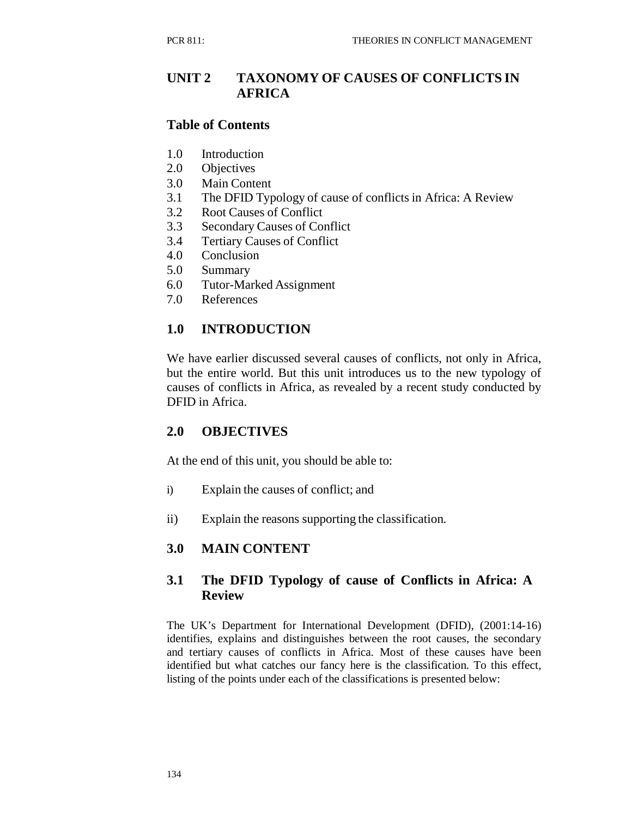# **UNIT 2 TAXONOMY OF CAUSES OF CONFLICTS IN AFRICA**

### **Table of Contents**

- 1.0 Introduction
- 2.0 Objectives
- 3.0 Main Content
- 3.1 The DFID Typology of cause of conflicts in Africa: A Review
- 3.2 Root Causes of Conflict
- 3.3 Secondary Causes of Conflict
- 3.4 Tertiary Causes of Conflict
- 4.0 Conclusion
- 5.0 Summary
- 6.0 Tutor-Marked Assignment
- 7.0 References

# **1.0 INTRODUCTION**

We have earlier discussed several causes of conflicts, not only in Africa, but the entire world. But this unit introduces us to the new typology of causes of conflicts in Africa, as revealed by a recent study conducted by DFID in Africa.

### **2.0 OBJECTIVES**

At the end of this unit, you should be able to:

- i) Explain the causes of conflict; and
- ii) Explain the reasons supporting the classification.

### **3.0 MAIN CONTENT**

### **3.1 The DFID Typology of cause of Conflicts in Africa: A Review**

The UK's Department for International Development (DFID), (2001:14-16) identifies, explains and distinguishes between the root causes, the secondary and tertiary causes of conflicts in Africa. Most of these causes have been identified but what catches our fancy here is the classification. To this effect, listing of the points under each of the classifications is presented below: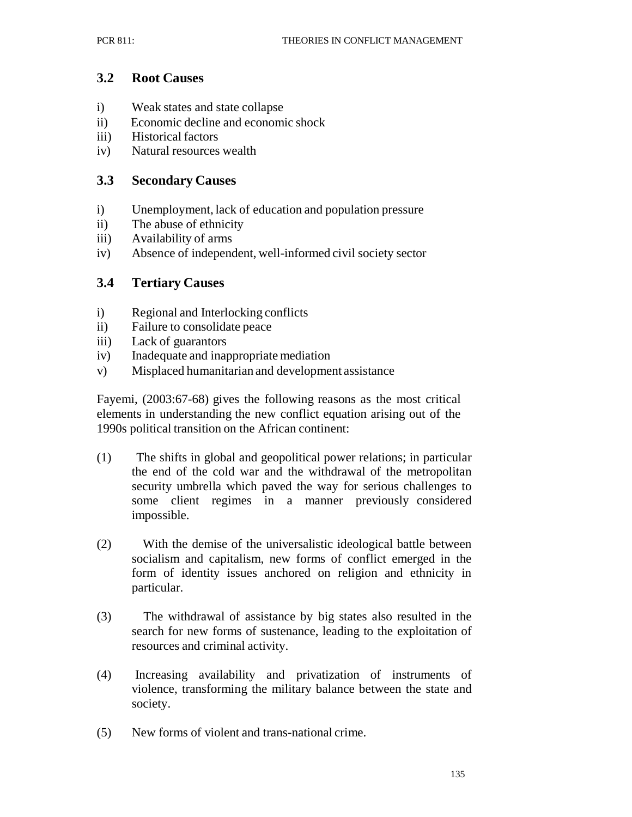### **3.2 Root Causes**

- i) Weak states and state collapse
- ii) Economic decline and economic shock
- iii) Historical factors
- iv) Natural resources wealth

### **3.3 Secondary Causes**

- i) Unemployment, lack of education and population pressure
- ii) The abuse of ethnicity
- iii) Availability of arms
- iv) Absence of independent, well-informed civil society sector

### **3.4 Tertiary Causes**

- i) Regional and Interlocking conflicts
- ii) Failure to consolidate peace
- iii) Lack of guarantors
- iv) Inadequate and inappropriate mediation
- v) Misplaced humanitarian and development assistance

Fayemi, (2003:67-68) gives the following reasons as the most critical elements in understanding the new conflict equation arising out of the 1990s political transition on the African continent:

- (1) The shifts in global and geopolitical power relations; in particular the end of the cold war and the withdrawal of the metropolitan security umbrella which paved the way for serious challenges to some client regimes in a manner previously considered impossible.
- (2) With the demise of the universalistic ideological battle between socialism and capitalism, new forms of conflict emerged in the form of identity issues anchored on religion and ethnicity in particular.
- (3) The withdrawal of assistance by big states also resulted in the search for new forms of sustenance, leading to the exploitation of resources and criminal activity.
- (4) Increasing availability and privatization of instruments of violence, transforming the military balance between the state and society.
- (5) New forms of violent and trans-national crime.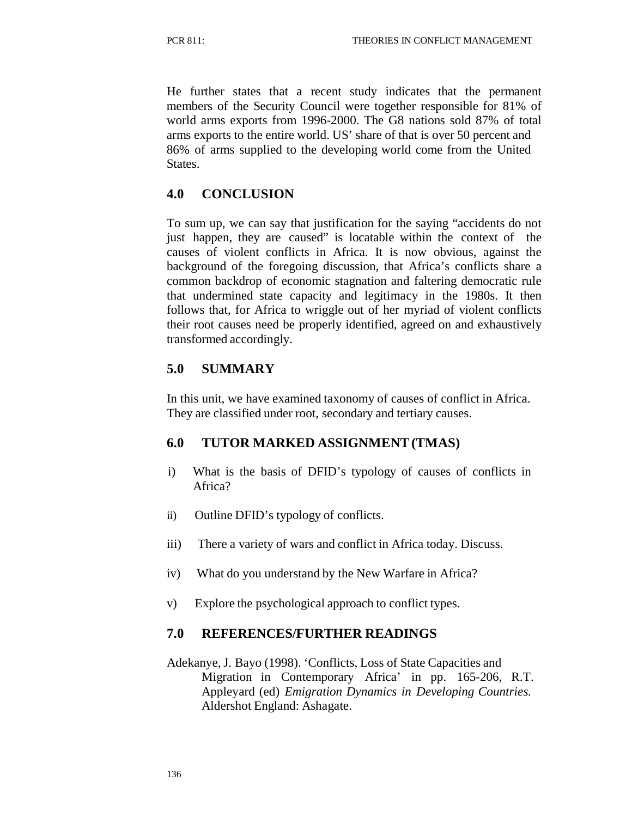He further states that a recent study indicates that the permanent members of the Security Council were together responsible for 81% of world arms exports from 1996-2000. The G8 nations sold 87% of total arms exports to the entire world. US' share of that is over 50 percent and 86% of arms supplied to the developing world come from the United States.

# **4.0 CONCLUSION**

To sum up, we can say that justification for the saying "accidents do not just happen, they are caused" is locatable within the context of the causes of violent conflicts in Africa. It is now obvious, against the background of the foregoing discussion, that Africa's conflicts share a common backdrop of economic stagnation and faltering democratic rule that undermined state capacity and legitimacy in the 1980s. It then follows that, for Africa to wriggle out of her myriad of violent conflicts their root causes need be properly identified, agreed on and exhaustively transformed accordingly.

# **5.0 SUMMARY**

In this unit, we have examined taxonomy of causes of conflict in Africa. They are classified under root, secondary and tertiary causes.

# **6.0 TUTOR MARKED ASSIGNMENT (TMAS)**

- i) What is the basis of DFID's typology of causes of conflicts in Africa?
- ii) Outline DFID's typology of conflicts.
- iii) There a variety of wars and conflict in Africa today. Discuss.
- iv) What do you understand by the New Warfare in Africa?
- v) Explore the psychological approach to conflict types.

# **7.0 REFERENCES/FURTHER READINGS**

Adekanye, J. Bayo (1998). 'Conflicts, Loss of State Capacities and Migration in Contemporary Africa' in pp. 165-206, R.T. Appleyard (ed) *Emigration Dynamics in Developing Countries.*  Aldershot England: Ashagate.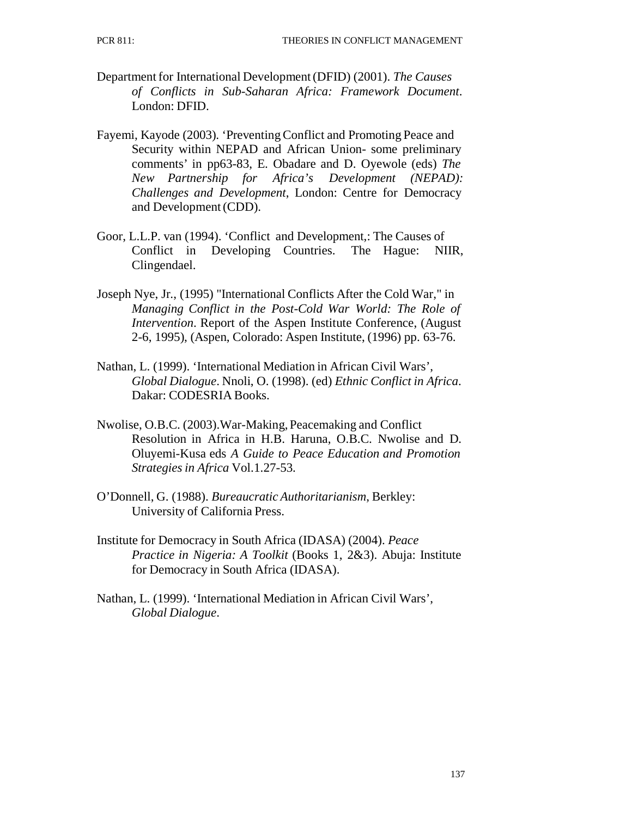- Department for International Development (DFID) (2001). *The Causes of Conflicts in Sub-Saharan Africa: Framework Document*. London: DFID.
- Fayemi, Kayode (2003). 'Preventing Conflict and Promoting Peace and Security within NEPAD and African Union- some preliminary comments' in pp63-83, E. Obadare and D. Oyewole (eds) *The New Partnership for Africa's Development (NEPAD): Challenges and Development*, London: Centre for Democracy and Development (CDD).
- Goor, L.L.P. van (1994). 'Conflict and Development,: The Causes of Conflict in Developing Countries. The Hague: NIIR, Clingendael.
- Joseph Nye, Jr., (1995) "International Conflicts After the Cold War," in *Managing Conflict in the Post-Cold War World: The Role of Intervention*. Report of the Aspen Institute Conference, (August 2-6, 1995), (Aspen, Colorado: Aspen Institute, (1996) pp. 63-76.
- Nathan, L. (1999). 'International Mediation in African Civil Wars', *Global Dialogue*. Nnoli, O. (1998). (ed) *Ethnic Conflict in Africa*. Dakar: CODESRIA Books.
- Nwolise, O.B.C. (2003).War-Making, Peacemaking and Conflict Resolution in Africa in H.B. Haruna, O.B.C. Nwolise and D. Oluyemi-Kusa eds *A Guide to Peace Education and Promotion Strategies in Africa* Vol.1.27-53.
- O'Donnell, G. (1988). *Bureaucratic Authoritarianism*, Berkley: University of California Press.
- Institute for Democracy in South Africa (IDASA) (2004). *Peace Practice in Nigeria: A Toolkit* (Books 1, 2&3). Abuja: Institute for Democracy in South Africa (IDASA).
- Nathan, L. (1999). 'International Mediation in African Civil Wars', *Global Dialogue*.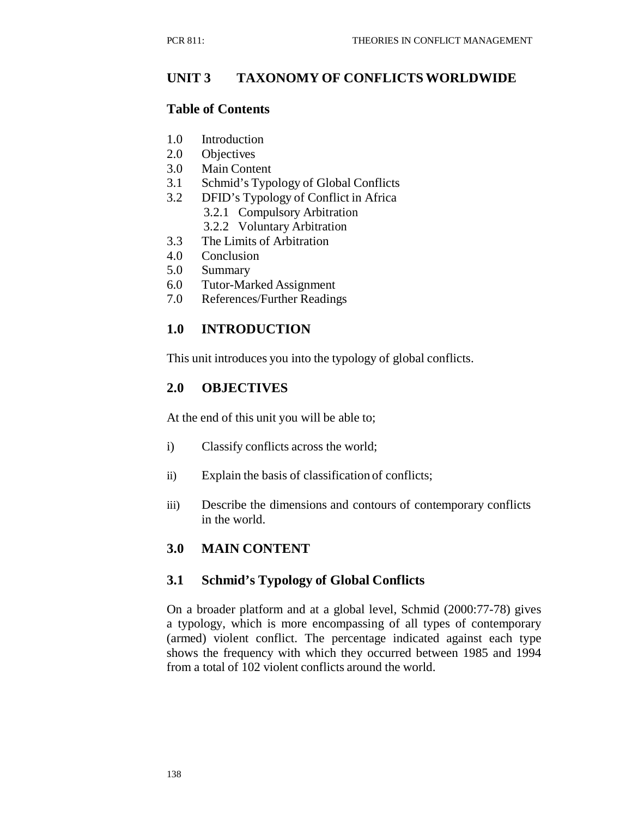# **UNIT 3 TAXONOMY OF CONFLICTS WORLDWIDE**

#### **Table of Contents**

- 1.0 Introduction
- 2.0 Objectives
- 3.0 Main Content
- 3.1 Schmid's Typology of Global Conflicts
- 3.2 DFID's Typology of Conflict in Africa 3.2.1 Compulsory Arbitration
	- 3.2.2 Voluntary Arbitration
- 3.3 The Limits of Arbitration
- 4.0 Conclusion
- 5.0 Summary
- 6.0 Tutor-Marked Assignment
- 7.0 References/Further Readings

### **1.0 INTRODUCTION**

This unit introduces you into the typology of global conflicts.

### **2.0 OBJECTIVES**

At the end of this unit you will be able to;

- i) Classify conflicts across the world;
- ii) Explain the basis of classification of conflicts;
- iii) Describe the dimensions and contours of contemporary conflicts in the world.

#### **3.0 MAIN CONTENT**

#### **3.1 Schmid's Typology of Global Conflicts**

On a broader platform and at a global level, Schmid (2000:77-78) gives a typology, which is more encompassing of all types of contemporary (armed) violent conflict. The percentage indicated against each type shows the frequency with which they occurred between 1985 and 1994 from a total of 102 violent conflicts around the world.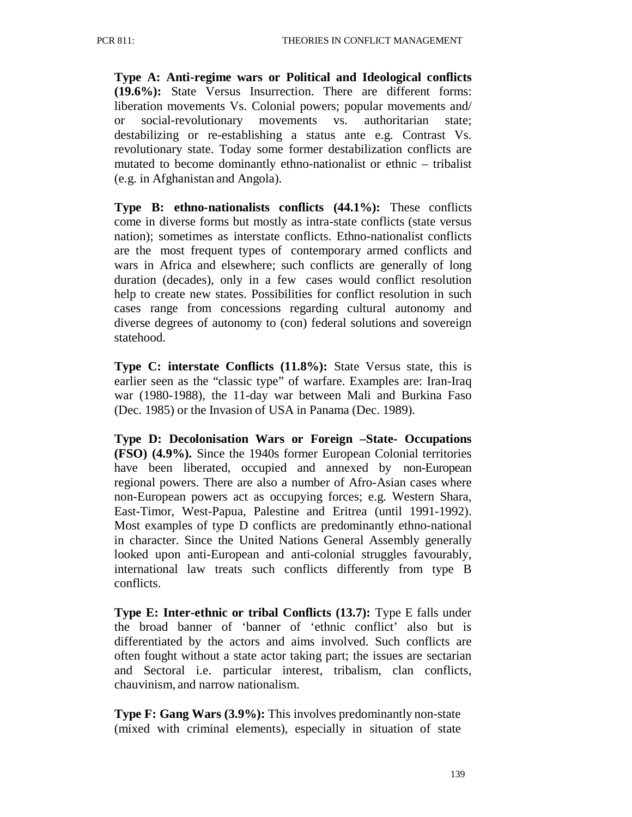**Type A: Anti-regime wars or Political and Ideological conflicts (19.6%):** State Versus Insurrection. There are different forms: liberation movements Vs. Colonial powers; popular movements and/ or social-revolutionary movements vs. authoritarian state; destabilizing or re-establishing a status ante e.g. Contrast Vs. revolutionary state. Today some former destabilization conflicts are mutated to become dominantly ethno-nationalist or ethnic – tribalist (e.g. in Afghanistan and Angola).

**Type B: ethno-nationalists conflicts (44.1%):** These conflicts come in diverse forms but mostly as intra-state conflicts (state versus nation); sometimes as interstate conflicts. Ethno-nationalist conflicts are the most frequent types of contemporary armed conflicts and wars in Africa and elsewhere; such conflicts are generally of long duration (decades), only in a few cases would conflict resolution help to create new states. Possibilities for conflict resolution in such cases range from concessions regarding cultural autonomy and diverse degrees of autonomy to (con) federal solutions and sovereign statehood.

**Type C: interstate Conflicts (11.8%):** State Versus state, this is earlier seen as the "classic type" of warfare. Examples are: Iran-Iraq war (1980-1988), the 11-day war between Mali and Burkina Faso (Dec. 1985) or the Invasion of USA in Panama (Dec. 1989).

**Type D: Decolonisation Wars or Foreign –State- Occupations (FSO) (4.9%).** Since the 1940s former European Colonial territories have been liberated, occupied and annexed by non-European regional powers. There are also a number of Afro-Asian cases where non-European powers act as occupying forces; e.g. Western Shara, East-Timor, West-Papua, Palestine and Eritrea (until 1991-1992). Most examples of type D conflicts are predominantly ethno-national in character. Since the United Nations General Assembly generally looked upon anti-European and anti-colonial struggles favourably, international law treats such conflicts differently from type B conflicts.

**Type E: Inter-ethnic or tribal Conflicts (13.7):** Type E falls under the broad banner of 'banner of 'ethnic conflict' also but is differentiated by the actors and aims involved. Such conflicts are often fought without a state actor taking part; the issues are sectarian and Sectoral i.e. particular interest, tribalism, clan conflicts, chauvinism, and narrow nationalism.

**Type F: Gang Wars (3.9%):** This involves predominantly non-state (mixed with criminal elements), especially in situation of state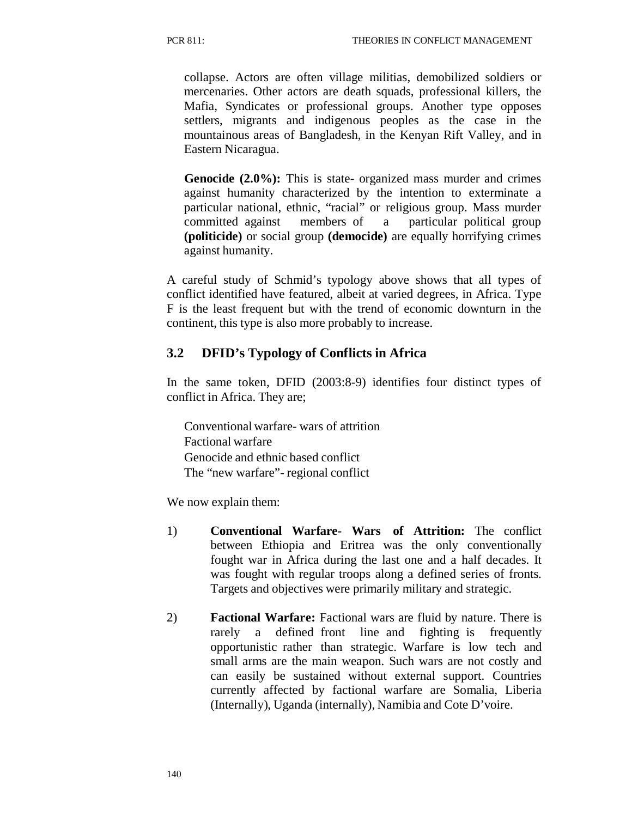collapse. Actors are often village militias, demobilized soldiers or mercenaries. Other actors are death squads, professional killers, the Mafia, Syndicates or professional groups. Another type opposes settlers, migrants and indigenous peoples as the case in the mountainous areas of Bangladesh, in the Kenyan Rift Valley, and in Eastern Nicaragua.

**Genocide (2.0%):** This is state- organized mass murder and crimes against humanity characterized by the intention to exterminate a particular national, ethnic, "racial" or religious group. Mass murder committed against members of a particular political group **(politicide)** or social group **(democide)** are equally horrifying crimes against humanity.

A careful study of Schmid's typology above shows that all types of conflict identified have featured, albeit at varied degrees, in Africa. Type F is the least frequent but with the trend of economic downturn in the continent, this type is also more probably to increase.

# **3.2 DFID's Typology of Conflicts in Africa**

In the same token, DFID (2003:8-9) identifies four distinct types of conflict in Africa. They are;

Conventional warfare- wars of attrition Factional warfare Genocide and ethnic based conflict The "new warfare"- regional conflict

We now explain them:

- 1) **Conventional Warfare- Wars of Attrition:** The conflict between Ethiopia and Eritrea was the only conventionally fought war in Africa during the last one and a half decades. It was fought with regular troops along a defined series of fronts. Targets and objectives were primarily military and strategic.
- 2) **Factional Warfare:** Factional wars are fluid by nature. There is rarely a defined front line and fighting is frequently opportunistic rather than strategic. Warfare is low tech and small arms are the main weapon. Such wars are not costly and can easily be sustained without external support. Countries currently affected by factional warfare are Somalia, Liberia (Internally), Uganda (internally), Namibia and Cote D'voire.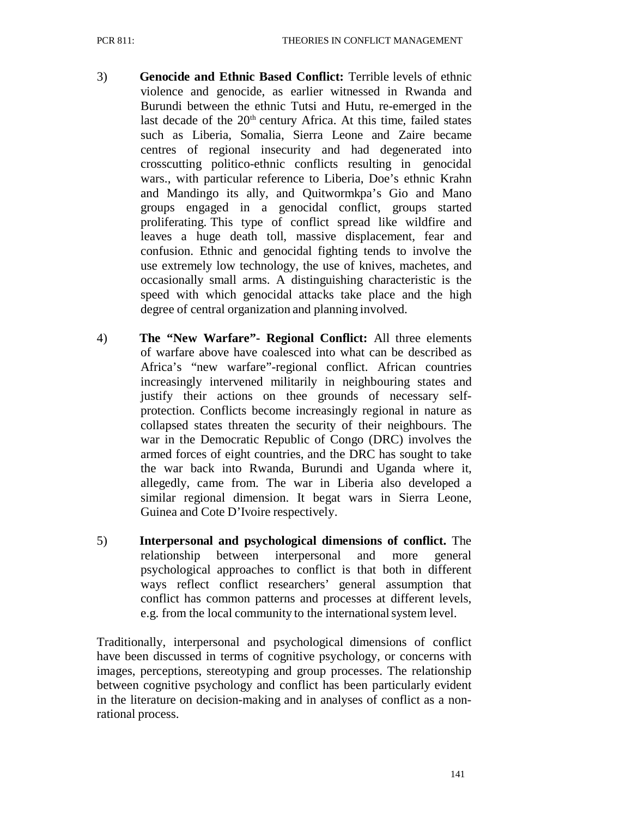- 3) **Genocide and Ethnic Based Conflict:** Terrible levels of ethnic violence and genocide, as earlier witnessed in Rwanda and Burundi between the ethnic Tutsi and Hutu, re-emerged in the last decade of the  $20<sup>th</sup>$  century Africa. At this time, failed states such as Liberia, Somalia, Sierra Leone and Zaire became centres of regional insecurity and had degenerated into crosscutting politico-ethnic conflicts resulting in genocidal wars., with particular reference to Liberia, Doe's ethnic Krahn and Mandingo its ally, and Quitwormkpa's Gio and Mano groups engaged in a genocidal conflict, groups started proliferating. This type of conflict spread like wildfire and leaves a huge death toll, massive displacement, fear and confusion. Ethnic and genocidal fighting tends to involve the use extremely low technology, the use of knives, machetes, and occasionally small arms. A distinguishing characteristic is the speed with which genocidal attacks take place and the high degree of central organization and planning involved.
- 4) **The "New Warfare"- Regional Conflict:** All three elements of warfare above have coalesced into what can be described as Africa's "new warfare"-regional conflict. African countries increasingly intervened militarily in neighbouring states and justify their actions on thee grounds of necessary selfprotection. Conflicts become increasingly regional in nature as collapsed states threaten the security of their neighbours. The war in the Democratic Republic of Congo (DRC) involves the armed forces of eight countries, and the DRC has sought to take the war back into Rwanda, Burundi and Uganda where it, allegedly, came from. The war in Liberia also developed a similar regional dimension. It begat wars in Sierra Leone, Guinea and Cote D'Ivoire respectively.
- 5) **Interpersonal and psychological dimensions of conflict.** The relationship between interpersonal and more general psychological approaches to conflict is that both in different ways reflect conflict researchers' general assumption that conflict has common patterns and processes at different levels, e.g. from the local community to the international system level.

Traditionally, interpersonal and psychological dimensions of conflict have been discussed in terms of cognitive psychology, or concerns with images, perceptions, stereotyping and group processes. The relationship between cognitive psychology and conflict has been particularly evident in the literature on decision-making and in analyses of conflict as a nonrational process.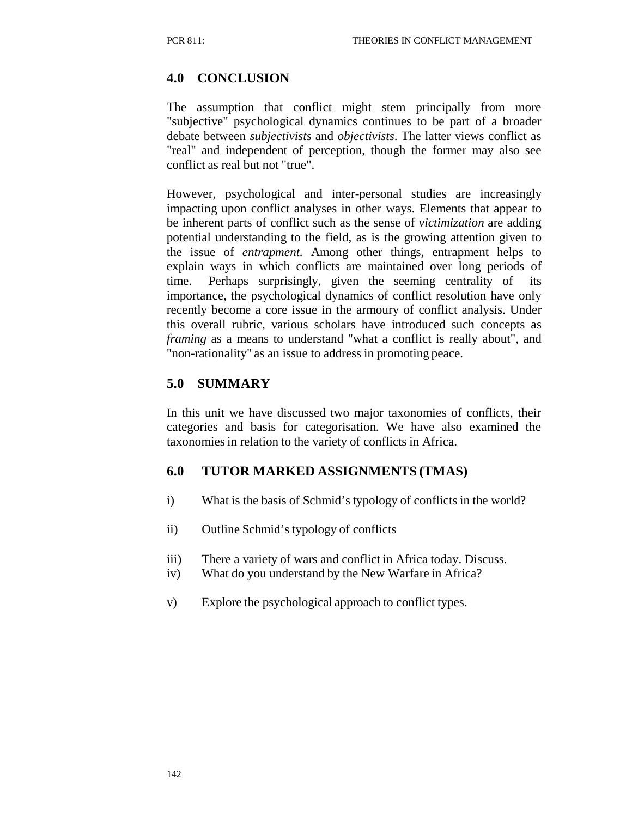# **4.0 CONCLUSION**

The assumption that conflict might stem principally from more "subjective" psychological dynamics continues to be part of a broader debate between *subjectivists* and *objectivists*. The latter views conflict as "real" and independent of perception, though the former may also see conflict as real but not "true".

However, psychological and inter-personal studies are increasingly impacting upon conflict analyses in other ways. Elements that appear to be inherent parts of conflict such as the sense of *victimization* are adding potential understanding to the field, as is the growing attention given to the issue of *entrapment.* Among other things, entrapment helps to explain ways in which conflicts are maintained over long periods of time. Perhaps surprisingly, given the seeming centrality of its importance, the psychological dynamics of conflict resolution have only recently become a core issue in the armoury of conflict analysis. Under this overall rubric, various scholars have introduced such concepts as *framing* as a means to understand "what a conflict is really about", and "non-rationality" as an issue to address in promoting peace.

# **5.0 SUMMARY**

In this unit we have discussed two major taxonomies of conflicts, their categories and basis for categorisation. We have also examined the taxonomies in relation to the variety of conflicts in Africa.

# **6.0 TUTOR MARKED ASSIGNMENTS (TMAS)**

- i) What is the basis of Schmid's typology of conflicts in the world?
- ii) Outline Schmid's typology of conflicts
- iii) There a variety of wars and conflict in Africa today. Discuss.
- iv) What do you understand by the New Warfare in Africa?
- v) Explore the psychological approach to conflict types.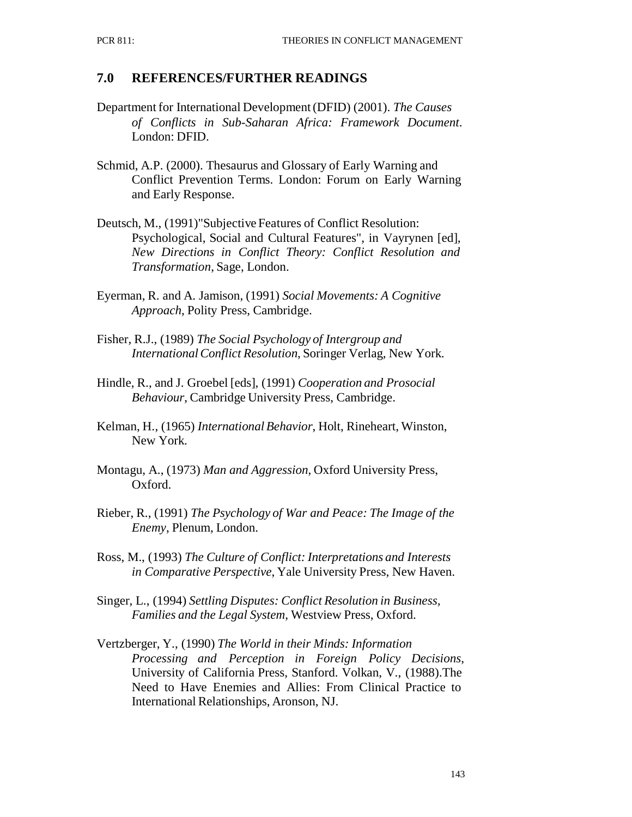### **7.0 REFERENCES/FURTHER READINGS**

- Department for International Development (DFID) (2001). *The Causes of Conflicts in Sub-Saharan Africa: Framework Document*. London: DFID.
- Schmid, A.P. (2000). Thesaurus and Glossary of Early Warning and Conflict Prevention Terms. London: Forum on Early Warning and Early Response.
- Deutsch, M., (1991)"Subjective Features of Conflict Resolution: Psychological, Social and Cultural Features", in Vayrynen [ed], *New Directions in Conflict Theory: Conflict Resolution and Transformation*, Sage, London.
- Eyerman, R. and A. Jamison, (1991) *Social Movements: A Cognitive Approach*, Polity Press, Cambridge.
- Fisher, R.J., (1989) *The Social Psychology of Intergroup and International Conflict Resolution*, Soringer Verlag, New York.
- Hindle, R., and J. Groebel [eds], (1991) *Cooperation and Prosocial Behaviour*, Cambridge University Press, Cambridge.
- Kelman, H., (1965) *International Behavior*, Holt, Rineheart, Winston, New York.
- Montagu, A., (1973) *Man and Aggression*, Oxford University Press, Oxford.
- Rieber, R., (1991) *The Psychology of War and Peace: The Image of the Enemy*, Plenum, London.
- Ross, M., (1993) *The Culture of Conflict: Interpretations and Interests in Comparative Perspective*, Yale University Press, New Haven.
- Singer, L., (1994) *Settling Disputes: Conflict Resolution in Business, Families and the Legal System*, Westview Press, Oxford.
- Vertzberger, Y., (1990) *The World in their Minds: Information Processing and Perception in Foreign Policy Decisions*, University of California Press, Stanford. Volkan, V., (1988).The Need to Have Enemies and Allies: From Clinical Practice to International Relationships, Aronson, NJ.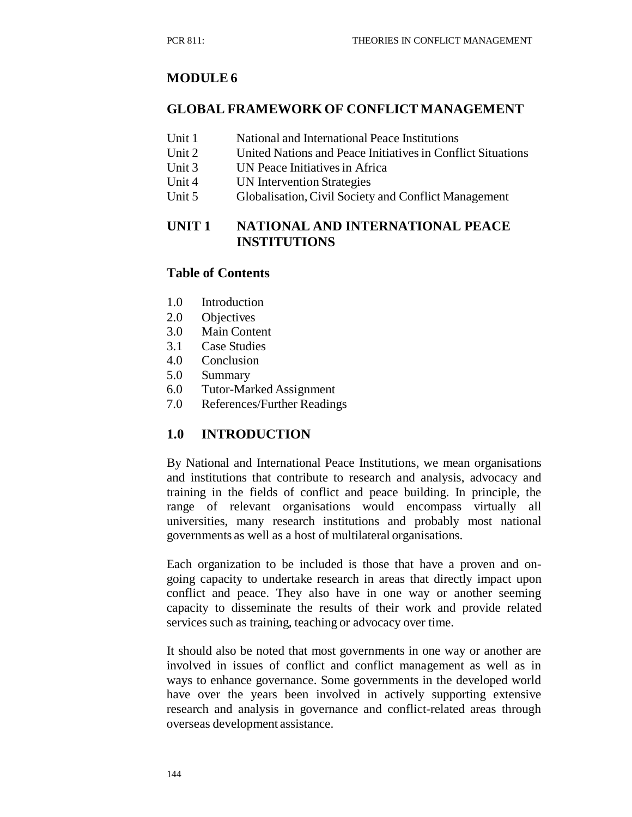# **MODULE 6**

### **GLOBAL FRAMEWORK OF CONFLICT MANAGEMENT**

- Unit 1 National and International Peace Institutions
- Unit 2 United Nations and Peace Initiatives in Conflict Situations
- Unit 3 UN Peace Initiatives in Africa
- Unit 4 UN Intervention Strategies
- Unit 5 Globalisation, Civil Society and Conflict Management

# **UNIT 1 NATIONAL AND INTERNATIONAL PEACE INSTITUTIONS**

### **Table of Contents**

- 1.0 Introduction
- 2.0 Objectives
- 3.0 Main Content
- 3.1 Case Studies
- 4.0 Conclusion
- 5.0 Summary
- 6.0 Tutor-Marked Assignment
- 7.0 References/Further Readings

# **1.0 INTRODUCTION**

By National and International Peace Institutions, we mean organisations and institutions that contribute to research and analysis, advocacy and training in the fields of conflict and peace building. In principle, the range of relevant organisations would encompass virtually all universities, many research institutions and probably most national governments as well as a host of multilateral organisations.

Each organization to be included is those that have a proven and ongoing capacity to undertake research in areas that directly impact upon conflict and peace. They also have in one way or another seeming capacity to disseminate the results of their work and provide related services such as training, teaching or advocacy over time.

It should also be noted that most governments in one way or another are involved in issues of conflict and conflict management as well as in ways to enhance governance. Some governments in the developed world have over the years been involved in actively supporting extensive research and analysis in governance and conflict-related areas through overseas development assistance.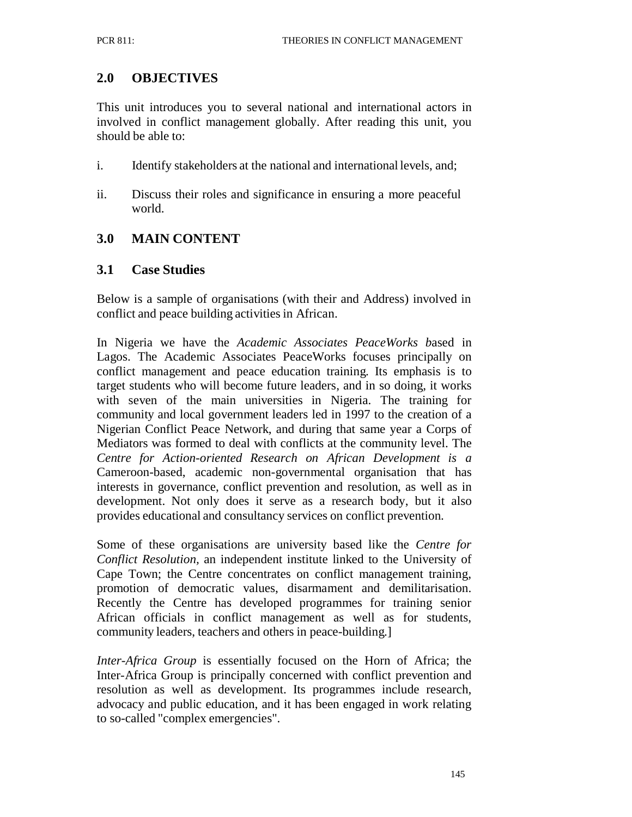# **2.0 OBJECTIVES**

This unit introduces you to several national and international actors in involved in conflict management globally. After reading this unit, you should be able to:

- i. Identify stakeholders at the national and international levels, and;
- ii. Discuss their roles and significance in ensuring a more peaceful world.

# **3.0 MAIN CONTENT**

### **3.1 Case Studies**

Below is a sample of organisations (with their and Address) involved in conflict and peace building activities in African.

In Nigeria we have the *Academic Associates PeaceWorks b*ased in Lagos. The Academic Associates PeaceWorks focuses principally on conflict management and peace education training. Its emphasis is to target students who will become future leaders, and in so doing, it works with seven of the main universities in Nigeria. The training for community and local government leaders led in 1997 to the creation of a Nigerian Conflict Peace Network, and during that same year a Corps of Mediators was formed to deal with conflicts at the community level. The *Centre for Action-oriented Research on African Development is a*  Cameroon-based, academic non-governmental organisation that has interests in governance, conflict prevention and resolution, as well as in development. Not only does it serve as a research body, but it also provides educational and consultancy services on conflict prevention.

Some of these organisations are university based like the *Centre for Conflict Resolution,* an independent institute linked to the University of Cape Town; the Centre concentrates on conflict management training, promotion of democratic values, disarmament and demilitarisation. Recently the Centre has developed programmes for training senior African officials in conflict management as well as for students, community leaders, teachers and others in peace-building.]

*Inter-Africa Group* is essentially focused on the Horn of Africa; the Inter-Africa Group is principally concerned with conflict prevention and resolution as well as development. Its programmes include research, advocacy and public education, and it has been engaged in work relating to so-called "complex emergencies".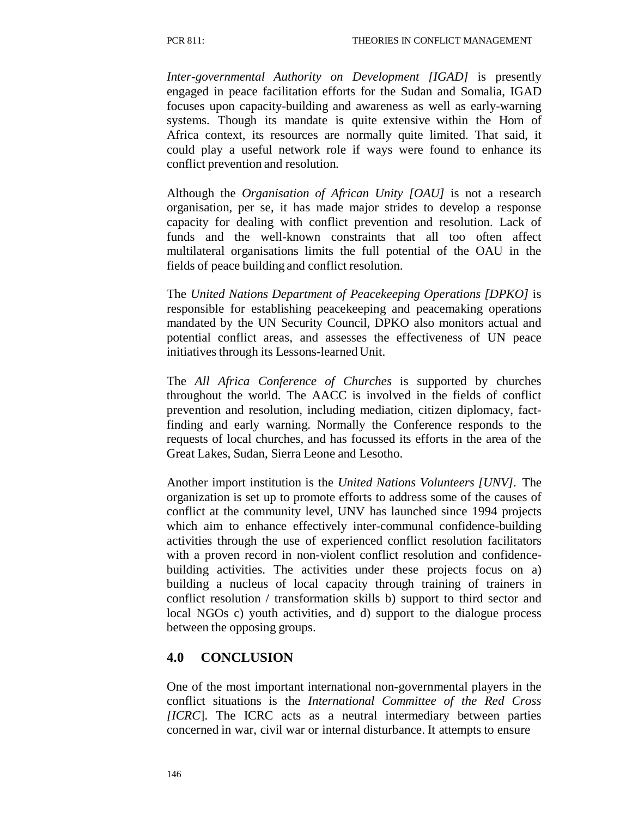*Inter-governmental Authority on Development [IGAD]* is presently engaged in peace facilitation efforts for the Sudan and Somalia, IGAD focuses upon capacity-building and awareness as well as early-warning systems. Though its mandate is quite extensive within the Horn of Africa context, its resources are normally quite limited. That said, it could play a useful network role if ways were found to enhance its conflict prevention and resolution.

Although the *Organisation of African Unity [OAU]* is not a research organisation, per se, it has made major strides to develop a response capacity for dealing with conflict prevention and resolution. Lack of funds and the well-known constraints that all too often affect multilateral organisations limits the full potential of the OAU in the fields of peace building and conflict resolution.

The *United Nations Department of Peacekeeping Operations [DPKO]* is responsible for establishing peacekeeping and peacemaking operations mandated by the UN Security Council, DPKO also monitors actual and potential conflict areas, and assesses the effectiveness of UN peace initiatives through its Lessons-learned Unit.

The *All Africa Conference of Churches* is supported by churches throughout the world. The AACC is involved in the fields of conflict prevention and resolution, including mediation, citizen diplomacy, factfinding and early warning. Normally the Conference responds to the requests of local churches, and has focussed its efforts in the area of the Great Lakes, Sudan, Sierra Leone and Lesotho.

Another import institution is the *United Nations Volunteers [UNV].* The organization is set up to promote efforts to address some of the causes of conflict at the community level, UNV has launched since 1994 projects which aim to enhance effectively inter-communal confidence-building activities through the use of experienced conflict resolution facilitators with a proven record in non-violent conflict resolution and confidencebuilding activities. The activities under these projects focus on a) building a nucleus of local capacity through training of trainers in conflict resolution / transformation skills b) support to third sector and local NGOs c) youth activities, and d) support to the dialogue process between the opposing groups.

# **4.0 CONCLUSION**

One of the most important international non-governmental players in the conflict situations is the *International Committee of the Red Cross [ICRC*]. The ICRC acts as a neutral intermediary between parties concerned in war, civil war or internal disturbance. It attempts to ensure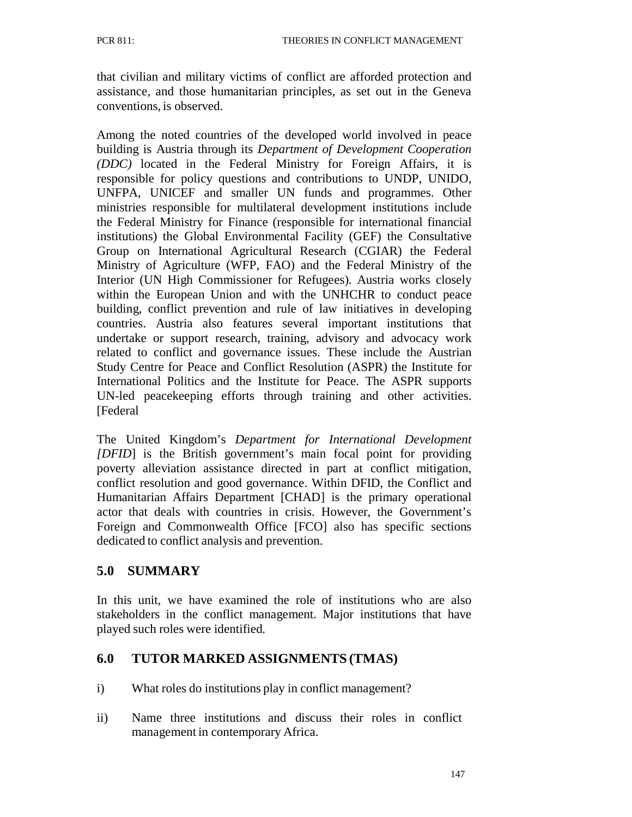that civilian and military victims of conflict are afforded protection and assistance, and those humanitarian principles, as set out in the Geneva conventions, is observed.

Among the noted countries of the developed world involved in peace building is Austria through its *Department of Development Cooperation (DDC)* located in the Federal Ministry for Foreign Affairs, it is responsible for policy questions and contributions to UNDP, UNIDO, UNFPA, UNICEF and smaller UN funds and programmes. Other ministries responsible for multilateral development institutions include the Federal Ministry for Finance (responsible for international financial institutions) the Global Environmental Facility (GEF) the Consultative Group on International Agricultural Research (CGIAR) the Federal Ministry of Agriculture (WFP, FAO) and the Federal Ministry of the Interior (UN High Commissioner for Refugees). Austria works closely within the European Union and with the UNHCHR to conduct peace building, conflict prevention and rule of law initiatives in developing countries. Austria also features several important institutions that undertake or support research, training, advisory and advocacy work related to conflict and governance issues. These include the Austrian Study Centre for Peace and Conflict Resolution (ASPR) the Institute for International Politics and the Institute for Peace. The ASPR supports UN-led peacekeeping efforts through training and other activities. [Federal

The United Kingdom's *Department for International Development [DFID*] is the British government's main focal point for providing poverty alleviation assistance directed in part at conflict mitigation, conflict resolution and good governance. Within DFID, the Conflict and Humanitarian Affairs Department [CHAD] is the primary operational actor that deals with countries in crisis. However, the Government's Foreign and Commonwealth Office [FCO] also has specific sections dedicated to conflict analysis and prevention.

# **5.0 SUMMARY**

In this unit, we have examined the role of institutions who are also stakeholders in the conflict management. Major institutions that have played such roles were identified.

# **6.0 TUTOR MARKED ASSIGNMENTS (TMAS)**

- i) What roles do institutions play in conflict management?
- ii) Name three institutions and discuss their roles in conflict management in contemporary Africa.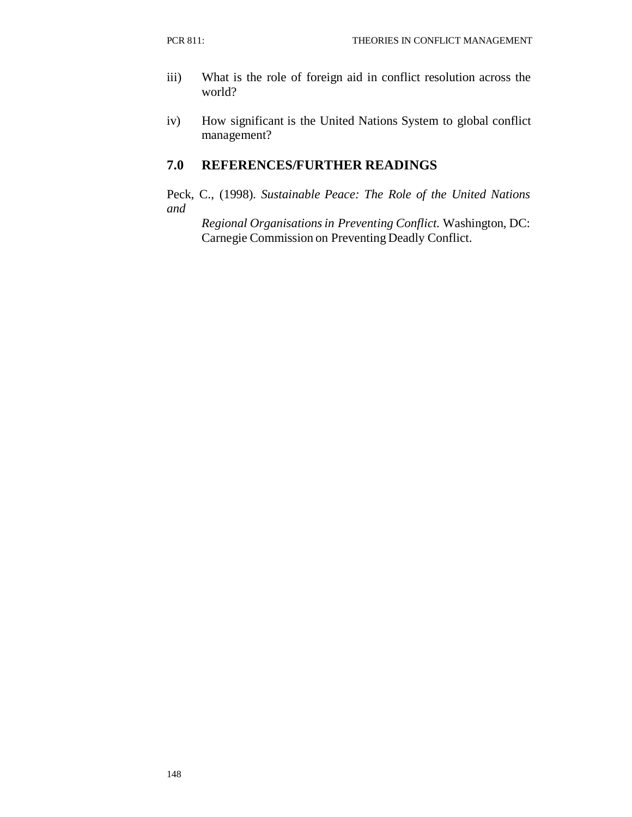- iii) What is the role of foreign aid in conflict resolution across the world?
- iv) How significant is the United Nations System to global conflict management?

# **7.0 REFERENCES/FURTHER READINGS**

Peck, C., (1998). *Sustainable Peace: The Role of the United Nations and*

*Regional Organisations in Preventing Conflict.* Washington, DC: Carnegie Commission on Preventing Deadly Conflict.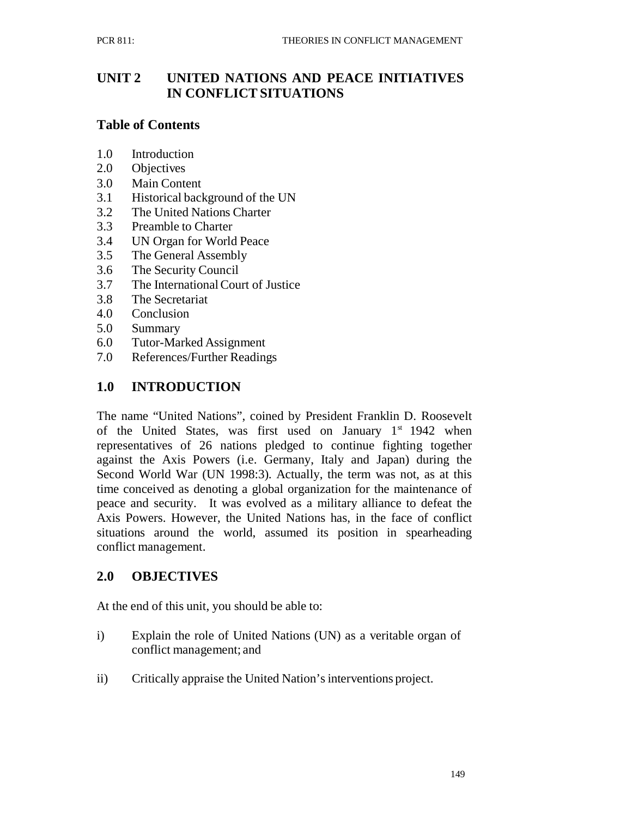# **UNIT 2 UNITED NATIONS AND PEACE INITIATIVES IN CONFLICT SITUATIONS**

### **Table of Contents**

- 1.0 Introduction
- 2.0 Objectives
- 3.0 Main Content
- 3.1 Historical background of the UN
- 3.2 The United Nations Charter
- 3.3 Preamble to Charter
- 3.4 UN Organ for World Peace
- 3.5 The General Assembly
- 3.6 The Security Council
- 3.7 The International Court of Justice
- 3.8 The Secretariat
- 4.0 Conclusion
- 5.0 Summary
- 6.0 Tutor-Marked Assignment
- 7.0 References/Further Readings

# **1.0 INTRODUCTION**

The name "United Nations", coined by President Franklin D. Roosevelt of the United States, was first used on January  $1<sup>st</sup>$  1942 when representatives of 26 nations pledged to continue fighting together against the Axis Powers (i.e. Germany, Italy and Japan) during the Second World War (UN 1998:3). Actually, the term was not, as at this time conceived as denoting a global organization for the maintenance of peace and security. It was evolved as a military alliance to defeat the Axis Powers. However, the United Nations has, in the face of conflict situations around the world, assumed its position in spearheading conflict management.

### **2.0 OBJECTIVES**

At the end of this unit, you should be able to:

- i) Explain the role of United Nations (UN) as a veritable organ of conflict management; and
- ii) Critically appraise the United Nation's interventions project.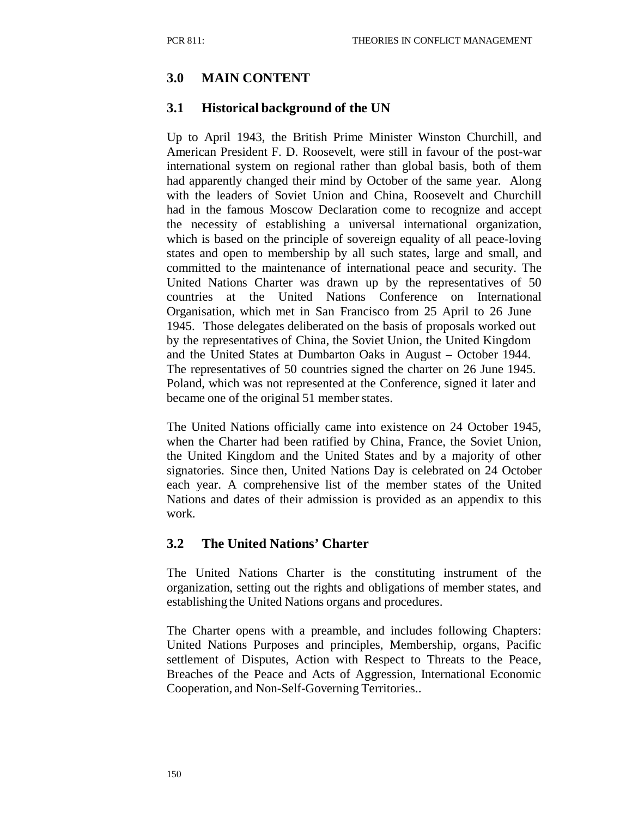# **3.0 MAIN CONTENT**

### **3.1 Historical background of the UN**

Up to April 1943, the British Prime Minister Winston Churchill, and American President F. D. Roosevelt, were still in favour of the post-war international system on regional rather than global basis, both of them had apparently changed their mind by October of the same year. Along with the leaders of Soviet Union and China, Roosevelt and Churchill had in the famous Moscow Declaration come to recognize and accept the necessity of establishing a universal international organization, which is based on the principle of sovereign equality of all peace-loving states and open to membership by all such states, large and small, and committed to the maintenance of international peace and security. The United Nations Charter was drawn up by the representatives of 50 countries at the United Nations Conference on International Organisation, which met in San Francisco from 25 April to 26 June 1945. Those delegates deliberated on the basis of proposals worked out by the representatives of China, the Soviet Union, the United Kingdom and the United States at Dumbarton Oaks in August – October 1944. The representatives of 50 countries signed the charter on 26 June 1945. Poland, which was not represented at the Conference, signed it later and became one of the original 51 member states.

The United Nations officially came into existence on 24 October 1945, when the Charter had been ratified by China, France, the Soviet Union, the United Kingdom and the United States and by a majority of other signatories. Since then, United Nations Day is celebrated on 24 October each year. A comprehensive list of the member states of the United Nations and dates of their admission is provided as an appendix to this work.

# **3.2 The United Nations' Charter**

The United Nations Charter is the constituting instrument of the organization, setting out the rights and obligations of member states, and establishing the United Nations organs and procedures.

The Charter opens with a preamble, and includes following Chapters: United Nations Purposes and principles, Membership, organs, Pacific settlement of Disputes, Action with Respect to Threats to the Peace, Breaches of the Peace and Acts of Aggression, International Economic Cooperation, and Non-Self-Governing Territories..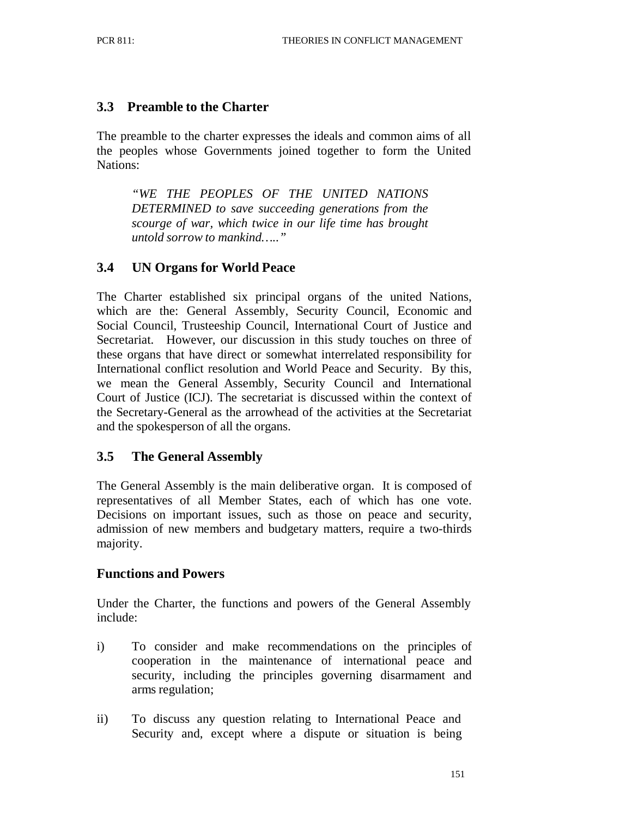# **3.3 Preamble to the Charter**

The preamble to the charter expresses the ideals and common aims of all the peoples whose Governments joined together to form the United Nations:

*"WE THE PEOPLES OF THE UNITED NATIONS DETERMINED to save succeeding generations from the scourge of war, which twice in our life time has brought untold sorrow to mankind….."*

# **3.4 UN Organs for World Peace**

The Charter established six principal organs of the united Nations, which are the: General Assembly, Security Council, Economic and Social Council, Trusteeship Council, International Court of Justice and Secretariat. However, our discussion in this study touches on three of these organs that have direct or somewhat interrelated responsibility for International conflict resolution and World Peace and Security. By this, we mean the General Assembly, Security Council and International Court of Justice (ICJ). The secretariat is discussed within the context of the Secretary-General as the arrowhead of the activities at the Secretariat and the spokesperson of all the organs.

### **3.5 The General Assembly**

The General Assembly is the main deliberative organ. It is composed of representatives of all Member States, each of which has one vote. Decisions on important issues, such as those on peace and security, admission of new members and budgetary matters, require a two-thirds majority.

### **Functions and Powers**

Under the Charter, the functions and powers of the General Assembly include:

- i) To consider and make recommendations on the principles of cooperation in the maintenance of international peace and security, including the principles governing disarmament and arms regulation;
- ii) To discuss any question relating to International Peace and Security and, except where a dispute or situation is being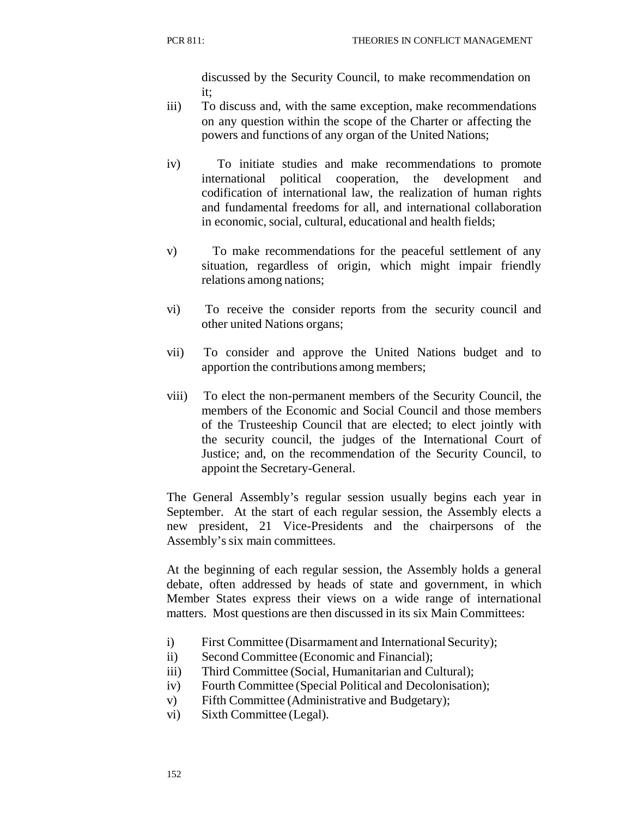discussed by the Security Council, to make recommendation on it;

- iii) To discuss and, with the same exception, make recommendations on any question within the scope of the Charter or affecting the powers and functions of any organ of the United Nations;
- iv) To initiate studies and make recommendations to promote international political cooperation, the development and codification of international law, the realization of human rights and fundamental freedoms for all, and international collaboration in economic, social, cultural, educational and health fields;
- v) To make recommendations for the peaceful settlement of any situation, regardless of origin, which might impair friendly relations among nations;
- vi) To receive the consider reports from the security council and other united Nations organs;
- vii) To consider and approve the United Nations budget and to apportion the contributions among members;
- viii) To elect the non-permanent members of the Security Council, the members of the Economic and Social Council and those members of the Trusteeship Council that are elected; to elect jointly with the security council, the judges of the International Court of Justice; and, on the recommendation of the Security Council, to appoint the Secretary-General.

The General Assembly's regular session usually begins each year in September. At the start of each regular session, the Assembly elects a new president, 21 Vice-Presidents and the chairpersons of the Assembly's six main committees.

At the beginning of each regular session, the Assembly holds a general debate, often addressed by heads of state and government, in which Member States express their views on a wide range of international matters. Most questions are then discussed in its six Main Committees:

- i) First Committee (Disarmament and International Security);
- ii) Second Committee (Economic and Financial);
- iii) Third Committee (Social, Humanitarian and Cultural);
- iv) Fourth Committee (Special Political and Decolonisation);
- v) Fifth Committee (Administrative and Budgetary);
- vi) Sixth Committee (Legal).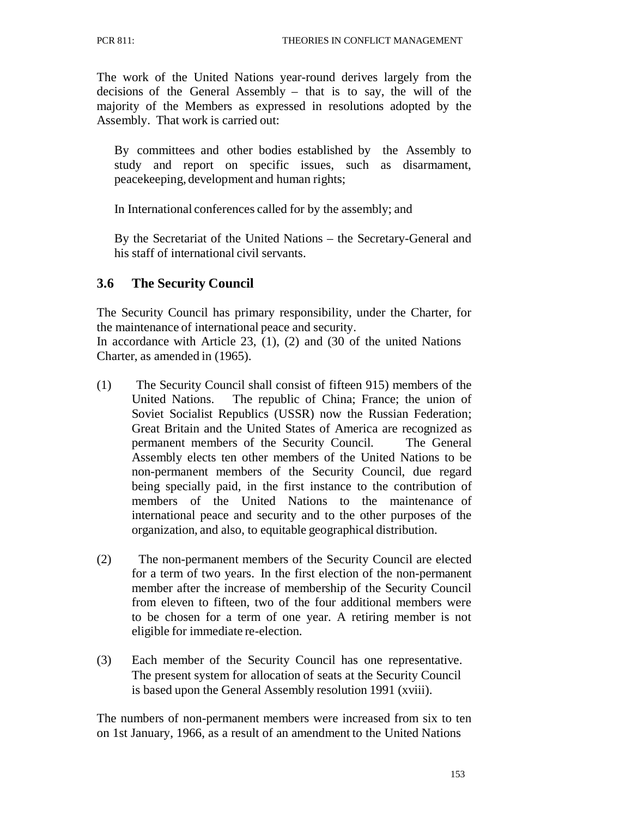The work of the United Nations year-round derives largely from the decisions of the General Assembly – that is to say, the will of the majority of the Members as expressed in resolutions adopted by the Assembly. That work is carried out:

By committees and other bodies established by the Assembly to study and report on specific issues, such as disarmament, peacekeeping, development and human rights;

In International conferences called for by the assembly; and

By the Secretariat of the United Nations – the Secretary-General and his staff of international civil servants.

# **3.6 The Security Council**

The Security Council has primary responsibility, under the Charter, for the maintenance of international peace and security.

In accordance with Article 23, (1), (2) and (30 of the united Nations Charter, as amended in (1965).

- (1) The Security Council shall consist of fifteen 915) members of the United Nations. The republic of China; France; the union of Soviet Socialist Republics (USSR) now the Russian Federation; Great Britain and the United States of America are recognized as permanent members of the Security Council. The General Assembly elects ten other members of the United Nations to be non-permanent members of the Security Council, due regard being specially paid, in the first instance to the contribution of members of the United Nations to the maintenance of international peace and security and to the other purposes of the organization, and also, to equitable geographical distribution.
- (2) The non-permanent members of the Security Council are elected for a term of two years. In the first election of the non-permanent member after the increase of membership of the Security Council from eleven to fifteen, two of the four additional members were to be chosen for a term of one year. A retiring member is not eligible for immediate re-election.
- (3) Each member of the Security Council has one representative. The present system for allocation of seats at the Security Council is based upon the General Assembly resolution 1991 (xviii).

The numbers of non-permanent members were increased from six to ten on 1st January, 1966, as a result of an amendment to the United Nations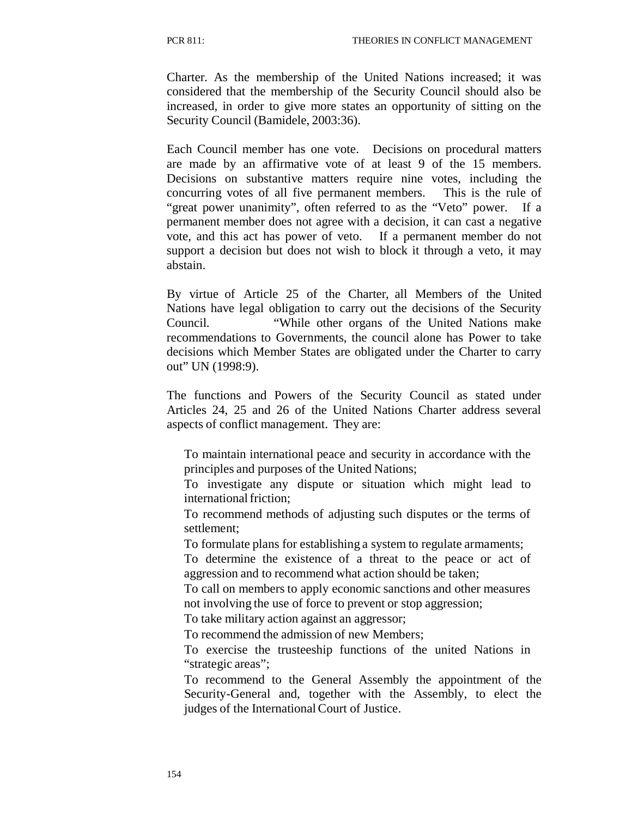Charter. As the membership of the United Nations increased; it was considered that the membership of the Security Council should also be increased, in order to give more states an opportunity of sitting on the Security Council (Bamidele, 2003:36).

Each Council member has one vote. Decisions on procedural matters are made by an affirmative vote of at least 9 of the 15 members. Decisions on substantive matters require nine votes, including the concurring votes of all five permanent members. This is the rule of "great power unanimity", often referred to as the "Veto" power. If a permanent member does not agree with a decision, it can cast a negative vote, and this act has power of veto. If a permanent member do not support a decision but does not wish to block it through a veto, it may abstain.

By virtue of Article 25 of the Charter, all Members of the United Nations have legal obligation to carry out the decisions of the Security Council. "While other organs of the United Nations make recommendations to Governments, the council alone has Power to take decisions which Member States are obligated under the Charter to carry out" UN (1998:9).

The functions and Powers of the Security Council as stated under Articles 24, 25 and 26 of the United Nations Charter address several aspects of conflict management. They are:

To maintain international peace and security in accordance with the principles and purposes of the United Nations;

To investigate any dispute or situation which might lead to international friction;

To recommend methods of adjusting such disputes or the terms of settlement;

To formulate plans for establishing a system to regulate armaments;

To determine the existence of a threat to the peace or act of aggression and to recommend what action should be taken;

To call on members to apply economic sanctions and other measures not involving the use of force to prevent or stop aggression;

To take military action against an aggressor;

To recommend the admission of new Members;

To exercise the trusteeship functions of the united Nations in "strategic areas";

To recommend to the General Assembly the appointment of the Security-General and, together with the Assembly, to elect the judges of the International Court of Justice.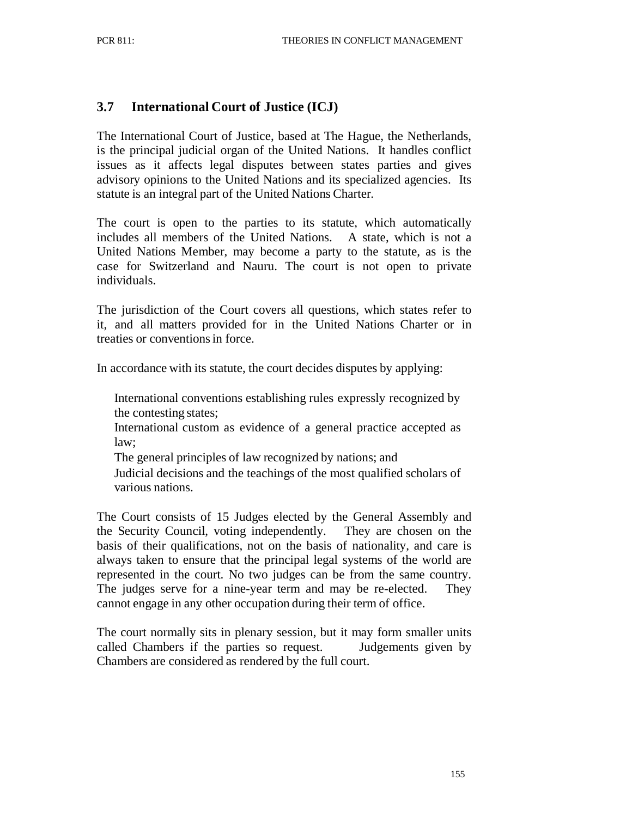# **3.7 International Court of Justice (ICJ)**

The International Court of Justice, based at The Hague, the Netherlands, is the principal judicial organ of the United Nations. It handles conflict issues as it affects legal disputes between states parties and gives advisory opinions to the United Nations and its specialized agencies. Its statute is an integral part of the United Nations Charter.

The court is open to the parties to its statute, which automatically includes all members of the United Nations. A state, which is not a United Nations Member, may become a party to the statute, as is the case for Switzerland and Nauru. The court is not open to private individuals.

The jurisdiction of the Court covers all questions, which states refer to it, and all matters provided for in the United Nations Charter or in treaties or conventions in force.

In accordance with its statute, the court decides disputes by applying:

International conventions establishing rules expressly recognized by the contesting states;

International custom as evidence of a general practice accepted as law;

The general principles of law recognized by nations; and

Judicial decisions and the teachings of the most qualified scholars of various nations.

The Court consists of 15 Judges elected by the General Assembly and the Security Council, voting independently. They are chosen on the basis of their qualifications, not on the basis of nationality, and care is always taken to ensure that the principal legal systems of the world are represented in the court. No two judges can be from the same country. The judges serve for a nine-year term and may be re-elected. They cannot engage in any other occupation during their term of office.

The court normally sits in plenary session, but it may form smaller units called Chambers if the parties so request. Judgements given by Chambers are considered as rendered by the full court.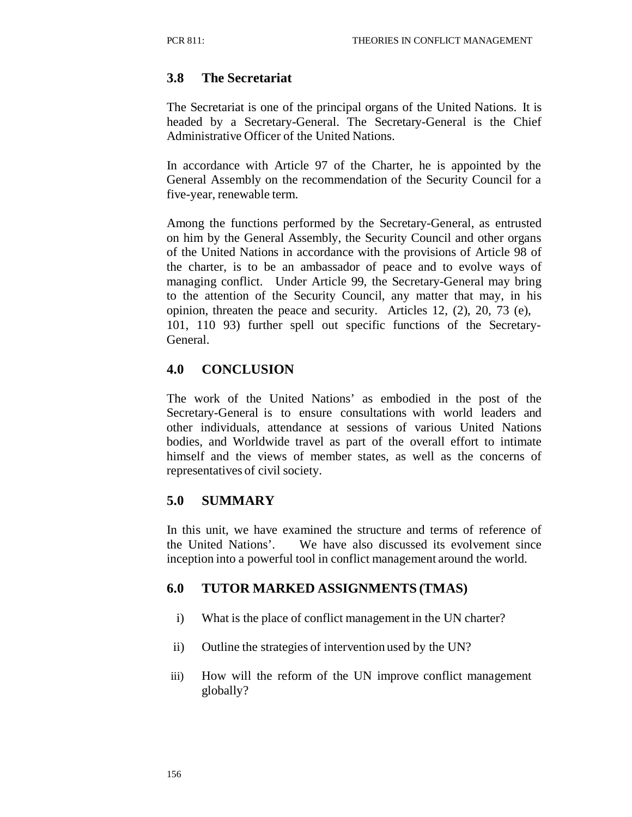# **3.8 The Secretariat**

The Secretariat is one of the principal organs of the United Nations. It is headed by a Secretary-General. The Secretary-General is the Chief Administrative Officer of the United Nations.

In accordance with Article 97 of the Charter, he is appointed by the General Assembly on the recommendation of the Security Council for a five-year, renewable term.

Among the functions performed by the Secretary-General, as entrusted on him by the General Assembly, the Security Council and other organs of the United Nations in accordance with the provisions of Article 98 of the charter, is to be an ambassador of peace and to evolve ways of managing conflict. Under Article 99, the Secretary-General may bring to the attention of the Security Council, any matter that may, in his opinion, threaten the peace and security. Articles 12, (2), 20, 73 (e), 101, 110 93) further spell out specific functions of the Secretary-General.

# **4.0 CONCLUSION**

The work of the United Nations' as embodied in the post of the Secretary-General is to ensure consultations with world leaders and other individuals, attendance at sessions of various United Nations bodies, and Worldwide travel as part of the overall effort to intimate himself and the views of member states, as well as the concerns of representatives of civil society.

# **5.0 SUMMARY**

In this unit, we have examined the structure and terms of reference of the United Nations'. We have also discussed its evolvement since inception into a powerful tool in conflict management around the world.

# **6.0 TUTOR MARKED ASSIGNMENTS (TMAS)**

- i) What is the place of conflict management in the UN charter?
- ii) Outline the strategies of intervention used by the UN?
- iii) How will the reform of the UN improve conflict management globally?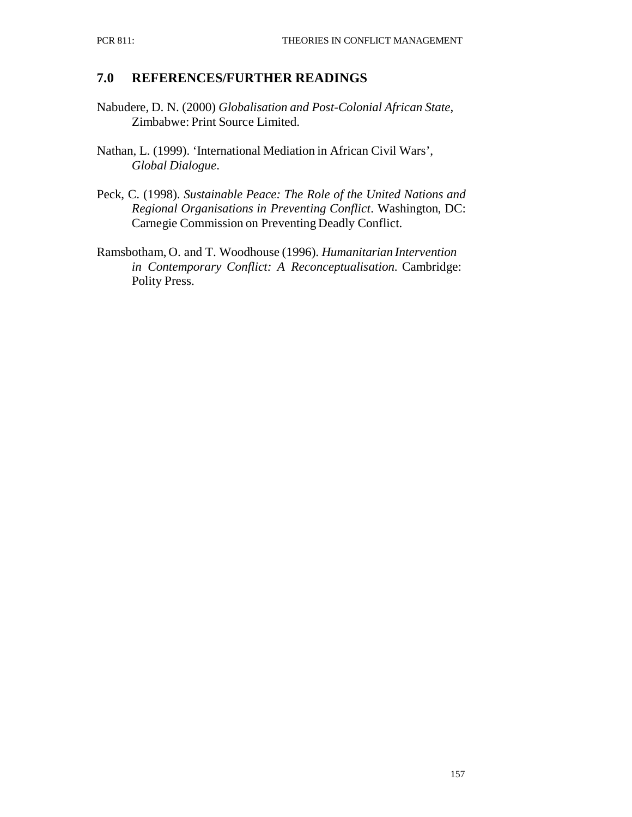# **7.0 REFERENCES/FURTHER READINGS**

- Nabudere, D. N. (2000) *Globalisation and Post-Colonial African State*, Zimbabwe: Print Source Limited.
- Nathan, L. (1999). 'International Mediation in African Civil Wars', *Global Dialogue*.
- Peck, C. (1998). *Sustainable Peace: The Role of the United Nations and Regional Organisations in Preventing Conflict*. Washington, DC: Carnegie Commission on Preventing Deadly Conflict.
- Ramsbotham, O. and T. Woodhouse (1996). *Humanitarian Intervention in Contemporary Conflict: A Reconceptualisation*. Cambridge: Polity Press.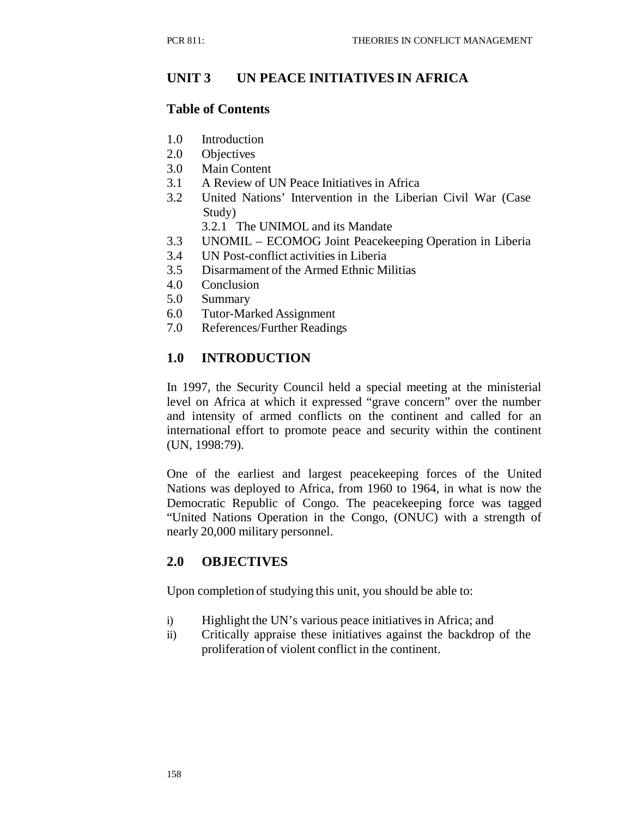# **UNIT 3 UN PEACE INITIATIVES IN AFRICA**

#### **Table of Contents**

- 1.0 Introduction
- 2.0 Objectives
- 3.0 Main Content
- 3.1 A Review of UN Peace Initiatives in Africa
- 3.2 United Nations' Intervention in the Liberian Civil War (Case Study)
	- 3.2.1 The UNIMOL and its Mandate
- 3.3 UNOMIL ECOMOG Joint Peacekeeping Operation in Liberia
- 3.4 UN Post-conflict activities in Liberia
- 3.5 Disarmament of the Armed Ethnic Militias
- 4.0 Conclusion
- 5.0 Summary
- 6.0 Tutor-Marked Assignment
- 7.0 References/Further Readings

### **1.0 INTRODUCTION**

In 1997, the Security Council held a special meeting at the ministerial level on Africa at which it expressed "grave concern" over the number and intensity of armed conflicts on the continent and called for an international effort to promote peace and security within the continent (UN, 1998:79).

One of the earliest and largest peacekeeping forces of the United Nations was deployed to Africa, from 1960 to 1964, in what is now the Democratic Republic of Congo. The peacekeeping force was tagged "United Nations Operation in the Congo, (ONUC) with a strength of nearly 20,000 military personnel.

### **2.0 OBJECTIVES**

Upon completion of studying this unit, you should be able to:

- i) Highlight the UN's various peace initiatives in Africa; and
- ii) Critically appraise these initiatives against the backdrop of the proliferation of violent conflict in the continent.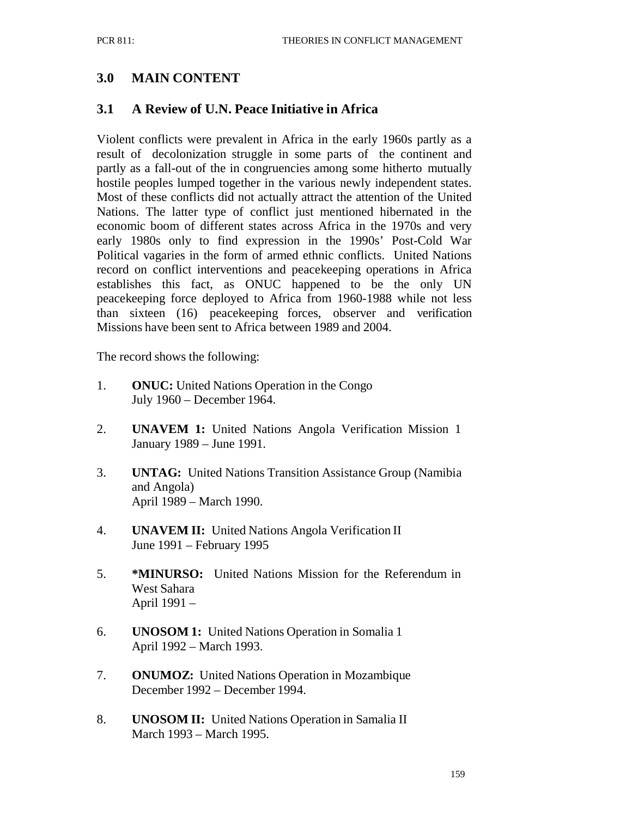# **3.0 MAIN CONTENT**

### **3.1 A Review of U.N. Peace Initiative in Africa**

Violent conflicts were prevalent in Africa in the early 1960s partly as a result of decolonization struggle in some parts of the continent and partly as a fall-out of the in congruencies among some hitherto mutually hostile peoples lumped together in the various newly independent states. Most of these conflicts did not actually attract the attention of the United Nations. The latter type of conflict just mentioned hibernated in the economic boom of different states across Africa in the 1970s and very early 1980s only to find expression in the 1990s' Post-Cold War Political vagaries in the form of armed ethnic conflicts. United Nations record on conflict interventions and peacekeeping operations in Africa establishes this fact, as ONUC happened to be the only UN peacekeeping force deployed to Africa from 1960-1988 while not less than sixteen (16) peacekeeping forces, observer and verification Missions have been sent to Africa between 1989 and 2004.

The record shows the following:

- 1. **ONUC:** United Nations Operation in the Congo July 1960 – December 1964.
- 2. **UNAVEM 1:** United Nations Angola Verification Mission 1 January 1989 – June 1991.
- 3. **UNTAG:** United Nations Transition Assistance Group (Namibia and Angola) April 1989 – March 1990.
- 4. **UNAVEM II:** United Nations Angola Verification II June 1991 – February 1995
- 5. **\*MINURSO:** United Nations Mission for the Referendum in West Sahara April 1991 –
- 6. **UNOSOM 1:** United Nations Operation in Somalia 1 April 1992 – March 1993.
- 7. **ONUMOZ:** United Nations Operation in Mozambique December 1992 – December 1994.
- 8. **UNOSOM II:** United Nations Operation in Samalia II March 1993 – March 1995.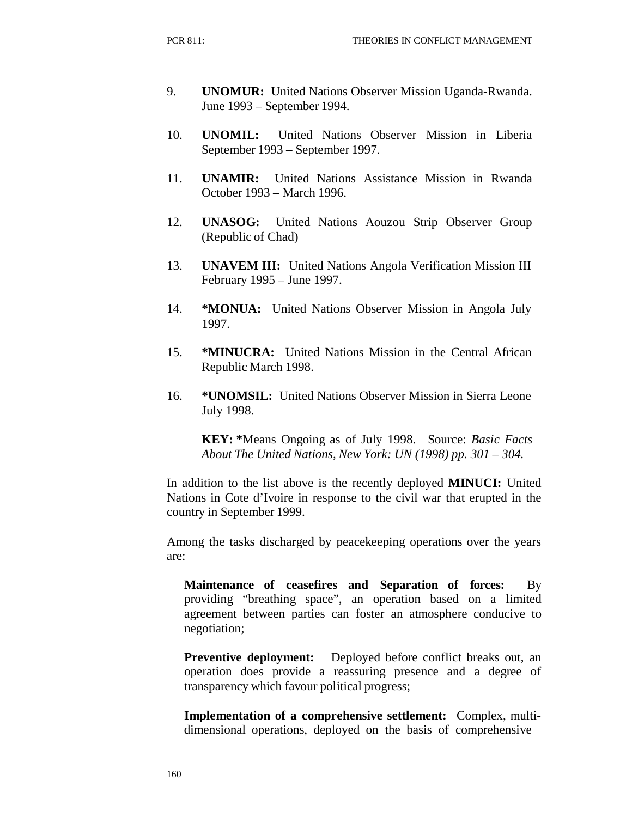- 9. **UNOMUR:** United Nations Observer Mission Uganda-Rwanda. June 1993 – September 1994.
- 10. **UNOMIL:** United Nations Observer Mission in Liberia September 1993 – September 1997.
- 11. **UNAMIR:** United Nations Assistance Mission in Rwanda October 1993 – March 1996.
- 12. **UNASOG:** United Nations Aouzou Strip Observer Group (Republic of Chad)
- 13. **UNAVEM III:** United Nations Angola Verification Mission III February 1995 – June 1997.
- 14. **\*MONUA:** United Nations Observer Mission in Angola July 1997.
- 15. **\*MINUCRA:** United Nations Mission in the Central African Republic March 1998.
- 16. **\*UNOMSIL:** United Nations Observer Mission in Sierra Leone July 1998.

**KEY: \***Means Ongoing as of July 1998. Source: *Basic Facts About The United Nations, New York: UN (1998) pp. 301 – 304.*

In addition to the list above is the recently deployed **MINUCI:** United Nations in Cote d'Ivoire in response to the civil war that erupted in the country in September 1999.

Among the tasks discharged by peacekeeping operations over the years are:

**Maintenance of ceasefires and Separation of forces:** By providing "breathing space", an operation based on a limited agreement between parties can foster an atmosphere conducive to negotiation;

**Preventive deployment:** Deployed before conflict breaks out, an operation does provide a reassuring presence and a degree of transparency which favour political progress;

**Implementation of a comprehensive settlement:** Complex, multidimensional operations, deployed on the basis of comprehensive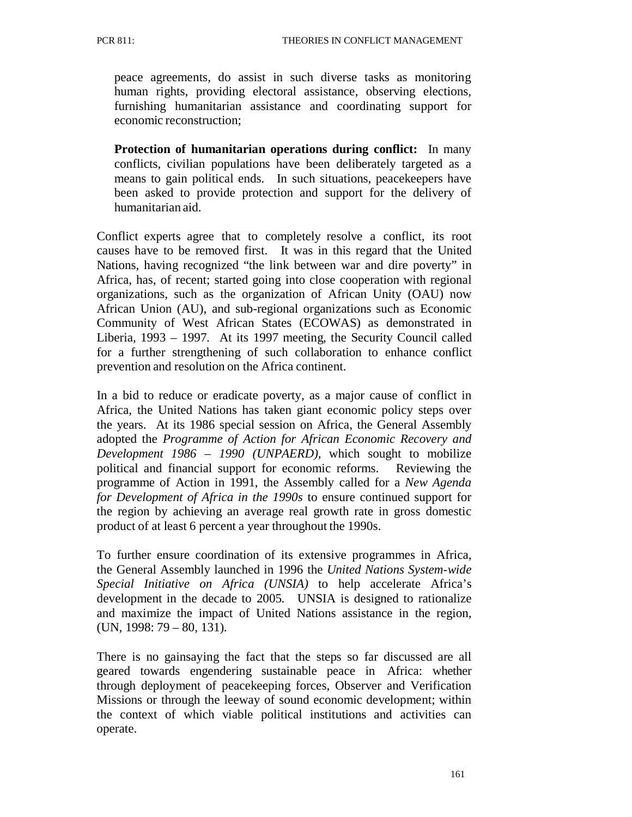peace agreements, do assist in such diverse tasks as monitoring human rights, providing electoral assistance, observing elections, furnishing humanitarian assistance and coordinating support for economic reconstruction;

**Protection of humanitarian operations during conflict:** In many conflicts, civilian populations have been deliberately targeted as a means to gain political ends. In such situations, peacekeepers have been asked to provide protection and support for the delivery of humanitarian aid.

Conflict experts agree that to completely resolve a conflict, its root causes have to be removed first. It was in this regard that the United Nations, having recognized "the link between war and dire poverty" in Africa, has, of recent; started going into close cooperation with regional organizations, such as the organization of African Unity (OAU) now African Union (AU), and sub-regional organizations such as Economic Community of West African States (ECOWAS) as demonstrated in Liberia, 1993 – 1997. At its 1997 meeting, the Security Council called for a further strengthening of such collaboration to enhance conflict prevention and resolution on the Africa continent.

In a bid to reduce or eradicate poverty, as a major cause of conflict in Africa, the United Nations has taken giant economic policy steps over the years. At its 1986 special session on Africa, the General Assembly adopted the *Programme of Action for African Economic Recovery and Development 1986 – 1990 (UNPAERD),* which sought to mobilize political and financial support for economic reforms. Reviewing the programme of Action in 1991, the Assembly called for a *New Agenda for Development of Africa in the 1990s* to ensure continued support for the region by achieving an average real growth rate in gross domestic product of at least 6 percent a year throughout the 1990s.

To further ensure coordination of its extensive programmes in Africa, the General Assembly launched in 1996 the *United Nations System-wide Special Initiative on Africa (UNSIA)* to help accelerate Africa's development in the decade to 2005. UNSIA is designed to rationalize and maximize the impact of United Nations assistance in the region, (UN, 1998: 79 – 80, 131).

There is no gainsaying the fact that the steps so far discussed are all geared towards engendering sustainable peace in Africa: whether through deployment of peacekeeping forces, Observer and Verification Missions or through the leeway of sound economic development; within the context of which viable political institutions and activities can operate.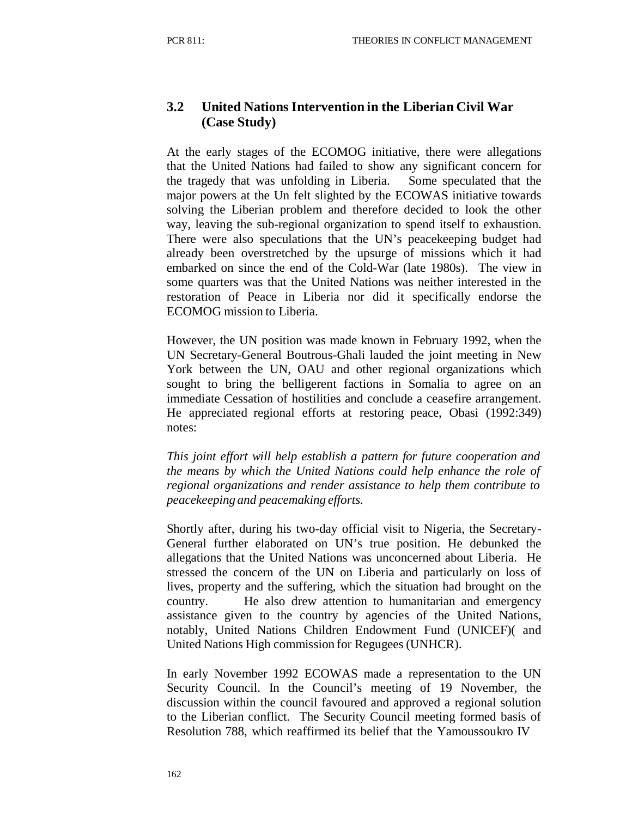### **3.2 United Nations Intervention in the Liberian Civil War (Case Study)**

At the early stages of the ECOMOG initiative, there were allegations that the United Nations had failed to show any significant concern for the tragedy that was unfolding in Liberia. Some speculated that the major powers at the Un felt slighted by the ECOWAS initiative towards solving the Liberian problem and therefore decided to look the other way, leaving the sub-regional organization to spend itself to exhaustion. There were also speculations that the UN's peacekeeping budget had already been overstretched by the upsurge of missions which it had embarked on since the end of the Cold-War (late 1980s). The view in some quarters was that the United Nations was neither interested in the restoration of Peace in Liberia nor did it specifically endorse the ECOMOG mission to Liberia.

However, the UN position was made known in February 1992, when the UN Secretary-General Boutrous-Ghali lauded the joint meeting in New York between the UN, OAU and other regional organizations which sought to bring the belligerent factions in Somalia to agree on an immediate Cessation of hostilities and conclude a ceasefire arrangement. He appreciated regional efforts at restoring peace, Obasi (1992:349) notes:

*This joint effort will help establish a pattern for future cooperation and the means by which the United Nations could help enhance the role of regional organizations and render assistance to help them contribute to peacekeeping and peacemaking efforts.*

Shortly after, during his two-day official visit to Nigeria, the Secretary-General further elaborated on UN's true position. He debunked the allegations that the United Nations was unconcerned about Liberia. He stressed the concern of the UN on Liberia and particularly on loss of lives, property and the suffering, which the situation had brought on the country. He also drew attention to humanitarian and emergency assistance given to the country by agencies of the United Nations, notably, United Nations Children Endowment Fund (UNICEF)( and United Nations High commission for Regugees (UNHCR).

In early November 1992 ECOWAS made a representation to the UN Security Council. In the Council's meeting of 19 November, the discussion within the council favoured and approved a regional solution to the Liberian conflict. The Security Council meeting formed basis of Resolution 788, which reaffirmed its belief that the Yamoussoukro IV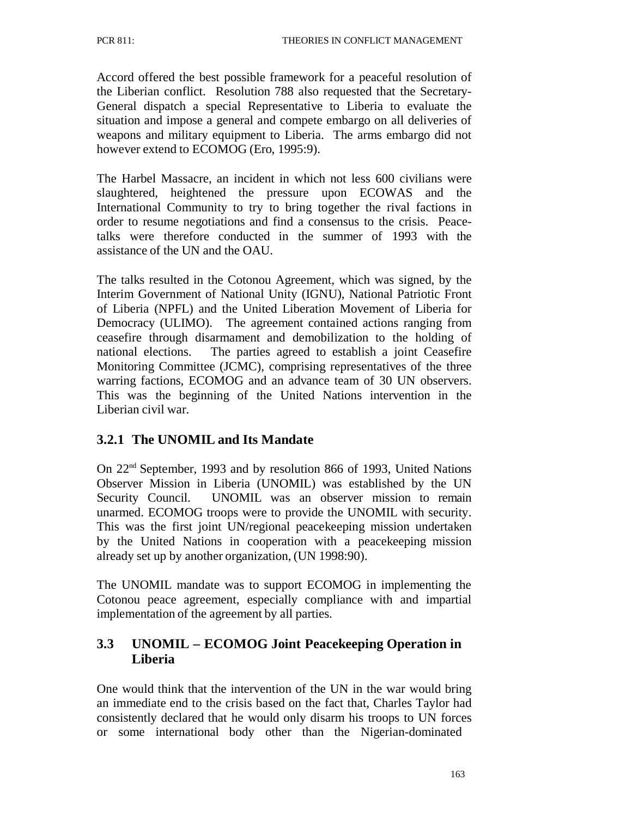Accord offered the best possible framework for a peaceful resolution of the Liberian conflict. Resolution 788 also requested that the Secretary-General dispatch a special Representative to Liberia to evaluate the situation and impose a general and compete embargo on all deliveries of weapons and military equipment to Liberia. The arms embargo did not however extend to ECOMOG (Ero, 1995:9).

The Harbel Massacre, an incident in which not less 600 civilians were slaughtered, heightened the pressure upon ECOWAS and the International Community to try to bring together the rival factions in order to resume negotiations and find a consensus to the crisis. Peacetalks were therefore conducted in the summer of 1993 with the assistance of the UN and the OAU.

The talks resulted in the Cotonou Agreement, which was signed, by the Interim Government of National Unity (IGNU), National Patriotic Front of Liberia (NPFL) and the United Liberation Movement of Liberia for Democracy (ULIMO). The agreement contained actions ranging from ceasefire through disarmament and demobilization to the holding of national elections. The parties agreed to establish a joint Ceasefire Monitoring Committee (JCMC), comprising representatives of the three warring factions, ECOMOG and an advance team of 30 UN observers. This was the beginning of the United Nations intervention in the Liberian civil war.

### **3.2.1 The UNOMIL and Its Mandate**

On 22nd September, 1993 and by resolution 866 of 1993, United Nations Observer Mission in Liberia (UNOMIL) was established by the UN Security Council. UNOMIL was an observer mission to remain unarmed. ECOMOG troops were to provide the UNOMIL with security. This was the first joint UN/regional peacekeeping mission undertaken by the United Nations in cooperation with a peacekeeping mission already set up by another organization, (UN 1998:90).

The UNOMIL mandate was to support ECOMOG in implementing the Cotonou peace agreement, especially compliance with and impartial implementation of the agreement by all parties.

### **3.3 UNOMIL – ECOMOG Joint Peacekeeping Operation in Liberia**

One would think that the intervention of the UN in the war would bring an immediate end to the crisis based on the fact that, Charles Taylor had consistently declared that he would only disarm his troops to UN forces or some international body other than the Nigerian-dominated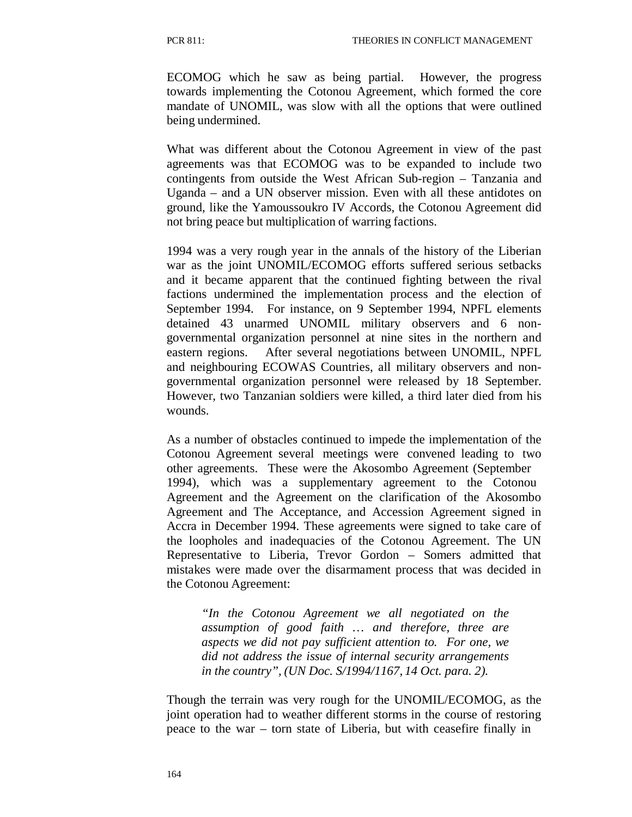ECOMOG which he saw as being partial. However, the progress towards implementing the Cotonou Agreement, which formed the core mandate of UNOMIL, was slow with all the options that were outlined being undermined.

What was different about the Cotonou Agreement in view of the past agreements was that ECOMOG was to be expanded to include two contingents from outside the West African Sub-region – Tanzania and Uganda – and a UN observer mission. Even with all these antidotes on ground, like the Yamoussoukro IV Accords, the Cotonou Agreement did not bring peace but multiplication of warring factions.

1994 was a very rough year in the annals of the history of the Liberian war as the joint UNOMIL/ECOMOG efforts suffered serious setbacks and it became apparent that the continued fighting between the rival factions undermined the implementation process and the election of September 1994. For instance, on 9 September 1994, NPFL elements detained 43 unarmed UNOMIL military observers and 6 nongovernmental organization personnel at nine sites in the northern and eastern regions. After several negotiations between UNOMIL, NPFL and neighbouring ECOWAS Countries, all military observers and nongovernmental organization personnel were released by 18 September. However, two Tanzanian soldiers were killed, a third later died from his wounds.

As a number of obstacles continued to impede the implementation of the Cotonou Agreement several meetings were convened leading to two other agreements. These were the Akosombo Agreement (September 1994), which was a supplementary agreement to the Cotonou Agreement and the Agreement on the clarification of the Akosombo Agreement and The Acceptance, and Accession Agreement signed in Accra in December 1994. These agreements were signed to take care of the loopholes and inadequacies of the Cotonou Agreement. The UN Representative to Liberia, Trevor Gordon – Somers admitted that mistakes were made over the disarmament process that was decided in the Cotonou Agreement:

*"In the Cotonou Agreement we all negotiated on the assumption of good faith … and therefore, three are aspects we did not pay sufficient attention to. For one, we did not address the issue of internal security arrangements in the country", (UN Doc. S/1994/1167, 14 Oct. para. 2).*

Though the terrain was very rough for the UNOMIL/ECOMOG, as the joint operation had to weather different storms in the course of restoring peace to the war – torn state of Liberia, but with ceasefire finally in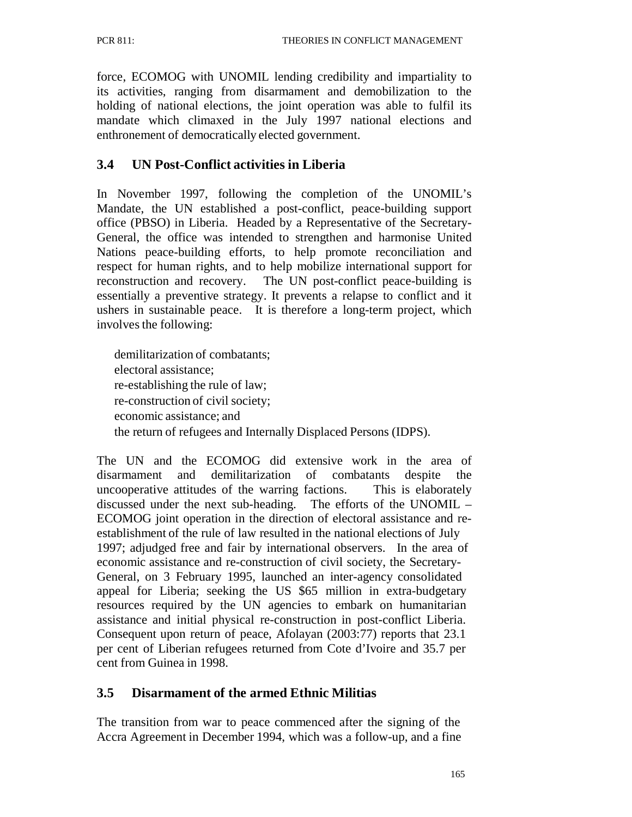force, ECOMOG with UNOMIL lending credibility and impartiality to its activities, ranging from disarmament and demobilization to the holding of national elections, the joint operation was able to fulfil its mandate which climaxed in the July 1997 national elections and enthronement of democratically elected government.

### **3.4 UN Post-Conflict activities in Liberia**

In November 1997, following the completion of the UNOMIL's Mandate, the UN established a post-conflict, peace-building support office (PBSO) in Liberia. Headed by a Representative of the Secretary-General, the office was intended to strengthen and harmonise United Nations peace-building efforts, to help promote reconciliation and respect for human rights, and to help mobilize international support for reconstruction and recovery. The UN post-conflict peace-building is essentially a preventive strategy. It prevents a relapse to conflict and it ushers in sustainable peace. It is therefore a long-term project, which involves the following:

demilitarization of combatants; electoral assistance; re-establishing the rule of law; re-construction of civil society; economic assistance; and the return of refugees and Internally Displaced Persons (IDPS).

The UN and the ECOMOG did extensive work in the area of disarmament and demilitarization of combatants despite the uncooperative attitudes of the warring factions. This is elaborately discussed under the next sub-heading. The efforts of the UNOMIL – ECOMOG joint operation in the direction of electoral assistance and reestablishment of the rule of law resulted in the national elections of July 1997; adjudged free and fair by international observers. In the area of economic assistance and re-construction of civil society, the Secretary-General, on 3 February 1995, launched an inter-agency consolidated appeal for Liberia; seeking the US \$65 million in extra-budgetary resources required by the UN agencies to embark on humanitarian assistance and initial physical re-construction in post-conflict Liberia. Consequent upon return of peace, Afolayan (2003:77) reports that 23.1 per cent of Liberian refugees returned from Cote d'Ivoire and 35.7 per cent from Guinea in 1998.

#### **3.5 Disarmament of the armed Ethnic Militias**

The transition from war to peace commenced after the signing of the Accra Agreement in December 1994, which was a follow-up, and a fine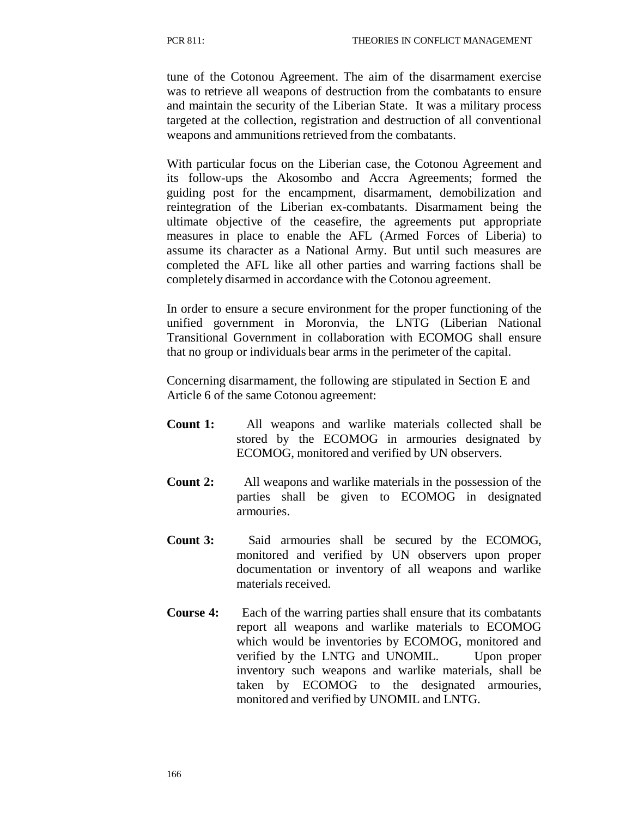tune of the Cotonou Agreement. The aim of the disarmament exercise was to retrieve all weapons of destruction from the combatants to ensure and maintain the security of the Liberian State. It was a military process targeted at the collection, registration and destruction of all conventional weapons and ammunitions retrieved from the combatants.

With particular focus on the Liberian case, the Cotonou Agreement and its follow-ups the Akosombo and Accra Agreements; formed the guiding post for the encampment, disarmament, demobilization and reintegration of the Liberian ex-combatants. Disarmament being the ultimate objective of the ceasefire, the agreements put appropriate measures in place to enable the AFL (Armed Forces of Liberia) to assume its character as a National Army. But until such measures are completed the AFL like all other parties and warring factions shall be completely disarmed in accordance with the Cotonou agreement.

In order to ensure a secure environment for the proper functioning of the unified government in Moronvia, the LNTG (Liberian National Transitional Government in collaboration with ECOMOG shall ensure that no group or individuals bear arms in the perimeter of the capital.

Concerning disarmament, the following are stipulated in Section E and Article 6 of the same Cotonou agreement:

- **Count 1:** All weapons and warlike materials collected shall be stored by the ECOMOG in armouries designated by ECOMOG, monitored and verified by UN observers.
- **Count 2:** All weapons and warlike materials in the possession of the parties shall be given to ECOMOG in designated armouries.
- **Count 3:** Said armouries shall be secured by the ECOMOG, monitored and verified by UN observers upon proper documentation or inventory of all weapons and warlike materials received.
- **Course 4:** Each of the warring parties shall ensure that its combatants report all weapons and warlike materials to ECOMOG which would be inventories by ECOMOG, monitored and verified by the LNTG and UNOMIL. Upon proper inventory such weapons and warlike materials, shall be taken by ECOMOG to the designated armouries, monitored and verified by UNOMIL and LNTG.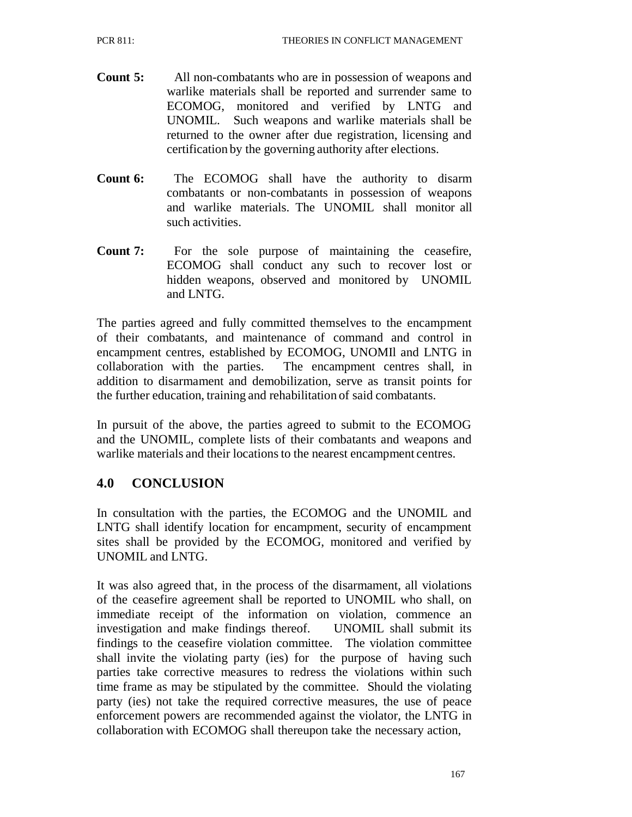- **Count 5:** All non-combatants who are in possession of weapons and warlike materials shall be reported and surrender same to ECOMOG, monitored and verified by LNTG and UNOMIL. Such weapons and warlike materials shall be returned to the owner after due registration, licensing and certification by the governing authority after elections.
- **Count 6:** The ECOMOG shall have the authority to disarm combatants or non-combatants in possession of weapons and warlike materials. The UNOMIL shall monitor all such activities.
- **Count 7:** For the sole purpose of maintaining the ceasefire, ECOMOG shall conduct any such to recover lost or hidden weapons, observed and monitored by UNOMIL and LNTG.

The parties agreed and fully committed themselves to the encampment of their combatants, and maintenance of command and control in encampment centres, established by ECOMOG, UNOMIl and LNTG in collaboration with the parties. The encampment centres shall, in addition to disarmament and demobilization, serve as transit points for the further education, training and rehabilitation of said combatants.

In pursuit of the above, the parties agreed to submit to the ECOMOG and the UNOMIL, complete lists of their combatants and weapons and warlike materials and their locations to the nearest encampment centres.

# **4.0 CONCLUSION**

In consultation with the parties, the ECOMOG and the UNOMIL and LNTG shall identify location for encampment, security of encampment sites shall be provided by the ECOMOG, monitored and verified by UNOMIL and LNTG.

It was also agreed that, in the process of the disarmament, all violations of the ceasefire agreement shall be reported to UNOMIL who shall, on immediate receipt of the information on violation, commence an investigation and make findings thereof. UNOMIL shall submit its findings to the ceasefire violation committee. The violation committee shall invite the violating party (ies) for the purpose of having such parties take corrective measures to redress the violations within such time frame as may be stipulated by the committee. Should the violating party (ies) not take the required corrective measures, the use of peace enforcement powers are recommended against the violator, the LNTG in collaboration with ECOMOG shall thereupon take the necessary action,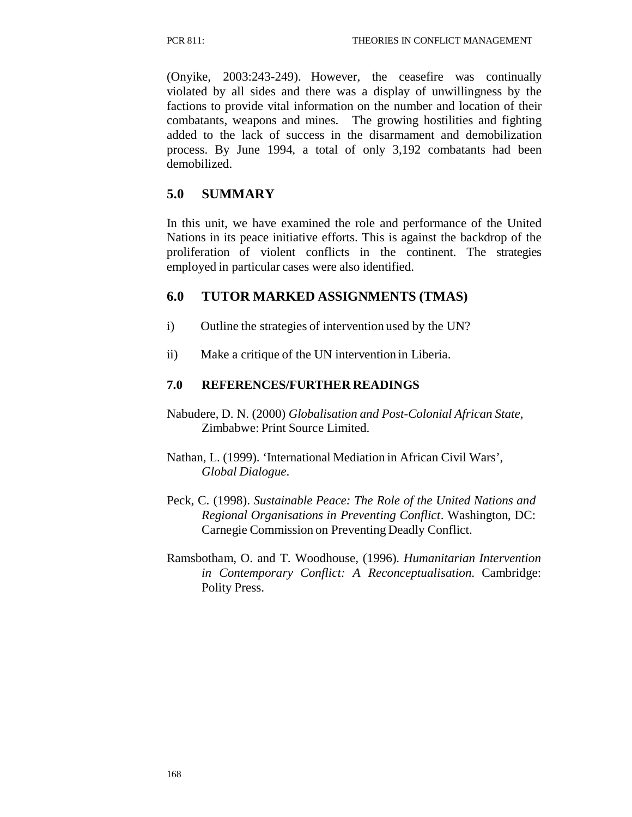(Onyike, 2003:243-249). However, the ceasefire was continually violated by all sides and there was a display of unwillingness by the factions to provide vital information on the number and location of their combatants, weapons and mines. The growing hostilities and fighting added to the lack of success in the disarmament and demobilization process. By June 1994, a total of only 3,192 combatants had been demobilized.

# **5.0 SUMMARY**

In this unit, we have examined the role and performance of the United Nations in its peace initiative efforts. This is against the backdrop of the proliferation of violent conflicts in the continent. The strategies employed in particular cases were also identified.

# **6.0 TUTOR MARKED ASSIGNMENTS (TMAS)**

- i) Outline the strategies of intervention used by the UN?
- ii) Make a critique of the UN intervention in Liberia.

## **7.0 REFERENCES/FURTHER READINGS**

- Nabudere, D. N. (2000) *Globalisation and Post-Colonial African State*, Zimbabwe: Print Source Limited.
- Nathan, L. (1999). 'International Mediation in African Civil Wars', *Global Dialogue*.
- Peck, C. (1998). *Sustainable Peace: The Role of the United Nations and Regional Organisations in Preventing Conflict*. Washington, DC: Carnegie Commission on Preventing Deadly Conflict.
- Ramsbotham, O. and T. Woodhouse, (1996). *Humanitarian Intervention in Contemporary Conflict: A Reconceptualisation*. Cambridge: Polity Press.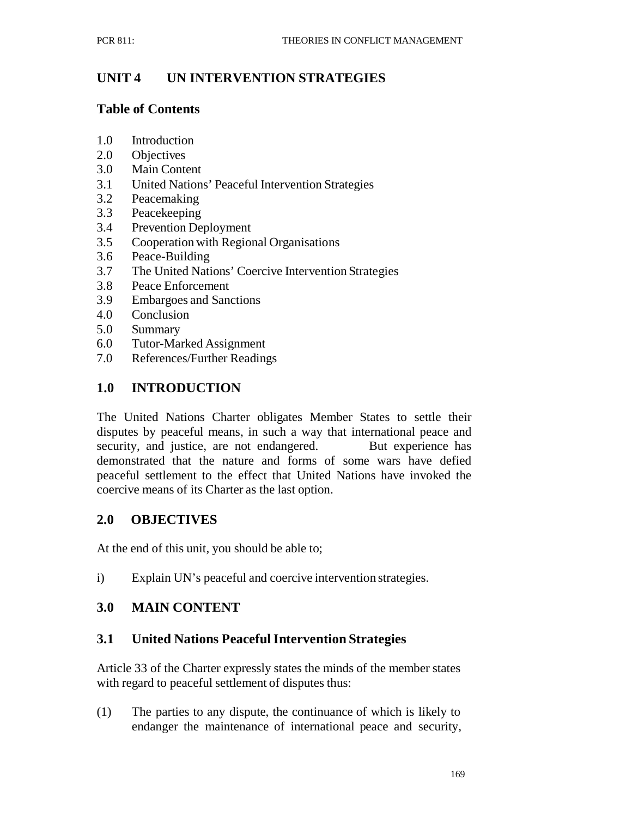# **UNIT 4 UN INTERVENTION STRATEGIES**

### **Table of Contents**

- 1.0 Introduction
- 2.0 Objectives
- 3.0 Main Content
- 3.1 United Nations' Peaceful Intervention Strategies
- 3.2 Peacemaking
- 3.3 Peacekeeping
- 3.4 Prevention Deployment
- 3.5 Cooperation with Regional Organisations
- 3.6 Peace-Building
- 3.7 The United Nations' Coercive Intervention Strategies
- 3.8 Peace Enforcement
- 3.9 Embargoes and Sanctions
- 4.0 Conclusion
- 5.0 Summary
- 6.0 Tutor-Marked Assignment
- 7.0 References/Further Readings

## **1.0 INTRODUCTION**

The United Nations Charter obligates Member States to settle their disputes by peaceful means, in such a way that international peace and security, and justice, are not endangered. But experience has demonstrated that the nature and forms of some wars have defied peaceful settlement to the effect that United Nations have invoked the coercive means of its Charter as the last option.

# **2.0 OBJECTIVES**

At the end of this unit, you should be able to;

i) Explain UN's peaceful and coercive intervention strategies.

### **3.0 MAIN CONTENT**

### **3.1 United Nations Peaceful Intervention Strategies**

Article 33 of the Charter expressly states the minds of the member states with regard to peaceful settlement of disputes thus:

(1) The parties to any dispute, the continuance of which is likely to endanger the maintenance of international peace and security,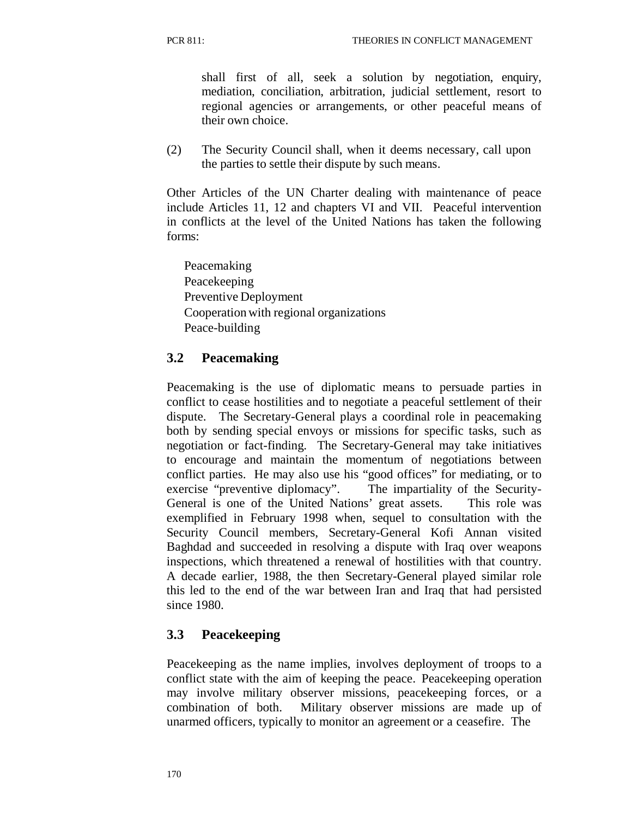shall first of all, seek a solution by negotiation, enquiry, mediation, conciliation, arbitration, judicial settlement, resort to regional agencies or arrangements, or other peaceful means of their own choice.

(2) The Security Council shall, when it deems necessary, call upon the parties to settle their dispute by such means.

Other Articles of the UN Charter dealing with maintenance of peace include Articles 11, 12 and chapters VI and VII. Peaceful intervention in conflicts at the level of the United Nations has taken the following forms:

Peacemaking Peacekeeping Preventive Deployment Cooperation with regional organizations Peace-building

## **3.2 Peacemaking**

Peacemaking is the use of diplomatic means to persuade parties in conflict to cease hostilities and to negotiate a peaceful settlement of their dispute. The Secretary-General plays a coordinal role in peacemaking both by sending special envoys or missions for specific tasks, such as negotiation or fact-finding. The Secretary-General may take initiatives to encourage and maintain the momentum of negotiations between conflict parties. He may also use his "good offices" for mediating, or to exercise "preventive diplomacy". The impartiality of the Security-General is one of the United Nations' great assets. This role was exemplified in February 1998 when, sequel to consultation with the Security Council members, Secretary-General Kofi Annan visited Baghdad and succeeded in resolving a dispute with Iraq over weapons inspections, which threatened a renewal of hostilities with that country. A decade earlier, 1988, the then Secretary-General played similar role this led to the end of the war between Iran and Iraq that had persisted since 1980.

### **3.3 Peacekeeping**

Peacekeeping as the name implies, involves deployment of troops to a conflict state with the aim of keeping the peace. Peacekeeping operation may involve military observer missions, peacekeeping forces, or a combination of both. Military observer missions are made up of unarmed officers, typically to monitor an agreement or a ceasefire. The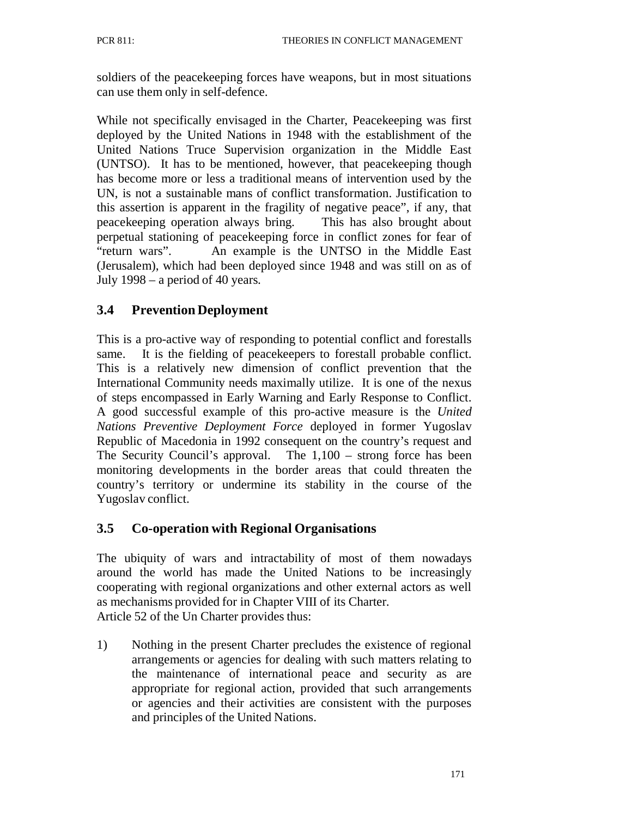soldiers of the peacekeeping forces have weapons, but in most situations can use them only in self-defence.

While not specifically envisaged in the Charter, Peacekeeping was first deployed by the United Nations in 1948 with the establishment of the United Nations Truce Supervision organization in the Middle East (UNTSO). It has to be mentioned, however, that peacekeeping though has become more or less a traditional means of intervention used by the UN, is not a sustainable mans of conflict transformation. Justification to this assertion is apparent in the fragility of negative peace", if any, that peacekeeping operation always bring. This has also brought about perpetual stationing of peacekeeping force in conflict zones for fear of "return wars". An example is the UNTSO in the Middle East (Jerusalem), which had been deployed since 1948 and was still on as of July 1998 – a period of 40 years.

## **3.4 Prevention Deployment**

This is a pro-active way of responding to potential conflict and forestalls same. It is the fielding of peacekeepers to forestall probable conflict. This is a relatively new dimension of conflict prevention that the International Community needs maximally utilize. It is one of the nexus of steps encompassed in Early Warning and Early Response to Conflict. A good successful example of this pro-active measure is the *United Nations Preventive Deployment Force* deployed in former Yugoslav Republic of Macedonia in 1992 consequent on the country's request and The Security Council's approval. The 1,100 – strong force has been monitoring developments in the border areas that could threaten the country's territory or undermine its stability in the course of the Yugoslav conflict.

### **3.5 Co-operation with Regional Organisations**

The ubiquity of wars and intractability of most of them nowadays around the world has made the United Nations to be increasingly cooperating with regional organizations and other external actors as well as mechanisms provided for in Chapter VIII of its Charter. Article 52 of the Un Charter provides thus:

1) Nothing in the present Charter precludes the existence of regional arrangements or agencies for dealing with such matters relating to the maintenance of international peace and security as are appropriate for regional action, provided that such arrangements or agencies and their activities are consistent with the purposes and principles of the United Nations.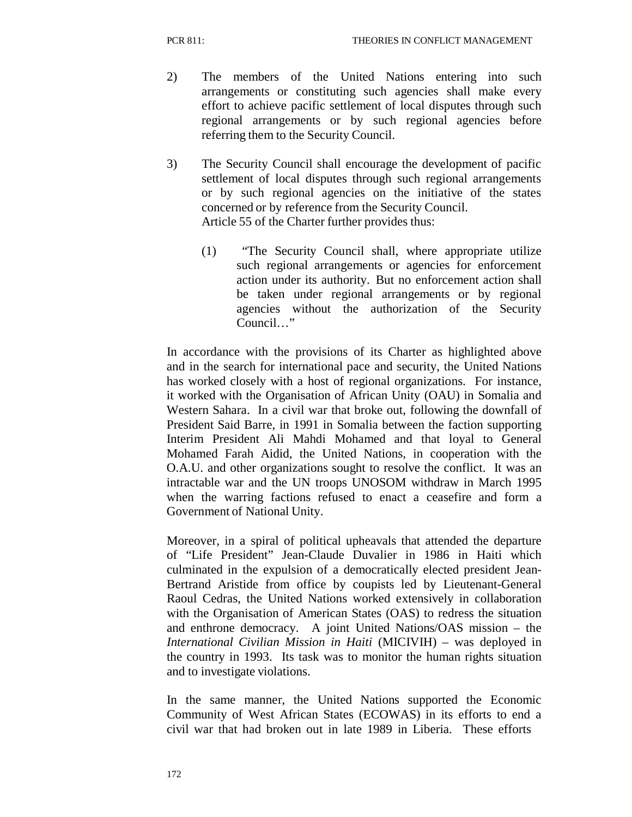- 2) The members of the United Nations entering into such arrangements or constituting such agencies shall make every effort to achieve pacific settlement of local disputes through such regional arrangements or by such regional agencies before referring them to the Security Council.
- 3) The Security Council shall encourage the development of pacific settlement of local disputes through such regional arrangements or by such regional agencies on the initiative of the states concerned or by reference from the Security Council. Article 55 of the Charter further provides thus:
	- (1) "The Security Council shall, where appropriate utilize such regional arrangements or agencies for enforcement action under its authority. But no enforcement action shall be taken under regional arrangements or by regional agencies without the authorization of the Security Council…"

In accordance with the provisions of its Charter as highlighted above and in the search for international pace and security, the United Nations has worked closely with a host of regional organizations. For instance, it worked with the Organisation of African Unity (OAU) in Somalia and Western Sahara. In a civil war that broke out, following the downfall of President Said Barre, in 1991 in Somalia between the faction supporting Interim President Ali Mahdi Mohamed and that loyal to General Mohamed Farah Aidid, the United Nations, in cooperation with the O.A.U. and other organizations sought to resolve the conflict. It was an intractable war and the UN troops UNOSOM withdraw in March 1995 when the warring factions refused to enact a ceasefire and form a Government of National Unity.

Moreover, in a spiral of political upheavals that attended the departure of "Life President" Jean-Claude Duvalier in 1986 in Haiti which culminated in the expulsion of a democratically elected president Jean-Bertrand Aristide from office by coupists led by Lieutenant-General Raoul Cedras, the United Nations worked extensively in collaboration with the Organisation of American States (OAS) to redress the situation and enthrone democracy. A joint United Nations/OAS mission – the *International Civilian Mission in Haiti* (MICIVIH) – was deployed in the country in 1993. Its task was to monitor the human rights situation and to investigate violations.

In the same manner, the United Nations supported the Economic Community of West African States (ECOWAS) in its efforts to end a civil war that had broken out in late 1989 in Liberia. These efforts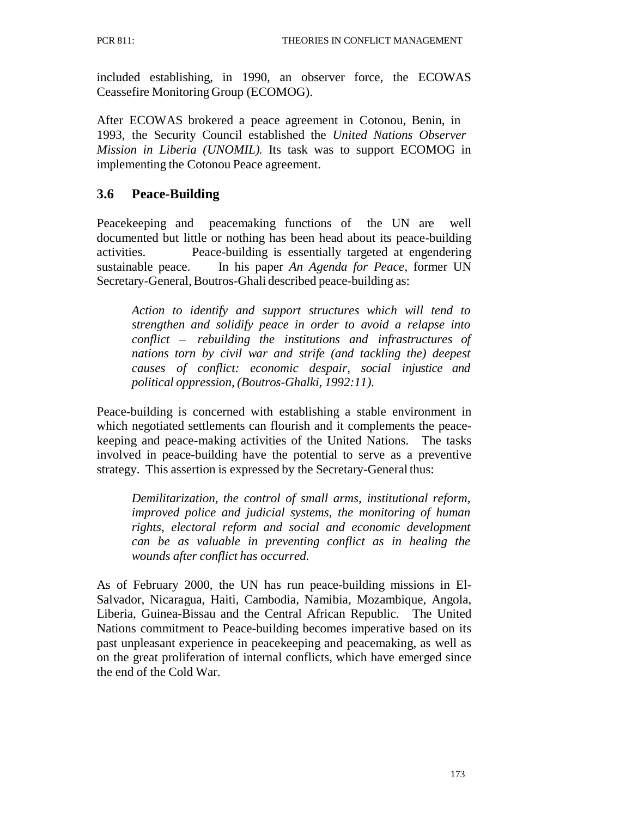included establishing, in 1990, an observer force, the ECOWAS Ceassefire Monitoring Group (ECOMOG).

After ECOWAS brokered a peace agreement in Cotonou, Benin, in 1993, the Security Council established the *United Nations Observer Mission in Liberia (UNOMIL).* Its task was to support ECOMOG in implementing the Cotonou Peace agreement.

# **3.6 Peace-Building**

Peacekeeping and peacemaking functions of the UN are well documented but little or nothing has been head about its peace-building activities. Peace-building is essentially targeted at engendering sustainable peace. In his paper *An Agenda for Peace,* former UN Secretary-General, Boutros-Ghali described peace-building as:

*Action to identify and support structures which will tend to strengthen and solidify peace in order to avoid a relapse into conflict – rebuilding the institutions and infrastructures of nations torn by civil war and strife (and tackling the) deepest causes of conflict: economic despair, social injustice and political oppression, (Boutros-Ghalki, 1992:11).*

Peace-building is concerned with establishing a stable environment in which negotiated settlements can flourish and it complements the peacekeeping and peace-making activities of the United Nations. The tasks involved in peace-building have the potential to serve as a preventive strategy. This assertion is expressed by the Secretary-General thus:

*Demilitarization, the control of small arms, institutional reform, improved police and judicial systems, the monitoring of human rights, electoral reform and social and economic development can be as valuable in preventing conflict as in healing the wounds after conflict has occurred.*

As of February 2000, the UN has run peace-building missions in El-Salvador, Nicaragua, Haiti, Cambodia, Namibia, Mozambique, Angola, Liberia, Guinea-Bissau and the Central African Republic. The United Nations commitment to Peace-building becomes imperative based on its past unpleasant experience in peacekeeping and peacemaking, as well as on the great proliferation of internal conflicts, which have emerged since the end of the Cold War.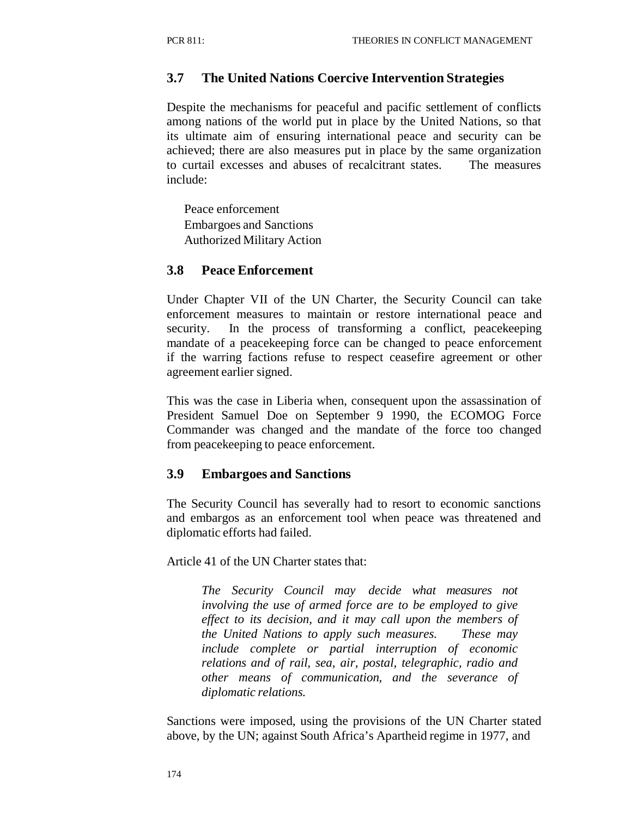### **3.7 The United Nations Coercive Intervention Strategies**

Despite the mechanisms for peaceful and pacific settlement of conflicts among nations of the world put in place by the United Nations, so that its ultimate aim of ensuring international peace and security can be achieved; there are also measures put in place by the same organization to curtail excesses and abuses of recalcitrant states. The measures include:

Peace enforcement Embargoes and Sanctions Authorized Military Action

### **3.8 Peace Enforcement**

Under Chapter VII of the UN Charter, the Security Council can take enforcement measures to maintain or restore international peace and security. In the process of transforming a conflict, peacekeeping mandate of a peacekeeping force can be changed to peace enforcement if the warring factions refuse to respect ceasefire agreement or other agreement earlier signed.

This was the case in Liberia when, consequent upon the assassination of President Samuel Doe on September 9 1990, the ECOMOG Force Commander was changed and the mandate of the force too changed from peacekeeping to peace enforcement.

#### **3.9 Embargoes and Sanctions**

The Security Council has severally had to resort to economic sanctions and embargos as an enforcement tool when peace was threatened and diplomatic efforts had failed.

Article 41 of the UN Charter states that:

*The Security Council may decide what measures not involving the use of armed force are to be employed to give effect to its decision, and it may call upon the members of the United Nations to apply such measures. These may include complete or partial interruption of economic relations and of rail, sea, air, postal, telegraphic, radio and other means of communication, and the severance of diplomatic relations.*

Sanctions were imposed, using the provisions of the UN Charter stated above, by the UN; against South Africa's Apartheid regime in 1977, and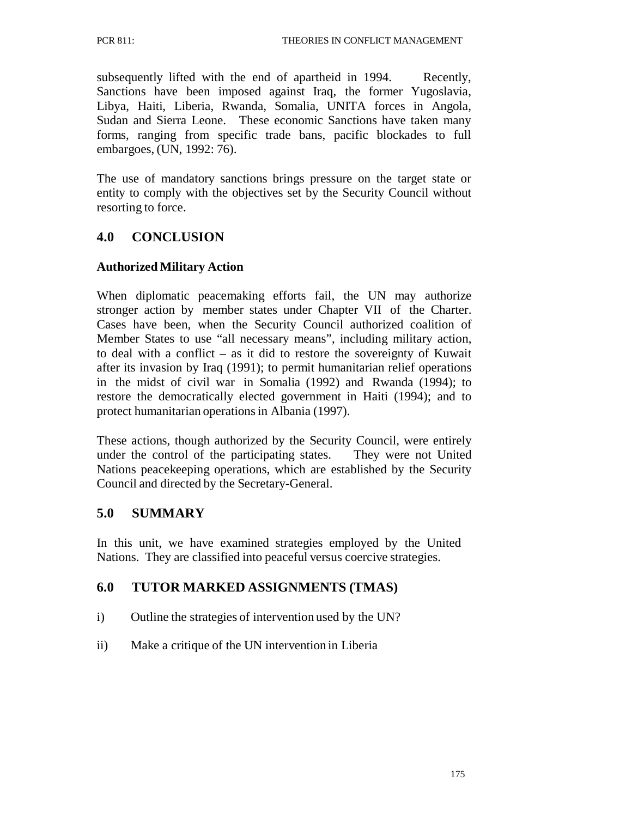subsequently lifted with the end of apartheid in 1994. Recently, Sanctions have been imposed against Iraq, the former Yugoslavia, Libya, Haiti, Liberia, Rwanda, Somalia, UNITA forces in Angola, Sudan and Sierra Leone. These economic Sanctions have taken many forms, ranging from specific trade bans, pacific blockades to full embargoes, (UN, 1992: 76).

The use of mandatory sanctions brings pressure on the target state or entity to comply with the objectives set by the Security Council without resorting to force.

## **4.0 CONCLUSION**

### **Authorized Military Action**

When diplomatic peacemaking efforts fail, the UN may authorize stronger action by member states under Chapter VII of the Charter. Cases have been, when the Security Council authorized coalition of Member States to use "all necessary means", including military action, to deal with a conflict – as it did to restore the sovereignty of Kuwait after its invasion by Iraq (1991); to permit humanitarian relief operations in the midst of civil war in Somalia (1992) and Rwanda (1994); to restore the democratically elected government in Haiti (1994); and to protect humanitarian operations in Albania (1997).

These actions, though authorized by the Security Council, were entirely under the control of the participating states. They were not United Nations peacekeeping operations, which are established by the Security Council and directed by the Secretary-General.

### **5.0 SUMMARY**

In this unit, we have examined strategies employed by the United Nations. They are classified into peaceful versus coercive strategies.

### **6.0 TUTOR MARKED ASSIGNMENTS (TMAS)**

- i) Outline the strategies of intervention used by the UN?
- ii) Make a critique of the UN intervention in Liberia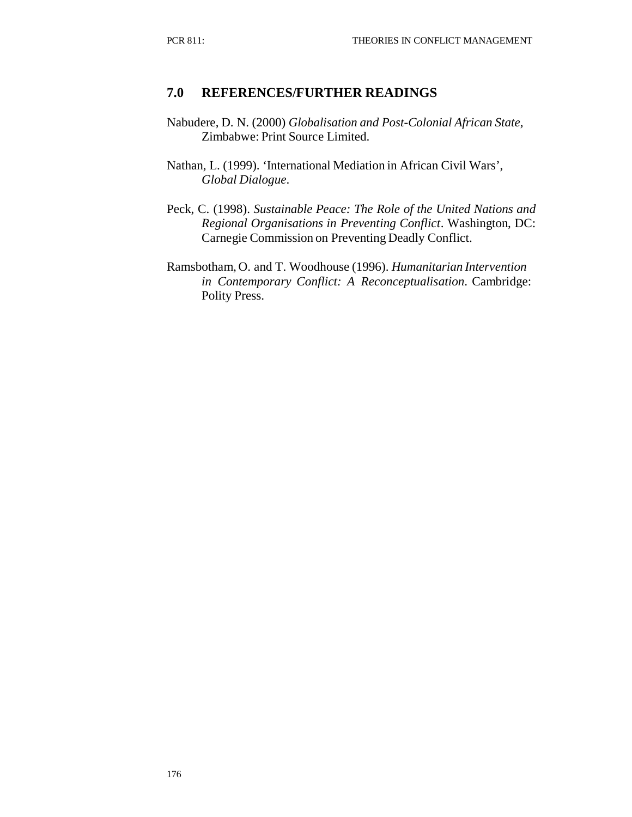### **7.0 REFERENCES/FURTHER READINGS**

- Nabudere, D. N. (2000) *Globalisation and Post-Colonial African State*, Zimbabwe: Print Source Limited.
- Nathan, L. (1999). 'International Mediation in African Civil Wars', *Global Dialogue*.
- Peck, C. (1998). *Sustainable Peace: The Role of the United Nations and Regional Organisations in Preventing Conflict*. Washington, DC: Carnegie Commission on Preventing Deadly Conflict.
- Ramsbotham, O. and T. Woodhouse (1996). *Humanitarian Intervention in Contemporary Conflict: A Reconceptualisation*. Cambridge: Polity Press.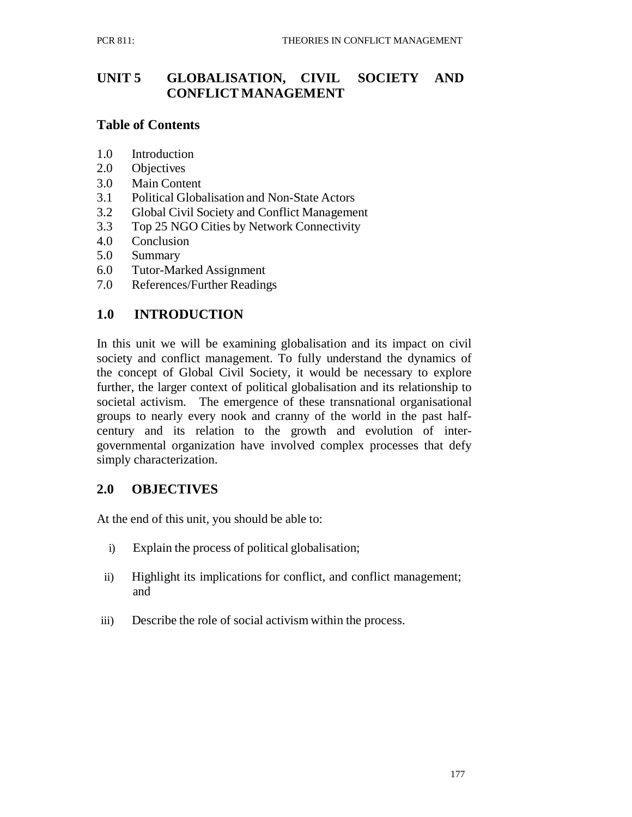# **UNIT 5 GLOBALISATION, CIVIL SOCIETY AND CONFLICT MANAGEMENT**

#### **Table of Contents**

- 1.0 Introduction
- 2.0 Objectives
- 3.0 Main Content
- 3.1 Political Globalisation and Non-State Actors
- 3.2 Global Civil Society and Conflict Management
- 3.3 Top 25 NGO Cities by Network Connectivity
- 4.0 Conclusion
- 5.0 Summary
- 6.0 Tutor-Marked Assignment
- 7.0 References/Further Readings

### **1.0 INTRODUCTION**

In this unit we will be examining globalisation and its impact on civil society and conflict management. To fully understand the dynamics of the concept of Global Civil Society, it would be necessary to explore further, the larger context of political globalisation and its relationship to societal activism. The emergence of these transnational organisational groups to nearly every nook and cranny of the world in the past halfcentury and its relation to the growth and evolution of intergovernmental organization have involved complex processes that defy simply characterization.

#### **2.0 OBJECTIVES**

At the end of this unit, you should be able to:

- i) Explain the process of political globalisation;
- ii) Highlight its implications for conflict, and conflict management; and
- iii) Describe the role of social activism within the process.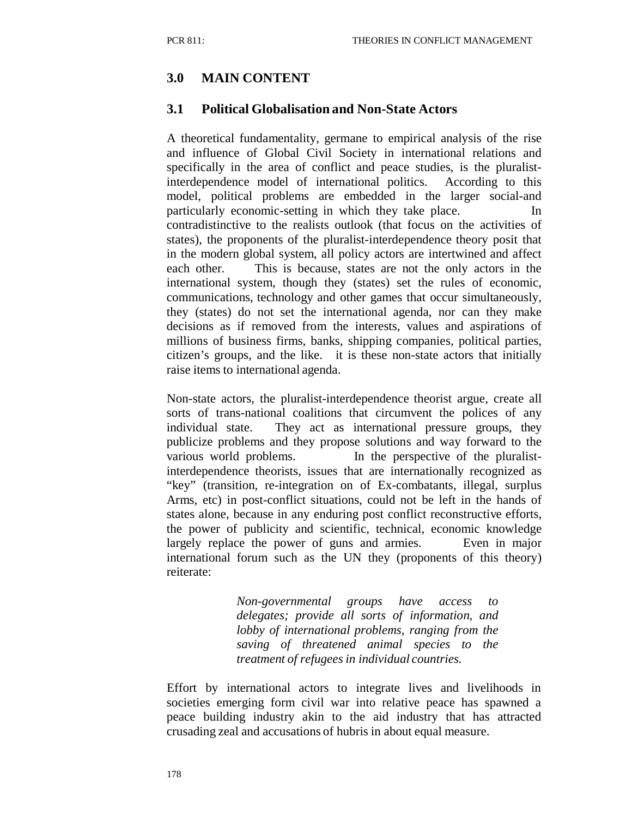### **3.0 MAIN CONTENT**

### **3.1 Political Globalisation and Non-State Actors**

A theoretical fundamentality, germane to empirical analysis of the rise and influence of Global Civil Society in international relations and specifically in the area of conflict and peace studies, is the pluralistinterdependence model of international politics. According to this model, political problems are embedded in the larger social-and particularly economic-setting in which they take place. In contradistinctive to the realists outlook (that focus on the activities of states), the proponents of the pluralist-interdependence theory posit that in the modern global system, all policy actors are intertwined and affect each other. This is because, states are not the only actors in the international system, though they (states) set the rules of economic, communications, technology and other games that occur simultaneously, they (states) do not set the international agenda, nor can they make decisions as if removed from the interests, values and aspirations of millions of business firms, banks, shipping companies, political parties, citizen's groups, and the like. it is these non-state actors that initially raise items to international agenda.

Non-state actors, the pluralist-interdependence theorist argue, create all sorts of trans-national coalitions that circumvent the polices of any individual state. They act as international pressure groups, they publicize problems and they propose solutions and way forward to the various world problems. In the perspective of the pluralistinterdependence theorists, issues that are internationally recognized as "key" (transition, re-integration on of Ex-combatants, illegal, surplus Arms, etc) in post-conflict situations, could not be left in the hands of states alone, because in any enduring post conflict reconstructive efforts, the power of publicity and scientific, technical, economic knowledge largely replace the power of guns and armies. Even in major international forum such as the UN they (proponents of this theory) reiterate:

> *Non-governmental groups have access to delegates; provide all sorts of information, and lobby of international problems, ranging from the saving of threatened animal species to the treatment of refugees in individual countries.*

Effort by international actors to integrate lives and livelihoods in societies emerging form civil war into relative peace has spawned a peace building industry akin to the aid industry that has attracted crusading zeal and accusations of hubris in about equal measure.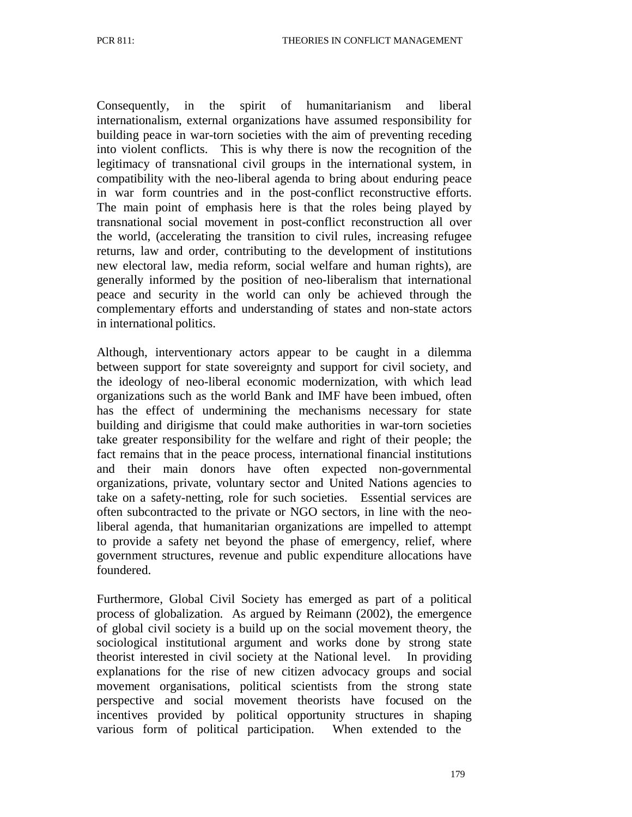Consequently, in the spirit of humanitarianism and liberal internationalism, external organizations have assumed responsibility for building peace in war-torn societies with the aim of preventing receding into violent conflicts. This is why there is now the recognition of the legitimacy of transnational civil groups in the international system, in compatibility with the neo-liberal agenda to bring about enduring peace in war form countries and in the post-conflict reconstructive efforts. The main point of emphasis here is that the roles being played by transnational social movement in post-conflict reconstruction all over the world, (accelerating the transition to civil rules, increasing refugee returns, law and order, contributing to the development of institutions new electoral law, media reform, social welfare and human rights), are generally informed by the position of neo-liberalism that international peace and security in the world can only be achieved through the complementary efforts and understanding of states and non-state actors in international politics.

Although, interventionary actors appear to be caught in a dilemma between support for state sovereignty and support for civil society, and the ideology of neo-liberal economic modernization, with which lead organizations such as the world Bank and IMF have been imbued, often has the effect of undermining the mechanisms necessary for state building and dirigisme that could make authorities in war-torn societies take greater responsibility for the welfare and right of their people; the fact remains that in the peace process, international financial institutions and their main donors have often expected non-governmental organizations, private, voluntary sector and United Nations agencies to take on a safety-netting, role for such societies. Essential services are often subcontracted to the private or NGO sectors, in line with the neoliberal agenda, that humanitarian organizations are impelled to attempt to provide a safety net beyond the phase of emergency, relief, where government structures, revenue and public expenditure allocations have foundered.

Furthermore, Global Civil Society has emerged as part of a political process of globalization. As argued by Reimann (2002), the emergence of global civil society is a build up on the social movement theory, the sociological institutional argument and works done by strong state theorist interested in civil society at the National level. In providing explanations for the rise of new citizen advocacy groups and social movement organisations, political scientists from the strong state perspective and social movement theorists have focused on the incentives provided by political opportunity structures in shaping various form of political participation. When extended to the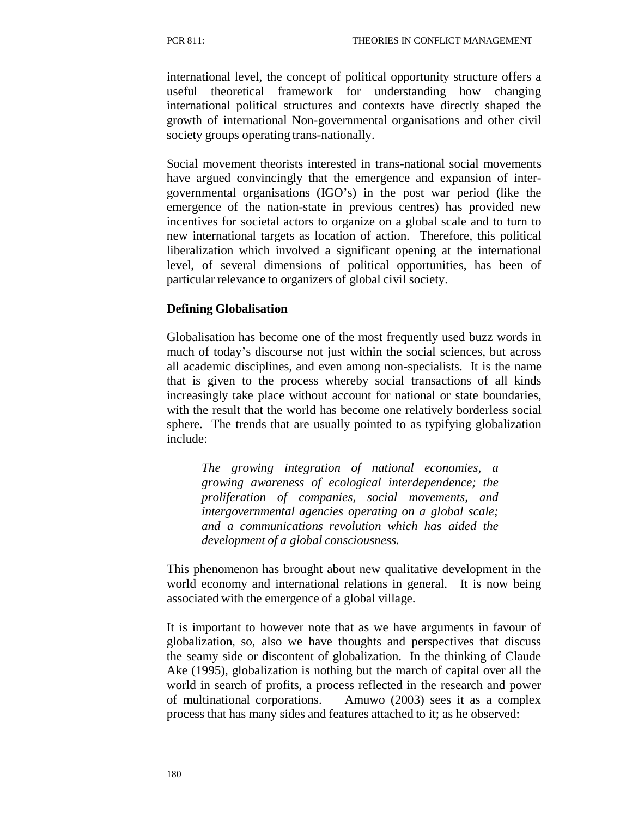international level, the concept of political opportunity structure offers a useful theoretical framework for understanding how changing international political structures and contexts have directly shaped the growth of international Non-governmental organisations and other civil society groups operating trans-nationally.

Social movement theorists interested in trans-national social movements have argued convincingly that the emergence and expansion of intergovernmental organisations (IGO's) in the post war period (like the emergence of the nation-state in previous centres) has provided new incentives for societal actors to organize on a global scale and to turn to new international targets as location of action. Therefore, this political liberalization which involved a significant opening at the international level, of several dimensions of political opportunities, has been of particular relevance to organizers of global civil society.

#### **Defining Globalisation**

Globalisation has become one of the most frequently used buzz words in much of today's discourse not just within the social sciences, but across all academic disciplines, and even among non-specialists. It is the name that is given to the process whereby social transactions of all kinds increasingly take place without account for national or state boundaries, with the result that the world has become one relatively borderless social sphere. The trends that are usually pointed to as typifying globalization include:

*The growing integration of national economies, a growing awareness of ecological interdependence; the proliferation of companies, social movements, and intergovernmental agencies operating on a global scale; and a communications revolution which has aided the development of a global consciousness.*

This phenomenon has brought about new qualitative development in the world economy and international relations in general. It is now being associated with the emergence of a global village.

It is important to however note that as we have arguments in favour of globalization, so, also we have thoughts and perspectives that discuss the seamy side or discontent of globalization. In the thinking of Claude Ake (1995), globalization is nothing but the march of capital over all the world in search of profits, a process reflected in the research and power of multinational corporations. Amuwo (2003) sees it as a complex process that has many sides and features attached to it; as he observed: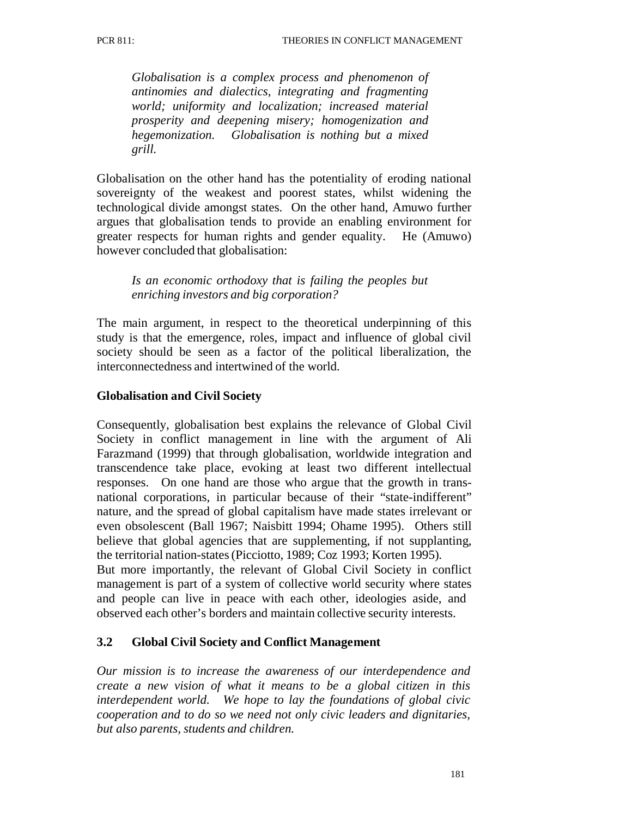*Globalisation is a complex process and phenomenon of antinomies and dialectics, integrating and fragmenting world; uniformity and localization; increased material prosperity and deepening misery; homogenization and hegemonization. Globalisation is nothing but a mixed grill.*

Globalisation on the other hand has the potentiality of eroding national sovereignty of the weakest and poorest states, whilst widening the technological divide amongst states. On the other hand, Amuwo further argues that globalisation tends to provide an enabling environment for greater respects for human rights and gender equality. He (Amuwo) however concluded that globalisation:

*Is an economic orthodoxy that is failing the peoples but enriching investors and big corporation?*

The main argument, in respect to the theoretical underpinning of this study is that the emergence, roles, impact and influence of global civil society should be seen as a factor of the political liberalization, the interconnectedness and intertwined of the world.

#### **Globalisation and Civil Society**

Consequently, globalisation best explains the relevance of Global Civil Society in conflict management in line with the argument of Ali Farazmand (1999) that through globalisation, worldwide integration and transcendence take place, evoking at least two different intellectual responses. On one hand are those who argue that the growth in transnational corporations, in particular because of their "state-indifferent" nature, and the spread of global capitalism have made states irrelevant or even obsolescent (Ball 1967; Naisbitt 1994; Ohame 1995). Others still believe that global agencies that are supplementing, if not supplanting, the territorial nation-states (Picciotto, 1989; Coz 1993; Korten 1995).

But more importantly, the relevant of Global Civil Society in conflict management is part of a system of collective world security where states and people can live in peace with each other, ideologies aside, and observed each other's borders and maintain collective security interests.

### **3.2 Global Civil Society and Conflict Management**

*Our mission is to increase the awareness of our interdependence and create a new vision of what it means to be a global citizen in this interdependent world. We hope to lay the foundations of global civic cooperation and to do so we need not only civic leaders and dignitaries, but also parents, students and children.*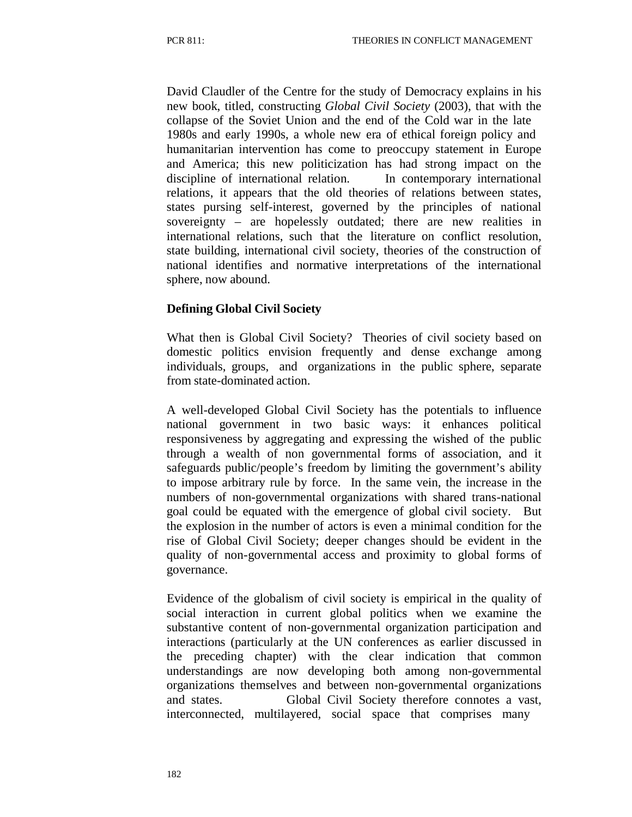David Claudler of the Centre for the study of Democracy explains in his new book, titled, constructing *Global Civil Society* (2003), that with the collapse of the Soviet Union and the end of the Cold war in the late 1980s and early 1990s, a whole new era of ethical foreign policy and humanitarian intervention has come to preoccupy statement in Europe and America; this new politicization has had strong impact on the discipline of international relation. In contemporary international relations, it appears that the old theories of relations between states, states pursing self-interest, governed by the principles of national sovereignty – are hopelessly outdated; there are new realities in international relations, such that the literature on conflict resolution, state building, international civil society, theories of the construction of national identifies and normative interpretations of the international sphere, now abound.

### **Defining Global Civil Society**

What then is Global Civil Society? Theories of civil society based on domestic politics envision frequently and dense exchange among individuals, groups, and organizations in the public sphere, separate from state-dominated action.

A well-developed Global Civil Society has the potentials to influence national government in two basic ways: it enhances political responsiveness by aggregating and expressing the wished of the public through a wealth of non governmental forms of association, and it safeguards public/people's freedom by limiting the government's ability to impose arbitrary rule by force. In the same vein, the increase in the numbers of non-governmental organizations with shared trans-national goal could be equated with the emergence of global civil society. But the explosion in the number of actors is even a minimal condition for the rise of Global Civil Society; deeper changes should be evident in the quality of non-governmental access and proximity to global forms of governance.

Evidence of the globalism of civil society is empirical in the quality of social interaction in current global politics when we examine the substantive content of non-governmental organization participation and interactions (particularly at the UN conferences as earlier discussed in the preceding chapter) with the clear indication that common understandings are now developing both among non-governmental organizations themselves and between non-governmental organizations and states. Global Civil Society therefore connotes a vast, interconnected, multilayered, social space that comprises many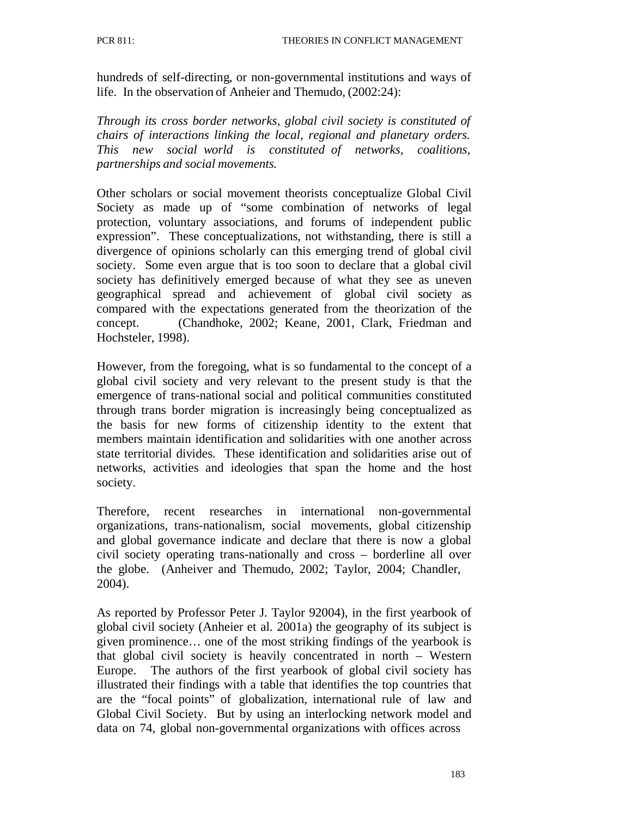hundreds of self-directing, or non-governmental institutions and ways of life. In the observation of Anheier and Themudo, (2002:24):

*Through its cross border networks, global civil society is constituted of chairs of interactions linking the local, regional and planetary orders. This new social world is constituted of networks, coalitions, partnerships and social movements.*

Other scholars or social movement theorists conceptualize Global Civil Society as made up of "some combination of networks of legal protection, voluntary associations, and forums of independent public expression". These conceptualizations, not withstanding, there is still a divergence of opinions scholarly can this emerging trend of global civil society. Some even argue that is too soon to declare that a global civil society has definitively emerged because of what they see as uneven geographical spread and achievement of global civil society as compared with the expectations generated from the theorization of the concept. (Chandhoke, 2002; Keane, 2001, Clark, Friedman and Hochsteler, 1998).

However, from the foregoing, what is so fundamental to the concept of a global civil society and very relevant to the present study is that the emergence of trans-national social and political communities constituted through trans border migration is increasingly being conceptualized as the basis for new forms of citizenship identity to the extent that members maintain identification and solidarities with one another across state territorial divides. These identification and solidarities arise out of networks, activities and ideologies that span the home and the host society.

Therefore, recent researches in international non-governmental organizations, trans-nationalism, social movements, global citizenship and global governance indicate and declare that there is now a global civil society operating trans-nationally and cross – borderline all over the globe. (Anheiver and Themudo, 2002; Taylor, 2004; Chandler, 2004).

As reported by Professor Peter J. Taylor 92004), in the first yearbook of global civil society (Anheier et al. 2001a) the geography of its subject is given prominence… one of the most striking findings of the yearbook is that global civil society is heavily concentrated in north – Western Europe. The authors of the first yearbook of global civil society has illustrated their findings with a table that identifies the top countries that are the "focal points" of globalization, international rule of law and Global Civil Society. But by using an interlocking network model and data on 74, global non-governmental organizations with offices across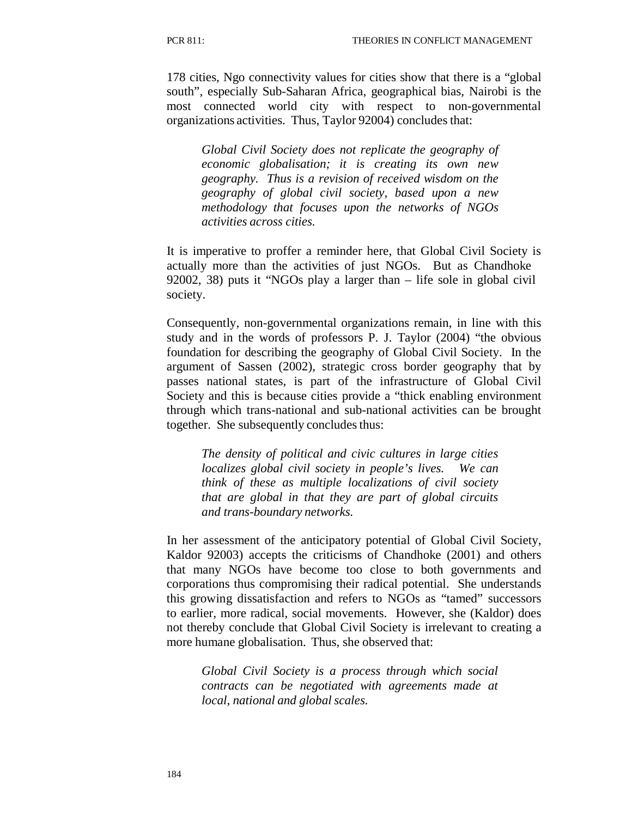178 cities, Ngo connectivity values for cities show that there is a "global south", especially Sub-Saharan Africa, geographical bias, Nairobi is the most connected world city with respect to non-governmental organizations activities. Thus, Taylor 92004) concludes that:

*Global Civil Society does not replicate the geography of economic globalisation; it is creating its own new geography. Thus is a revision of received wisdom on the geography of global civil society, based upon a new methodology that focuses upon the networks of NGOs activities across cities.*

It is imperative to proffer a reminder here, that Global Civil Society is actually more than the activities of just NGOs. But as Chandhoke 92002, 38) puts it "NGOs play a larger than – life sole in global civil society.

Consequently, non-governmental organizations remain, in line with this study and in the words of professors P. J. Taylor (2004) "the obvious foundation for describing the geography of Global Civil Society. In the argument of Sassen (2002), strategic cross border geography that by passes national states, is part of the infrastructure of Global Civil Society and this is because cities provide a "thick enabling environment through which trans-national and sub-national activities can be brought together. She subsequently concludes thus:

*The density of political and civic cultures in large cities localizes global civil society in people's lives. We can think of these as multiple localizations of civil society that are global in that they are part of global circuits and trans-boundary networks.*

In her assessment of the anticipatory potential of Global Civil Society, Kaldor 92003) accepts the criticisms of Chandhoke (2001) and others that many NGOs have become too close to both governments and corporations thus compromising their radical potential. She understands this growing dissatisfaction and refers to NGOs as "tamed" successors to earlier, more radical, social movements. However, she (Kaldor) does not thereby conclude that Global Civil Society is irrelevant to creating a more humane globalisation. Thus, she observed that:

*Global Civil Society is a process through which social contracts can be negotiated with agreements made at local, national and global scales.*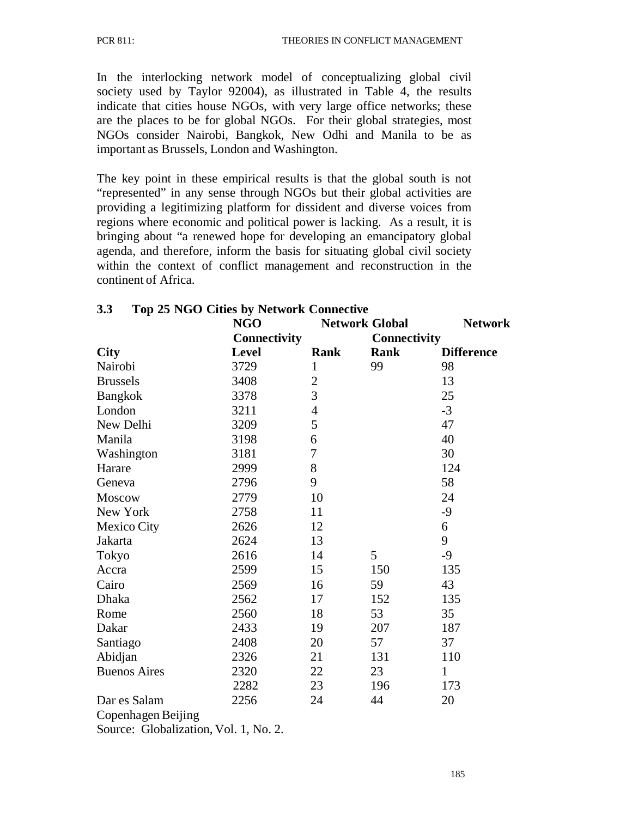PCR 811: THEORIES IN CONFLICT MANAGEMENT

In the interlocking network model of conceptualizing global civil society used by Taylor 92004), as illustrated in Table 4, the results indicate that cities house NGOs, with very large office networks; these are the places to be for global NGOs. For their global strategies, most NGOs consider Nairobi, Bangkok, New Odhi and Manila to be as important as Brussels, London and Washington.

The key point in these empirical results is that the global south is not "represented" in any sense through NGOs but their global activities are providing a legitimizing platform for dissident and diverse voices from regions where economic and political power is lacking. As a result, it is bringing about "a renewed hope for developing an emancipatory global agenda, and therefore, inform the basis for situating global civil society within the context of conflict management and reconstruction in the continent of Africa.

|                                       | <b>NGO</b>   | <b>Network Global</b> |                     | <b>Network</b>    |  |
|---------------------------------------|--------------|-----------------------|---------------------|-------------------|--|
|                                       | Connectivity |                       | <b>Connectivity</b> |                   |  |
| <b>City</b>                           | <b>Level</b> | Rank                  | <b>Rank</b>         | <b>Difference</b> |  |
| Nairobi                               | 3729         | $\mathbf{1}$          | 99                  | 98                |  |
| <b>Brussels</b>                       | 3408         | $\overline{2}$        |                     | 13                |  |
| <b>Bangkok</b>                        | 3378         | $\overline{3}$        |                     | 25                |  |
| London                                | 3211         | $\overline{4}$        |                     | $-3$              |  |
| New Delhi                             | 3209         | 5                     |                     | 47                |  |
| Manila                                | 3198         | 6                     |                     | 40                |  |
| Washington                            | 3181         | 7                     |                     | 30                |  |
| Harare                                | 2999         | 8                     |                     | 124               |  |
| Geneva                                | 2796         | 9                     |                     | 58                |  |
| Moscow                                | 2779         | 10                    |                     | 24                |  |
| New York                              | 2758         | 11                    |                     | $-9$              |  |
| Mexico City                           | 2626         | 12                    |                     | $\boldsymbol{6}$  |  |
| Jakarta                               | 2624         | 13                    |                     | 9                 |  |
| Tokyo                                 | 2616         | 14                    | 5                   | $-9$              |  |
| Accra                                 | 2599         | 15                    | 150                 | 135               |  |
| Cairo                                 | 2569         | 16                    | 59                  | 43                |  |
| Dhaka                                 | 2562         | 17                    | 152                 | 135               |  |
| Rome                                  | 2560         | 18                    | 53                  | 35                |  |
| Dakar                                 | 2433         | 19                    | 207                 | 187               |  |
| Santiago                              | 2408         | 20                    | 57                  | 37                |  |
| Abidjan                               | 2326         | 21                    | 131                 | 110               |  |
| <b>Buenos Aires</b>                   | 2320         | 22                    | 23                  | $\mathbf{1}$      |  |
|                                       | 2282         | 23                    | 196                 | 173               |  |
| Dar es Salam                          | 2256         | 24                    | 44                  | 20                |  |
| Copenhagen Beijing                    |              |                       |                     |                   |  |
| Source: Globalization, Vol. 1, No. 2. |              |                       |                     |                   |  |

#### **3.3 Top 25 NGO Cities by Network Connective**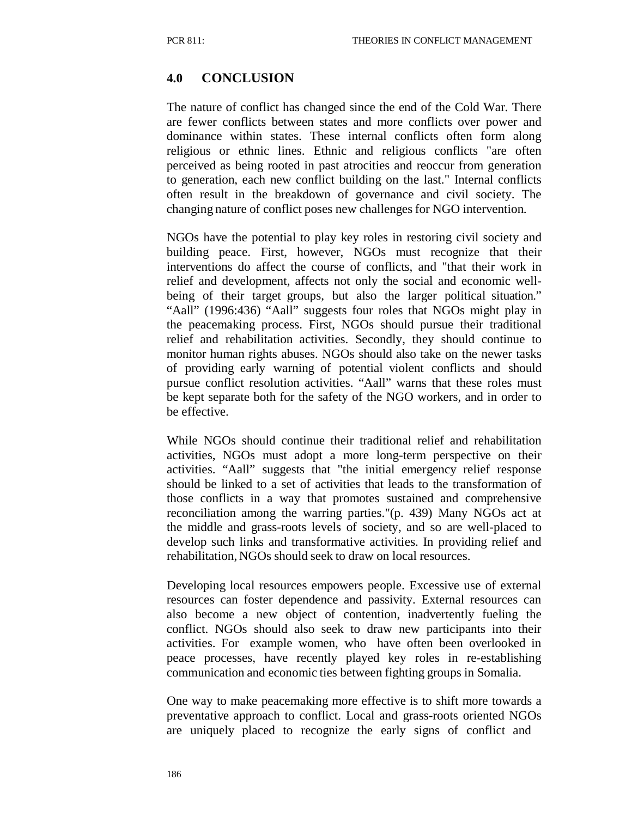### **4.0 CONCLUSION**

The nature of conflict has changed since the end of the Cold War. There are fewer conflicts between states and more conflicts over power and dominance within states. These internal conflicts often form along religious or ethnic lines. Ethnic and religious conflicts "are often perceived as being rooted in past atrocities and reoccur from generation to generation, each new conflict building on the last." Internal conflicts often result in the breakdown of governance and civil society. The changing nature of conflict poses new challenges for NGO intervention.

NGOs have the potential to play key roles in restoring civil society and building peace. First, however, NGOs must recognize that their interventions do affect the course of conflicts, and "that their work in relief and development, affects not only the social and economic wellbeing of their target groups, but also the larger political situation." "Aall" (1996:436) "Aall" suggests four roles that NGOs might play in the peacemaking process. First, NGOs should pursue their traditional relief and rehabilitation activities. Secondly, they should continue to monitor human rights abuses. NGOs should also take on the newer tasks of providing early warning of potential violent conflicts and should pursue conflict resolution activities. "Aall" warns that these roles must be kept separate both for the safety of the NGO workers, and in order to be effective.

While NGOs should continue their traditional relief and rehabilitation activities, NGOs must adopt a more long-term perspective on their activities. "Aall" suggests that "the initial emergency relief response should be linked to a set of activities that leads to the transformation of those conflicts in a way that promotes sustained and comprehensive reconciliation among the warring parties."(p. 439) Many NGOs act at the middle and grass-roots levels of society, and so are well-placed to develop such links and transformative activities. In providing relief and rehabilitation, NGOs should seek to draw on local resources.

Developing local resources empowers people. Excessive use of external resources can foster dependence and passivity. External resources can also become a new object of contention, inadvertently fueling the conflict. NGOs should also seek to draw new participants into their activities. For example women, who have often been overlooked in peace processes, have recently played key roles in re-establishing communication and economic ties between fighting groups in Somalia.

One way to make peacemaking more effective is to shift more towards a preventative approach to conflict. Local and grass-roots oriented NGOs are uniquely placed to recognize the early signs of conflict and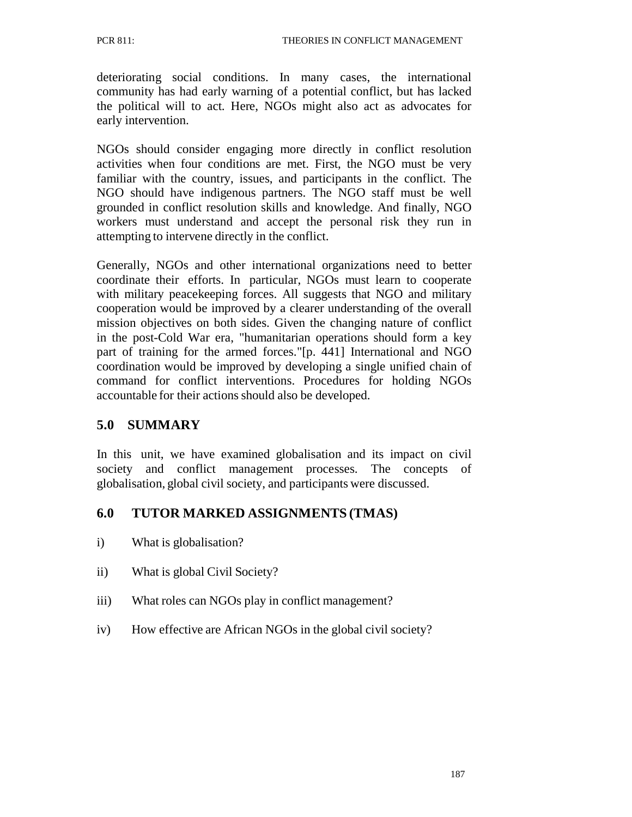deteriorating social conditions. In many cases, the international community has had early warning of a potential conflict, but has lacked the political will to act. Here, NGOs might also act as advocates for early intervention.

NGOs should consider engaging more directly in conflict resolution activities when four conditions are met. First, the NGO must be very familiar with the country, issues, and participants in the conflict. The NGO should have indigenous partners. The NGO staff must be well grounded in conflict resolution skills and knowledge. And finally, NGO workers must understand and accept the personal risk they run in attempting to intervene directly in the conflict.

Generally, NGOs and other international organizations need to better coordinate their efforts. In particular, NGOs must learn to cooperate with military peacekeeping forces. All suggests that NGO and military cooperation would be improved by a clearer understanding of the overall mission objectives on both sides. Given the changing nature of conflict in the post-Cold War era, "humanitarian operations should form a key part of training for the armed forces."[p. 441] International and NGO coordination would be improved by developing a single unified chain of command for conflict interventions. Procedures for holding NGOs accountable for their actions should also be developed.

### **5.0 SUMMARY**

In this unit, we have examined globalisation and its impact on civil society and conflict management processes. The concepts of globalisation, global civil society, and participants were discussed.

### **6.0 TUTOR MARKED ASSIGNMENTS (TMAS)**

- i) What is globalisation?
- ii) What is global Civil Society?
- iii) What roles can NGOs play in conflict management?
- iv) How effective are African NGOs in the global civil society?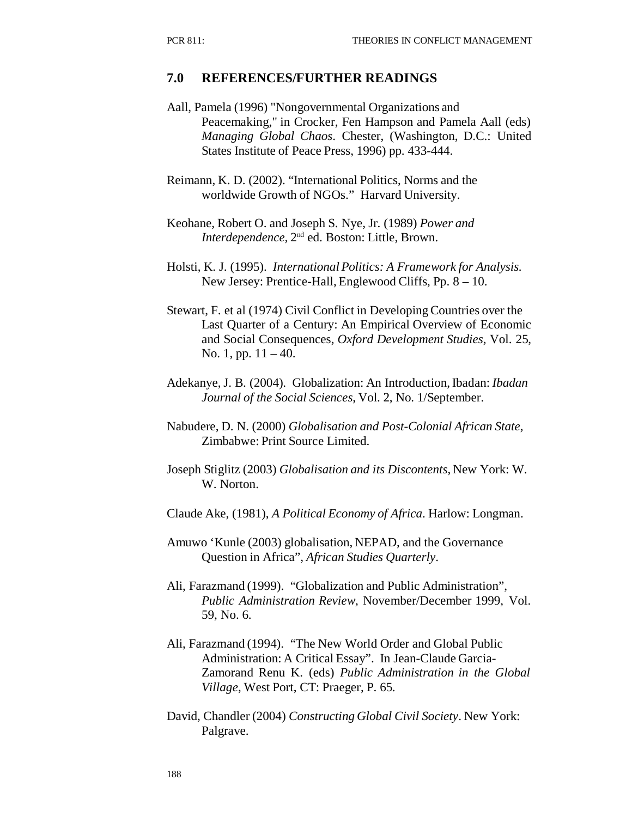#### **7.0 REFERENCES/FURTHER READINGS**

- Aall, Pamela (1996) "Nongovernmental Organizations and Peacemaking," in Crocker, Fen Hampson and Pamela Aall (eds) *Managing Global Chaos*. Chester, (Washington, D.C.: United States Institute of Peace Press, 1996) pp. 433-444.
- Reimann, K. D. (2002). "International Politics, Norms and the worldwide Growth of NGOs." Harvard University.
- Keohane, Robert O. and Joseph S. Nye, Jr. (1989) *Power and Interdependence,* 2nd ed. Boston: Little, Brown.
- Holsti, K. J. (1995). *International Politics: A Framework for Analysis.* New Jersey: Prentice-Hall, Englewood Cliffs, Pp. 8 – 10.
- Stewart, F. et al (1974) Civil Conflict in Developing Countries over the Last Quarter of a Century: An Empirical Overview of Economic and Social Consequences, *Oxford Development Studies,* Vol. 25, No. 1, pp. 11 – 40.
- Adekanye, J. B. (2004). Globalization: An Introduction, Ibadan: *Ibadan Journal of the Social Sciences*, Vol. 2, No. 1/September.
- Nabudere, D. N. (2000) *Globalisation and Post-Colonial African State*, Zimbabwe: Print Source Limited.
- Joseph Stiglitz (2003) *Globalisation and its Discontents*, New York: W. W. Norton.
- Claude Ake, (1981), *A Political Economy of Africa*. Harlow: Longman.
- Amuwo 'Kunle (2003) globalisation, NEPAD, and the Governance Question in Africa", *African Studies Quarterly*.
- Ali, Farazmand (1999). "Globalization and Public Administration", *Public Administration Review*, November/December 1999, Vol. 59, No. 6.
- Ali, Farazmand (1994). "The New World Order and Global Public Administration: A Critical Essay". In Jean-Claude Garcia-Zamorand Renu K. (eds) *Public Administration in the Global Village*, West Port, CT: Praeger, P. 65.
- David, Chandler (2004) *Constructing Global Civil Society*. New York: Palgrave.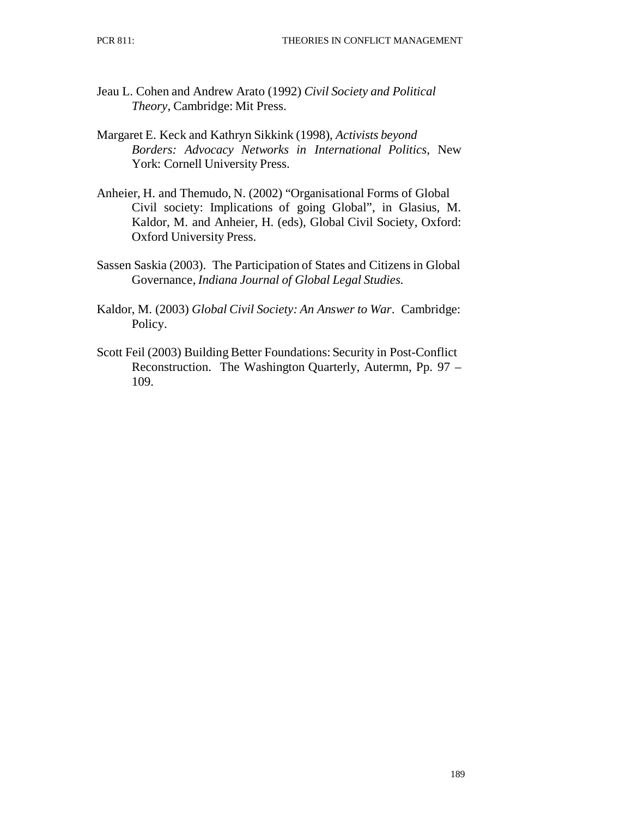- Jeau L. Cohen and Andrew Arato (1992) *Civil Society and Political Theory*, Cambridge: Mit Press.
- Margaret E. Keck and Kathryn Sikkink (1998), *Activists beyond Borders: Advocacy Networks in International Politics,* New York: Cornell University Press.
- Anheier, H. and Themudo, N. (2002) "Organisational Forms of Global Civil society: Implications of going Global", in Glasius, M. Kaldor, M. and Anheier, H. (eds), Global Civil Society, Oxford: Oxford University Press.
- Sassen Saskia (2003). The Participation of States and Citizens in Global Governance, *Indiana Journal of Global Legal Studies.*
- Kaldor, M. (2003) *Global Civil Society: An Answer to War*. Cambridge: Policy.
- Scott Feil (2003) Building Better Foundations: Security in Post-Conflict Reconstruction. The Washington Quarterly, Autermn, Pp. 97 – 109.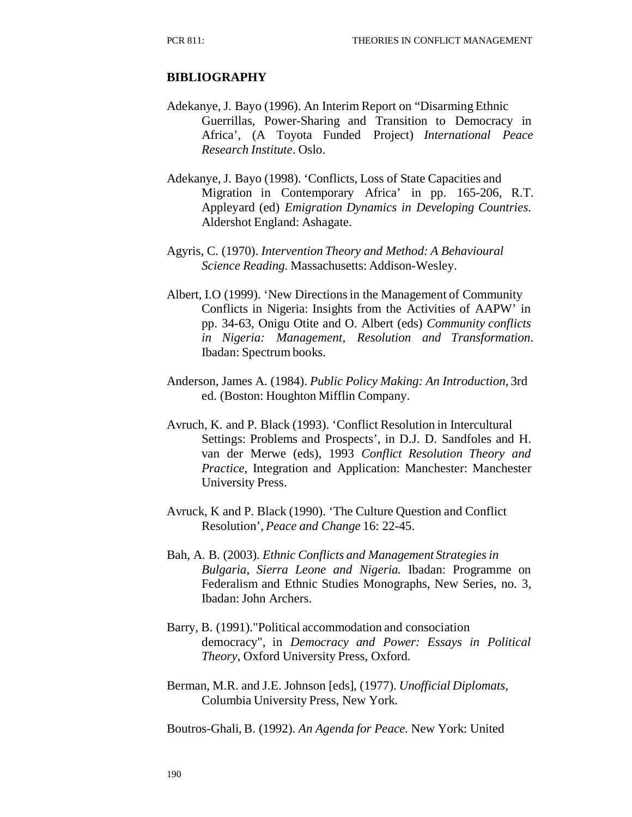#### **BIBLIOGRAPHY**

- Adekanye, J. Bayo (1996). An Interim Report on "Disarming Ethnic Guerrillas, Power-Sharing and Transition to Democracy in Africa', (A Toyota Funded Project) *International Peace Research Institute*. Oslo.
- Adekanye, J. Bayo (1998). 'Conflicts, Loss of State Capacities and Migration in Contemporary Africa' in pp. 165-206, R.T. Appleyard (ed) *Emigration Dynamics in Developing Countries.*  Aldershot England: Ashagate.
- Agyris, C. (1970). *Intervention Theory and Method: A Behavioural Science Reading.* Massachusetts: Addison-Wesley.
- Albert, I.O (1999). 'New Directions in the Management of Community Conflicts in Nigeria: Insights from the Activities of AAPW' in pp. 34-63, Onigu Otite and O. Albert (eds) *Community conflicts in Nigeria: Management, Resolution and Transformation*. Ibadan: Spectrum books.
- Anderson, James A. (1984). *Public Policy Making: An Introduction*, 3rd ed. (Boston: Houghton Mifflin Company.
- Avruch, K. and P. Black (1993). 'Conflict Resolution in Intercultural Settings: Problems and Prospects', in D.J. D. Sandfoles and H. van der Merwe (eds), 1993 *Conflict Resolution Theory and Practice*, Integration and Application: Manchester: Manchester University Press.
- Avruck, K and P. Black (1990). 'The Culture Question and Conflict Resolution', *Peace and Change* 16: 22-45.
- Bah, A. B. (2003). *Ethnic Conflicts and Management Strategies in Bulgaria, Sierra Leone and Nigeria.* Ibadan: Programme on Federalism and Ethnic Studies Monographs, New Series, no. 3, Ibadan: John Archers.
- Barry, B. (1991)."Political accommodation and consociation democracy", in *Democracy and Power: Essays in Political Theory*, Oxford University Press, Oxford.
- Berman, M.R. and J.E. Johnson [eds], (1977). *Unofficial Diplomats*, Columbia University Press, New York.

Boutros-Ghali, B. (1992). *An Agenda for Peace.* New York: United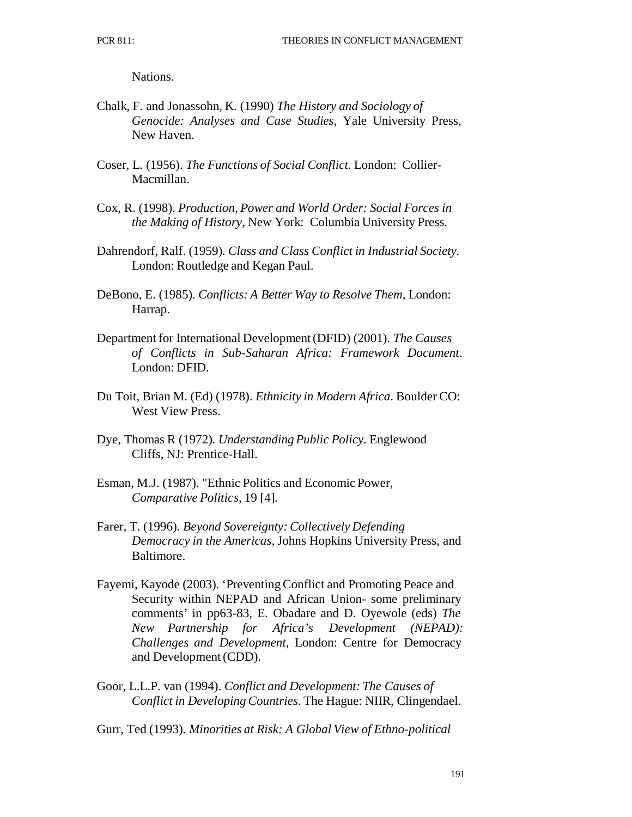Nations.

- Chalk, F. and Jonassohn, K. (1990) *The History and Sociology of Genocide: Analyses and Case Studies*, Yale University Press, New Haven.
- Coser, L. (1956). *The Functions of Social Conflict.* London: Collier-Macmillan.
- Cox, R. (1998). *Production, Power and World Order: Social Forces in the Making of History*, New York: Columbia University Press.
- Dahrendorf, Ralf. (1959). *Class and Class Conflict in Industrial Society.* London: Routledge and Kegan Paul.
- DeBono, E. (1985). *Conflicts: A Better Way to Resolve Them*, London: Harrap.
- Department for International Development (DFID) (2001). *The Causes of Conflicts in Sub-Saharan Africa: Framework Document*. London: DFID.
- Du Toit, Brian M. (Ed) (1978). *Ethnicity in Modern Africa*. Boulder CO: West View Press.
- Dye, Thomas R (1972). *Understanding Public Policy.* Englewood Cliffs, NJ: Prentice-Hall.
- Esman, M.J. (1987). "Ethnic Politics and Economic Power, *Comparative Politics*, 19 [4].
- Farer, T. (1996). *Beyond Sovereignty: Collectively Defending Democracy in the Americas*, Johns Hopkins University Press, and Baltimore.
- Fayemi, Kayode (2003). 'Preventing Conflict and Promoting Peace and Security within NEPAD and African Union- some preliminary comments' in pp63-83, E. Obadare and D. Oyewole (eds) *The New Partnership for Africa's Development (NEPAD): Challenges and Development*, London: Centre for Democracy and Development (CDD).
- Goor, L.L.P. van (1994). *Conflict and Development: The Causes of Conflict in Developing Countries*. The Hague: NIIR, Clingendael.

Gurr, Ted (1993)*. Minorities at Risk: A Global View of Ethno-political*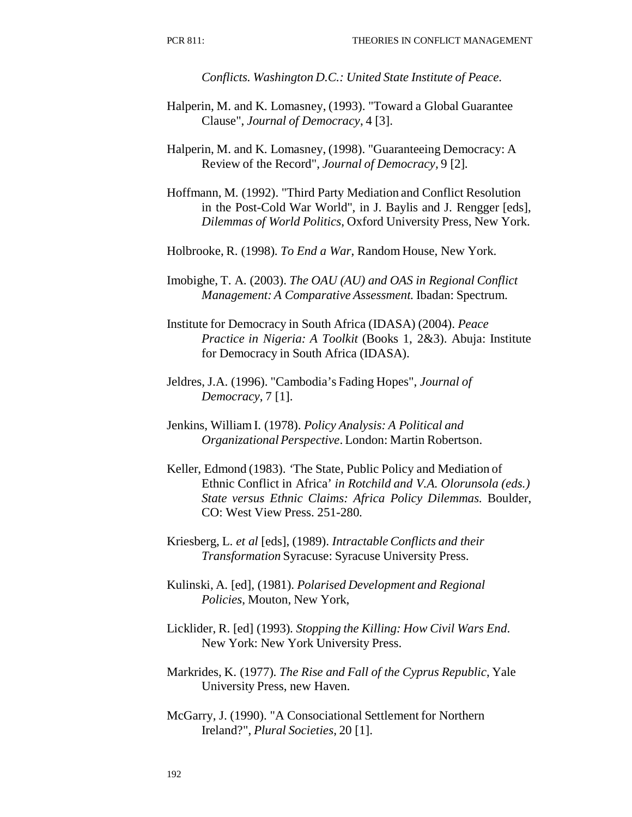*Conflicts. Washington D.C.: United State Institute of Peace.*

Halperin, M. and K. Lomasney, (1993). "Toward a Global Guarantee Clause", *Journal of Democracy*, 4 [3].

Halperin, M. and K. Lomasney, (1998). "Guaranteeing Democracy: A Review of the Record", *Journal of Democracy,* 9 [2].

Hoffmann, M. (1992). "Third Party Mediation and Conflict Resolution in the Post-Cold War World", in J. Baylis and J. Rengger [eds], *Dilemmas of World Politics*, Oxford University Press, New York.

Holbrooke, R. (1998). *To End a War*, Random House, New York.

Imobighe, T. A. (2003). *The OAU (AU) and OAS in Regional Conflict Management: A Comparative Assessment.* Ibadan: Spectrum.

- Institute for Democracy in South Africa (IDASA) (2004). *Peace Practice in Nigeria: A Toolkit* (Books 1, 2&3). Abuja: Institute for Democracy in South Africa (IDASA).
- Jeldres, J.A. (1996). "Cambodia's Fading Hopes", *Journal of Democracy*, 7 [1].
- Jenkins, William I. (1978). *Policy Analysis: A Political and Organizational Perspective*. London: Martin Robertson.
- Keller, Edmond (1983). *'*The State, Public Policy and Mediation of Ethnic Conflict in Africa' *in Rotchild and V.A. Olorunsola (eds.) State versus Ethnic Claims: Africa Policy Dilemmas.* Boulder, CO: West View Press. 251-280.
- Kriesberg, L. *et al* [eds], (1989). *Intractable Conflicts and their Transformation* Syracuse: Syracuse University Press.
- Kulinski, A. [ed], (1981). *Polarised Development and Regional Policies*, Mouton, New York,
- Licklider, R. [ed] (1993). *Stopping the Killing: How Civil Wars End*. New York: New York University Press.
- Markrides, K. (1977). *The Rise and Fall of the Cyprus Republic*, Yale University Press, new Haven.
- McGarry, J. (1990). "A Consociational Settlement for Northern Ireland?", *Plural Societies*, 20 [1].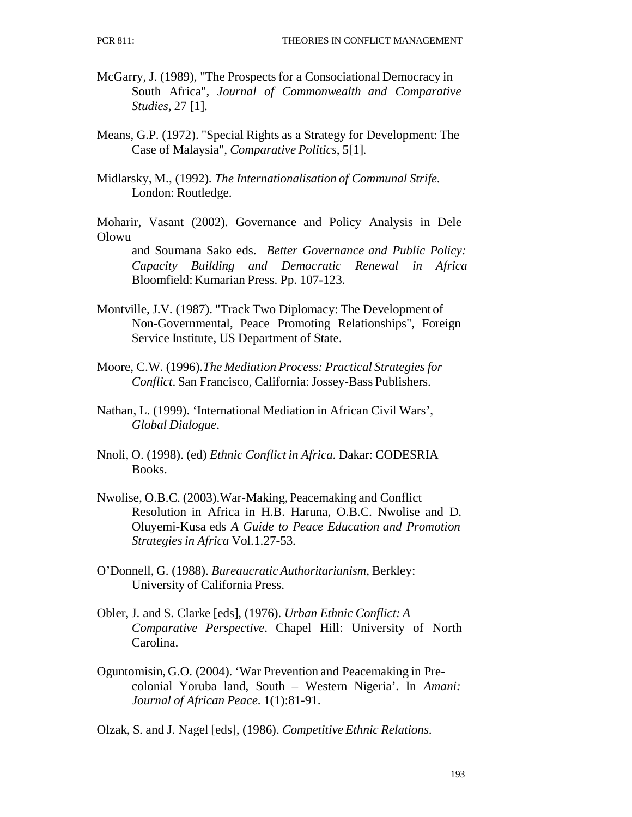- McGarry, J. (1989), "The Prospects for a Consociational Democracy in South Africa", *Journal of Commonwealth and Comparative Studies*, 27 [1].
- Means, G.P. (1972). "Special Rights as a Strategy for Development: The Case of Malaysia", *Comparative Politics*, 5[1].
- Midlarsky, M., (1992). *The Internationalisation of Communal Strife.* London: Routledge.

Moharir, Vasant (2002). Governance and Policy Analysis in Dele Olowu

and Soumana Sako eds. *Better Governance and Public Policy: Capacity Building and Democratic Renewal in Africa* Bloomfield: Kumarian Press. Pp. 107-123.

- Montville, J.V. (1987). "Track Two Diplomacy: The Development of Non-Governmental, Peace Promoting Relationships", Foreign Service Institute, US Department of State.
- Moore, C.W. (1996).*The Mediation Process: Practical Strategies for Conflict*. San Francisco, California: Jossey-Bass Publishers.
- Nathan, L. (1999). 'International Mediation in African Civil Wars', *Global Dialogue*.
- Nnoli, O. (1998). (ed) *Ethnic Conflict in Africa*. Dakar: CODESRIA Books.
- Nwolise, O.B.C. (2003).War-Making, Peacemaking and Conflict Resolution in Africa in H.B. Haruna, O.B.C. Nwolise and D. Oluyemi-Kusa eds *A Guide to Peace Education and Promotion Strategies in Africa* Vol.1.27-53.
- O'Donnell, G. (1988). *Bureaucratic Authoritarianism*, Berkley: University of California Press.
- Obler, J. and S. Clarke [eds], (1976). *Urban Ethnic Conflict: A Comparative Perspective*. Chapel Hill: University of North Carolina.
- Oguntomisin, G.O. (2004). 'War Prevention and Peacemaking in Precolonial Yoruba land, South – Western Nigeria'. In *Amani: Journal of African Peace.* 1(1):81-91.

Olzak, S. and J. Nagel [eds], (1986). *Competitive Ethnic Relations*.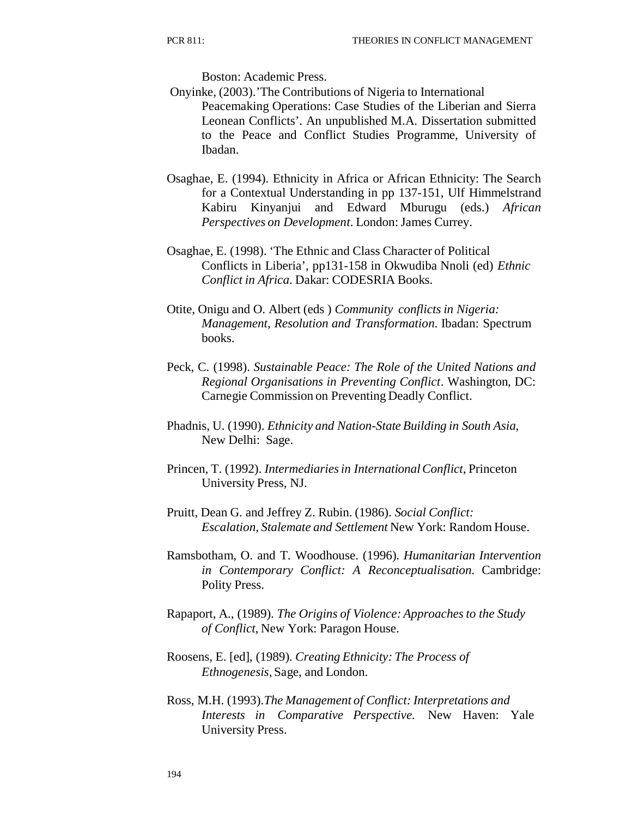Boston: Academic Press.

Onyinke, (2003).'The Contributions of Nigeria to International Peacemaking Operations: Case Studies of the Liberian and Sierra Leonean Conflicts'. An unpublished M.A. Dissertation submitted to the Peace and Conflict Studies Programme, University of Ibadan.

- Osaghae, E. (1994). Ethnicity in Africa or African Ethnicity: The Search for a Contextual Understanding in pp 137-151, Ulf Himmelstrand Kabiru Kinyanjui and Edward Mburugu (eds.) *African Perspectives on Development*. London: James Currey.
- Osaghae, E. (1998). 'The Ethnic and Class Character of Political Conflicts in Liberia', pp131-158 in Okwudiba Nnoli (ed) *Ethnic Conflict in Africa*. Dakar: CODESRIA Books.
- Otite, Onigu and O. Albert (eds ) *Community conflicts in Nigeria: Management, Resolution and Transformation*. Ibadan: Spectrum books.
- Peck, C. (1998). *Sustainable Peace: The Role of the United Nations and Regional Organisations in Preventing Conflict*. Washington, DC: Carnegie Commission on Preventing Deadly Conflict.
- Phadnis, U. (1990). *Ethnicity and Nation-State Building in South Asia*, New Delhi: Sage.
- Princen, T. (1992). *Intermediaries in International Conflict*, Princeton University Press, NJ.
- Pruitt, Dean G. and Jeffrey Z. Rubin. (1986). *Social Conflict: Escalation, Stalemate and Settlement* New York: Random House.
- Ramsbotham, O. and T. Woodhouse. (1996). *Humanitarian Intervention in Contemporary Conflict: A Reconceptualisation*. Cambridge: Polity Press.
- Rapaport, A., (1989). *The Origins of Violence: Approaches to the Study of Conflict*, New York: Paragon House.
- Roosens, E. [ed], (1989). *Creating Ethnicity: The Process of Ethnogenesis*, Sage, and London.
- Ross, M.H. (1993).*The Management of Conflict: Interpretations and Interests in Comparative Perspective.* New Haven: Yale University Press.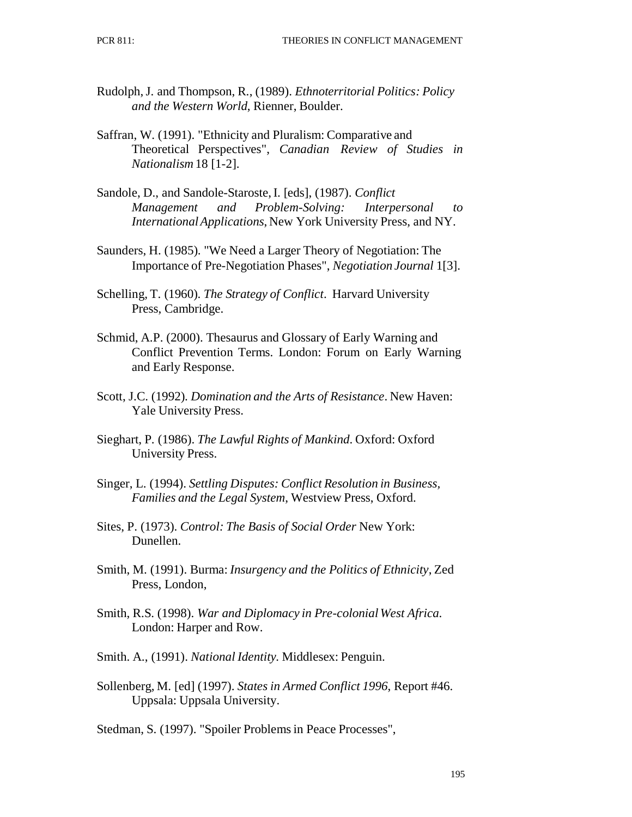- Rudolph, J. and Thompson, R., (1989). *Ethnoterritorial Politics: Policy and the Western World*, Rienner, Boulder.
- Saffran, W. (1991). "Ethnicity and Pluralism: Comparative and Theoretical Perspectives", *Canadian Review of Studies in Nationalism* 18 [1-2].
- Sandole, D., and Sandole-Staroste, I. [eds], (1987). *Conflict Management and Problem-Solving: Interpersonal to International Applications*, New York University Press, and NY.
- Saunders, H. (1985). "We Need a Larger Theory of Negotiation: The Importance of Pre-Negotiation Phases", *Negotiation Journal* 1[3].
- Schelling, T. (1960). *The Strategy of Conflict*. Harvard University Press, Cambridge.
- Schmid, A.P. (2000). Thesaurus and Glossary of Early Warning and Conflict Prevention Terms. London: Forum on Early Warning and Early Response.
- Scott, J.C. (1992). *Domination and the Arts of Resistance*. New Haven: Yale University Press.
- Sieghart, P. (1986). *The Lawful Rights of Mankind*. Oxford: Oxford University Press.
- Singer, L. (1994). *Settling Disputes: Conflict Resolution in Business, Families and the Legal System*, Westview Press, Oxford.
- Sites, P. (1973). *Control: The Basis of Social Order* New York: Dunellen.
- Smith, M. (1991). Burma: *Insurgency and the Politics of Ethnicity*, Zed Press, London,
- Smith, R.S. (1998). *War and Diplomacy in Pre-colonial West Africa*. London: Harper and Row.
- Smith. A., (1991). *National Identity.* Middlesex: Penguin.
- Sollenberg, M. [ed] (1997). *States in Armed Conflict 1996*, Report #46. Uppsala: Uppsala University.

Stedman, S. (1997). "Spoiler Problems in Peace Processes",